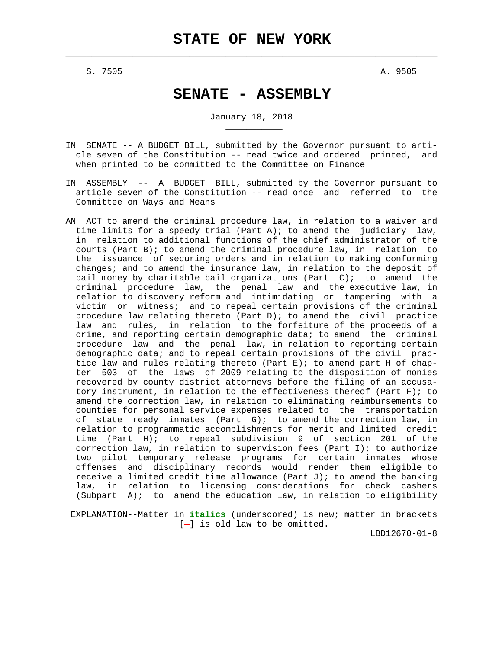$\mathcal{L}_\text{max} = \frac{1}{2} \sum_{i=1}^{n} \frac{1}{2} \sum_{i=1}^{n} \frac{1}{2} \sum_{i=1}^{n} \frac{1}{2} \sum_{i=1}^{n} \frac{1}{2} \sum_{i=1}^{n} \frac{1}{2} \sum_{i=1}^{n} \frac{1}{2} \sum_{i=1}^{n} \frac{1}{2} \sum_{i=1}^{n} \frac{1}{2} \sum_{i=1}^{n} \frac{1}{2} \sum_{i=1}^{n} \frac{1}{2} \sum_{i=1}^{n} \frac{1}{2} \sum_{i=1}^{n} \frac{1$ 

S. 7505 A. 9505

\_\_\_\_\_\_\_\_\_\_\_

## **SENATE - ASSEMBLY**

January 18, 2018

- IN SENATE -- A BUDGET BILL, submitted by the Governor pursuant to arti cle seven of the Constitution -- read twice and ordered printed, and when printed to be committed to the Committee on Finance
- IN ASSEMBLY -- A BUDGET BILL, submitted by the Governor pursuant to article seven of the Constitution -- read once and referred to the Committee on Ways and Means
- AN ACT to amend the criminal procedure law, in relation to a waiver and time limits for a speedy trial (Part A); to amend the judiciary law, in relation to additional functions of the chief administrator of the courts (Part B); to amend the criminal procedure law, in relation to the issuance of securing orders and in relation to making conforming changes; and to amend the insurance law, in relation to the deposit of bail money by charitable bail organizations (Part C); to amend the criminal procedure law, the penal law and the executive law, in relation to discovery reform and intimidating or tampering with a victim or witness; and to repeal certain provisions of the criminal procedure law relating thereto (Part D); to amend the civil practice law and rules, in relation to the forfeiture of the proceeds of a crime, and reporting certain demographic data; to amend the criminal procedure law and the penal law, in relation to reporting certain demographic data; and to repeal certain provisions of the civil prac tice law and rules relating thereto (Part  $E$ ); to amend part H of chap ter 503 of the laws of 2009 relating to the disposition of monies recovered by county district attorneys before the filing of an accusa tory instrument, in relation to the effectiveness thereof (Part F); to amend the correction law, in relation to eliminating reimbursements to counties for personal service expenses related to the transportation of state ready inmates (Part G); to amend the correction law, in relation to programmatic accomplishments for merit and limited credit time (Part H); to repeal subdivision 9 of section 201 of the correction law, in relation to supervision fees (Part I); to authorize two pilot temporary release programs for certain inmates whose offenses and disciplinary records would render them eligible to receive a limited credit time allowance (Part J); to amend the banking law, in relation to licensing considerations for check cashers (Subpart A); to amend the education law, in relation to eligibility

 EXPLANATION--Matter in **italics** (underscored) is new; matter in brackets  $[-]$  is old law to be omitted.

LBD12670-01-8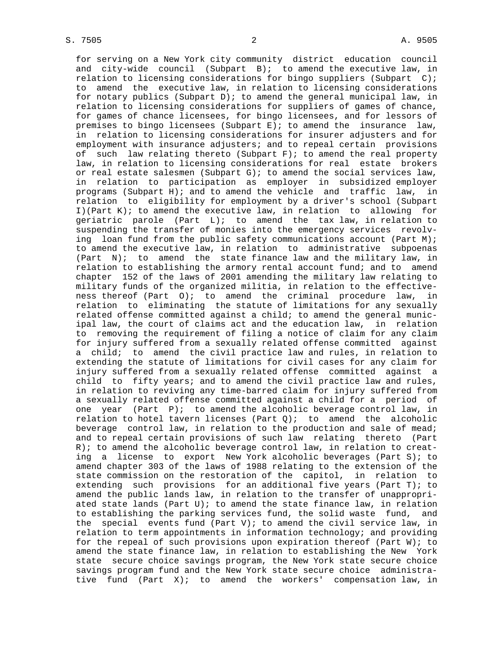for serving on a New York city community district education council and city-wide council (Subpart B); to amend the executive law, in relation to licensing considerations for bingo suppliers (Subpart C); to amend the executive law, in relation to licensing considerations for notary publics (Subpart D); to amend the general municipal law, in relation to licensing considerations for suppliers of games of chance, for games of chance licensees, for bingo licensees, and for lessors of premises to bingo licensees (Subpart E); to amend the insurance law, in relation to licensing considerations for insurer adjusters and for employment with insurance adjusters; and to repeal certain provisions of such law relating thereto (Subpart F); to amend the real property law, in relation to licensing considerations for real estate brokers or real estate salesmen (Subpart G); to amend the social services law, in relation to participation as employer in subsidized employer programs (Subpart H); and to amend the vehicle and traffic law, in relation to eligibility for employment by a driver's school (Subpart I)(Part K); to amend the executive law, in relation to allowing for geriatric parole (Part L); to amend the tax law, in relation to suspending the transfer of monies into the emergency services revolv ing loan fund from the public safety communications account (Part M); to amend the executive law, in relation to administrative subpoenas  $(Part N)$ ; to amend the state finance law and the military law, in relation to establishing the armory rental account fund; and to amend chapter 152 of the laws of 2001 amending the military law relating to military funds of the organized militia, in relation to the effective ness thereof (Part O); to amend the criminal procedure law, in relation to eliminating the statute of limitations for any sexually related offense committed against a child; to amend the general munic ipal law, the court of claims act and the education law, in relation to removing the requirement of filing a notice of claim for any claim for injury suffered from a sexually related offense committed against a child; to amend the civil practice law and rules, in relation to extending the statute of limitations for civil cases for any claim for injury suffered from a sexually related offense committed against a child to fifty years; and to amend the civil practice law and rules, in relation to reviving any time-barred claim for injury suffered from a sexually related offense committed against a child for a period of one year (Part P); to amend the alcoholic beverage control law, in relation to hotel tavern licenses (Part Q); to amend the alcoholic beverage control law, in relation to the production and sale of mead; and to repeal certain provisions of such law relating thereto (Part R); to amend the alcoholic beverage control law, in relation to creat ing a license to export New York alcoholic beverages (Part S); to amend chapter 303 of the laws of 1988 relating to the extension of the state commission on the restoration of the capitol, in relation to extending such provisions for an additional five years (Part T); to amend the public lands law, in relation to the transfer of unappropri ated state lands (Part U); to amend the state finance law, in relation to establishing the parking services fund, the solid waste fund, and the special events fund (Part V); to amend the civil service law, in relation to term appointments in information technology; and providing for the repeal of such provisions upon expiration thereof (Part W); to amend the state finance law, in relation to establishing the New York state secure choice savings program, the New York state secure choice savings program fund and the New York state secure choice administra tive fund (Part X); to amend the workers' compensation law, in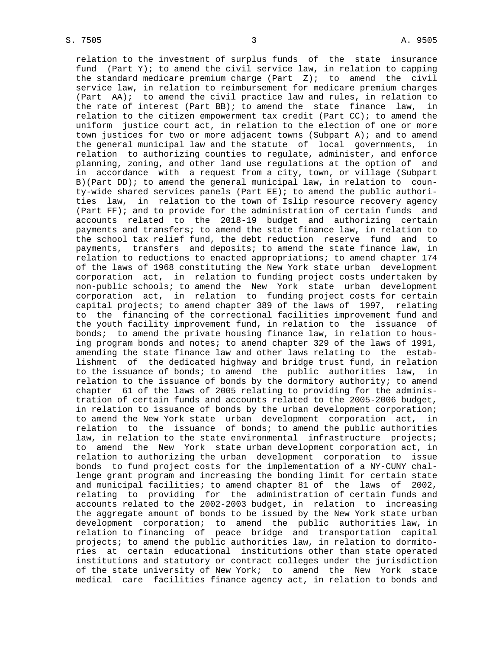relation to the investment of surplus funds of the state insurance fund (Part Y); to amend the civil service law, in relation to capping the standard medicare premium charge (Part Z); to amend the civil service law, in relation to reimbursement for medicare premium charges (Part AA); to amend the civil practice law and rules, in relation to the rate of interest (Part BB); to amend the state finance law, in relation to the citizen empowerment tax credit (Part CC); to amend the uniform justice court act, in relation to the election of one or more town justices for two or more adjacent towns (Subpart A); and to amend the general municipal law and the statute of local governments, in relation to authorizing counties to regulate, administer, and enforce planning, zoning, and other land use regulations at the option of and in accordance with a request from a city, town, or village (Subpart B)(Part DD); to amend the general municipal law, in relation to coun ty-wide shared services panels (Part EE); to amend the public authori ties law, in relation to the town of Islip resource recovery agency (Part FF); and to provide for the administration of certain funds and accounts related to the 2018-19 budget and authorizing certain payments and transfers; to amend the state finance law, in relation to the school tax relief fund, the debt reduction reserve fund and to payments, transfers and deposits; to amend the state finance law, in relation to reductions to enacted appropriations; to amend chapter 174 of the laws of 1968 constituting the New York state urban development corporation act, in relation to funding project costs undertaken by non-public schools; to amend the New York state urban development corporation act, in relation to funding project costs for certain capital projects; to amend chapter 389 of the laws of 1997, relating to the financing of the correctional facilities improvement fund and the youth facility improvement fund, in relation to the issuance of bonds; to amend the private housing finance law, in relation to hous ing program bonds and notes; to amend chapter 329 of the laws of 1991, amending the state finance law and other laws relating to the estab lishment of the dedicated highway and bridge trust fund, in relation to the issuance of bonds; to amend the public authorities law, in relation to the issuance of bonds by the dormitory authority; to amend chapter 61 of the laws of 2005 relating to providing for the adminis tration of certain funds and accounts related to the 2005-2006 budget, in relation to issuance of bonds by the urban development corporation; to amend the New York state urban development corporation act, in relation to the issuance of bonds; to amend the public authorities law, in relation to the state environmental infrastructure projects; to amend the New York state urban development corporation act, in relation to authorizing the urban development corporation to issue bonds to fund project costs for the implementation of a NY-CUNY chal lenge grant program and increasing the bonding limit for certain state and municipal facilities; to amend chapter 81 of the laws of 2002, relating to providing for the administration of certain funds and accounts related to the 2002-2003 budget, in relation to increasing the aggregate amount of bonds to be issued by the New York state urban development corporation; to amend the public authorities law, in relation to financing of peace bridge and transportation capital projects; to amend the public authorities law, in relation to dormito ries at certain educational institutions other than state operated institutions and statutory or contract colleges under the jurisdiction of the state university of New York; to amend the New York state medical care facilities finance agency act, in relation to bonds and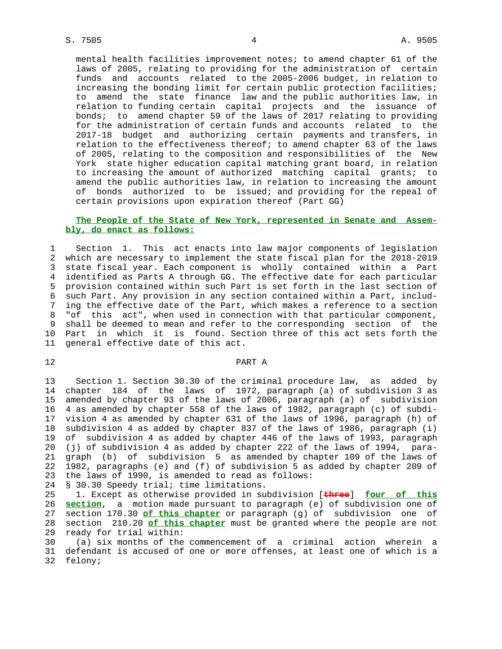mental health facilities improvement notes; to amend chapter 61 of the laws of 2005, relating to providing for the administration of certain funds and accounts related to the 2005-2006 budget, in relation to increasing the bonding limit for certain public protection facilities; to amend the state finance law and the public authorities law, in relation to funding certain capital projects and the issuance of bonds; to amend chapter 59 of the laws of 2017 relating to providing for the administration of certain funds and accounts related to the 2017-18 budget and authorizing certain payments and transfers, in relation to the effectiveness thereof; to amend chapter 63 of the laws of 2005, relating to the composition and responsibilities of the New York state higher education capital matching grant board, in relation to increasing the amount of authorized matching capital grants; to amend the public authorities law, in relation to increasing the amount of bonds authorized to be issued; and providing for the repeal of certain provisions upon expiration thereof (Part GG)

## **The People of the State of New York, represented in Senate and Assem bly, do enact as follows:**

 1 Section 1. This act enacts into law major components of legislation 2 which are necessary to implement the state fiscal plan for the 2018-2019 3 state fiscal year. Each component is wholly contained within a Part 4 identified as Parts A through GG. The effective date for each particular 5 provision contained within such Part is set forth in the last section of 6 such Part. Any provision in any section contained within a Part, includ- 7 ing the effective date of the Part, which makes a reference to a section 8 "of this act", when used in connection with that particular component, 9 shall be deemed to mean and refer to the corresponding section of the 10 Part in which it is found. Section three of this act sets forth the 11 general effective date of this act.

## 12 PART A

 13 Section 1. Section 30.30 of the criminal procedure law, as added by 14 chapter 184 of the laws of 1972, paragraph (a) of subdivision 3 as 15 amended by chapter 93 of the laws of 2006, paragraph (a) of subdivision 16 4 as amended by chapter 558 of the laws of 1982, paragraph (c) of subdi- 17 vision 4 as amended by chapter 631 of the laws of 1996, paragraph (h) of 18 subdivision 4 as added by chapter 837 of the laws of 1986, paragraph (i) 19 of subdivision 4 as added by chapter 446 of the laws of 1993, paragraph 20 (j) of subdivision 4 as added by chapter 222 of the laws of 1994, para- 21 graph (b) of subdivision 5 as amended by chapter 109 of the laws of 22 1982, paragraphs (e) and (f) of subdivision 5 as added by chapter 209 of 23 the laws of 1990, is amended to read as follows:

24 § 30.30 Speedy trial; time limitations.

 25 1. Except as otherwise provided in subdivision [**three**] **four of this** 26 **section**, a motion made pursuant to paragraph (e) of subdivision one of 27 section 170.30 **of this chapter** or paragraph (g) of subdivision one of 28 section 210.20 **of this chapter** must be granted where the people are not 29 ready for trial within:

 30 (a) six months of the commencement of a criminal action wherein a 31 defendant is accused of one or more offenses, at least one of which is a 32 felony;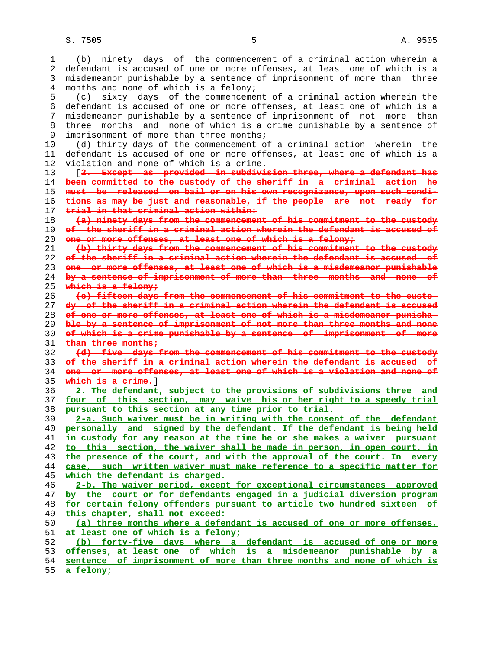1 (b) ninety days of the commencement of a criminal action wherein a 2 defendant is accused of one or more offenses, at least one of which is a 3 misdemeanor punishable by a sentence of imprisonment of more than three 4 months and none of which is a felony; 5 (c) sixty days of the commencement of a criminal action wherein the 6 defendant is accused of one or more offenses, at least one of which is a 7 misdemeanor punishable by a sentence of imprisonment of not more than 8 three months and none of which is a crime punishable by a sentence of 9 imprisonment of more than three months; 10 (d) thirty days of the commencement of a criminal action wherein the 11 defendant is accused of one or more offenses, at least one of which is a 12 violation and none of which is a crime. 13 [**2. Except as provided in subdivision three, where a defendant has been committed to the custody of the sheriff in a criminal action he must be released on bail or on his own recognizance, upon such condi- tions as may be just and reasonable, if the people are not ready for trial in that criminal action within: (a) ninety days from the commencement of his commitment to the custody of the sheriff in a criminal action wherein the defendant is accused of one or more offenses, at least one of which is a felony; (b) thirty days from the commencement of his commitment to the custody of the sheriff in a criminal action wherein the defendant is accused of one or more offenses, at least one of which is a misdemeanor punishable by a sentence of imprisonment of more than three months and none of which is a felony; (c) fifteen days from the commencement of his commitment to the custo- dy of the sheriff in a criminal action wherein the defendant is accused of one or more offenses, at least one of which is a misdemeanor punisha- ble by a sentence of imprisonment of not more than three months and none of which is a crime punishable by a sentence of imprisonment of more than three months; (d) five days from the commencement of his commitment to the custody of the sheriff in a criminal action wherein the defendant is accused of one or more offenses, at least one of which is a violation and none of which is a crime.**] **2. The defendant, subject to the provisions of subdivisions three and four of this section, may waive his or her right to a speedy trial pursuant to this section at any time prior to trial. 2-a. Such waiver must be in writing with the consent of the defendant personally and signed by the defendant. If the defendant is being held in custody for any reason at the time he or she makes a waiver pursuant to this section, the waiver shall be made in person, in open court, in the presence of the court, and with the approval of the court. In every case, such written waiver must make reference to a specific matter for which the defendant is charged. 2-b. The waiver period, except for exceptional circumstances approved by the court or for defendants engaged in a judicial diversion program for certain felony offenders pursuant to article two hundred sixteen of this chapter, shall not exceed: (a) three months where a defendant is accused of one or more offenses, at least one of which is a felony; (b) forty-five days where a defendant is accused of one or more offenses, at least one of which is a misdemeanor punishable by a sentence of imprisonment of more than three months and none of which is**

**a felony;**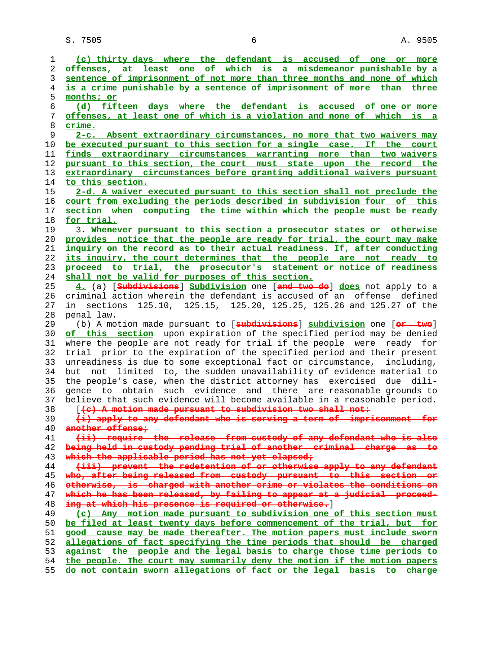S. 7505 6 A. 9505

| 1  | (c) thirty days where the defendant is accused of one or more                   |
|----|---------------------------------------------------------------------------------|
| 2  | offenses, at least one of which is a misdemeanor punishable by a                |
| 3  | sentence of imprisonment of not more than three months and none of which        |
| 4  | is a crime punishable by a sentence of imprisonment of more than three          |
| 5  | months; or                                                                      |
| б  | (d) fifteen days where the defendant is accused of one or more                  |
| 7  | offenses, at least one of which is a violation and none of which is a           |
| 8  | <u>crime.</u>                                                                   |
| 9  | 2-c. Absent extraordinary circumstances, no more that two waivers may           |
| 10 | be executed pursuant to this section for a single case. If the court            |
| 11 | finds extraordinary circumstances warranting more than two waivers              |
| 12 | pursuant to this section, the court must state upon the record the              |
| 13 | extraordinary circumstances before granting additional waivers pursuant         |
| 14 | to this section.                                                                |
| 15 | 2-d. A waiver executed pursuant to this section shall not preclude the          |
| 16 | court from excluding the periods described in subdivision four of this          |
| 17 | section when computing the time within which the people must be ready           |
| 18 | for trial.                                                                      |
| 19 | 3. Whenever pursuant to this section a prosecutor states or otherwise           |
| 20 | provides notice that the people are ready for trial, the court may make         |
| 21 | inquiry on the record as to their actual readiness. If, after conducting        |
| 22 | its inquiry, the court determines that the people are not ready to              |
| 23 | proceed to trial, the prosecutor's statement or notice of readiness             |
| 24 | shall not be valid for purposes of this section.                                |
| 25 | 4. (a) [ <i>Subdivisions</i> ] Subdivision one [and two do] does not apply to a |
| 26 | criminal action wherein the defendant is accused of an offense defined          |
| 27 | in sections 125.10, 125.15, 125.20, 125.25, 125.26 and 125.27 of the            |
| 28 | penal law.                                                                      |
| 29 | (b) A motion made pursuant to [subdivisions] subdivision one [or two]           |
| 30 | of this section upon expiration of the specified period may be denied           |
| 31 | where the people are not ready for trial if the people were ready for           |
| 32 | trial prior to the expiration of the specified period and their present         |
| 33 | unreadiness is due to some exceptional fact or circumstance,<br>including,      |
| 34 | not limited to, the sudden unavailability of evidence material to<br>but        |
| 35 | the people's case, when the district attorney has exercised due dili-           |
| 36 | gence to obtain such evidence and there are reasonable grounds to               |
| 37 | believe that such evidence will become available in a reasonable period.        |
| 38 | [(e) A motion made pursuant to subdivision two shall not:                       |
| 39 | (i) apply to any defendant who is serving a term of imprisonment for            |
| 40 | another offense,                                                                |
| 41 | (ii) require the release from custody of any defendant who is also              |
| 42 | being held in custody pending trial of another criminal charge as to            |
| 43 | which the applicable period has not yet elapsed,                                |
|    | (iii) prevent the redetention of or otherwise apply to any defendant            |
| 44 | who, after being released from custody pursuant to this section or              |
| 45 | otherwise, is charged with another crime or violates the conditions on          |
| 46 |                                                                                 |
| 47 | which he has been released, by failing to appear at a judicial proceed-         |
| 48 | ing at which his presence is required or otherwise. ]                           |
| 49 | (c) Any motion made pursuant to subdivision one of this section must            |
| 50 | be filed at least twenty days before commencement of the trial, but for         |
| 51 | good cause may be made thereafter. The motion papers must include sworn         |
| 52 | allegations of fact specifying the time periods that should be charged          |
| 53 | against the people and the legal basis to charge those time periods to          |
| 54 | the people. The court may summarily deny the motion if the motion papers        |

**do not contain sworn allegations of fact or the legal basis to charge**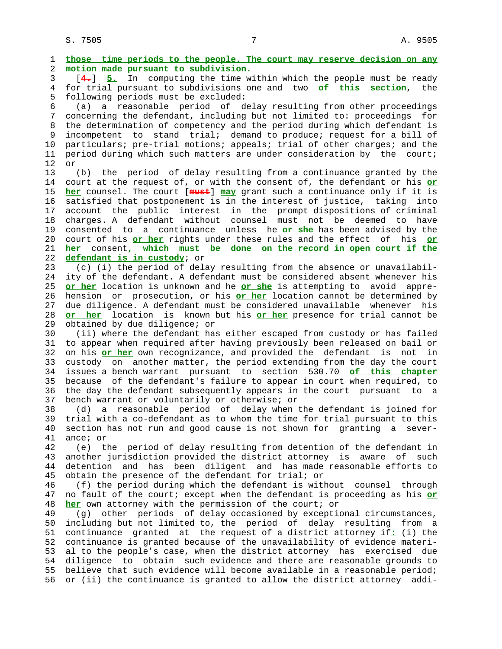1 **those time periods to the people. The court may reserve decision on any** 2 **motion made pursuant to subdivision.** 3 [**4.**] **5.** In computing the time within which the people must be ready 4 for trial pursuant to subdivisions one and two **of this section**, the 5 following periods must be excluded: 6 (a) a reasonable period of delay resulting from other proceedings 7 concerning the defendant, including but not limited to: proceedings for 8 the determination of competency and the period during which defendant is<br>9 incompetent to stand trial; demand to produce; request for a bill of incompetent to stand trial; demand to produce; request for a bill of 10 particulars; pre-trial motions; appeals; trial of other charges; and the 11 period during which such matters are under consideration by the court; 12 or 13 (b) the period of delay resulting from a continuance granted by the 14 court at the request of, or with the consent of, the defendant or his **or** 15 **her** counsel. The court [**must**] **may** grant such a continuance only if it is 16 satisfied that postponement is in the interest of justice, taking into 17 account the public interest in the prompt dispositions of criminal 18 charges. A defendant without counsel must not be deemed to have 19 consented to a continuance unless he **or she** has been advised by the 20 court of his **or her** rights under these rules and the effect of his **or** 21 **her** consent**, which must be done on the record in open court if the** 22 **defendant is in custody**; or 23 (c) (i) the period of delay resulting from the absence or unavailabil- 24 ity of the defendant. A defendant must be considered absent whenever his 25 **or her** location is unknown and he **or she** is attempting to avoid appre- 26 hension or prosecution, or his **or her** location cannot be determined by 27 due diligence. A defendant must be considered unavailable whenever his 28 **or her** location is known but his **or her** presence for trial cannot be 29 obtained by due diligence; or 30 (ii) where the defendant has either escaped from custody or has failed 31 to appear when required after having previously been released on bail or 32 on his **or her** own recognizance, and provided the defendant is not in 33 custody on another matter, the period extending from the day the court 34 issues a bench warrant pursuant to section 530.70 **of this chapter** 35 because of the defendant's failure to appear in court when required, to 36 the day the defendant subsequently appears in the court pursuant to a 37 bench warrant or voluntarily or otherwise; or 38 (d) a reasonable period of delay when the defendant is joined for 39 trial with a co-defendant as to whom the time for trial pursuant to this 40 section has not run and good cause is not shown for granting a sever- 41 ance; or 42 (e) the period of delay resulting from detention of the defendant in 43 another jurisdiction provided the district attorney is aware of such 44 detention and has been diligent and has made reasonable efforts to 45 obtain the presence of the defendant for trial; or 46 (f) the period during which the defendant is without counsel through 47 no fault of the court; except when the defendant is proceeding as his **or** 48 **her** own attorney with the permission of the court; or 49 (g) other periods of delay occasioned by exceptional circumstances, 50 including but not limited to, the period of delay resulting from a 51 continuance granted at the request of a district attorney if**:** (i) the 52 continuance is granted because of the unavailability of evidence materi- 53 al to the people's case, when the district attorney has exercised due 54 diligence to obtain such evidence and there are reasonable grounds to 55 believe that such evidence will become available in a reasonable period; 56 or (ii) the continuance is granted to allow the district attorney addi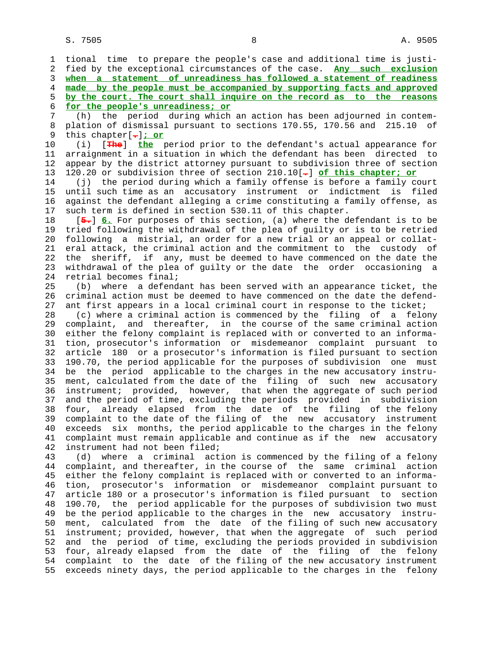1 tional time to prepare the people's case and additional time is justi- 2 fied by the exceptional circumstances of the case. **Any such exclusion when a statement of unreadiness has followed a statement of readiness made by the people must be accompanied by supporting facts and approved by the court. The court shall inquire on the record as to the reasons for the people's unreadiness; or**

 7 (h) the period during which an action has been adjourned in contem- 8 plation of dismissal pursuant to sections 170.55, 170.56 and 215.10 of this chapter  $\left\lfloor -\right\rfloor$ ; or 9 this chapter[**.**]**; or**

 10 (i) [**The**] **the** period prior to the defendant's actual appearance for 11 arraignment in a situation in which the defendant has been directed to 12 appear by the district attorney pursuant to subdivision three of section 13 120.20 or subdivision three of section 210.10[**.**] **of this chapter; or**

 14 (j) the period during which a family offense is before a family court 15 until such time as an accusatory instrument or indictment is filed 16 against the defendant alleging a crime constituting a family offense, as 17 such term is defined in section 530.11 of this chapter.

 18 [**5.**] **6.** For purposes of this section, (a) where the defendant is to be 19 tried following the withdrawal of the plea of guilty or is to be retried 20 following a mistrial, an order for a new trial or an appeal or collat- 21 eral attack, the criminal action and the commitment to the custody of 22 the sheriff, if any, must be deemed to have commenced on the date the 23 withdrawal of the plea of guilty or the date the order occasioning a 24 retrial becomes final;

 25 (b) where a defendant has been served with an appearance ticket, the 26 criminal action must be deemed to have commenced on the date the defend- 27 ant first appears in a local criminal court in response to the ticket;

 28 (c) where a criminal action is commenced by the filing of a felony 29 complaint, and thereafter, in the course of the same criminal action 30 either the felony complaint is replaced with or converted to an informa- 31 tion, prosecutor's information or misdemeanor complaint pursuant to 32 article 180 or a prosecutor's information is filed pursuant to section 33 190.70, the period applicable for the purposes of subdivision one must 34 be the period applicable to the charges in the new accusatory instru- 35 ment, calculated from the date of the filing of such new accusatory 36 instrument; provided, however, that when the aggregate of such period 37 and the period of time, excluding the periods provided in subdivision 38 four, already elapsed from the date of the filing of the felony 39 complaint to the date of the filing of the new accusatory instrument 40 exceeds six months, the period applicable to the charges in the felony 41 complaint must remain applicable and continue as if the new accusatory 42 instrument had not been filed;

 43 (d) where a criminal action is commenced by the filing of a felony 44 complaint, and thereafter, in the course of the same criminal action 45 either the felony complaint is replaced with or converted to an informa- 46 tion, prosecutor's information or misdemeanor complaint pursuant to 47 article 180 or a prosecutor's information is filed pursuant to section 48 190.70, the period applicable for the purposes of subdivision two must 49 be the period applicable to the charges in the new accusatory instru- 50 ment, calculated from the date of the filing of such new accusatory 51 instrument; provided, however, that when the aggregate of such period 52 and the period of time, excluding the periods provided in subdivision 53 four, already elapsed from the date of the filing of the felony 54 complaint to the date of the filing of the new accusatory instrument 55 exceeds ninety days, the period applicable to the charges in the felony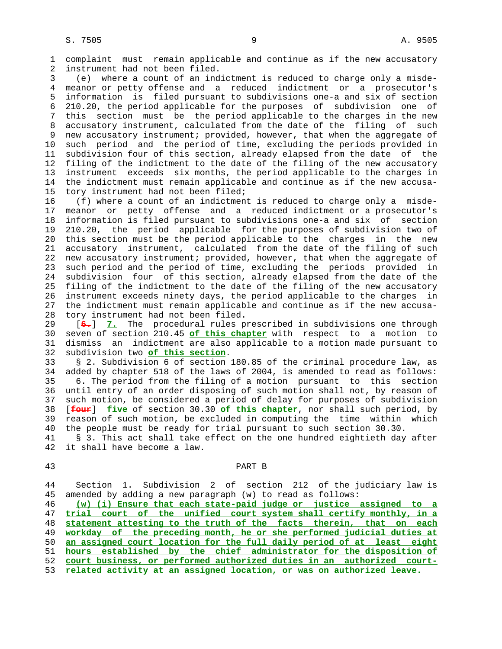1 complaint must remain applicable and continue as if the new accusatory 2 instrument had not been filed.

 3 (e) where a count of an indictment is reduced to charge only a misde- 4 meanor or petty offense and a reduced indictment or a prosecutor's 5 information is filed pursuant to subdivisions one-a and six of section 6 210.20, the period applicable for the purposes of subdivision one of 7 this section must be the period applicable to the charges in the new 8 accusatory instrument, calculated from the date of the filing of such 9 new accusatory instrument; provided, however, that when the aggregate of 10 such period and the period of time, excluding the periods provided in 11 subdivision four of this section, already elapsed from the date of the 12 filing of the indictment to the date of the filing of the new accusatory 13 instrument exceeds six months, the period applicable to the charges in 14 the indictment must remain applicable and continue as if the new accusa- 15 tory instrument had not been filed;

 16 (f) where a count of an indictment is reduced to charge only a misde- 17 meanor or petty offense and a reduced indictment or a prosecutor's 18 information is filed pursuant to subdivisions one-a and six of section 19 210.20, the period applicable for the purposes of subdivision two of 20 this section must be the period applicable to the charges in the new 21 accusatory instrument, calculated from the date of the filing of such 22 new accusatory instrument; provided, however, that when the aggregate of 23 such period and the period of time, excluding the periods provided in 24 subdivision four of this section, already elapsed from the date of the 25 filing of the indictment to the date of the filing of the new accusatory 26 instrument exceeds ninety days, the period applicable to the charges in 27 the indictment must remain applicable and continue as if the new accusa- 28 tory instrument had not been filed.

 29 [**6.**] **7.** The procedural rules prescribed in subdivisions one through 30 seven of section 210.45 **of this chapter** with respect to a motion to 31 dismiss an indictment are also applicable to a motion made pursuant to 32 subdivision two **of this section**.

 33 § 2. Subdivision 6 of section 180.85 of the criminal procedure law, as 34 added by chapter 518 of the laws of 2004, is amended to read as follows: 35 6. The period from the filing of a motion pursuant to this section 36 until entry of an order disposing of such motion shall not, by reason of 37 such motion, be considered a period of delay for purposes of subdivision 38 [**four**] **five** of section 30.30 **of this chapter**, nor shall such period, by 39 reason of such motion, be excluded in computing the time within which 40 the people must be ready for trial pursuant to such section 30.30.

 41 § 3. This act shall take effect on the one hundred eightieth day after 42 it shall have become a law.

| ٠ |   |
|---|---|
|   | I |

43 PART B

|  | Section 1. Subdivision 2 of section 212 of the judiciary law is |  |  |  |  |  |
|--|-----------------------------------------------------------------|--|--|--|--|--|
|  | 45 amended by adding a new paragraph (w) to read as follows:    |  |  |  |  |  |

**(w) (i) Ensure that each state-paid judge or justice assigned to a trial court of the unified court system shall certify monthly, in a statement attesting to the truth of the facts therein, that on each workday of the preceding month, he or she performed judicial duties at an assigned court location for the full daily period of at least eight hours established by the chief administrator for the disposition of court business, or performed authorized duties in an authorized court- related activity at an assigned location, or was on authorized leave.**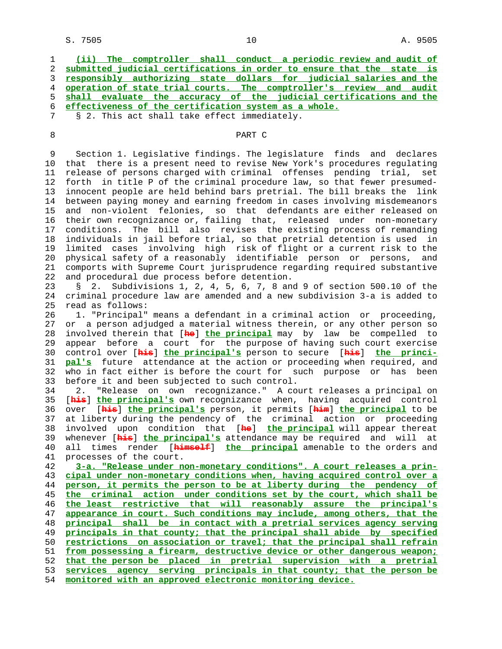$S. 7505$  and  $S. 9505$  and  $S. 9505$ 

|   | (ii) The comptroller shall conduct a periodic review and audit of      |
|---|------------------------------------------------------------------------|
| 2 | submitted judicial certifications in order to ensure that the state is |
| 3 | responsibly authorizing state dollars for judicial salaries and the    |
|   | 4 operation of state trial courts. The comptroller's review and audit  |
|   | 5 shall evaluate the accuracy of the judicial certifications and the   |
|   | 6 effectiveness of the certification system as a whole.                |
|   | 7 § 2. This act shall take effect immediately.                         |
|   | PART C                                                                 |

 9 Section 1. Legislative findings. The legislature finds and declares 10 that there is a present need to revise New York's procedures regulating 11 release of persons charged with criminal offenses pending trial, set 12 forth in title P of the criminal procedure law, so that fewer presumed- 13 innocent people are held behind bars pretrial. The bill breaks the link 14 between paying money and earning freedom in cases involving misdemeanors 15 and non-violent felonies, so that defendants are either released on 16 their own recognizance or, failing that, released under non-monetary 17 conditions. The bill also revises the existing process of remanding 18 individuals in jail before trial, so that pretrial detention is used in 19 limited cases involving high risk of flight or a current risk to the 20 physical safety of a reasonably identifiable person or persons, and 21 comports with Supreme Court jurisprudence regarding required substantive 22 and procedural due process before detention.

 23 § 2. Subdivisions 1, 2, 4, 5, 6, 7, 8 and 9 of section 500.10 of the 24 criminal procedure law are amended and a new subdivision 3-a is added to 25 read as follows:

 26 1. "Principal" means a defendant in a criminal action or proceeding, 27 or a person adjudged a material witness therein, or any other person so 28 involved therein that [**he**] **the principal** may by law be compelled to 29 appear before a court for the purpose of having such court exercise 30 control over [**his**] **the principal's** person to secure [**his**] **the princi-** 31 **pal's** future attendance at the action or proceeding when required, and 32 who in fact either is before the court for such purpose or has been 33 before it and been subjected to such control.

 34 2. "Release on own recognizance." A court releases a principal on 35 [**his**] **the principal's** own recognizance when, having acquired control 36 over [**his**] **the principal's** person, it permits [**him**] **the principal** to be 37 at liberty during the pendency of the criminal action or proceeding 38 involved upon condition that [**he**] **the principal** will appear thereat 39 whenever [**his**] **the principal's** attendance may be required and will at 40 all times render [**himself**] **the principal** amenable to the orders and 41 processes of the court.

**3-a. "Release under non-monetary conditions". A court releases a prin- cipal under non-monetary conditions when, having acquired control over a person, it permits the person to be at liberty during the pendency of the criminal action under conditions set by the court, which shall be the least restrictive that will reasonably assure the principal's appearance in court. Such conditions may include, among others, that the principal shall be in contact with a pretrial services agency serving principals in that county; that the principal shall abide by specified restrictions on association or travel; that the principal shall refrain from possessing a firearm, destructive device or other dangerous weapon; that the person be placed in pretrial supervision with a pretrial services agency serving principals in that county; that the person be monitored with an approved electronic monitoring device.**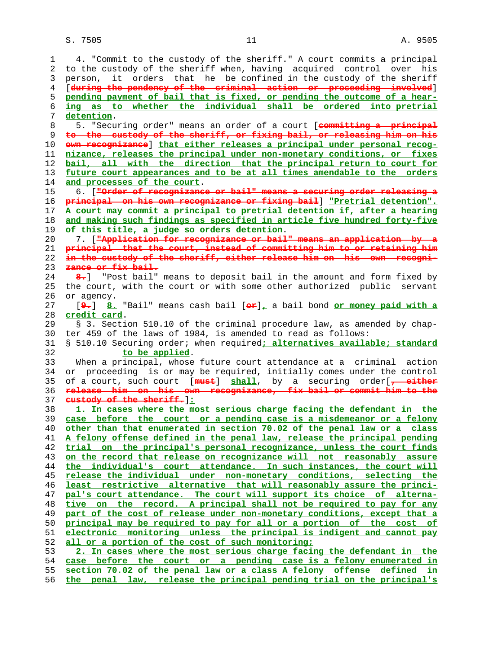1 4. "Commit to the custody of the sheriff." A court commits a principal 2 to the custody of the sheriff when, having acquired control over his 3 person, it orders that he be confined in the custody of the sheriff 4 [**during the pendency of the criminal action or proceeding involved**] **pending payment of bail that is fixed, or pending the outcome of a hear- ing as to whether the individual shall be ordered into pretrial detention**. 8 5. "Securing order" means an order of a court [<del>committing a</del><br>9 <del>to the custody of the sheriff, or fixing bail, or releasing</del> **to the custody of the sheriff, or fixing bail, or releasing him on his own recognizance**] **that either releases a principal under personal recog- nizance, releases the principal under non-monetary conditions, or fixes bail, all with the direction that the principal return to court for future court appearances and to be at all times amendable to the orders and processes of the court**. 15 6. [**"Order of recognizance or bail" means a securing order releasing a principal on his own recognizance or fixing bail**] **"Pretrial detention". A court may commit a principal to pretrial detention if, after a hearing and making such findings as specified in article five hundred forty-five of this title, a judge so orders detention**. 20 7. [**"Application for recognizance or bail" means an application by a principal that the court, instead of committing him to or retaining him in the custody of the sheriff, either release him on his own recogni- zance or fix bail. 8.**] "Post bail" means to deposit bail in the amount and form fixed by 25 the court, with the court or with some other authorized public servant 26 or agency. 27 [**9.**] **8.** "Bail" means cash bail [**or**]**,** a bail bond **or money paid with a credit card**. 29 § 3. Section 510.10 of the criminal procedure law, as amended by chap- 30 ter 459 of the laws of 1984, is amended to read as follows: 31 § 510.10 Securing order; when required**; alternatives available; standard to be applied**. 33 When a principal, whose future court attendance at a criminal action 34 or proceeding is or may be required, initially comes under the control 35 of a court, such court [**must**] **shall**, by a securing order[**, either release him on his own recognizance, fix bail or commit him to the custody of the sheriff.**]**: 1. In cases where the most serious charge facing the defendant in the case before the court or a pending case is a misdemeanor or a felony other than that enumerated in section 70.02 of the penal law or a class A felony offense defined in the penal law, release the principal pending trial on the principal's personal recognizance, unless the court finds on the record that release on recognizance will not reasonably assure the individual's court attendance. In such instances, the court will release the individual under non-monetary conditions, selecting the least restrictive alternative that will reasonably assure the princi- pal's court attendance. The court will support its choice of alterna- tive on the record. A principal shall not be required to pay for any part of the cost of release under non-monetary conditions, except that a principal may be required to pay for all or a portion of the cost of electronic monitoring unless the principal is indigent and cannot pay all or a portion of the cost of such monitoring; 2. In cases where the most serious charge facing the defendant in the case before the court or a pending case is a felony enumerated in section 70.02 of the penal law or a class A felony offense defined in the penal law, release the principal pending trial on the principal's**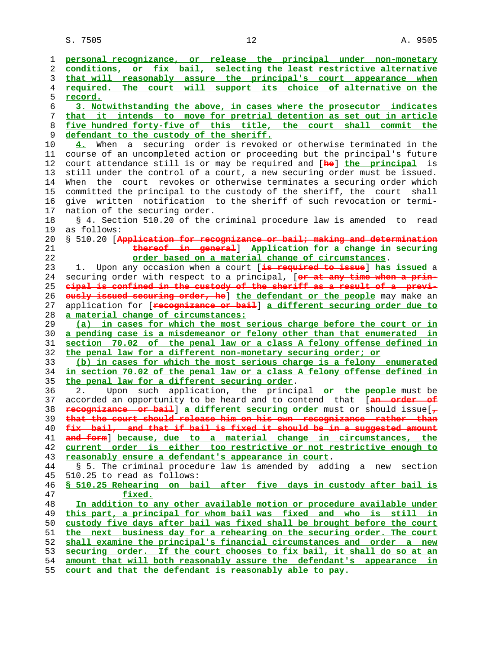**personal recognizance, or release the principal under non-monetary conditions, or fix bail, selecting the least restrictive alternative that will reasonably assure the principal's court appearance when required. The court will support its choice of alternative on the record. 3. Notwithstanding the above, in cases where the prosecutor indicates that it intends to move for pretrial detention as set out in article five hundred forty-five of this title, the court shall commit the defendant to the custody of the sheriff. 4.** When a securing order is revoked or otherwise terminated in the 11 course of an uncompleted action or proceeding but the principal's future 12 court attendance still is or may be required and [**he**] **the principal** is 13 still under the control of a court, a new securing order must be issued. 14 When the court revokes or otherwise terminates a securing order which 15 committed the principal to the custody of the sheriff, the court shall 16 give written notification to the sheriff of such revocation or termi- 17 nation of the securing order. 18 § 4. Section 510.20 of the criminal procedure law is amended to read 19 as follows: 20 § 510.20 [**Application for recognizance or bail; making and determination thereof in general**] **Application for a change in securing order based on a material change of circumstances**. 23 1. Upon any occasion when a court [**is required to issue**] **has issued** a 24 securing order with respect to a principal, [**or at any time when a prin- cipal is confined in the custody of the sheriff as a result of a previ- ously issued securing order, he**] **the defendant or the people** may make an 27 application for [**recognizance or bail**] **a different securing order due to a material change of circumstances: (a) in cases for which the most serious charge before the court or in a pending case is a misdemeanor or felony other than that enumerated in section 70.02 of the penal law or a class A felony offense defined in the penal law for a different non-monetary securing order; or (b) in cases for which the most serious charge is a felony enumerated in section 70.02 of the penal law or a class A felony offense defined in the penal law for a different securing order**. 36 2. Upon such application, the principal **or the people** must be 37 accorded an opportunity to be heard and to contend that [**an order of recognizance or bail**] **a different securing order** must or should issue[**, that the court should release him on his own recognizance rather than fix bail, and that if bail is fixed it should be in a suggested amount and form**] **because, due to a material change in circumstances, the current order is either too restrictive or not restrictive enough to reasonably ensure a defendant's appearance in court**. 44 § 5. The criminal procedure law is amended by adding a new section 45 510.25 to read as follows: **§ 510.25 Rehearing on bail after five days in custody after bail is fixed. In addition to any other available motion or procedure available under this part, a principal for whom bail was fixed and who is still in custody five days after bail was fixed shall be brought before the court the next business day for a rehearing on the securing order. The court shall examine the principal's financial circumstances and order a new securing order. If the court chooses to fix bail, it shall do so at an amount that will both reasonably assure the defendant's appearance in**

**court and that the defendant is reasonably able to pay.**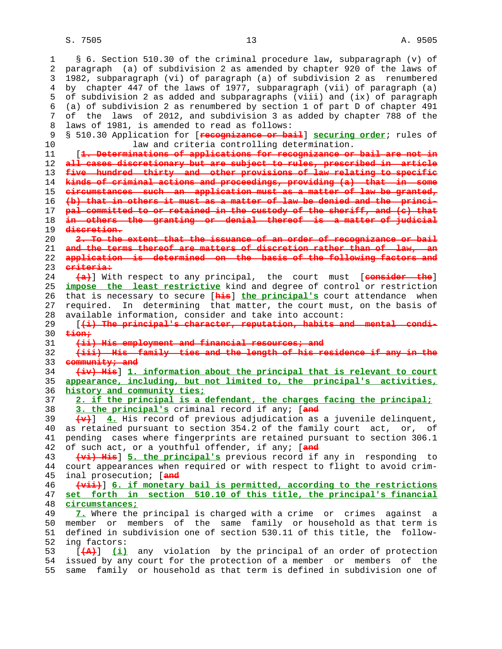1 § 6. Section 510.30 of the criminal procedure law, subparagraph (v) of 2 paragraph (a) of subdivision 2 as amended by chapter 920 of the laws of 3 1982, subparagraph (vi) of paragraph (a) of subdivision 2 as renumbered 4 by chapter 447 of the laws of 1977, subparagraph (vii) of paragraph (a) 5 of subdivision 2 as added and subparagraphs (viii) and (ix) of paragraph 6 (a) of subdivision 2 as renumbered by section 1 of part D of chapter 491 7 of the laws of 2012, and subdivision 3 as added by chapter 788 of the 8 laws of 1981, is amended to read as follows: 9 § 510.30 Application for [**recognizance or bail**] **securing order**; rules of 10 law and criteria controlling determination. 11 [**1. Determinations of applications for recognizance or bail are not in** 12 **all cases discretionary but are subject to rules, prescribed in article** 13 **five hundred thirty and other provisions of law relating to specific** 14 **kinds of criminal actions and proceedings, providing (a) that in some** 15 **circumstances such an application must as a matter of law be granted,** 16 **(b) that in others it must as a matter of law be denied and the princi-** 17 **pal committed to or retained in the custody of the sheriff, and (c) that** 18 **in others the granting or denial thereof is a matter of judicial** 19 **discretion.** 20 **2. To the extent that the issuance of an order of recognizance or bail** 21 **and the terms thereof are matters of discretion rather than of law, an** 22 **application is determined on the basis of the following factors and** 23 **criteria:** 24 **(a)**] With respect to any principal, the court must [**consider the**] 25 **impose the least restrictive** kind and degree of control or restriction 26 that is necessary to secure [**his**] **the principal's** court attendance when 27 required. In determining that matter, the court must, on the basis of 28 available information, consider and take into account: 29 [**(i) The principal's character, reputation, habits and mental condi-** 30 **tion;** 31 **(ii) His employment and financial resources; and** 32 **(iii) His family ties and the length of his residence if any in the** 33 **community; and** 34 **(iv) His**] **1. information about the principal that is relevant to court** 35 **appearance, including, but not limited to, the principal's activities,** 36 **history and community ties;** 37 **2. if the principal is a defendant, the charges facing the principal;** 38 **3. the principal's** criminal record if any; [**and** 39 **(v)**] **4.** His record of previous adjudication as a juvenile delinquent, 40 as retained pursuant to section 354.2 of the family court act, or, of 41 pending cases where fingerprints are retained pursuant to section 306.1 42 of such act, or a youthful offender, if any; [**and** 43 **(vi) His**] **5. the principal's** previous record if any in responding to 44 court appearances when required or with respect to flight to avoid crim- 45 inal prosecution; [**and** 46 **(vii)**] **6. if monetary bail is permitted, according to the restrictions** 47 **set forth in section 510.10 of this title, the principal's financial** 48 **circumstances;** 49 **7.** Where the principal is charged with a crime or crimes against a 50 member or members of the same family or household as that term is 51 defined in subdivision one of section 530.11 of this title, the follow- 52 ing factors: 53 [**(A)**] **(i)** any violation by the principal of an order of protection 54 issued by any court for the protection of a member or members of the 55 same family or household as that term is defined in subdivision one of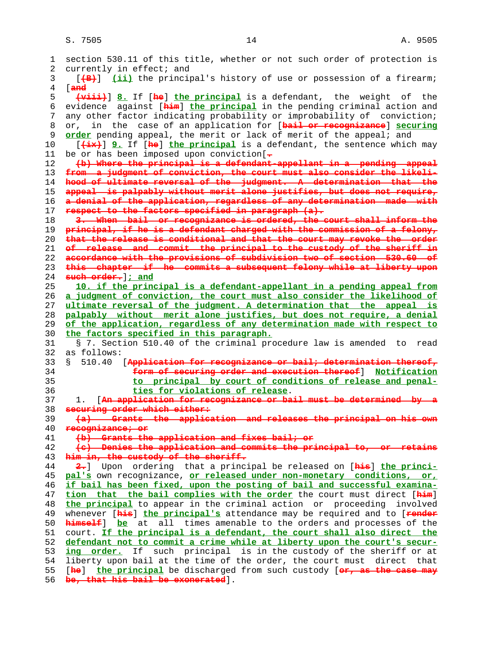```
 1 section 530.11 of this title, whether or not such order of protection is
    2 currently in effect; and
    3 [(B)] (ii) the principal's history of use or possession of a firearm;
    4 [and
    5 (viii)] 8. If [he] the principal is a defendant, the weight of the
    6 evidence against [him] the principal in the pending criminal action and
    7 any other factor indicating probability or improbability of conviction;
    8 or, in the case of an application for [bail or recognizance] securing
      order pending appeal, the merit or lack of merit of the appeal; and
   10 [(ix)] 9. If [he] the principal is a defendant, the sentence which may
   11 be or has been imposed upon conviction[.
   12 (b) Where the principal is a defendant-appellant in a pending appeal
   13 from a judgment of conviction, the court must also consider the likeli-
   14 hood of ultimate reversal of the judgment. A determination that the
   15 appeal is palpably without merit alone justifies, but does not require,
   16 a denial of the application, regardless of any determination made with
   17 respect to the factors specified in paragraph (a).
18 3. When bail or recognizance is ordered, the court shall inform the
19 principal, if he is a defendant charged with the commission of a felony,
   20 that the release is conditional and that the court may revoke the order
   21 of release and commit the principal to the custody of the sheriff in
   22 accordance with the provisions of subdivision two of section 530.60 of
   23 this chapter if he commits a subsequent felony while at liberty upon
   24 such order.]; and
   25 10. if the principal is a defendant-appellant in a pending appeal from
   26 a judgment of conviction, the court must also consider the likelihood of
   27 ultimate reversal of the judgment. A determination that the appeal is
   28 palpably without merit alone justifies, but does not require, a denial
   29 of the application, regardless of any determination made with respect to
   30 the factors specified in this paragraph.
   31 § 7. Section 510.40 of the criminal procedure law is amended to read
   32 as follows:
   33 § 510.40 [Application for recognizance or bail; determination thereof,
   34 form of securing order and execution thereof] Notification
   35 to principal by court of conditions of release and penal-
   36 ties for violations of release.
   37 1. [An application for recognizance or bail must be determined by a
   38 securing order which either:
   39 (a) Grants the application and releases the principal on his own
   40 recognizance; or
   41 (b) Grants the application and fixes bail; or
   42 (c) Denies the application and commits the principal to, or retains
   43 him in, the custody of the sheriff.
   44 2.] Upon ordering that a principal be released on [his] the princi-
   45 pal's own recognizance, or released under non-monetary conditions, or,
   46 if bail has been fixed, upon the posting of bail and successful examina-
   47 tion that the bail complies with the order the court must direct [him]
   48 the principal to appear in the criminal action or proceeding involved
   49 whenever [his] the principal's attendance may be required and to [render
   50 himself] be at all times amenable to the orders and processes of the
   51 court. If the principal is a defendant, the court shall also direct the
   52 defendant not to commit a crime while at liberty upon the court's secur-
   53 ing order. If such principal is in the custody of the sheriff or at
   54 liberty upon bail at the time of the order, the court must direct that
   55 [he] the principal be discharged from such custody [or, as the case may
   56 be, that his bail be exonerated].
```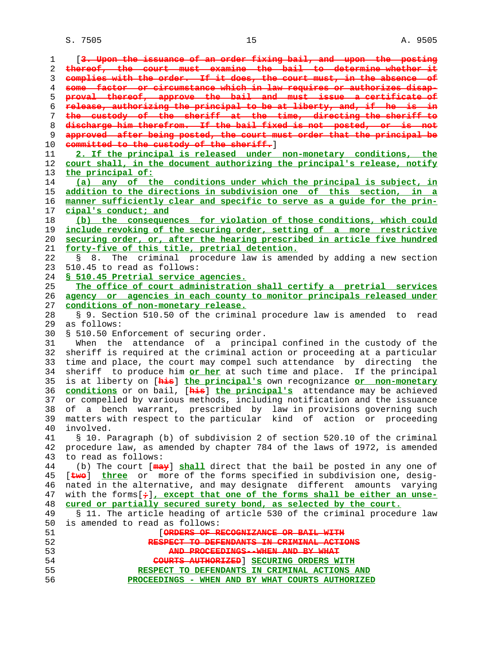1 [**3. Upon the issuance of an order fixing bail, and upon the posting** 2 **thereof, the court must examine the bail to determine whether it** 3 **complies with the order. If it does, the court must, in the absence of** 4 **some factor or circumstance which in law requires or authorizes disap-** 5 **proval thereof, approve the bail and must issue a certificate of** 6 **release, authorizing the principal to be at liberty, and, if he is in** 7 **the custody of the sheriff at the time, directing the sheriff to** 8 **discharge him therefrom. If the bail fixed is not posted, or is not** 9 **approved after being posted, the court must order that the principal be** 10 **committed to the custody of the sheriff.**] 11 **2. If the principal is released under non-monetary conditions, the** 12 **court shall, in the document authorizing the principal's release, notify** 13 **the principal of:** 14 **(a) any of the conditions under which the principal is subject, in** 15 **addition to the directions in subdivision one of this section, in a** 16 **manner sufficiently clear and specific to serve as a guide for the prin-** 17 **cipal's conduct; and** 18 **(b) the consequences for violation of those conditions, which could** 19 **include revoking of the securing order, setting of a more restrictive** 20 **securing order, or, after the hearing prescribed in article five hundred** 21 **forty-five of this title, pretrial detention.** 22 § 8. The criminal procedure law is amended by adding a new section 23 510.45 to read as follows: 24 **§ 510.45 Pretrial service agencies.** 25 **The office of court administration shall certify a pretrial services** 26 **agency or agencies in each county to monitor principals released under** 27 **conditions of non-monetary release.** 28 § 9. Section 510.50 of the criminal procedure law is amended to read 29 as follows: 30 § 510.50 Enforcement of securing order. 31 When the attendance of a principal confined in the custody of the 32 sheriff is required at the criminal action or proceeding at a particular 33 time and place, the court may compel such attendance by directing the 34 sheriff to produce him **or her** at such time and place. If the principal 35 is at liberty on [**his**] **the principal's** own recognizance **or non-monetary** 36 **conditions** or on bail, [**his**] **the principal's** attendance may be achieved 37 or compelled by various methods, including notification and the issuance 38 of a bench warrant, prescribed by law in provisions governing such 39 matters with respect to the particular kind of action or proceeding 40 involved. 41 § 10. Paragraph (b) of subdivision 2 of section 520.10 of the criminal 42 procedure law, as amended by chapter 784 of the laws of 1972, is amended 43 to read as follows: 44 (b) The court [**may**] **shall** direct that the bail be posted in any one of 45 [**two**] **three** or more of the forms specified in subdivision one, desig- 46 nated in the alternative, and may designate different amounts varying 47 with the forms[**;**]**, except that one of the forms shall be either an unse-** 48 **cured or partially secured surety bond, as selected by the court.** § 11. The article heading of article 530 of the criminal procedure law 50 is amended to read as follows: 51 [**ORDERS OF RECOGNIZANCE OR BAIL WITH** 52 **RESPECT TO DEFENDANTS IN CRIMINAL ACTIONS** 53 **AND PROCEEDINGS--WHEN AND BY WHAT** 54 **COURTS AUTHORIZED**] **SECURING ORDERS WITH** 55 **RESPECT TO DEFENDANTS IN CRIMINAL ACTIONS AND** 56 **PROCEEDINGS - WHEN AND BY WHAT COURTS AUTHORIZED**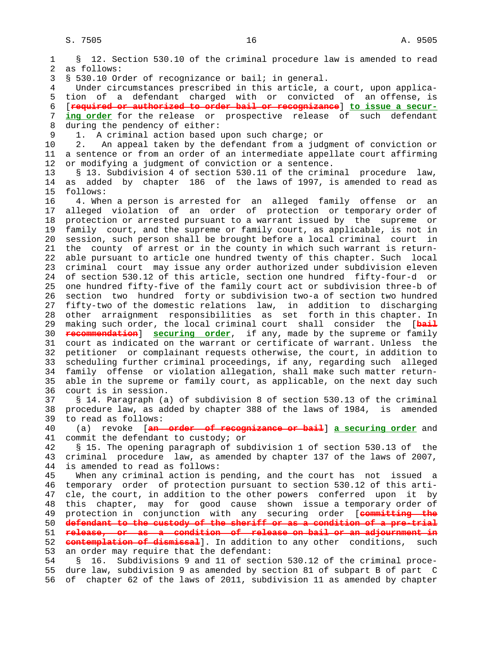1 § 12. Section 530.10 of the criminal procedure law is amended to read 2 as follows: 3 § 530.10 Order of recognizance or bail; in general. 4 Under circumstances prescribed in this article, a court, upon applica- 5 tion of a defendant charged with or convicted of an offense, is 6 [**required or authorized to order bail or recognizance**] **to issue a secur-** 7 **ing order** for the release or prospective release of such defendant 8 during the pendency of either:<br>9 1. A criminal action based 1. A criminal action based upon such charge; or 10 2. An appeal taken by the defendant from a judgment of conviction or 11 a sentence or from an order of an intermediate appellate court affirming 12 or modifying a judgment of conviction or a sentence. 13 § 13. Subdivision 4 of section 530.11 of the criminal procedure law, 14 as added by chapter 186 of the laws of 1997, is amended to read as 15 follows: 16 4. When a person is arrested for an alleged family offense or an 17 alleged violation of an order of protection or temporary order of 18 protection or arrested pursuant to a warrant issued by the supreme or 19 family court, and the supreme or family court, as applicable, is not in 20 session, such person shall be brought before a local criminal court in 21 the county of arrest or in the county in which such warrant is return- 22 able pursuant to article one hundred twenty of this chapter. Such local 23 criminal court may issue any order authorized under subdivision eleven 24 of section 530.12 of this article, section one hundred fifty-four-d or 25 one hundred fifty-five of the family court act or subdivision three-b of 26 section two hundred forty or subdivision two-a of section two hundred 27 fifty-two of the domestic relations law, in addition to discharging 28 other arraignment responsibilities as set forth in this chapter. In 29 making such order, the local criminal court shall consider the [**bail** 30 **recommendation**] **securing order**, if any, made by the supreme or family 31 court as indicated on the warrant or certificate of warrant. Unless the 32 petitioner or complainant requests otherwise, the court, in addition to 33 scheduling further criminal proceedings, if any, regarding such alleged 34 family offense or violation allegation, shall make such matter return- 35 able in the supreme or family court, as applicable, on the next day such 36 court is in session. 37 § 14. Paragraph (a) of subdivision 8 of section 530.13 of the criminal 38 procedure law, as added by chapter 388 of the laws of 1984, is amended 39 to read as follows: 40 (a) revoke [**an order of recognizance or bail**] **a securing order** and 41 commit the defendant to custody; or 42 § 15. The opening paragraph of subdivision 1 of section 530.13 of the 43 criminal procedure law, as amended by chapter 137 of the laws of 2007, 44 is amended to read as follows: 45 When any criminal action is pending, and the court has not issued a 46 temporary order of protection pursuant to section 530.12 of this arti- 47 cle, the court, in addition to the other powers conferred upon it by 48 this chapter, may for good cause shown issue a temporary order of 49 protection in conjunction with any securing order [**committing the** 50 **defendant to the custody of the sheriff or as a condition of a pre-trial** 51 **release, or as a condition of release on bail or an adjournment in** 52 **contemplation of dismissal**]. In addition to any other conditions, such 53 an order may require that the defendant: 54 § 16. Subdivisions 9 and 11 of section 530.12 of the criminal proce- 55 dure law, subdivision 9 as amended by section 81 of subpart B of part C 56 of chapter 62 of the laws of 2011, subdivision 11 as amended by chapter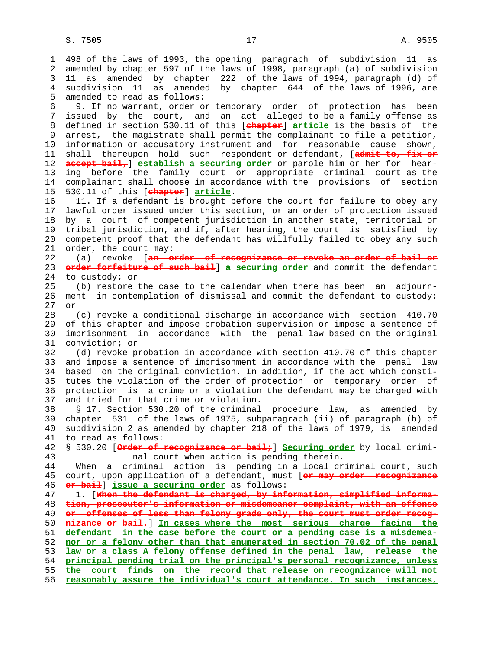1 498 of the laws of 1993, the opening paragraph of subdivision 11 as 2 amended by chapter 597 of the laws of 1998, paragraph (a) of subdivision 3 11 as amended by chapter 222 of the laws of 1994, paragraph (d) of 4 subdivision 11 as amended by chapter 644 of the laws of 1996, are 5 amended to read as follows: 6 9. If no warrant, order or temporary order of protection has been 7 issued by the court, and an act alleged to be a family offense as 8 defined in section 530.11 of this [**chapter**] **article** is the basis of the 9 arrest, the magistrate shall permit the complainant to file a petition, 10 information or accusatory instrument and for reasonable cause shown, 11 shall thereupon hold such respondent or defendant, [**admit to, fix or** 12 **accept bail,**] **establish a securing order** or parole him or her for hear- 13 ing before the family court or appropriate criminal court as the 14 complainant shall choose in accordance with the provisions of section 15 530.11 of this [**chapter**] **article**. 16 11. If a defendant is brought before the court for failure to obey any 17 lawful order issued under this section, or an order of protection issued 18 by a court of competent jurisdiction in another state, territorial or 19 tribal jurisdiction, and if, after hearing, the court is satisfied by 20 competent proof that the defendant has willfully failed to obey any such 21 order, the court may: 22 (a) revoke [**an order of recognizance or revoke an order of bail or** 23 **order forfeiture of such bail**] **a securing order** and commit the defendant 24 to custody; or 25 (b) restore the case to the calendar when there has been an adjourn- 26 ment in contemplation of dismissal and commit the defendant to custody; 27 or 28 (c) revoke a conditional discharge in accordance with section 410.70 29 of this chapter and impose probation supervision or impose a sentence of 30 imprisonment in accordance with the penal law based on the original 31 conviction; or 32 (d) revoke probation in accordance with section 410.70 of this chapter 33 and impose a sentence of imprisonment in accordance with the penal law 34 based on the original conviction. In addition, if the act which consti- 35 tutes the violation of the order of protection or temporary order of 36 protection is a crime or a violation the defendant may be charged with 37 and tried for that crime or violation. 38 § 17. Section 530.20 of the criminal procedure law, as amended by 39 chapter 531 of the laws of 1975, subparagraph (ii) of paragraph (b) of 40 subdivision 2 as amended by chapter 218 of the laws of 1979, is amended 41 to read as follows: 42 § 530.20 [**Order of recognizance or bail;**] **Securing order** by local crimi- 43 nal court when action is pending therein. 44 When a criminal action is pending in a local criminal court, such 45 court, upon application of a defendant, must [**or may order recognizance** 46 **or bail**] **issue a securing order** as follows: 47 1. [**When the defendant is charged, by information, simplified informa-** 48 **tion, prosecutor's information or misdemeanor complaint, with an offense** 49 **or offenses of less than felony grade only, the court must order recog-** 50 **nizance or bail.**] **In cases where the most serious charge facing the** 51 **defendant in the case before the court or a pending case is a misdemea-** 52 **nor or a felony other than that enumerated in section 70.02 of the penal** 53 **law or a class A felony offense defined in the penal law, release the** 54 **principal pending trial on the principal's personal recognizance, unless** 55 **the court finds on the record that release on recognizance will not** 56 **reasonably assure the individual's court attendance. In such instances,**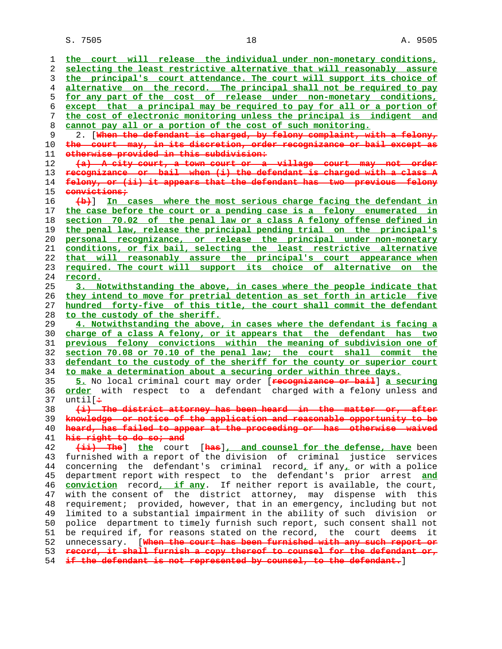S. 7505 18 A. 9505

**the court will release the individual under non-monetary conditions, selecting the least restrictive alternative that will reasonably assure the principal's court attendance. The court will support its choice of alternative on the record. The principal shall not be required to pay for any part of the cost of release under non-monetary conditions, except that a principal may be required to pay for all or a portion of the cost of electronic monitoring unless the principal is indigent and cannot pay all or a portion of the cost of such monitoring.** 9 2. [**When the defendant is charged, by felony complaint, with a felony, the court may, in its discretion, order recognizance or bail except as otherwise provided in this subdivision: (a) A city court, a town court or a village court may not order recognizance or bail when (i) the defendant is charged with a class A felony, or (ii) it appears that the defendant has two previous felony convictions; (b)**] **In cases where the most serious charge facing the defendant in the case before the court or a pending case is a felony enumerated in section 70.02 of the penal law or a class A felony offense defined in the penal law, release the principal pending trial on the principal's personal recognizance, or release the principal under non-monetary conditions, or fix bail, selecting the least restrictive alternative that will reasonably assure the principal's court appearance when required. The court will support its choice of alternative on the record. 3. Notwithstanding the above, in cases where the people indicate that they intend to move for pretrial detention as set forth in article five hundred forty-five of this title, the court shall commit the defendant to the custody of the sheriff. 4. Notwithstanding the above, in cases where the defendant is facing a charge of a class A felony, or it appears that the defendant has two previous felony convictions within the meaning of subdivision one of section 70.08 or 70.10 of the penal law; the court shall commit the defendant to the custody of the sheriff for the county or superior court to make a determination about a securing order within three days. 5.** No local criminal court may order [**recognizance or bail**] **a securing order** with respect to a defendant charged with a felony unless and 37 until[**: (i) The district attorney has been heard in the matter or, after knowledge or notice of the application and reasonable opportunity to be heard, has failed to appear at the proceeding or has otherwise waived his right to do so; and (ii) The**] **the** court [**has**]**, and counsel for the defense, have** been 43 furnished with a report of the division of criminal justice services 44 concerning the defendant's criminal record**,** if any**,** or with a police 45 department report with respect to the defendant's prior arrest **and conviction** record**, if any**. If neither report is available, the court, 47 with the consent of the district attorney, may dispense with this 48 requirement; provided, however, that in an emergency, including but not 49 limited to a substantial impairment in the ability of such division or 50 police department to timely furnish such report, such consent shall not 51 be required if, for reasons stated on the record, the court deems it 52 unnecessary. [**When the court has been furnished with any such report or record, it shall furnish a copy thereof to counsel for the defendant or, if the defendant is not represented by counsel, to the defendant.**]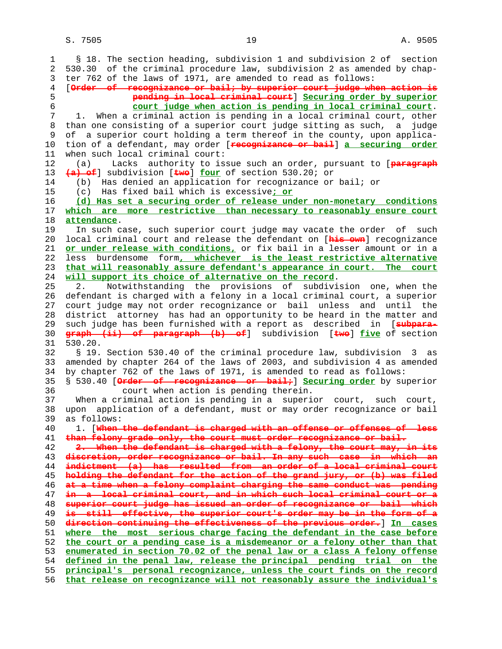1 § 18. The section heading, subdivision 1 and subdivision 2 of section 2 530.30 of the criminal procedure law, subdivision 2 as amended by chap- 3 ter 762 of the laws of 1971, are amended to read as follows: 4 [**Order of recognizance or bail; by superior court judge when action is** 5 **pending in local criminal court**] **Securing order by superior** 6 **court judge when action is pending in local criminal court**. 1. When a criminal action is pending in a local criminal court, other 8 than one consisting of a superior court judge sitting as such, a judge 9 of a superior court holding a term thereof in the county, upon applica- 10 tion of a defendant, may order [**recognizance or bail**] **a securing order** 11 when such local criminal court: 12 (a) Lacks authority to issue such an order, pursuant to [**paragraph** 13 **(a) of**] subdivision [**two**] **four** of section 530.20; or 14 (b) Has denied an application for recognizance or bail; or 15 (c) Has fixed bail which is excessive**; or** 16 **(d) Has set a securing order of release under non-monetary conditions** 17 **which are more restrictive than necessary to reasonably ensure court** 18 **attendance**. 19 In such case, such superior court judge may vacate the order of such 20 local criminal court and release the defendant on [**his own**] recognizance 21 **or under release with conditions,** or fix bail in a lesser amount or in a 22 less burdensome form**, whichever is the least restrictive alternative** 23 **that will reasonably assure defendant's appearance in court. The court** 24 **will support its choice of alternative on the record**. 25 2. Notwithstanding the provisions of subdivision one, when the 26 defendant is charged with a felony in a local criminal court, a superior 27 court judge may not order recognizance or bail unless and until the 28 district attorney has had an opportunity to be heard in the matter and 29 such judge has been furnished with a report as described in [**subpara-** 30 **graph (ii) of paragraph (b) of**] subdivision [**two**] **five** of section 31 530.20. 32 § 19. Section 530.40 of the criminal procedure law, subdivision 3 as 33 amended by chapter 264 of the laws of 2003, and subdivision 4 as amended 34 by chapter 762 of the laws of 1971, is amended to read as follows: 35 § 530.40 [**Order of recognizance or bail;**] **Securing order** by superior 36 court when action is pending therein. 37 When a criminal action is pending in a superior court, such court, 38 upon application of a defendant, must or may order recognizance or bail 39 as follows: 40 1. [**When the defendant is charged with an offense or offenses of less** 41 **than felony grade only, the court must order recognizance or bail.** 42 **2. When the defendant is charged with a felony, the court may, in its** 43 **discretion, order recognizance or bail. In any such case in which an** 44 **indictment (a) has resulted from an order of a local criminal court** 45 **holding the defendant for the action of the grand jury, or (b) was filed** 46 **at a time when a felony complaint charging the same conduct was pending** 47 **in a local criminal court, and in which such local criminal court or a** 48 **superior court judge has issued an order of recognizance or bail which** 49 **is still effective, the superior court's order may be in the form of a** 50 **direction continuing the effectiveness of the previous order.**] **In cases** 51 **where the most serious charge facing the defendant in the case before** 52 **the court or a pending case is a misdemeanor or a felony other than that** 53 **enumerated in section 70.02 of the penal law or a class A felony offense** 54 **defined in the penal law, release the principal pending trial on the** 55 **principal's personal recognizance, unless the court finds on the record** 56 **that release on recognizance will not reasonably assure the individual's**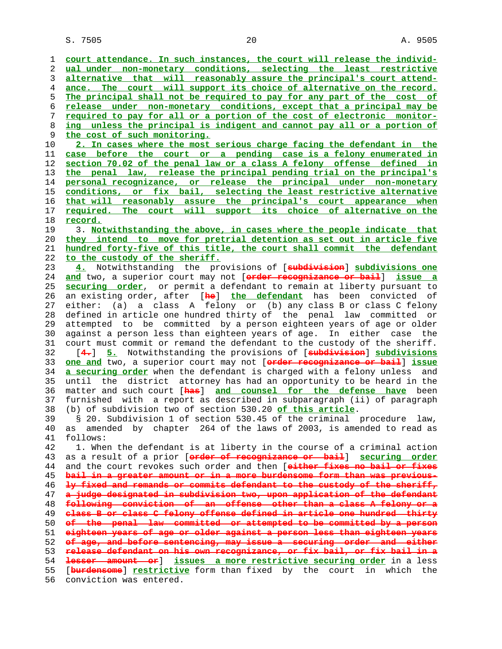**court attendance. In such instances, the court will release the individ- ual under non-monetary conditions, selecting the least restrictive alternative that will reasonably assure the principal's court attend- ance. The court will support its choice of alternative on the record. The principal shall not be required to pay for any part of the cost of release under non-monetary conditions, except that a principal may be required to pay for all or a portion of the cost of electronic monitor- ing unless the principal is indigent and cannot pay all or a portion of the cost of such monitoring. 2. In cases where the most serious charge facing the defendant in the case before the court or a pending case is a felony enumerated in section 70.02 of the penal law or a class A felony offense defined in the penal law, release the principal pending trial on the principal's personal recognizance, or release the principal under non-monetary conditions, or fix bail, selecting the least restrictive alternative that will reasonably assure the principal's court appearance when required. The court will support its choice of alternative on the record.** 19 3. **Notwithstanding the above, in cases where the people indicate that they intend to move for pretrial detention as set out in article five hundred forty-five of this title, the court shall commit the defendant to the custody of the sheriff. 4.** Notwithstanding the provisions of [**subdivision**] **subdivisions one and** two, a superior court may not [**order recognizance or bail**] **issue a securing order**, or permit a defendant to remain at liberty pursuant to 26 an existing order, after [**he**] **the defendant** has been convicted of 27 either: (a) a class A felony or (b) any class B or class C felony 28 defined in article one hundred thirty of the penal law committed or 29 attempted to be committed by a person eighteen years of age or older 30 against a person less than eighteen years of age. In either case the 31 court must commit or remand the defendant to the custody of the sheriff. 32 [**4.**] **5.** Notwithstanding the provisions of [**subdivision**] **subdivisions one and** two, a superior court may not [**order recognizance or bail**] **issue a securing order** when the defendant is charged with a felony unless and 35 until the district attorney has had an opportunity to be heard in the 36 matter and such court [**has**] **and counsel for the defense have** been 37 furnished with a report as described in subparagraph (ii) of paragraph 38 (b) of subdivision two of section 530.20 **of this article**. 39 § 20. Subdivision 1 of section 530.45 of the criminal procedure law, 40 as amended by chapter 264 of the laws of 2003, is amended to read as 41 follows: 42 1. When the defendant is at liberty in the course of a criminal action 43 as a result of a prior [**order of recognizance or bail**] **securing order** 44 and the court revokes such order and then [**either fixes no bail or fixes bail in a greater amount or in a more burdensome form than was previous- ly fixed and remands or commits defendant to the custody of the sheriff, a judge designated in subdivision two, upon application of the defendant following conviction of an offense other than a class A felony or a class B or class C felony offense defined in article one hundred thirty of the penal law committed or attempted to be committed by a person eighteen years of age or older against a person less than eighteen years of age, and before sentencing, may issue a securing order and either release defendant on his own recognizance, or fix bail, or fix bail in a lesser amount or**] **issues a more restrictive securing order** in a less 55 [**burdensome**] **restrictive** form than fixed by the court in which the 56 conviction was entered.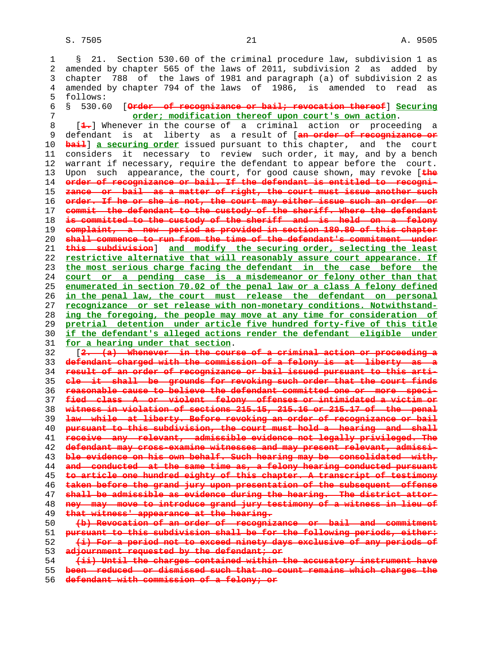1 § 21. Section 530.60 of the criminal procedure law, subdivision 1 as 2 amended by chapter 565 of the laws of 2011, subdivision 2 as added by 3 chapter 788 of the laws of 1981 and paragraph (a) of subdivision 2 as 4 amended by chapter 794 of the laws of 1986, is amended to read as 5 follows: 6 § 530.60 [**Order of recognizance or bail; revocation thereof**] **Securing order; modification thereof upon court's own action**. 8 [**1.**] Whenever in the course of a criminal action or proceeding a 9 defendant is at liberty as a result of [**an order of recognizance or bail**] **a securing order** issued pursuant to this chapter, and the court 11 considers it necessary to review such order, it may, and by a bench 12 warrant if necessary, require the defendant to appear before the court. 13 Upon such appearance, the court, for good cause shown, may revoke [**the order of recognizance or bail. If the defendant is entitled to recogni- zance or bail as a matter of right, the court must issue another such order. If he or she is not, the court may either issue such an order or commit the defendant to the custody of the sheriff. Where the defendant is committed to the custody of the sheriff and is held on a felony complaint, a new period as provided in section 180.80 of this chapter shall commence to run from the time of the defendant's commitment under this subdivision**] **and modify the securing order, selecting the least restrictive alternative that will reasonably assure court appearance. If the most serious charge facing the defendant in the case before the court or a pending case is a misdemeanor or felony other than that enumerated in section 70.02 of the penal law or a class A felony defined in the penal law, the court must release the defendant on personal recognizance or set release with non-monetary conditions. Notwithstand- ing the foregoing, the people may move at any time for consideration of pretrial detention under article five hundred forty-five of this title if the defendant's alleged actions render the defendant eligible under for a hearing under that section**. 32 [**2. (a) Whenever in the course of a criminal action or proceeding a defendant charged with the commission of a felony is at liberty as a result of an order of recognizance or bail issued pursuant to this arti- cle it shall be grounds for revoking such order that the court finds reasonable cause to believe the defendant committed one or more speci- fied class A or violent felony offenses or intimidated a victim or witness in violation of sections 215.15, 215.16 or 215.17 of the penal law while at liberty. Before revoking an order of recognizance or bail pursuant to this subdivision, the court must hold a hearing and shall receive any relevant, admissible evidence not legally privileged. The defendant may cross-examine witnesses and may present relevant, admissi- ble evidence on his own behalf. Such hearing may be consolidated with, and conducted at the same time as, a felony hearing conducted pursuant to article one hundred eighty of this chapter. A transcript of testimony taken before the grand jury upon presentation of the subsequent offense shall be admissible as evidence during the hearing. The district attor- ney may move to introduce grand jury testimony of a witness in lieu of that witness' appearance at the hearing. (b) Revocation of an order of recognizance or bail and commitment pursuant to this subdivision shall be for the following periods, either: (i) For a period not to exceed ninety days exclusive of any periods of adjournment requested by the defendant; or (ii) Until the charges contained within the accusatory instrument have**

**been reduced or dismissed such that no count remains which charges the defendant with commission of a felony; or**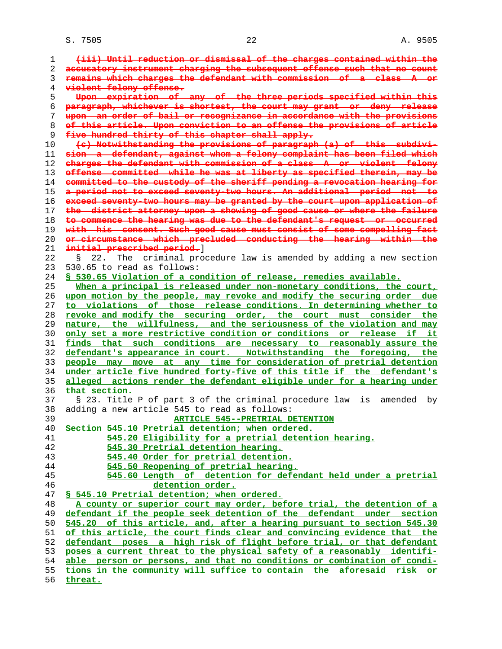S. 7505 22 A. 9505

| 1  | (iii) Until reduction or dismissal of the charges contained within the       |
|----|------------------------------------------------------------------------------|
| 2  | accusatory instrument charging the subsequent offense such that no count     |
| 3  | remains which charges the defendant with commission of a class A or          |
| 4  | violent felony offense.                                                      |
| 5  | Upon expiration of any of the three periods specified within this            |
| 6  | paragraph, whichever is shortest, the court may grant or deny release        |
| 7  | upon an order of bail or recognizance in accordance with the provisions      |
| 8  | of this article. Upon conviction to an offense the provisions of article     |
| 9  | five hundred thirty of this chapter shall apply.                             |
| 10 | (c) Notwithstanding the provisions of paragraph (a) of this subdivi-         |
| 11 | sion a defendant, against whom a felony complaint has been filed which       |
| 12 | charges the defendant with commission of a class A or violent felony         |
| 13 | offense committed while he was at liberty as specified therein, may be       |
| 14 | committed to the custody of the sheriff pending a revocation hearing for     |
| 15 | a period not to exceed seventy two hours. An additional period not to        |
| 16 | exceed seventy two hours may be granted by the court upon application of     |
| 17 | the district attorney upon a showing of good cause or where the failure      |
| 18 | to commence the hearing was due to the defendant's request or occurred       |
| 19 | with his consent. Such good cause must consist of some compelling fact       |
| 20 | or circumstance which precluded conducting the hearing within the            |
| 21 | initial prescribed period.]                                                  |
| 22 | The criminal procedure law is amended by adding a new section<br>22.<br>Š.   |
| 23 | 530.65 to read as follows:                                                   |
| 24 | § 530.65 Violation of a condition of release, remedies available.            |
| 25 | When a principal is released under non-monetary conditions, the court,       |
| 26 | upon motion by the people, may revoke and modify the securing order due      |
| 27 | to violations of those release conditions. In determining whether to         |
| 28 | revoke and modify the securing order, the court must consider the            |
| 29 | nature, the willfulness, and the seriousness of the violation and may        |
| 30 | only set a more restrictive condition or conditions or release if it         |
| 31 | finds that such conditions are necessary to reasonably assure the            |
| 32 | defendant's appearance in court. Notwithstanding the foregoing, the          |
| 33 | people may move at any time for consideration of pretrial detention          |
| 34 | under article five hundred forty-five of this title if the defendant's       |
| 35 | alleged actions render the defendant eligible under for a hearing under      |
| 36 | that section.                                                                |
| 37 | § 23. Title P of part 3 of the criminal procedure law<br>is<br>amended<br>by |
| 38 | adding a new article 545 to read as follows:                                 |
| 39 | <b>ARTICLE 545--PRETRIAL DETENTION</b>                                       |
| 40 | Section 545.10 Pretrial detention; when ordered.                             |
| 41 | 545.20 Eligibility for a pretrial detention hearing.                         |
| 42 | 545.30 Pretrial detention hearing.                                           |
| 43 | 545.40 Order for pretrial detention.                                         |
| 44 | 545.50 Reopening of pretrial hearing.                                        |
| 45 | 545.60 Length of detention for defendant held under a pretrial               |
| 46 | detention order.                                                             |
| 47 | § 545.10 Pretrial detention; when ordered.                                   |
| 48 | A county or superior court may order, before trial, the detention of a       |
| 49 | defendant if the people seek detention of the defendant under section        |
| 50 | 545.20 of this article, and, after a hearing pursuant to section 545.30      |
| 51 | of this article, the court finds clear and convincing evidence that the      |
| 52 | defendant poses a high risk of flight before trial, or that defendant        |
| 53 | poses a current threat to the physical safety of a reasonably identifi-      |
| 54 | able person or persons, and that no conditions or combination of condi-      |
| 55 | tions in the community will suffice to contain the aforesaid risk or         |
| 56 | threat.                                                                      |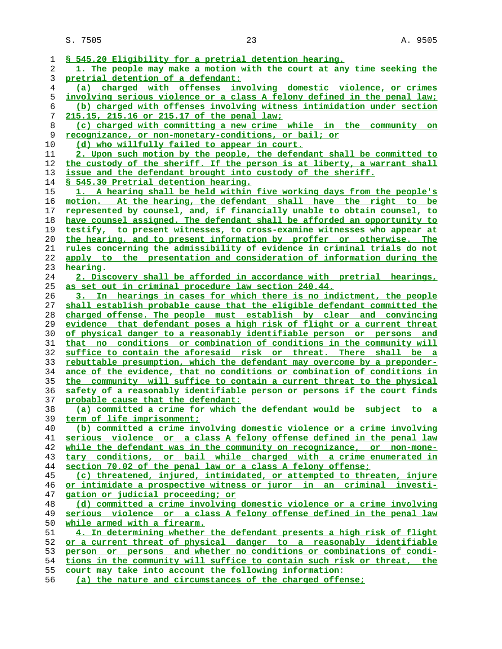S. 7505 23 A. 9505

|                | \$ 545.20 Eligibility for a pretrial detention hearing.                                                            |
|----------------|--------------------------------------------------------------------------------------------------------------------|
| 1              |                                                                                                                    |
| 2              | 1. The people may make a motion with the court at any time seeking the                                             |
| 3              | pretrial detention of a defendant:                                                                                 |
| $\overline{4}$ | (a) charged with offenses involving domestic violence, or crimes                                                   |
| 5              | involving serious violence or a class A felony defined in the penal law;                                           |
| 6              | (b) charged with offenses involving witness intimidation under section                                             |
| 7              | 215.15, 215.16 or 215.17 of the penal law;                                                                         |
| 8              | (c) charged with committing a new crime while in the community on                                                  |
| 9              | recognizance, or non-monetary-conditions, or bail; or                                                              |
| 10             | (d) who willfully failed to appear in court.                                                                       |
| 11             | 2. Upon such motion by the people, the defendant shall be committed to                                             |
| 12             | the custody of the sheriff. If the person is at liberty, a warrant shall                                           |
| 13             | issue and the defendant brought into custody of the sheriff.                                                       |
| 14             | S 545.30 Pretrial detention hearing.                                                                               |
| 15             | 1. A hearing shall be held within five working days from the people's                                              |
|                |                                                                                                                    |
| 16             | motion. At the hearing, the defendant shall have the right to be                                                   |
| 17             | represented by counsel, and, if financially unable to obtain counsel, to                                           |
| 18             | have counsel assigned. The defendant shall be afforded an opportunity to                                           |
| 19             | testify, to present witnesses, to cross-examine witnesses who appear at                                            |
| 20             | the hearing, and to present information by proffer or otherwise. The                                               |
| 21             | rules concerning the admissibility of evidence in criminal trials do not                                           |
| 22             | apply to the presentation and consideration of information during the                                              |
| 23             | hearing.                                                                                                           |
| 24             | 2. Discovery shall be afforded in accordance with pretrial hearings,                                               |
| 25             | as set out in criminal procedure law section 240.44.                                                               |
| 26             | 3. In hearings in cases for which there is no indictment, the people                                               |
| 27             | shall establish probable cause that the eligible defendant committed the                                           |
| 28             | charged offense. The people must establish by clear and convincing                                                 |
| 29             | evidence that defendant poses a high risk of flight or a current threat                                            |
| 30             | of physical danger to a reasonably identifiable person or persons and                                              |
| 31             | that no conditions or combination of conditions in the community will                                              |
| 32             | suffice to contain the aforesaid risk or threat. There shall be a                                                  |
| 33             | rebuttable presumption, which the defendant may overcome by a preponder-                                           |
|                |                                                                                                                    |
|                |                                                                                                                    |
| 34             | ance of the evidence, that no conditions or combination of conditions in                                           |
| 35             | the community will suffice to contain a current threat to the physical                                             |
| 36             | safety of a reasonably identifiable person or persons if the court finds                                           |
| 37             | probable cause that the defendant:                                                                                 |
| 38             | (a) committed a crime for which the defendant would be subject to a                                                |
| 39             | term of life imprisonment;                                                                                         |
| 40             | (b) committed a crime involving domestic violence or a crime involving                                             |
| 41             | serious violence or a class A felony offense defined in the penal law                                              |
| 42             | while the defendant was in the community on recognizance, or non-mone-                                             |
| 43             | tary conditions, or bail while charged with a crime enumerated in                                                  |
| 44             | section 70.02 of the penal law or a class A felony offense;                                                        |
| 45             | (c) threatened, injured, intimidated, or attempted to threaten, injure                                             |
| 46             | or intimidate a prospective witness or juror in an criminal investi-                                               |
| 47             | gation or judicial proceeding; or                                                                                  |
| 48             | (d) committed a crime involving domestic violence or a crime involving                                             |
| 49             | serious violence or a class A felony offense defined in the penal law                                              |
| 50             | while armed with a firearm.                                                                                        |
| 51             | 4. In determining whether the defendant presents a high risk of flight                                             |
| 52             | or a current threat of physical danger to a reasonably identifiable                                                |
| 53             | person or persons and whether no conditions or combinations of condi-                                              |
| 54             | tions in the community will suffice to contain such risk or threat, the                                            |
| 55             | court may take into account the following information:<br>(a) the nature and circumstances of the charged offense; |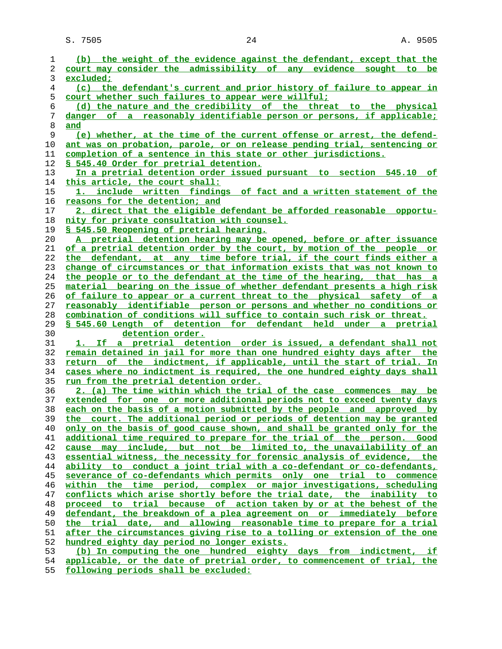$S. 7505$  and  $24$  and  $24$  and  $24$  and  $24$  and  $24$  and  $24$  and  $24$  and  $24$  and  $24$  and  $24$  and  $24$  and  $24$  and  $24$  and  $24$  and  $24$  and  $24$  and  $24$  and  $24$  and  $24$  and  $24$  and  $24$  and  $24$  and  $24$  and

**(b) the weight of the evidence against the defendant, except that the court may consider the admissibility of any evidence sought to be excluded; (c) the defendant's current and prior history of failure to appear in court whether such failures to appear were willful; (d) the nature and the credibility of the threat to the physical danger of a reasonably identifiable person or persons, if applicable; and (e) whether, at the time of the current offense or arrest, the defend- ant was on probation, parole, or on release pending trial, sentencing or completion of a sentence in this state or other jurisdictions. § 545.40 Order for pretrial detention. In a pretrial detention order issued pursuant to section 545.10 of this article, the court shall: 1. include written findings of fact and a written statement of the reasons for the detention; and 2. direct that the eligible defendant be afforded reasonable opportu- nity for private consultation with counsel. § 545.50 Reopening of pretrial hearing. A pretrial detention hearing may be opened, before or after issuance of a pretrial detention order by the court, by motion of the people or the defendant, at any time before trial, if the court finds either a change of circumstances or that information exists that was not known to the people or to the defendant at the time of the hearing, that has a material bearing on the issue of whether defendant presents a high risk of failure to appear or a current threat to the physical safety of a reasonably identifiable person or persons and whether no conditions or combination of conditions will suffice to contain such risk or threat. § 545.60 Length of detention for defendant held under a pretrial detention order. 1. If a pretrial detention order is issued, a defendant shall not remain detained in jail for more than one hundred eighty days after the return of the indictment, if applicable, until the start of trial. In cases where no indictment is required, the one hundred eighty days shall run from the pretrial detention order. 2. (a) The time within which the trial of the case commences may be extended for one or more additional periods not to exceed twenty days each on the basis of a motion submitted by the people and approved by the court. The additional period or periods of detention may be granted only on the basis of good cause shown, and shall be granted only for the additional time required to prepare for the trial of the person. Good cause may include, but not be limited to, the unavailability of an essential witness, the necessity for forensic analysis of evidence, the ability to conduct a joint trial with a co-defendant or co-defendants, severance of co-defendants which permits only one trial to commence within the time period, complex or major investigations, scheduling conflicts which arise shortly before the trial date, the inability to proceed to trial because of action taken by or at the behest of the defendant, the breakdown of a plea agreement on or immediately before the trial date, and allowing reasonable time to prepare for a trial after the circumstances giving rise to a tolling or extension of the one hundred eighty day period no longer exists. (b) In computing the one hundred eighty days from indictment, if applicable, or the date of pretrial order, to commencement of trial, the**

**following periods shall be excluded:**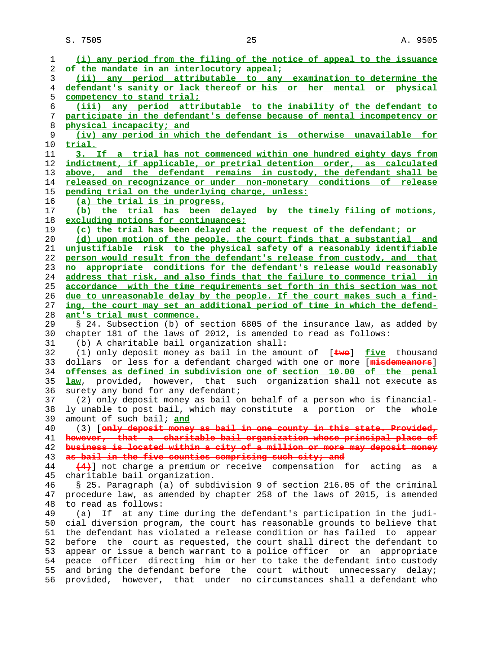S. 7505 25 25 A. 9505

| 1              | (i) any period from the filing of the notice of appeal to the issuance       |
|----------------|------------------------------------------------------------------------------|
| 2              | of the mandate in an interlocutory appeal;                                   |
| 3              | any period attributable to any examination to determine the<br>(ii)          |
| $\overline{4}$ | defendant's sanity or lack thereof or his or her mental or physical          |
| 5              | competency to stand trial;                                                   |
| 6              | (iii) any period attributable to the inability of the defendant to           |
| 7              | participate in the defendant's defense because of mental incompetency or     |
| 8              | physical incapacity; and                                                     |
| 9              | (iv) any period in which the defendant is otherwise unavailable for          |
| 10             | trial.                                                                       |
| 11             | 3. If a trial has not commenced within one hundred eighty days from          |
| 12             | indictment, if applicable, or pretrial detention order, as calculated        |
| 13             | above, and the defendant remains in custody, the defendant shall be          |
| 14             | released on recognizance or under non-monetary conditions of release         |
| 15             | pending trial on the underlying charge, unless:                              |
| 16             | (a) the trial is in progress,                                                |
|                |                                                                              |
| 17             | (b) the trial has been delayed by the timely filing of motions,              |
| 18             | excluding motions for continuances;                                          |
| 19             | (c) the trial has been delayed at the request of the defendant; or           |
| 20             | (d) upon motion of the people, the court finds that a substantial and        |
| 21             | unjustifiable risk to the physical safety of a reasonably identifiable       |
| 22             | person would result from the defendant's release from custody, and that      |
| 23             | no appropriate conditions for the defendant's release would reasonably       |
| 24             | address that risk, and also finds that the failure to commence trial in      |
| 25             | accordance with the time requirements set forth in this section was not      |
| 26             | due to unreasonable delay by the people. If the court makes such a find-     |
| 27             | ing, the court may set an additional period of time in which the defend-     |
| 28             | ant's trial must commence.                                                   |
| 29             | § 24. Subsection (b) of section 6805 of the insurance law, as added by       |
| 30             | chapter 181 of the laws of 2012, is amended to read as follows:              |
| 31             | (b) A charitable bail organization shall:                                    |
| 32             | (1) only deposit money as bail in the amount of $[\text{two}]$ five thousand |
| 33             | or less for a defendant charged with one or more [misdemeanors]<br>dollars   |
| 34             | offenses as defined in subdivision one of section 10.00 of the penal         |
| 35             | law, provided, however, that such organization shall not execute as          |
| 36             | surety any bond for any defendant;                                           |
| 37             | (2) only deposit money as bail on behalf of a person who is financial-       |
| 38             | ly unable to post bail, which may constitute a portion or the<br>whole       |
| 39             | amount of such bail; and                                                     |
| 40             | (3) [enly deposit money as bail in one county in this state. Provided,       |
| 41             | however, that a charitable bail organization whose principal plac            |
| 42             | business is located within a city of a million or more may deposit money     |
| 43             | as bail in the five counties comprising such city, and                       |
| 44             | (4) not charge a premium or receive compensation for acting as<br>a          |
| 45             | charitable bail organization.                                                |
| 46             | § 25. Paragraph (a) of subdivision 9 of section 216.05 of the criminal       |
| 47             | procedure law, as amended by chapter 258 of the laws of 2015, is amended     |
| 48             | to read as follows:                                                          |
| 49             | If at any time during the defendant's participation in the judi-<br>(a)      |
| 50             | cial diversion program, the court has reasonable grounds to believe that     |
| 51             | the defendant has violated a release condition or has failed to<br>appear    |
| 52             | the court as requested, the court shall direct the defendant to<br>before    |
| 53             | appear or issue a bench warrant to a police officer or an appropriate        |
| 54             | officer directing him or her to take the defendant into custody<br>peace     |
| 55             | and bring the defendant before the court without unnecessary delay;          |
| 56             | provided, however, that under no circumstances shall a defendant who         |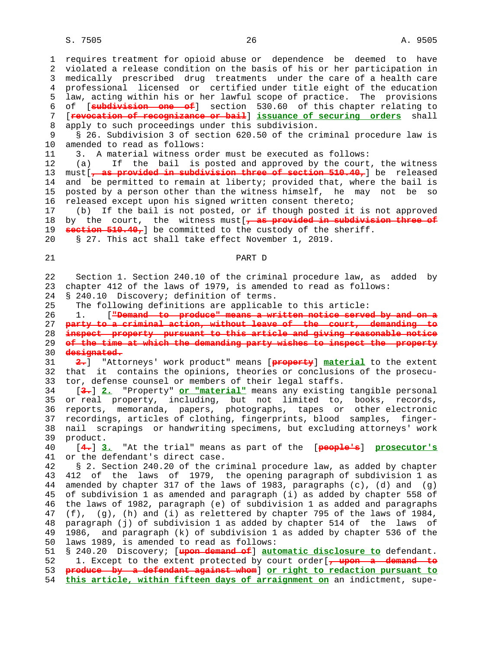$S. 7505$  26  $26$  A. 9505

 1 requires treatment for opioid abuse or dependence be deemed to have 2 violated a release condition on the basis of his or her participation in 3 medically prescribed drug treatments under the care of a health care 4 professional licensed or certified under title eight of the education 5 law, acting within his or her lawful scope of practice. The provisions 6 of [**subdivision one of**] section 530.60 of this chapter relating to 7 [**revocation of recognizance or bail**] **issuance of securing orders** shall 8 apply to such proceedings under this subdivision.<br>9 § 26. Subdivision 3 of section 620.50 of the cr 9 § 26. Subdivision 3 of section 620.50 of the criminal procedure law is 10 amended to read as follows: 11 3. A material witness order must be executed as follows: 12 (a) If the bail is posted and approved by the court, the witness 13 must[**, as provided in subdivision three of section 510.40,**] be released 14 and be permitted to remain at liberty; provided that, where the bail is 15 posted by a person other than the witness himself, he may not be so 16 released except upon his signed written consent thereto; 17 (b) If the bail is not posted, or if though posted it is not approved 18 by the court, the witness must[**, as provided in subdivision three of** 19 **section 510.40,**] be committed to the custody of the sheriff. 20 § 27. This act shall take effect November 1, 2019. 21 PART D 22 Section 1. Section 240.10 of the criminal procedure law, as added by 23 chapter 412 of the laws of 1979, is amended to read as follows: 24 § 240.10 Discovery; definition of terms. 25 The following definitions are applicable to this article: 26 1. [**"Demand to produce" means a written notice served by and on a** 27 **party to a criminal action, without leave of the court, demanding to** 28 **inspect property pursuant to this article and giving reasonable notice** 29 **of the time at which the demanding party wishes to inspect the property** 30 **designated.** 31 **2.**] "Attorneys' work product" means [**property**] **material** to the extent 32 that it contains the opinions, theories or conclusions of the prosecu- 33 tor, defense counsel or members of their legal staffs. 34 [**3.**] **2.** "Property" **or "material"** means any existing tangible personal 35 or real property, including, but not limited to, books, records, 36 reports, memoranda, papers, photographs, tapes or other electronic 37 recordings, articles of clothing, fingerprints, blood samples, finger- 38 nail scrapings or handwriting specimens, but excluding attorneys' work 39 product. 40 [**4.**] **3.** "At the trial" means as part of the [**people's**] **prosecutor's** 41 or the defendant's direct case. 42 § 2. Section 240.20 of the criminal procedure law, as added by chapter 43 412 of the laws of 1979, the opening paragraph of subdivision 1 as 44 amended by chapter 317 of the laws of 1983, paragraphs (c), (d) and (g) 45 of subdivision 1 as amended and paragraph (i) as added by chapter 558 of 46 the laws of 1982, paragraph (e) of subdivision 1 as added and paragraphs 47 (f), (g), (h) and (i) as relettered by chapter 795 of the laws of 1984, 48 paragraph (j) of subdivision 1 as added by chapter 514 of the laws of 49 1986, and paragraph (k) of subdivision 1 as added by chapter 536 of the 50 laws 1989, is amended to read as follows: 51 § 240.20 Discovery; [**upon demand of**] **automatic disclosure to** defendant. 52 1. Except to the extent protected by court order[**, upon a demand to** 53 **produce by a defendant against whom**] **or right to redaction pursuant to** 54 **this article, within fifteen days of arraignment on** an indictment, supe-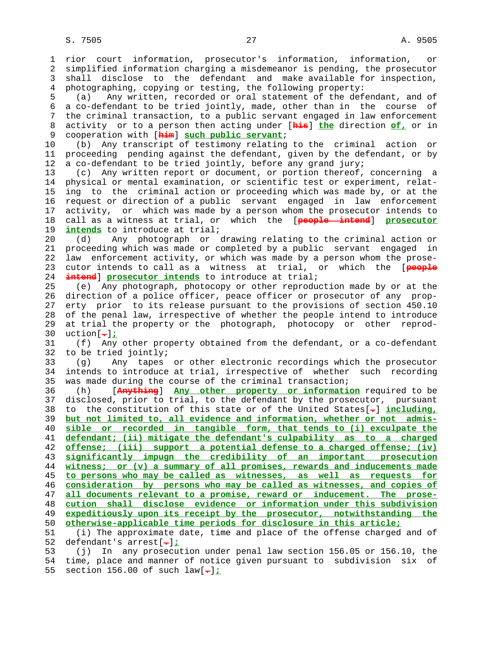1 rior court information, prosecutor's information, information, or 2 simplified information charging a misdemeanor is pending, the prosecutor 3 shall disclose to the defendant and make available for inspection, 4 photographing, copying or testing, the following property: 5 (a) Any written, recorded or oral statement of the defendant, and of 6 a co-defendant to be tried jointly, made, other than in the course of 7 the criminal transaction, to a public servant engaged in law enforcement 8 activity or to a person then acting under [**his**] **the** direction **of,** or in 9 cooperation with [**him**] **such public servant**; 10 (b) Any transcript of testimony relating to the criminal action or 11 proceeding pending against the defendant, given by the defendant, or by 12 a co-defendant to be tried jointly, before any grand jury; 13 (c) Any written report or document, or portion thereof, concerning a 14 physical or mental examination, or scientific test or experiment, relat- 15 ing to the criminal action or proceeding which was made by, or at the 16 request or direction of a public servant engaged in law enforcement 17 activity, or which was made by a person whom the prosecutor intends to 18 call as a witness at trial, or which the [**people intend**] **prosecutor** 19 **intends** to introduce at trial; 20 (d) Any photograph or drawing relating to the criminal action or 21 proceeding which was made or completed by a public servant engaged in 22 law enforcement activity, or which was made by a person whom the prose- 23 cutor intends to call as a witness at trial, or which the [**people** 24 **intend**] **prosecutor intends** to introduce at trial; 25 (e) Any photograph, photocopy or other reproduction made by or at the 26 direction of a police officer, peace officer or prosecutor of any prop- 27 erty prior to its release pursuant to the provisions of section 450.10 28 of the penal law, irrespective of whether the people intend to introduce 29 at trial the property or the photograph, photocopy or other reprod- 30 uction[**.**]**;** 31 (f) Any other property obtained from the defendant, or a co-defendant 32 to be tried jointly; 33 (g) Any tapes or other electronic recordings which the prosecutor 34 intends to introduce at trial, irrespective of whether such recording 35 was made during the course of the criminal transaction; 36 (h) [**Anything**] **Any other property or information** required to be 37 disclosed, prior to trial, to the defendant by the prosecutor, pursuant 38 to the constitution of this state or of the United States[**.**] **including,** 39 **but not limited to, all evidence and information, whether or not admis-** 40 **sible or recorded in tangible form, that tends to (i) exculpate the** 41 **defendant; (ii) mitigate the defendant's culpability as to a charged** 42 **offense; (iii) support a potential defense to a charged offense; (iv)** 43 **significantly impugn the credibility of an important prosecution** 44 **witness; or (v) a summary of all promises, rewards and inducements made** 45 **to persons who may be called as witnesses, as well as requests for** 46 **consideration by persons who may be called as witnesses, and copies of** 47 **all documents relevant to a promise, reward or inducement. The prose-** 48 **cution shall disclose evidence or information under this subdivision** 49 **expeditiously upon its receipt by the prosecutor, notwithstanding the** 50 **otherwise-applicable time periods for disclosure in this article;** 51 (i) The approximate date, time and place of the offense charged and of 52 defendant's arrest[**.**]**;** 53 (j) In any prosecution under penal law section 156.05 or 156.10, the 54 time, place and manner of notice given pursuant to subdivision six of

55 section 156.00 of such law[**.**]**;**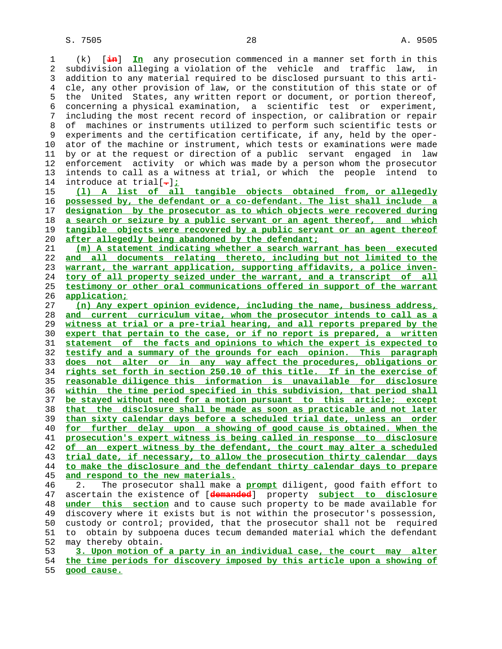1 (k) [**in**] **In** any prosecution commenced in a manner set forth in this 2 subdivision alleging a violation of the vehicle and traffic law, in 3 addition to any material required to be disclosed pursuant to this arti- 4 cle, any other provision of law, or the constitution of this state or of 5 the United States, any written report or document, or portion thereof, 6 concerning a physical examination, a scientific test or experiment, 7 including the most recent record of inspection, or calibration or repair 8 of machines or instruments utilized to perform such scientific tests or<br>9 experiments and the certification certificate, if any, held by the operexperiments and the certification certificate, if any, held by the oper- 10 ator of the machine or instrument, which tests or examinations were made 11 by or at the request or direction of a public servant engaged in law 12 enforcement activity or which was made by a person whom the prosecutor 13 intends to call as a witness at trial, or which the people intend to 14 introduce at trial[**.**]**;**

**(l) A list of all tangible objects obtained from, or allegedly possessed by, the defendant or a co-defendant. The list shall include a designation by the prosecutor as to which objects were recovered during a search or seizure by a public servant or an agent thereof, and which tangible objects were recovered by a public servant or an agent thereof after allegedly being abandoned by the defendant;**

**(m) A statement indicating whether a search warrant has been executed and all documents relating thereto, including but not limited to the warrant, the warrant application, supporting affidavits, a police inven- tory of all property seized under the warrant, and a transcript of all testimony or other oral communications offered in support of the warrant application;**

**(n) Any expert opinion evidence, including the name, business address, and current curriculum vitae, whom the prosecutor intends to call as a witness at trial or a pre-trial hearing, and all reports prepared by the expert that pertain to the case, or if no report is prepared, a written statement of the facts and opinions to which the expert is expected to testify and a summary of the grounds for each opinion. This paragraph does not alter or in any way affect the procedures, obligations or rights set forth in section 250.10 of this title. If in the exercise of reasonable diligence this information is unavailable for disclosure within the time period specified in this subdivision, that period shall be stayed without need for a motion pursuant to this article; except that the disclosure shall be made as soon as practicable and not later than sixty calendar days before a scheduled trial date, unless an order for further delay upon a showing of good cause is obtained. When the prosecution's expert witness is being called in response to disclosure of an expert witness by the defendant, the court may alter a scheduled trial date, if necessary, to allow the prosecution thirty calendar days to make the disclosure and the defendant thirty calendar days to prepare and respond to the new materials.**

 46 2. The prosecutor shall make a **prompt** diligent, good faith effort to 47 ascertain the existence of [**demanded**] property **subject to disclosure under this section** and to cause such property to be made available for 49 discovery where it exists but is not within the prosecutor's possession, 50 custody or control; provided, that the prosecutor shall not be required 51 to obtain by subpoena duces tecum demanded material which the defendant 52 may thereby obtain.

**3. Upon motion of a party in an individual case, the court may alter the time periods for discovery imposed by this article upon a showing of good cause.**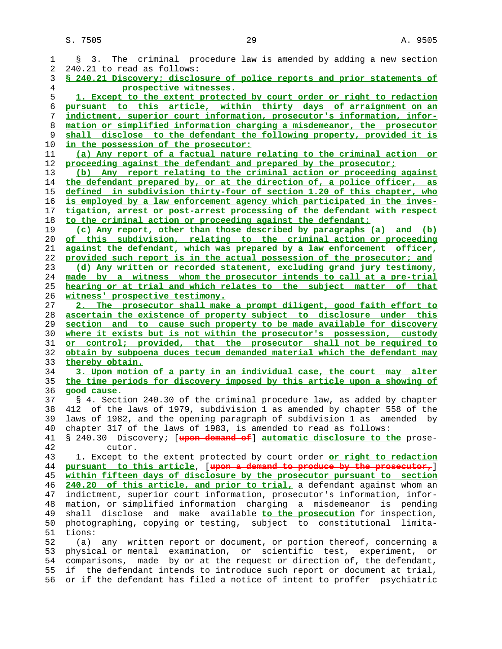1 § 3. The criminal procedure law is amended by adding a new section 2 240.21 to read as follows: **§ 240.21 Discovery; disclosure of police reports and prior statements of prospective witnesses. 1. Except to the extent protected by court order or right to redaction pursuant to this article, within thirty days of arraignment on an indictment, superior court information, prosecutor's information, infor- mation or simplified information charging a misdemeanor, the prosecutor shall disclose to the defendant the following property, provided it is in the possession of the prosecutor: (a) Any report of a factual nature relating to the criminal action or proceeding against the defendant and prepared by the prosecutor; (b) Any report relating to the criminal action or proceeding against the defendant prepared by, or at the direction of, a police officer, as defined in subdivision thirty-four of section 1.20 of this chapter, who is employed by a law enforcement agency which participated in the inves- tigation, arrest or post-arrest processing of the defendant with respect to the criminal action or proceeding against the defendant; (c) Any report, other than those described by paragraphs (a) and (b) of this subdivision, relating to the criminal action or proceeding against the defendant, which was prepared by a law enforcement officer, provided such report is in the actual possession of the prosecutor; and (d) Any written or recorded statement, excluding grand jury testimony, made by a witness whom the prosecutor intends to call at a pre-trial hearing or at trial and which relates to the subject matter of that witness' prospective testimony. 2. The prosecutor shall make a prompt diligent, good faith effort to ascertain the existence of property subject to disclosure under this section and to cause such property to be made available for discovery where it exists but is not within the prosecutor's possession, custody or control; provided, that the prosecutor shall not be required to obtain by subpoena duces tecum demanded material which the defendant may thereby obtain. 3. Upon motion of a party in an individual case, the court may alter the time periods for discovery imposed by this article upon a showing of good cause.** 37 § 4. Section 240.30 of the criminal procedure law, as added by chapter 38 412 of the laws of 1979, subdivision 1 as amended by chapter 558 of the 39 laws of 1982, and the opening paragraph of subdivision 1 as amended by 40 chapter 317 of the laws of 1983, is amended to read as follows: 41 § 240.30 Discovery; [**upon demand of**] **automatic disclosure to the** prose- 42 cutor. 43 1. Except to the extent protected by court order **or right to redaction pursuant to this article**, [**upon a demand to produce by the prosecutor,**] **within fifteen days of disclosure by the prosecutor pursuant to section 240.20 of this article, and prior to trial,** a defendant against whom an 47 indictment, superior court information, prosecutor's information, infor- 48 mation, or simplified information charging a misdemeanor is pending 49 shall disclose and make available **to the prosecution** for inspection, 50 photographing, copying or testing, subject to constitutional limita- 51 tions: 52 (a) any written report or document, or portion thereof, concerning a 53 physical or mental examination, or scientific test, experiment, or 54 comparisons, made by or at the request or direction of, the defendant, 55 if the defendant intends to introduce such report or document at trial, 56 or if the defendant has filed a notice of intent to proffer psychiatric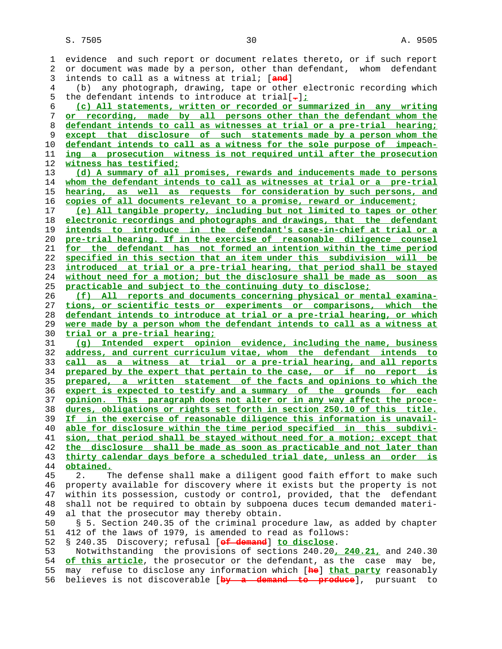1 evidence and such report or document relates thereto, or if such report 2 or document was made by a person, other than defendant, whom defendant 3 intends to call as a witness at trial; [**and**] 4 (b) any photograph, drawing, tape or other electronic recording which 5 the defendant intends to introduce at trial[**.**]**; (c) All statements, written or recorded or summarized in any writing or recording, made by all persons other than the defendant whom the defendant intends to call as witnesses at trial or a pre-trial hearing; except that disclosure of such statements made by a person whom the defendant intends to call as a witness for the sole purpose of impeach- ing a prosecution witness is not required until after the prosecution witness has testified; (d) A summary of all promises, rewards and inducements made to persons whom the defendant intends to call as witnesses at trial or a pre-trial hearing, as well as requests for consideration by such persons, and copies of all documents relevant to a promise, reward or inducement; (e) All tangible property, including but not limited to tapes or other electronic recordings and photographs and drawings, that the defendant intends to introduce in the defendant's case-in-chief at trial or a pre-trial hearing. If in the exercise of reasonable diligence counsel for the defendant has not formed an intention within the time period specified in this section that an item under this subdivision will be introduced at trial or a pre-trial hearing, that period shall be stayed without need for a motion; but the disclosure shall be made as soon as practicable and subject to the continuing duty to disclose; (f) All reports and documents concerning physical or mental examina- tions, or scientific tests or experiments or comparisons, which the defendant intends to introduce at trial or a pre-trial hearing, or which were made by a person whom the defendant intends to call as a witness at trial or a pre-trial hearing; (g) Intended expert opinion evidence, including the name, business address, and current curriculum vitae, whom the defendant intends to call as a witness at trial or a pre-trial hearing, and all reports prepared by the expert that pertain to the case, or if no report is prepared, a written statement of the facts and opinions to which the expert is expected to testify and a summary of the grounds for each opinion. This paragraph does not alter or in any way affect the proce- dures, obligations or rights set forth in section 250.10 of this title. If in the exercise of reasonable diligence this information is unavail- able for disclosure within the time period specified in this subdivi- sion, that period shall be stayed without need for a motion; except that the disclosure shall be made as soon as practicable and not later than thirty calendar days before a scheduled trial date, unless an order is obtained.** 45 2. The defense shall make a diligent good faith effort to make such 46 property available for discovery where it exists but the property is not 47 within its possession, custody or control, provided, that the defendant 48 shall not be required to obtain by subpoena duces tecum demanded materi- 49 al that the prosecutor may thereby obtain. 50 § 5. Section 240.35 of the criminal procedure law, as added by chapter 51 412 of the laws of 1979, is amended to read as follows: 52 § 240.35 Discovery; refusal [**of demand**] **to disclose**. 53 Notwithstanding the provisions of sections 240.20**, 240.21,** and 240.30 **of this article**, the prosecutor or the defendant, as the case may be, 55 may refuse to disclose any information which [**he**] **that party** reasonably 56 believes is not discoverable [**by a demand to produce**], pursuant to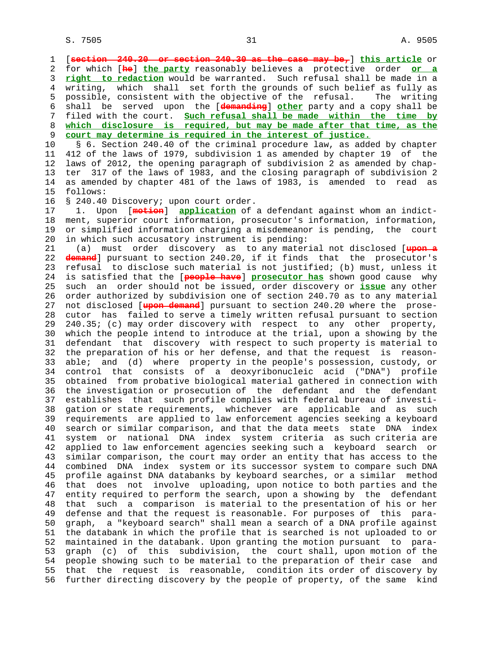S. 7505 31 A. 9505

 1 [**section 240.20 or section 240.30 as the case may be,**] **this article** or 2 for which [**he**] **the party** reasonably believes a protective order **or a** 3 **right to redaction** would be warranted. Such refusal shall be made in a 4 writing, which shall set forth the grounds of such belief as fully as 5 possible, consistent with the objective of the refusal. The writing 6 shall be served upon the [**demanding**] **other** party and a copy shall be 7 filed with the court. **Such refusal shall be made within the time by** 8 **which disclosure is required, but may be made after that time, as the** 9 **court may determine is required in the interest of justice.**

 10 § 6. Section 240.40 of the criminal procedure law, as added by chapter 11 412 of the laws of 1979, subdivision 1 as amended by chapter 19 of the 12 laws of 2012, the opening paragraph of subdivision 2 as amended by chap- 13 ter 317 of the laws of 1983, and the closing paragraph of subdivision 2 14 as amended by chapter 481 of the laws of 1983, is amended to read as 15 follows:

16 § 240.40 Discovery; upon court order.

 17 1. Upon [**motion**] **application** of a defendant against whom an indict- 18 ment, superior court information, prosecutor's information, information, 19 or simplified information charging a misdemeanor is pending, the court 20 in which such accusatory instrument is pending:

 21 (a) must order discovery as to any material not disclosed [**upon a** 22 **demand**] pursuant to section 240.20, if it finds that the prosecutor's 23 refusal to disclose such material is not justified; (b) must, unless it 24 is satisfied that the [**people have**] **prosecutor has** shown good cause why 25 such an order should not be issued, order discovery or **issue** any other 26 order authorized by subdivision one of section 240.70 as to any material 27 not disclosed [**upon demand**] pursuant to section 240.20 where the prose- 28 cutor has failed to serve a timely written refusal pursuant to section 29 240.35; (c) may order discovery with respect to any other property, 30 which the people intend to introduce at the trial, upon a showing by the 31 defendant that discovery with respect to such property is material to 32 the preparation of his or her defense, and that the request is reason- 33 able; and (d) where property in the people's possession, custody, or 34 control that consists of a deoxyribonucleic acid ("DNA") profile 35 obtained from probative biological material gathered in connection with 36 the investigation or prosecution of the defendant and the defendant 37 establishes that such profile complies with federal bureau of investi- 38 gation or state requirements, whichever are applicable and as such 39 requirements are applied to law enforcement agencies seeking a keyboard 40 search or similar comparison, and that the data meets state DNA index 41 system or national DNA index system criteria as such criteria are 42 applied to law enforcement agencies seeking such a keyboard search or 43 similar comparison, the court may order an entity that has access to the 44 combined DNA index system or its successor system to compare such DNA 45 profile against DNA databanks by keyboard searches, or a similar method 46 that does not involve uploading, upon notice to both parties and the 47 entity required to perform the search, upon a showing by the defendant 48 that such a comparison is material to the presentation of his or her 49 defense and that the request is reasonable. For purposes of this para- 50 graph, a "keyboard search" shall mean a search of a DNA profile against 51 the databank in which the profile that is searched is not uploaded to or 52 maintained in the databank. Upon granting the motion pursuant to para- 53 graph (c) of this subdivision, the court shall, upon motion of the 54 people showing such to be material to the preparation of their case and 55 that the request is reasonable, condition its order of discovery by 56 further directing discovery by the people of property, of the same kind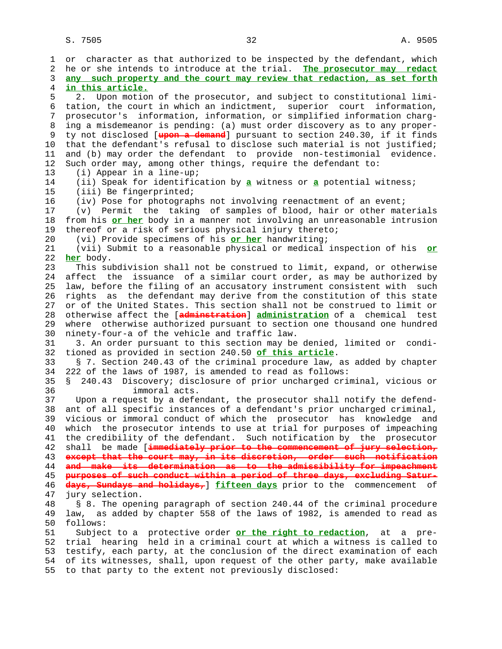1 or character as that authorized to be inspected by the defendant, which 2 he or she intends to introduce at the trial. **The prosecutor may redact** 3 **any such property and the court may review that redaction, as set forth** 4 **in this article.** 5 2. Upon motion of the prosecutor, and subject to constitutional limi- 6 tation, the court in which an indictment, superior court information, 7 prosecutor's information, information, or simplified information charg- 8 ing a misdemeanor is pending: (a) must order discovery as to any proper- 9 ty not disclosed [**upon a demand**] pursuant to section 240.30, if it finds 10 that the defendant's refusal to disclose such material is not justified; 11 and (b) may order the defendant to provide non-testimonial evidence. 12 Such order may, among other things, require the defendant to: 13 (i) Appear in a line-up; 14 (ii) Speak for identification by **a** witness or **a** potential witness; 15 (iii) Be fingerprinted; 16 (iv) Pose for photographs not involving reenactment of an event; 17 (v) Permit the taking of samples of blood, hair or other materials 18 from his **or her** body in a manner not involving an unreasonable intrusion 19 thereof or a risk of serious physical injury thereto; 20 (vi) Provide specimens of his **or her** handwriting; 21 (vii) Submit to a reasonable physical or medical inspection of his **or** 22 **her** body. 23 This subdivision shall not be construed to limit, expand, or otherwise 24 affect the issuance of a similar court order, as may be authorized by 25 law, before the filing of an accusatory instrument consistent with such 26 rights as the defendant may derive from the constitution of this state 27 or of the United States. This section shall not be construed to limit or 28 otherwise affect the [**adminstration**] **administration** of a chemical test 29 where otherwise authorized pursuant to section one thousand one hundred 30 ninety-four-a of the vehicle and traffic law. 31 3. An order pursuant to this section may be denied, limited or condi- 32 tioned as provided in section 240.50 **of this article**. 33 § 7. Section 240.43 of the criminal procedure law, as added by chapter 34 222 of the laws of 1987, is amended to read as follows: 35 § 240.43 Discovery; disclosure of prior uncharged criminal, vicious or 36 immoral acts. 37 Upon a request by a defendant, the prosecutor shall notify the defend- 38 ant of all specific instances of a defendant's prior uncharged criminal, 39 vicious or immoral conduct of which the prosecutor has knowledge and 40 which the prosecutor intends to use at trial for purposes of impeaching 41 the credibility of the defendant. Such notification by the prosecutor 42 shall be made [**immediately prior to the commencement of jury selection,** 43 **except that the court may, in its discretion, order such notification** 44 **and make its determination as to the admissibility for impeachment** 45 **purposes of such conduct within a period of three days, excluding Satur-** 46 **days, Sundays and holidays,**] **fifteen days** prior to the commencement of 47 jury selection. 48 § 8. The opening paragraph of section 240.44 of the criminal procedure 49 law, as added by chapter 558 of the laws of 1982, is amended to read as 50 follows: 51 Subject to a protective order **or the right to redaction**, at a pre- 52 trial hearing held in a criminal court at which a witness is called to 53 testify, each party, at the conclusion of the direct examination of each 54 of its witnesses, shall, upon request of the other party, make available 55 to that party to the extent not previously disclosed: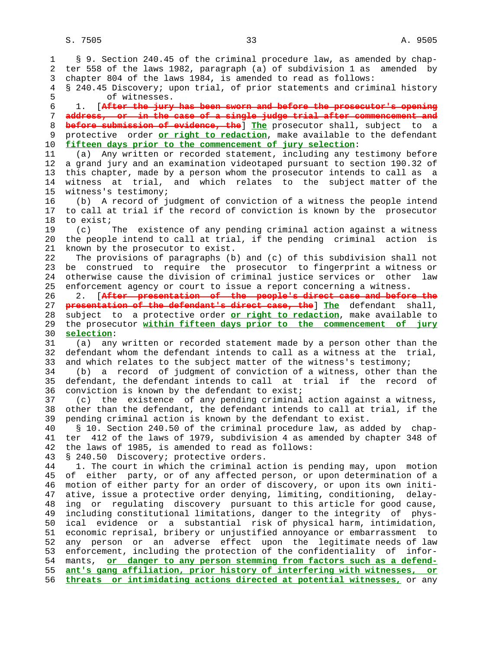1 § 9. Section 240.45 of the criminal procedure law, as amended by chap- 2 ter 558 of the laws 1982, paragraph (a) of subdivision 1 as amended by 3 chapter 804 of the laws 1984, is amended to read as follows: 4 § 240.45 Discovery; upon trial, of prior statements and criminal history 5 of witnesses. 6 1. [**After the jury has been sworn and before the prosecutor's opening** 7 **address, or in the case of a single judge trial after commencement and** 8 **before submission of evidence, the**] **The** prosecutor shall, subject to a 9 protective order **or right to redaction**, make available to the defendant 10 **fifteen days prior to the commencement of jury selection**: 11 (a) Any written or recorded statement, including any testimony before 12 a grand jury and an examination videotaped pursuant to section 190.32 of 13 this chapter, made by a person whom the prosecutor intends to call as a 14 witness at trial, and which relates to the subject matter of the 15 witness's testimony; 16 (b) A record of judgment of conviction of a witness the people intend 17 to call at trial if the record of conviction is known by the prosecutor 18 to exist;<br>19 (c) 19 (c) The existence of any pending criminal action against a witness 20 the people intend to call at trial, if the pending criminal action is 21 known by the prosecutor to exist. 22 The provisions of paragraphs (b) and (c) of this subdivision shall not 23 be construed to require the prosecutor to fingerprint a witness or 24 otherwise cause the division of criminal justice services or other law 25 enforcement agency or court to issue a report concerning a witness. 26 2. [**After presentation of the people's direct case and before the** 27 **presentation of the defendant's direct case, the**] **The** defendant shall, 28 subject to a protective order **or right to redaction**, make available to 29 the prosecutor **within fifteen days prior to the commencement of jury** 30 **selection**: 31 (a) any written or recorded statement made by a person other than the 32 defendant whom the defendant intends to call as a witness at the trial, 33 and which relates to the subject matter of the witness's testimony; 34 (b) a record of judgment of conviction of a witness, other than the 35 defendant, the defendant intends to call at trial if the record of 36 conviction is known by the defendant to exist; 37 (c) the existence of any pending criminal action against a witness, 38 other than the defendant, the defendant intends to call at trial, if the 39 pending criminal action is known by the defendant to exist. 40 § 10. Section 240.50 of the criminal procedure law, as added by chap- 41 ter 412 of the laws of 1979, subdivision 4 as amended by chapter 348 of 42 the laws of 1985, is amended to read as follows: 43 § 240.50 Discovery; protective orders. 44 1. The court in which the criminal action is pending may, upon motion 45 of either party, or of any affected person, or upon determination of a 46 motion of either party for an order of discovery, or upon its own initi- 47 ative, issue a protective order denying, limiting, conditioning, delay- 48 ing or regulating discovery pursuant to this article for good cause, 49 including constitutional limitations, danger to the integrity of phys- 50 ical evidence or a substantial risk of physical harm, intimidation, 51 economic reprisal, bribery or unjustified annoyance or embarrassment to 52 any person or an adverse effect upon the legitimate needs of law 53 enforcement, including the protection of the confidentiality of infor- 54 mants, **or danger to any person stemming from factors such as a defend-** 55 **ant's gang affiliation, prior history of interfering with witnesses, or** 56 **threats or intimidating actions directed at potential witnesses,** or any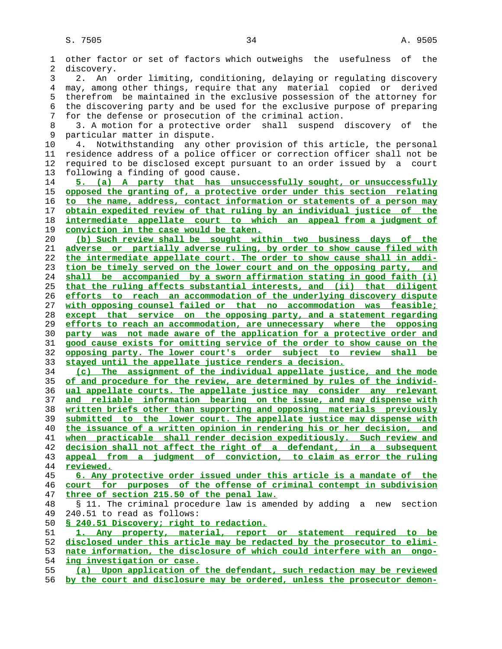1 other factor or set of factors which outweighs the usefulness of the 2 discovery. 3 2. An order limiting, conditioning, delaying or regulating discovery 4 may, among other things, require that any material copied or derived 5 therefrom be maintained in the exclusive possession of the attorney for 6 the discovering party and be used for the exclusive purpose of preparing 7 for the defense or prosecution of the criminal action. 8 3. A motion for a protective order shall suspend discovery of the particular matter in dispute. 10 4. Notwithstanding any other provision of this article, the personal 11 residence address of a police officer or correction officer shall not be 12 required to be disclosed except pursuant to an order issued by a court 13 following a finding of good cause. **5. (a) A party that has unsuccessfully sought, or unsuccessfully opposed the granting of, a protective order under this section relating to the name, address, contact information or statements of a person may obtain expedited review of that ruling by an individual justice of the intermediate appellate court to which an appeal from a judgment of conviction in the case would be taken. (b) Such review shall be sought within two business days of the adverse or partially adverse ruling, by order to show cause filed with the intermediate appellate court. The order to show cause shall in addi- tion be timely served on the lower court and on the opposing party, and shall be accompanied by a sworn affirmation stating in good faith (i) that the ruling affects substantial interests, and (ii) that diligent efforts to reach an accommodation of the underlying discovery dispute with opposing counsel failed or that no accommodation was feasible; except that service on the opposing party, and a statement regarding efforts to reach an accommodation, are unnecessary where the opposing party was not made aware of the application for a protective order and good cause exists for omitting service of the order to show cause on the opposing party. The lower court's order subject to review shall be stayed until the appellate justice renders a decision. (c) The assignment of the individual appellate justice, and the mode of and procedure for the review, are determined by rules of the individ- ual appellate courts. The appellate justice may consider any relevant and reliable information bearing on the issue, and may dispense with written briefs other than supporting and opposing materials previously submitted to the lower court. The appellate justice may dispense with the issuance of a written opinion in rendering his or her decision, and when practicable shall render decision expeditiously. Such review and decision shall not affect the right of a defendant, in a subsequent appeal from a judgment of conviction, to claim as error the ruling reviewed. 6. Any protective order issued under this article is a mandate of the court for purposes of the offense of criminal contempt in subdivision three of section 215.50 of the penal law.** 48 § 11. The criminal procedure law is amended by adding a new section 240.51 to read as follows: **§ 240.51 Discovery; right to redaction. 1. Any property, material, report or statement required to be disclosed under this article may be redacted by the prosecutor to elimi- nate information, the disclosure of which could interfere with an ongo- ing investigation or case. (a) Upon application of the defendant, such redaction may be reviewed**

**by the court and disclosure may be ordered, unless the prosecutor demon-**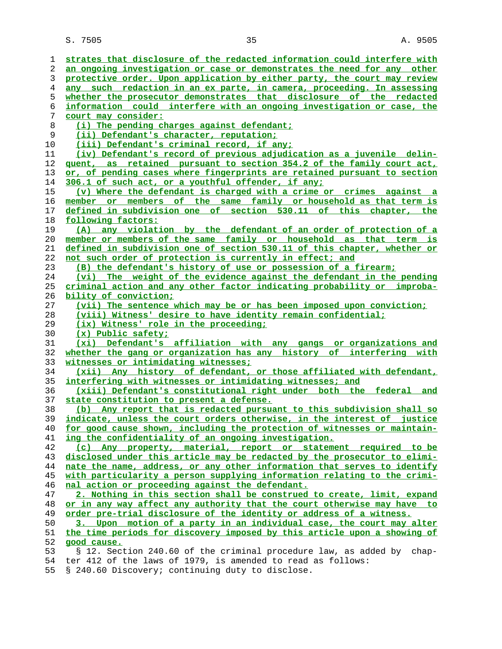S. 7505 35 A. 9505

**strates that disclosure of the redacted information could interfere with an ongoing investigation or case or demonstrates the need for any other protective order. Upon application by either party, the court may review any such redaction in an ex parte, in camera, proceeding. In assessing whether the prosecutor demonstrates that disclosure of the redacted information could interfere with an ongoing investigation or case, the court may consider: (i) The pending charges against defendant; (ii) Defendant's character, reputation; (iii) Defendant's criminal record, if any; (iv) Defendant's record of previous adjudication as a juvenile delin- quent, as retained pursuant to section 354.2 of the family court act, or, of pending cases where fingerprints are retained pursuant to section 306.1 of such act, or a youthful offender, if any; (v) Where the defendant is charged with a crime or crimes against a member or members of the same family or household as that term is defined in subdivision one of section 530.11 of this chapter, the following factors: (A) any violation by the defendant of an order of protection of a member or members of the same family or household as that term is defined in subdivision one of section 530.11 of this chapter, whether or not such order of protection is currently in effect; and (B) the defendant's history of use or possession of a firearm; (vi) The weight of the evidence against the defendant in the pending criminal action and any other factor indicating probability or improba- bility of conviction; (vii) The sentence which may be or has been imposed upon conviction; (viii) Witness' desire to have identity remain confidential; (ix) Witness' role in the proceeding; (x) Public safety; (xi) Defendant's affiliation with any gangs or organizations and whether the gang or organization has any history of interfering with witnesses or intimidating witnesses; (xii) Any history of defendant, or those affiliated with defendant, interfering with witnesses or intimidating witnesses; and (xiii) Defendant's constitutional right under both the federal and state constitution to present a defense. (b) Any report that is redacted pursuant to this subdivision shall so indicate, unless the court orders otherwise, in the interest of justice for good cause shown, including the protection of witnesses or maintain- ing the confidentiality of an ongoing investigation. (c) Any property, material, report or statement required to be disclosed under this article may be redacted by the prosecutor to elimi- nate the name, address, or any other information that serves to identify with particularity a person supplying information relating to the crimi- nal action or proceeding against the defendant. 2. Nothing in this section shall be construed to create, limit, expand or in any way affect any authority that the court otherwise may have to order pre-trial disclosure of the identity or address of a witness. 3. Upon motion of a party in an individual case, the court may alter the time periods for discovery imposed by this article upon a showing of good cause.** 53 § 12. Section 240.60 of the criminal procedure law, as added by chap- 54 ter 412 of the laws of 1979, is amended to read as follows:

55 § 240.60 Discovery; continuing duty to disclose.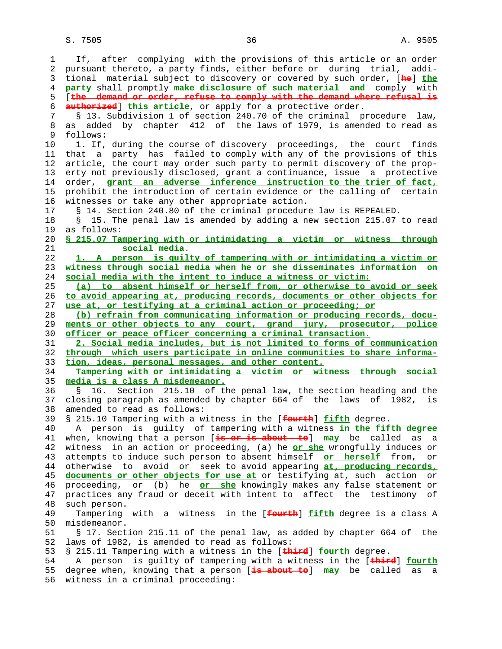1 If, after complying with the provisions of this article or an order 2 pursuant thereto, a party finds, either before or during trial, addi- 3 tional material subject to discovery or covered by such order, [**he**] **the** 4 **party** shall promptly **make disclosure of such material and** comply with 5 [**the demand or order, refuse to comply with the demand where refusal is** 6 **authorized**] **this article**, or apply for a protective order. 7 § 13. Subdivision 1 of section 240.70 of the criminal procedure law, 8 as added by chapter 412 of the laws of 1979, is amended to read as 9 follows: follows: 10 1. If, during the course of discovery proceedings, the court finds 11 that a party has failed to comply with any of the provisions of this 12 article, the court may order such party to permit discovery of the prop- 13 erty not previously disclosed, grant a continuance, issue a protective 14 order, **grant an adverse inference instruction to the trier of fact,** 15 prohibit the introduction of certain evidence or the calling of certain 16 witnesses or take any other appropriate action. 17 § 14. Section 240.80 of the criminal procedure law is REPEALED. 18 § 15. The penal law is amended by adding a new section 215.07 to read 19 as follows: 20 **§ 215.07 Tampering with or intimidating a victim or witness through** 21 **social media.** 22 **1. A person is guilty of tampering with or intimidating a victim or** 23 **witness through social media when he or she disseminates information on** 24 **social media with the intent to induce a witness or victim:** 25 **(a) to absent himself or herself from, or otherwise to avoid or seek** 26 **to avoid appearing at, producing records, documents or other objects for** 27 **use at, or testifying at a criminal action or proceeding; or** 28 **(b) refrain from communicating information or producing records, docu-** 29 **ments or other objects to any court, grand jury, prosecutor, police** 30 **officer or peace officer concerning a criminal transaction.** 31 **2. Social media includes, but is not limited to forms of communication** 32 **through which users participate in online communities to share informa-** 33 **tion, ideas, personal messages, and other content.** 34 **Tampering with or intimidating a victim or witness through social** 35 **media is a class A misdemeanor.** 36 § 16. Section 215.10 of the penal law, the section heading and the 37 closing paragraph as amended by chapter 664 of the laws of 1982, is 38 amended to read as follows: 39 § 215.10 Tampering with a witness in the [**fourth**] **fifth** degree. 40 A person is guilty of tampering with a witness **in the fifth degree** 41 when, knowing that a person [**is or is about to**] **may** be called as a 42 witness in an action or proceeding, (a) he **or she** wrongfully induces or 43 attempts to induce such person to absent himself **or herself** from, or 44 otherwise to avoid or seek to avoid appearing **at, producing records,** 45 **documents or other objects for use at** or testifying at, such action or 46 proceeding, or (b) he **or she** knowingly makes any false statement or 47 practices any fraud or deceit with intent to affect the testimony of 48 such person. 49 Tampering with a witness in the [**fourth**] **fifth** degree is a class A 50 misdemeanor. 51 § 17. Section 215.11 of the penal law, as added by chapter 664 of the 52 laws of 1982, is amended to read as follows: 53 § 215.11 Tampering with a witness in the [**third**] **fourth** degree. 54 A person is guilty of tampering with a witness in the [**third**] **fourth** 55 degree when, knowing that a person [**is about to**] **may** be called as a 56 witness in a criminal proceeding: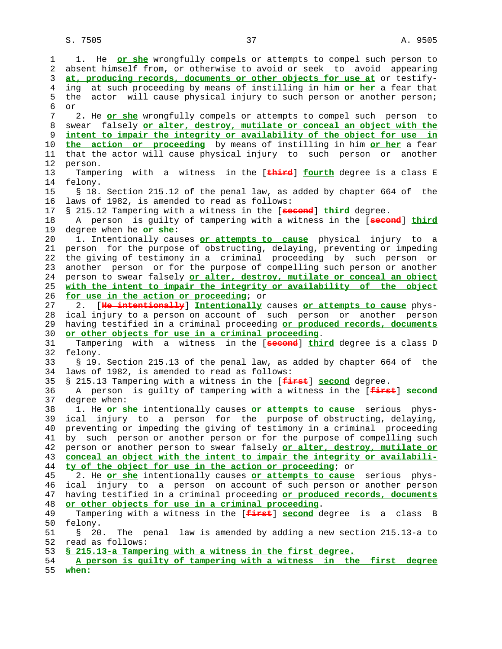1 1. He **or she** wrongfully compels or attempts to compel such person to 2 absent himself from, or otherwise to avoid or seek to avoid appearing 3 **at, producing records, documents or other objects for use at** or testify- 4 ing at such proceeding by means of instilling in him **or her** a fear that 5 the actor will cause physical injury to such person or another person; 6 or 7 2. He **or she** wrongfully compels or attempts to compel such person to 8 swear falsely **or alter, destroy, mutilate or conceal an object with the** 9 **intent to impair the integrity or availability of the object for use in** 10 **the action or proceeding** by means of instilling in him **or her** a fear 11 that the actor will cause physical injury to such person or another 12 person. 13 Tampering with a witness in the [**third**] **fourth** degree is a class E 14 felony. 15 § 18. Section 215.12 of the penal law, as added by chapter 664 of the 16 laws of 1982, is amended to read as follows: 17 § 215.12 Tampering with a witness in the [**second**] **third** degree. 18 A person is guilty of tampering with a witness in the [**second**] **third** 19 degree when he **or she**: 20 1. Intentionally causes **or attempts to cause** physical injury to a 21 person for the purpose of obstructing, delaying, preventing or impeding 22 the giving of testimony in a criminal proceeding by such person or 23 another person or for the purpose of compelling such person or another 24 person to swear falsely **or alter, destroy, mutilate or conceal an object** 25 **with the intent to impair the integrity or availability of the object** 26 **for use in the action or proceeding**; or 27 2. [**He intentionally**] **Intentionally** causes **or attempts to cause** phys- 28 ical injury to a person on account of such person or another person 29 having testified in a criminal proceeding **or produced records, documents** 30 **or other objects for use in a criminal proceeding**. 31 Tampering with a witness in the [**second**] **third** degree is a class D 32 felony. 33 § 19. Section 215.13 of the penal law, as added by chapter 664 of the 34 laws of 1982, is amended to read as follows: 35 § 215.13 Tampering with a witness in the [**first**] **second** degree. 36 A person is guilty of tampering with a witness in the [**first**] **second** 37 degree when: 38 1. He **or she** intentionally causes **or attempts to cause** serious phys- 39 ical injury to a person for the purpose of obstructing, delaying, 40 preventing or impeding the giving of testimony in a criminal proceeding 41 by such person or another person or for the purpose of compelling such 42 person or another person to swear falsely **or alter, destroy, mutilate or** 43 **conceal an object with the intent to impair the integrity or availabili-** 44 **ty of the object for use in the action or proceeding**; or 45 2. He **or she** intentionally causes **or attempts to cause** serious phys- 46 ical injury to a person on account of such person or another person 47 having testified in a criminal proceeding **or produced records, documents** 48 **or other objects for use in a criminal proceeding**. 49 Tampering with a witness in the [**first**] **second** degree is a class B 50 felony. 51 § 20. The penal law is amended by adding a new section 215.13-a to 52 read as follows: 53 **§ 215.13-a Tampering with a witness in the first degree.** 54 **A person is guilty of tampering with a witness in the first degree** 55 **when:**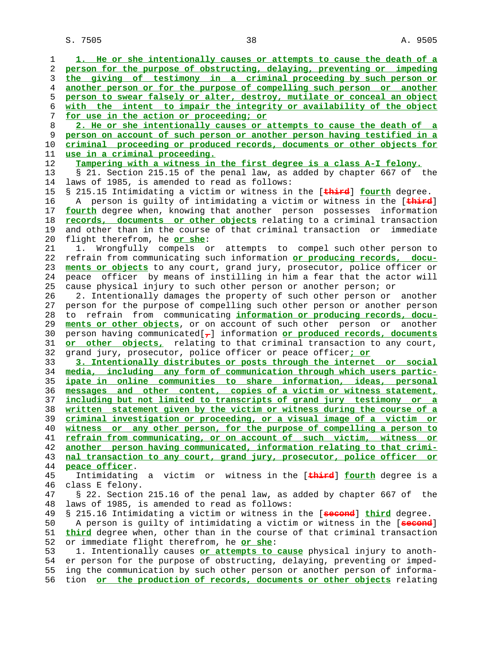S. 7505 38 A. 9505

 1 **1. He or she intentionally causes or attempts to cause the death of a** 2 **person for the purpose of obstructing, delaying, preventing or impeding** 3 **the giving of testimony in a criminal proceeding by such person or** 4 **another person or for the purpose of compelling such person or another** 5 **person to swear falsely or alter, destroy, mutilate or conceal an object** 6 **with the intent to impair the integrity or availability of the object** 7 **for use in the action or proceeding; or** 8 **2. He or she intentionally causes or attempts to cause the death of a** 9 **person on account of such person or another person having testified in a** 10 **criminal proceeding or produced records, documents or other objects for** 11 **use in a criminal proceeding.** 12 **Tampering with a witness in the first degree is a class A-I felony.** 13 § 21. Section 215.15 of the penal law, as added by chapter 667 of the 14 laws of 1985, is amended to read as follows: 15 § 215.15 Intimidating a victim or witness in the [**third**] **fourth** degree. 16 A person is guilty of intimidating a victim or witness in the [**third**] 17 **fourth** degree when, knowing that another person possesses information 18 **records, documents or other objects** relating to a criminal transaction 19 and other than in the course of that criminal transaction or immediate 20 flight therefrom, he **or she**: 21 1. Wrongfully compels or attempts to compel such other person to 22 refrain from communicating such information **or producing records, docu-** 23 **ments or objects** to any court, grand jury, prosecutor, police officer or 24 peace officer by means of instilling in him a fear that the actor will 25 cause physical injury to such other person or another person; or 26 2. Intentionally damages the property of such other person or another 27 person for the purpose of compelling such other person or another person 28 to refrain from communicating **information or producing records, docu-** 29 **ments or other objects**, or on account of such other person or another 30 person having communicated[**,**] information **or produced records, documents** 31 **or other objects,** relating to that criminal transaction to any court, 32 grand jury, prosecutor, police officer or peace officer**; or** 33 **3. Intentionally distributes or posts through the internet or social** 34 **media, including any form of communication through which users partic-** 35 **ipate in online communities to share information, ideas, personal** 36 **messages and other content, copies of a victim or witness statement,** 37 **including but not limited to transcripts of grand jury testimony or a** 38 **written statement given by the victim or witness during the course of a** 39 **criminal investigation or proceeding, or a visual image of a victim or** 40 **witness or any other person, for the purpose of compelling a person to** 41 **refrain from communicating, or on account of such victim, witness or** 42 **another person having communicated, information relating to that crimi-** 43 **nal transaction to any court, grand jury, prosecutor, police officer or** 44 **peace officer**. 45 Intimidating a victim or witness in the [**third**] **fourth** degree is a 46 class E felony. 47 § 22. Section 215.16 of the penal law, as added by chapter 667 of the 48 laws of 1985, is amended to read as follows: 49 § 215.16 Intimidating a victim or witness in the [**second**] **third** degree. 50 A person is guilty of intimidating a victim or witness in the [**second**] 51 **third** degree when, other than in the course of that criminal transaction 52 or immediate flight therefrom, he **or she**: 53 1. Intentionally causes **or attempts to cause** physical injury to anoth- 54 er person for the purpose of obstructing, delaying, preventing or imped- 55 ing the communication by such other person or another person of informa- 56 tion **or the production of records, documents or other objects** relating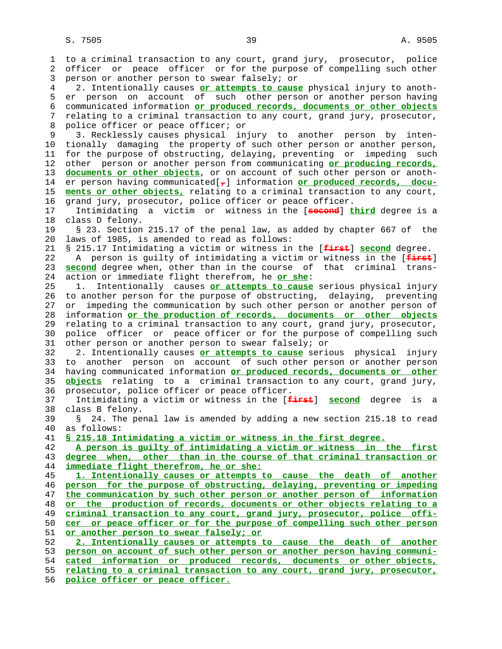1 to a criminal transaction to any court, grand jury, prosecutor, police 2 officer or peace officer or for the purpose of compelling such other 3 person or another person to swear falsely; or 4 2. Intentionally causes **or attempts to cause** physical injury to anoth- 5 er person on account of such other person or another person having 6 communicated information **or produced records, documents or other objects** 7 relating to a criminal transaction to any court, grand jury, prosecutor, 8 police officer or peace officer; or<br>9 3. Recklessly causes physical in 9 3. Recklessly causes physical injury to another person by inten- 10 tionally damaging the property of such other person or another person, 11 for the purpose of obstructing, delaying, preventing or impeding such 12 other person or another person from communicating **or producing records,** 13 **documents or other objects**, or on account of such other person or anoth- 14 er person having communicated[**,**] information **or produced records, docu-** 15 **ments or other objects,** relating to a criminal transaction to any court, 16 grand jury, prosecutor, police officer or peace officer. 17 Intimidating a victim or witness in the [**second**] **third** degree is a 18 class D felony. 19 § 23. Section 215.17 of the penal law, as added by chapter 667 of the 20 laws of 1985, is amended to read as follows: 21 § 215.17 Intimidating a victim or witness in the [**first**] **second** degree. 22 A person is guilty of intimidating a victim or witness in the [**first**] 23 **second** degree when, other than in the course of that criminal trans- 24 action or immediate flight therefrom, he **or she**: 25 1. Intentionally causes **or attempts to cause** serious physical injury 26 to another person for the purpose of obstructing, delaying, preventing 27 or impeding the communication by such other person or another person of 28 information **or the production of records, documents or other objects** 29 relating to a criminal transaction to any court, grand jury, prosecutor, 30 police officer or peace officer or for the purpose of compelling such 31 other person or another person to swear falsely; or 32 2. Intentionally causes **or attempts to cause** serious physical injury 33 to another person on account of such other person or another person 34 having communicated information **or produced records, documents or other** 35 **objects** relating to a criminal transaction to any court, grand jury, 36 prosecutor, police officer or peace officer. 37 Intimidating a victim or witness in the [**first**] **second** degree is a 38 class B felony. 39 § 24. The penal law is amended by adding a new section 215.18 to read 40 as follows: 41 **§ 215.18 Intimidating a victim or witness in the first degree.** 42 **A person is guilty of intimidating a victim or witness in the first** 43 **degree when, other than in the course of that criminal transaction or** 44 **immediate flight therefrom, he or she:** 45 **1. Intentionally causes or attempts to cause the death of another** 46 **person for the purpose of obstructing, delaying, preventing or impeding** 47 **the communication by such other person or another person of information** 48 **or the production of records, documents or other objects relating to a** 49 **criminal transaction to any court, grand jury, prosecutor, police offi-** 50 **cer or peace officer or for the purpose of compelling such other person** 51 **or another person to swear falsely; or** 52 **2. Intentionally causes or attempts to cause the death of another** 53 **person on account of such other person or another person having communi-** 54 **cated information or produced records, documents or other objects,** 55 **relating to a criminal transaction to any court, grand jury, prosecutor,**

56 **police officer or peace officer.**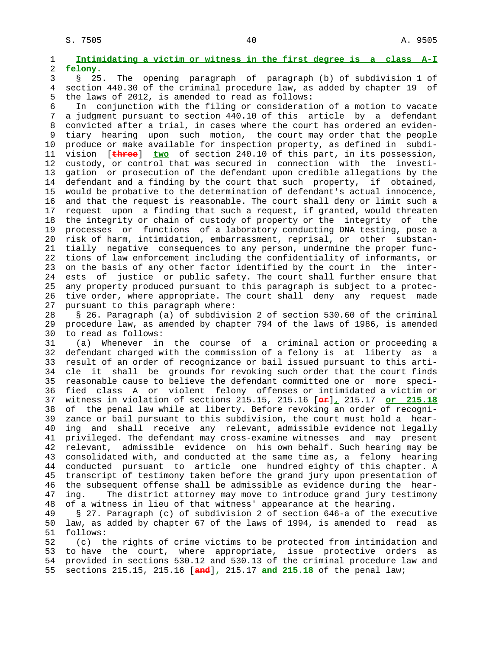1 **Intimidating a victim or witness in the first degree is a class A-I** 2 **felony.** 3 § 25. The opening paragraph of paragraph (b) of subdivision 1 of 4 section 440.30 of the criminal procedure law, as added by chapter 19 of 5 the laws of 2012, is amended to read as follows: 6 In conjunction with the filing or consideration of a motion to vacate 7 a judgment pursuant to section 440.10 of this article by a defendant 8 convicted after a trial, in cases where the court has ordered an eviden- 9 tiary hearing upon such motion, the court may order that the people 10 produce or make available for inspection property, as defined in subdi- 11 vision [**three**] **two** of section 240.10 of this part, in its possession, 12 custody, or control that was secured in connection with the investi- 13 gation or prosecution of the defendant upon credible allegations by the 14 defendant and a finding by the court that such property, if obtained, 15 would be probative to the determination of defendant's actual innocence, 16 and that the request is reasonable. The court shall deny or limit such a 17 request upon a finding that such a request, if granted, would threaten 18 the integrity or chain of custody of property or the integrity of the 19 processes or functions of a laboratory conducting DNA testing, pose a 20 risk of harm, intimidation, embarrassment, reprisal, or other substan- 21 tially negative consequences to any person, undermine the proper func- 22 tions of law enforcement including the confidentiality of informants, or 23 on the basis of any other factor identified by the court in the inter- 24 ests of justice or public safety. The court shall further ensure that 25 any property produced pursuant to this paragraph is subject to a protec- 26 tive order, where appropriate. The court shall deny any request made 27 pursuant to this paragraph where: 28 § 26. Paragraph (a) of subdivision 2 of section 530.60 of the criminal 29 procedure law, as amended by chapter 794 of the laws of 1986, is amended 30 to read as follows: 31 (a) Whenever in the course of a criminal action or proceeding a 32 defendant charged with the commission of a felony is at liberty as a 33 result of an order of recognizance or bail issued pursuant to this arti- 34 cle it shall be grounds for revoking such order that the court finds 35 reasonable cause to believe the defendant committed one or more speci- 36 fied class A or violent felony offenses or intimidated a victim or 37 witness in violation of sections 215.15, 215.16 [**or**]**,** 215.17 **or 215.18** 38 of the penal law while at liberty. Before revoking an order of recogni- 39 zance or bail pursuant to this subdivision, the court must hold a hear- 40 ing and shall receive any relevant, admissible evidence not legally 41 privileged. The defendant may cross-examine witnesses and may present 42 relevant, admissible evidence on his own behalf. Such hearing may be 43 consolidated with, and conducted at the same time as, a felony hearing 44 conducted pursuant to article one hundred eighty of this chapter. A 45 transcript of testimony taken before the grand jury upon presentation of 46 the subsequent offense shall be admissible as evidence during the hear- 47 ing. The district attorney may move to introduce grand jury testimony 48 of a witness in lieu of that witness' appearance at the hearing. 49 § 27. Paragraph (c) of subdivision 2 of section 646-a of the executive 50 law, as added by chapter 67 of the laws of 1994, is amended to read as 51 follows: 52 (c) the rights of crime victims to be protected from intimidation and

 53 to have the court, where appropriate, issue protective orders as 54 provided in sections 530.12 and 530.13 of the criminal procedure law and 55 sections 215.15, 215.16 [**and**]**,** 215.17 **and 215.18** of the penal law;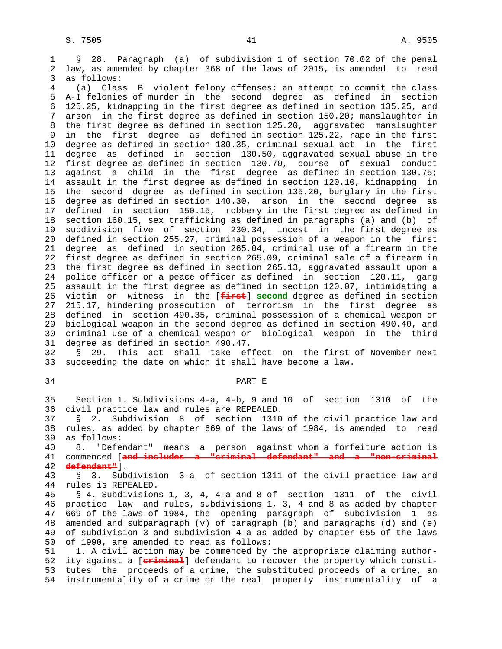1 § 28. Paragraph (a) of subdivision 1 of section 70.02 of the penal 2 law, as amended by chapter 368 of the laws of 2015, is amended to read 3 as follows:

 4 (a) Class B violent felony offenses: an attempt to commit the class 5 A-I felonies of murder in the second degree as defined in section 6 125.25, kidnapping in the first degree as defined in section 135.25, and 7 arson in the first degree as defined in section 150.20; manslaughter in 8 the first degree as defined in section 125.20, aggravated manslaughter 9 in the first degree as defined in section 125.22, rape in the first 10 degree as defined in section 130.35, criminal sexual act in the first 11 degree as defined in section 130.50, aggravated sexual abuse in the 12 first degree as defined in section 130.70, course of sexual conduct 13 against a child in the first degree as defined in section 130.75; 14 assault in the first degree as defined in section 120.10, kidnapping in 15 the second degree as defined in section 135.20, burglary in the first 16 degree as defined in section 140.30, arson in the second degree as 17 defined in section 150.15, robbery in the first degree as defined in 18 section 160.15, sex trafficking as defined in paragraphs (a) and (b) of 19 subdivision five of section 230.34, incest in the first degree as 20 defined in section 255.27, criminal possession of a weapon in the first 21 degree as defined in section 265.04, criminal use of a firearm in the 22 first degree as defined in section 265.09, criminal sale of a firearm in 23 the first degree as defined in section 265.13, aggravated assault upon a 24 police officer or a peace officer as defined in section 120.11, gang 25 assault in the first degree as defined in section 120.07, intimidating a 26 victim or witness in the [**first**] **second** degree as defined in section 27 215.17, hindering prosecution of terrorism in the first degree as 28 defined in section 490.35, criminal possession of a chemical weapon or 29 biological weapon in the second degree as defined in section 490.40, and 30 criminal use of a chemical weapon or biological weapon in the third 31 degree as defined in section 490.47.

 32 § 29. This act shall take effect on the first of November next 33 succeeding the date on which it shall have become a law.

## 34 PART E

 35 Section 1. Subdivisions 4-a, 4-b, 9 and 10 of section 1310 of the 36 civil practice law and rules are REPEALED.

 37 § 2. Subdivision 8 of section 1310 of the civil practice law and 38 rules, as added by chapter 669 of the laws of 1984, is amended to read 39 as follows:

 40 8. "Defendant" means a person against whom a forfeiture action is 41 commenced [**and includes a "criminal defendant" and a "non-criminal** 42 **defendant"**].

 43 § 3. Subdivision 3-a of section 1311 of the civil practice law and 44 rules is REPEALED.

 45 § 4. Subdivisions 1, 3, 4, 4-a and 8 of section 1311 of the civil 46 practice law and rules, subdivisions 1, 3, 4 and 8 as added by chapter 47 669 of the laws of 1984, the opening paragraph of subdivision 1 as 48 amended and subparagraph (v) of paragraph (b) and paragraphs (d) and (e) 49 of subdivision 3 and subdivision 4-a as added by chapter 655 of the laws 50 of 1990, are amended to read as follows:

 51 1. A civil action may be commenced by the appropriate claiming author- 52 ity against a [**criminal**] defendant to recover the property which consti- 53 tutes the proceeds of a crime, the substituted proceeds of a crime, an 54 instrumentality of a crime or the real property instrumentality of a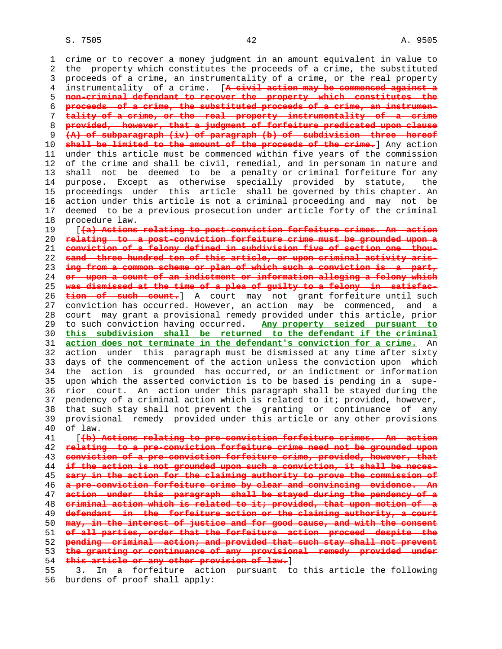1 crime or to recover a money judgment in an amount equivalent in value to 2 the property which constitutes the proceeds of a crime, the substituted 3 proceeds of a crime, an instrumentality of a crime, or the real property 4 instrumentality of a crime. [**A civil action may be commenced against a** 5 **non-criminal defendant to recover the property which constitutes the** 6 **proceeds of a crime, the substituted proceeds of a crime, an instrumen-** 7 **tality of a crime, or the real property instrumentality of a crime** 8 **provided, however, that a judgment of forfeiture predicated upon clause** 9 **(A) of subparagraph (iv) of paragraph (b) of subdivision three hereof** 10 **shall be limited to the amount of the proceeds of the crime.**] Any action 11 under this article must be commenced within five years of the commission 12 of the crime and shall be civil, remedial, and in personam in nature and 13 shall not be deemed to be a penalty or criminal forfeiture for any 14 purpose. Except as otherwise specially provided by statute, the 15 proceedings under this article shall be governed by this chapter. An 16 action under this article is not a criminal proceeding and may not be 17 deemed to be a previous prosecution under article forty of the criminal 18 procedure law. 19 [**(a) Actions relating to post-conviction forfeiture crimes. An action** 20 **relating to a post-conviction forfeiture crime must be grounded upon a** 21 **conviction of a felony defined in subdivision five of section one thou-** 22 **sand three hundred ten of this article, or upon criminal activity aris-** 23 **ing from a common scheme or plan of which such a conviction is a part,** 24 **or upon a count of an indictment or information alleging a felony which** 25 **was dismissed at the time of a plea of guilty to a felony in satisfac-** 26 **tion of such count.**] A court may not grant forfeiture until such 27 conviction has occurred. However, an action may be commenced, and a 28 court may grant a provisional remedy provided under this article, prior 29 to such conviction having occurred. **Any property seized pursuant to** 30 **this subdivision shall be returned to the defendant if the criminal** 31 **action does not terminate in the defendant's conviction for a crime.** An 32 action under this paragraph must be dismissed at any time after sixty 33 days of the commencement of the action unless the conviction upon which

 34 the action is grounded has occurred, or an indictment or information 35 upon which the asserted conviction is to be based is pending in a supe- 36 rior court. An action under this paragraph shall be stayed during the 37 pendency of a criminal action which is related to it; provided, however, 38 that such stay shall not prevent the granting or continuance of any 39 provisional remedy provided under this article or any other provisions 40 of law.

 41 [**(b) Actions relating to pre-conviction forfeiture crimes. An action relating to a pre-conviction forfeiture crime need not be grounded upon conviction of a pre-conviction forfeiture crime, provided, however, that if the action is not grounded upon such a conviction, it shall be neces- sary in the action for the claiming authority to prove the commission of a pre-conviction forfeiture crime by clear and convincing evidence. An action under this paragraph shall be stayed during the pendency of a criminal action which is related to it; provided, that upon motion of a defendant in the forfeiture action or the claiming authority, a court may, in the interest of justice and for good cause, and with the consent of all parties, order that the forfeiture action proceed despite the pending criminal action; and provided that such stay shall not prevent the granting or continuance of any provisional remedy provided under this article or any other provision of law.**] 55 3. In a forfeiture action pursuant to this article the following

56 burdens of proof shall apply: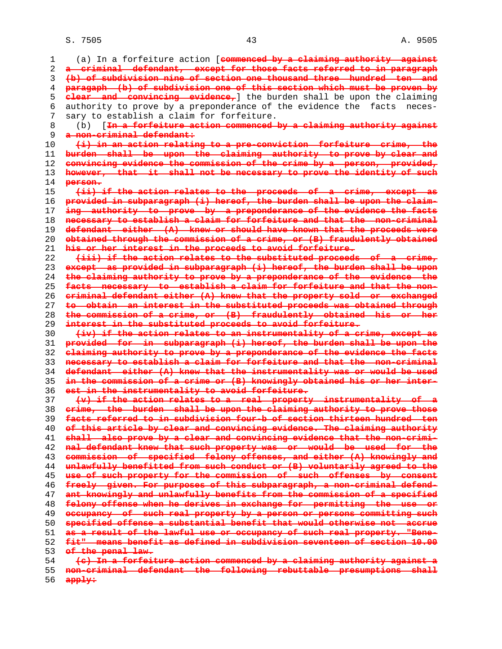S. 7505 43 A. 9505

 1 (a) In a forfeiture action [**commenced by a claiming authority against a criminal defendant, except for those facts referred to in paragraph (b) of subdivision nine of section one thousand three hundred ten and paragaph (b) of subdivision one of this section which must be proven by clear and convincing evidence,**] the burden shall be upon the claiming 6 authority to prove by a preponderance of the evidence the facts neces- 7 sary to establish a claim for forfeiture. 8 (b) [**In a forfeiture action commenced by a claiming authority against a non-criminal defendant: (i) in an action relating to a pre-conviction forfeiture crime, the burden shall be upon the claiming authority to prove by clear and convincing evidence the commission of the crime by a person, provided, however, that it shall not be necessary to prove the identity of such person. (ii) if the action relates to the proceeds of a crime, except as provided in subparagraph (i) hereof, the burden shall be upon the claim- ing authority to prove by a preponderance of the evidence the facts necessary to establish a claim for forfeiture and that the non-criminal defendant either (A) knew or should have known that the proceeds were obtained through the commission of a crime, or (B) fraudulently obtained his or her interest in the proceeds to avoid forfeiture. (iii) if the action relates to the substituted proceeds of a crime, except as provided in subparagraph (i) hereof, the burden shall be upon the claiming authority to prove by a preponderance of the evidence the facts necessary to establish a claim for forfeiture and that the non- criminal defendant either (A) knew that the property sold or exchanged to obtain an interest in the substituted proceeds was obtained through the commission of a crime, or (B) fraudulently obtained his or her interest in the substituted proceeds to avoid forfeiture. (iv) if the action relates to an instrumentality of a crime, except as provided for in subparagraph (i) hereof, the burden shall be upon the claiming authority to prove by a preponderance of the evidence the facts necessary to establish a claim for forfeiture and that the non-criminal defendant either (A) knew that the instrumentality was or would be used in the commission of a crime or (B) knowingly obtained his or her inter- est in the instrumentality to avoid forfeiture. (v) if the action relates to a real property instrumentality of a crime, the burden shall be upon the claiming authority to prove those facts referred to in subdivision four-b of section thirteen hundred ten of this article by clear and convincing evidence. The claiming authority shall also prove by a clear and convincing evidence that the non-crimi- nal defendant knew that such property was or would be used for the commission of specified felony offenses, and either (A) knowingly and unlawfully benefitted from such conduct or (B) voluntarily agreed to the use of such property for the commission of such offenses by consent freely given. For purposes of this subparagraph, a non-criminal defend- ant knowingly and unlawfully benefits from the commission of a specified felony offense when he derives in exchange for permitting the use or occupancy of such real property by a person or persons committing such specified offense a substantial benefit that would otherwise not accrue as a result of the lawful use or occupancy of such real property. "Bene- fit" means benefit as defined in subdivision seventeen of section 10.00 of the penal law. (c) In a forfeiture action commenced by a claiming authority against a non-criminal defendant the following rebuttable presumptions shall**

**apply:**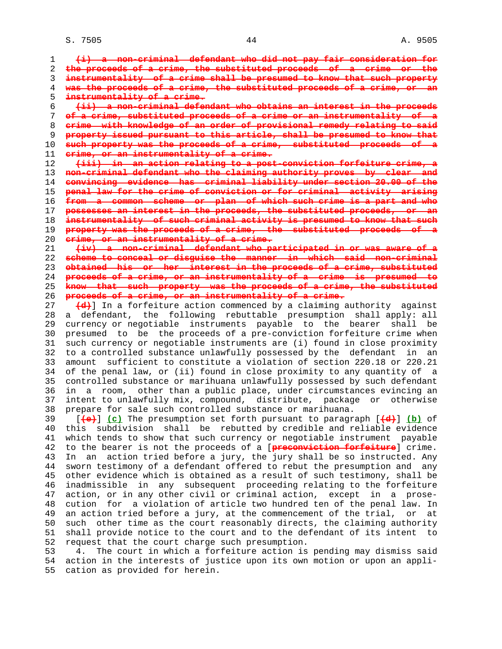$S. 7505$  and  $S. 9505$  and  $S. 9505$  and  $S. 9505$ 

**(i) a non-criminal defendant who did not pay fair consideration for the proceeds of a crime, the substituted proceeds of a crime or the instrumentality of a crime shall be presumed to know that such property was the proceeds of a crime, the substituted proceeds of a crime, or an instrumentality of a crime.**

**(ii) a non-criminal defendant who obtains an interest in the proceeds of a crime, substituted proceeds of a crime or an instrumentality of a crime with knowledge of an order of provisional remedy relating to said property issued pursuant to this article, shall be presumed to know that such property was the proceeds of a crime, substituted proceeds of a crime, or an instrumentality of a crime.**

**(iii) in an action relating to a post-conviction forfeiture crime, a non-criminal defendant who the claiming authority proves by clear and convincing evidence has criminal liability under section 20.00 of the penal law for the crime of conviction or for criminal activity arising from a common scheme or plan of which such crime is a part and who possesses an interest in the proceeds, the substituted proceeds, or an instrumentality of such criminal activity is presumed to know that such property was the proceeds of a crime, the substituted proceeds of a crime, or an instrumentality of a crime.**

**(iv) a non-criminal defendant who participated in or was aware of a scheme to conceal or disguise the manner in which said non-criminal obtained his or her interest in the proceeds of a crime, substituted proceeds of a crime, or an instrumentality of a crime is presumed to know that such property was the proceeds of a crime, the substituted proceeds of a crime, or an instrumentality of a crime.**

 27 **(d)**] In a forfeiture action commenced by a claiming authority against 28 a defendant, the following rebuttable presumption shall apply: all 29 currency or negotiable instruments payable to the bearer shall be 30 presumed to be the proceeds of a pre-conviction forfeiture crime when 31 such currency or negotiable instruments are (i) found in close proximity 32 to a controlled substance unlawfully possessed by the defendant in an 33 amount sufficient to constitute a violation of section 220.18 or 220.21 34 of the penal law, or (ii) found in close proximity to any quantity of a 35 controlled substance or marihuana unlawfully possessed by such defendant 36 in a room, other than a public place, under circumstances evincing an 37 intent to unlawfully mix, compound, distribute, package or otherwise 38 prepare for sale such controlled substance or marihuana.

 39 [**(e)**] **(c)** The presumption set forth pursuant to paragraph [**(d)**] **(b)** of 40 this subdivision shall be rebutted by credible and reliable evidence 41 which tends to show that such currency or negotiable instrument payable 42 to the bearer is not the proceeds of a [**preconviction forfeiture**] crime. 43 In an action tried before a jury, the jury shall be so instructed. Any 44 sworn testimony of a defendant offered to rebut the presumption and any 45 other evidence which is obtained as a result of such testimony, shall be 46 inadmissible in any subsequent proceeding relating to the forfeiture 47 action, or in any other civil or criminal action, except in a prose- 48 cution for a violation of article two hundred ten of the penal law. In 49 an action tried before a jury, at the commencement of the trial, or at 50 such other time as the court reasonably directs, the claiming authority 51 shall provide notice to the court and to the defendant of its intent to 52 request that the court charge such presumption.

 53 4. The court in which a forfeiture action is pending may dismiss said 54 action in the interests of justice upon its own motion or upon an appli- 55 cation as provided for herein.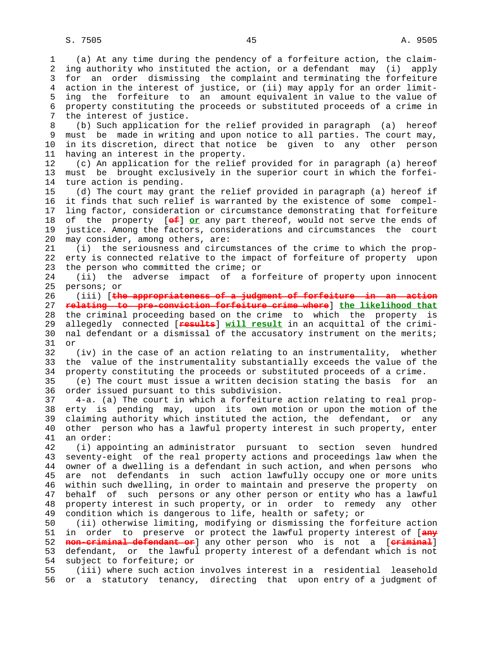1 (a) At any time during the pendency of a forfeiture action, the claim- 2 ing authority who instituted the action, or a defendant may (i) apply 3 for an order dismissing the complaint and terminating the forfeiture 4 action in the interest of justice, or (ii) may apply for an order limit- 5 ing the forfeiture to an amount equivalent in value to the value of 6 property constituting the proceeds or substituted proceeds of a crime in 7 the interest of justice. 8 (b) Such application for the relief provided in paragraph (a) hereof<br>9 must be made in writing and upon notice to all parties. The court may, must be made in writing and upon notice to all parties. The court may, 10 in its discretion, direct that notice be given to any other person 11 having an interest in the property. 12 (c) An application for the relief provided for in paragraph (a) hereof 13 must be brought exclusively in the superior court in which the forfei- 14 ture action is pending. 15 (d) The court may grant the relief provided in paragraph (a) hereof if 16 it finds that such relief is warranted by the existence of some compel- 17 ling factor, consideration or circumstance demonstrating that forfeiture 18 of the property [**of**] **or** any part thereof, would not serve the ends of 19 justice. Among the factors, considerations and circumstances the court 20 may consider, among others, are: 21 (i) the seriousness and circumstances of the crime to which the prop- 22 erty is connected relative to the impact of forfeiture of property upon 23 the person who committed the crime; or 24 (ii) the adverse impact of a forfeiture of property upon innocent 25 persons; or 26 (iii) [**the appropriateness of a judgment of forfeiture in an action** 27 **relating to pre-conviction forfeiture crime where**] **the likelihood that** 28 the criminal proceeding based on the crime to which the property is 29 allegedly connected [**results**] **will result** in an acquittal of the crimi- 30 nal defendant or a dismissal of the accusatory instrument on the merits; 31 or 32 (iv) in the case of an action relating to an instrumentality, whether 33 the value of the instrumentality substantially exceeds the value of the 34 property constituting the proceeds or substituted proceeds of a crime. 35 (e) The court must issue a written decision stating the basis for an 36 order issued pursuant to this subdivision. 37 4-a. (a) The court in which a forfeiture action relating to real prop- 38 erty is pending may, upon its own motion or upon the motion of the 39 claiming authority which instituted the action, the defendant, or any 40 other person who has a lawful property interest in such property, enter 41 an order: 42 (i) appointing an administrator pursuant to section seven hundred 43 seventy-eight of the real property actions and proceedings law when the 44 owner of a dwelling is a defendant in such action, and when persons who 45 are not defendants in such action lawfully occupy one or more units 46 within such dwelling, in order to maintain and preserve the property on 47 behalf of such persons or any other person or entity who has a lawful 48 property interest in such property, or in order to remedy any other 49 condition which is dangerous to life, health or safety; or 50 (ii) otherwise limiting, modifying or dismissing the forfeiture action 51 in order to preserve or protect the lawful property interest of [**any** 52 **non-criminal defendant or**] any other person who is not a [**criminal**] 53 defendant, or the lawful property interest of a defendant which is not 54 subject to forfeiture; or 55 (iii) where such action involves interest in a residential leasehold 56 or a statutory tenancy, directing that upon entry of a judgment of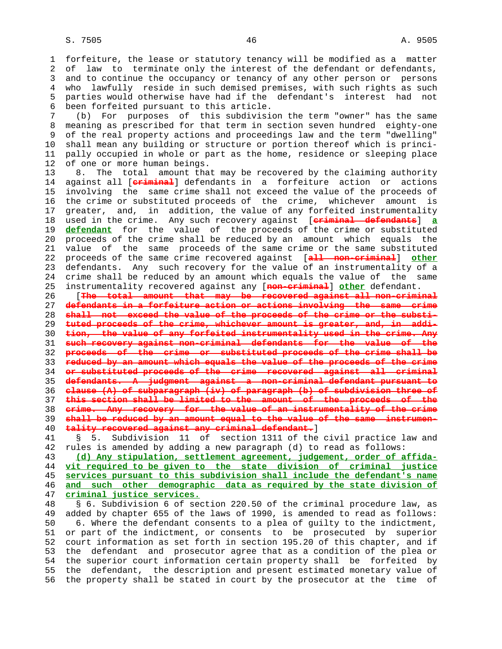1 forfeiture, the lease or statutory tenancy will be modified as a matter 2 of law to terminate only the interest of the defendant or defendants, 3 and to continue the occupancy or tenancy of any other person or persons 4 who lawfully reside in such demised premises, with such rights as such 5 parties would otherwise have had if the defendant's interest had not 6 been forfeited pursuant to this article.

 7 (b) For purposes of this subdivision the term "owner" has the same 8 meaning as prescribed for that term in section seven hundred eighty-one 9 of the real property actions and proceedings law and the term "dwelling" 10 shall mean any building or structure or portion thereof which is princi- 11 pally occupied in whole or part as the home, residence or sleeping place 12 of one or more human beings.

 13 8. The total amount that may be recovered by the claiming authority 14 against all [**criminal**] defendants in a forfeiture action or actions 15 involving the same crime shall not exceed the value of the proceeds of 16 the crime or substituted proceeds of the crime, whichever amount is 17 greater, and, in addition, the value of any forfeited instrumentality 18 used in the crime. Any such recovery against [**criminal defendants**] **a** 19 **defendant** for the value of the proceeds of the crime or substituted 20 proceeds of the crime shall be reduced by an amount which equals the 21 value of the same proceeds of the same crime or the same substituted 22 proceeds of the same crime recovered against [**all non-criminal**] **other** 23 defendants. Any such recovery for the value of an instrumentality of a 24 crime shall be reduced by an amount which equals the value of the same 25 instrumentality recovered against any [**non-criminal**] **other** defendant.

 26 [**The total amount that may be recovered against all non-criminal defendants in a forfeiture action or actions involving the same crime shall not exceed the value of the proceeds of the crime or the substi- tuted proceeds of the crime, whichever amount is greater, and, in addi- tion, the value of any forfeited instrumentality used in the crime. Any such recovery against non-criminal defendants for the value of the proceeds of the crime or substituted proceeds of the crime shall be reduced by an amount which equals the value of the proceeds of the crime or substituted proceeds of the crime recovered against all criminal defendants. A judgment against a non-criminal defendant pursuant to clause (A) of subparagraph (iv) of paragraph (b) of subdivision three of this section shall be limited to the amount of the proceeds of the crime. Any recovery for the value of an instrumentality of the crime shall be reduced by an amount equal to the value of the same instrumen-**

40 **tality recovered against any criminal defendant.**]

 41 § 5. Subdivision 11 of section 1311 of the civil practice law and 42 rules is amended by adding a new paragraph (d) to read as follows:

**(d) Any stipulation, settlement agreement, judgement, order of affida- vit required to be given to the state division of criminal justice services pursuant to this subdivision shall include the defendant's name and such other demographic data as required by the state division of criminal justice services.**

 48 § 6. Subdivision 6 of section 220.50 of the criminal procedure law, as added by chapter 655 of the laws of 1990, is amended to read as follows: 50 6. Where the defendant consents to a plea of guilty to the indictment, 51 or part of the indictment, or consents to be prosecuted by superior 52 court information as set forth in section 195.20 of this chapter, and if 53 the defendant and prosecutor agree that as a condition of the plea or 54 the superior court information certain property shall be forfeited by 55 the defendant, the description and present estimated monetary value of 56 the property shall be stated in court by the prosecutor at the time of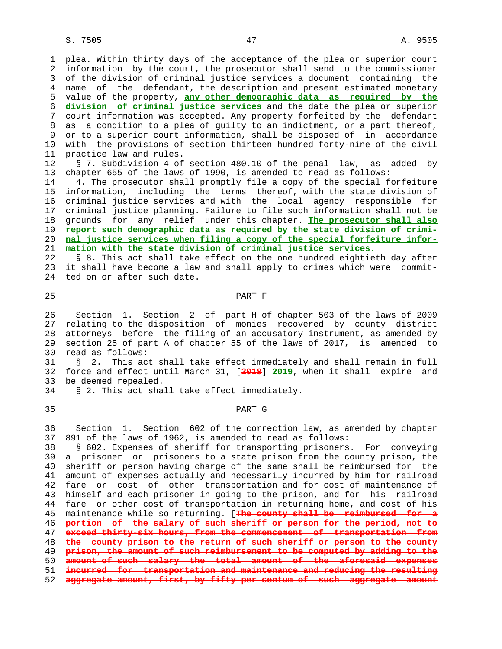$S. 7505$  and  $47$  and  $47$  and  $47$  and  $49$  and  $49$  and  $49$  and  $49$  and  $49$  and  $49$  and  $49$  and  $49$  and  $49$  and  $49$  and  $49$  and  $49$  and  $49$  and  $49$  and  $49$  and  $49$  and  $49$  and  $49$  and  $49$  and  $49$  and

 1 plea. Within thirty days of the acceptance of the plea or superior court 2 information by the court, the prosecutor shall send to the commissioner 3 of the division of criminal justice services a document containing the 4 name of the defendant, the description and present estimated monetary 5 value of the property, **any other demographic data as required by the** 6 **division of criminal justice services** and the date the plea or superior 7 court information was accepted. Any property forfeited by the defendant 8 as a condition to a plea of guilty to an indictment, or a part thereof, 9 or to a superior court information, shall be disposed of in accordance 10 with the provisions of section thirteen hundred forty-nine of the civil 11 practice law and rules.

 12 § 7. Subdivision 4 of section 480.10 of the penal law, as added by 13 chapter 655 of the laws of 1990, is amended to read as follows:

 14 4. The prosecutor shall promptly file a copy of the special forfeiture 15 information, including the terms thereof, with the state division of 16 criminal justice services and with the local agency responsible for 17 criminal justice planning. Failure to file such information shall not be 18 grounds for any relief under this chapter. **The prosecutor shall also** 19 **report such demographic data as required by the state division of crimi-** 20 **nal justice services when filing a copy of the special forfeiture infor-** 21 **mation with the state division of criminal justice services.**

 22 § 8. This act shall take effect on the one hundred eightieth day after 23 it shall have become a law and shall apply to crimes which were commit- 24 ted on or after such date.

## 25 PART F

 26 Section 1. Section 2 of part H of chapter 503 of the laws of 2009 27 relating to the disposition of monies recovered by county district 28 attorneys before the filing of an accusatory instrument, as amended by 29 section 25 of part A of chapter 55 of the laws of 2017, is amended to 30 read as follows:

 31 § 2. This act shall take effect immediately and shall remain in full 32 force and effect until March 31, [**2018**] **2019**, when it shall expire and 33 be deemed repealed.

34 § 2. This act shall take effect immediately.

### 35 PART G

 36 Section 1. Section 602 of the correction law, as amended by chapter 37 891 of the laws of 1962, is amended to read as follows:

 38 § 602. Expenses of sheriff for transporting prisoners. For conveying 39 a prisoner or prisoners to a state prison from the county prison, the 40 sheriff or person having charge of the same shall be reimbursed for the 41 amount of expenses actually and necessarily incurred by him for railroad 42 fare or cost of other transportation and for cost of maintenance of 43 himself and each prisoner in going to the prison, and for his railroad 44 fare or other cost of transportation in returning home, and cost of his 45 maintenance while so returning. [**The county shall be reimbursed for a** 46 **portion of the salary of such sheriff or person for the period, not to** 47 **exceed thirty-six hours, from the commencement of transportation from** 48 **the county prison to the return of such sheriff or person to the county** 49 **prison, the amount of such reimbursement to be computed by adding to the** 50 **amount of such salary the total amount of the aforesaid expenses** 51 **incurred for transportation and maintenance and reducing the resulting** 52 **aggregate amount, first, by fifty per centum of such aggregate amount**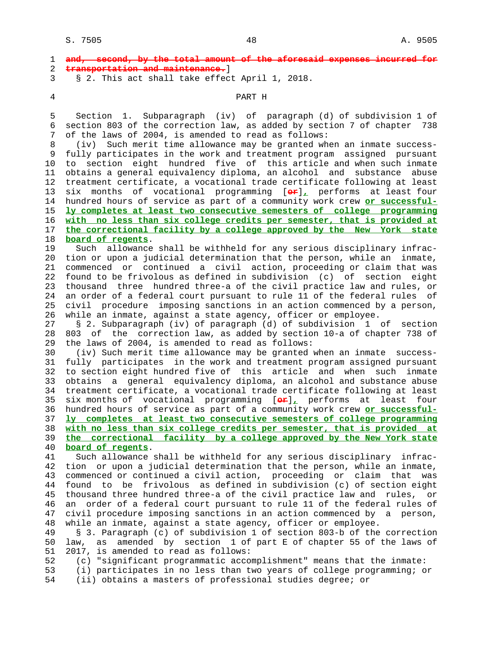| 1  | and, second, by the total amount of the aforesaid expenses incurred                    |
|----|----------------------------------------------------------------------------------------|
| 2  | transportation and maintenance.                                                        |
| 3  | § 2. This act shall take effect April 1, 2018.                                         |
| 4  | PART H                                                                                 |
| 5  | Section 1. Subparagraph (iv) of paragraph (d) of subdivision 1 of                      |
| 6  | section 803 of the correction law, as added by section 7 of chapter<br>738             |
| 7  | of the laws of 2004, is amended to read as follows:                                    |
| 8  | Such merit time allowance may be granted when an inmate success-<br>(iv)               |
|    |                                                                                        |
| 9  | fully participates in the work and treatment program assigned pursuant                 |
| 10 | to section eight hundred five of this article and when such inmate                     |
| 11 | obtains a general equivalency diploma, an alcohol and<br>substance<br>abuse            |
| 12 | treatment certificate, a vocational trade certificate following at least               |
| 13 | six months of vocational programming [or], performs at least four                      |
| 14 | hundred hours of service as part of a community work crew or successful-               |
| 15 | ly completes at least two consecutive semesters of college programming                 |
| 16 | with no less than six college credits per semester, that is provided at                |
| 17 | the correctional facility by a college approved by the New York state                  |
| 18 | board of regents.                                                                      |
| 19 | Such allowance shall be withheld for any serious disciplinary infrac-                  |
| 20 | tion or upon a judicial determination that the person, while an<br>inmate,             |
| 21 | commenced or continued a civil action, proceeding or claim that was                    |
| 22 | found to be frivolous as defined in subdivision (c) of section eight                   |
| 23 | thousand three hundred three-a of the civil practice law and rules, or                 |
| 24 | an order of a federal court pursuant to rule 11 of the federal rules of                |
| 25 | civil procedure imposing sanctions in an action commenced by a person,                 |
| 26 | while an inmate, against a state agency, officer or employee.                          |
| 27 | § 2. Subparagraph (iv) of paragraph (d) of subdivision 1 of section                    |
| 28 | 803 of the correction law, as added by section 10-a of chapter 738 of                  |
| 29 | the laws of 2004, is amended to read as follows:                                       |
| 30 | (iv) Such merit time allowance may be granted when an inmate success-                  |
| 31 | fully participates in the work and treatment program assigned pursuant                 |
| 32 | to section eight hundred five of this article and when such<br>inmate                  |
| 33 | obtains a general equivalency diploma, an alcohol and substance abuse                  |
| 34 | treatment certificate, a vocational trade certificate following at least               |
| 35 | six months of vocational programming $[\mathbf{e}\mathbf{r}]_L$ performs at least four |
| 36 | hundred hours of service as part of a community work crew or successful-               |
| 37 | ly completes at least two consecutive semesters of college programming                 |
| 38 | with no less than six college credits per semester, that is provided at                |
| 39 | the correctional facility by a college approved by the New York state                  |
| 40 | board of regents.                                                                      |
| 41 | Such allowance shall be withheld for any serious disciplinary infrac-                  |
| 42 | tion or upon a judicial determination that the person, while an inmate,                |
| 43 | commenced or continued a civil action, proceeding or<br>claim that was                 |
| 44 | found to be frivolous as defined in subdivision (c) of section eight                   |
| 45 | thousand three hundred three-a of the civil practice law and rules, or                 |
| 46 | order of a federal court pursuant to rule 11 of the federal rules of<br>an             |
| 47 | civil procedure imposing sanctions in an action commenced by a<br>person,              |
| 48 | while an inmate, against a state agency, officer or employee.                          |
| 49 | § 3. Paragraph (c) of subdivision 1 of section 803-b of the correction                 |
| 50 | law,<br>amended by section 1 of part E of chapter 55 of the laws of<br>as              |
| 51 | 2017, is amended to read as follows:                                                   |
| 52 | (c) "significant programmatic accomplishment" means that the inmate:                   |
| 53 | (i) participates in no less than two years of college programming; or                  |
| 54 | (ii) obtains a masters of professional studies degree; or                              |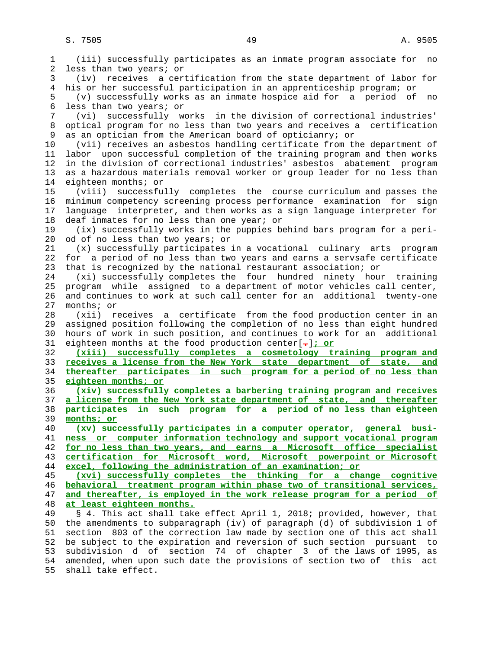1 (iii) successfully participates as an inmate program associate for no 2 less than two years; or 3 (iv) receives a certification from the state department of labor for 4 his or her successful participation in an apprenticeship program; or 5 (v) successfully works as an inmate hospice aid for a period of no 6 less than two years; or 7 (vi) successfully works in the division of correctional industries' 8 optical program for no less than two years and receives a certification<br>9 as an optician from the American board of opticianry; or as an optician from the American board of opticianry; or 10 (vii) receives an asbestos handling certificate from the department of 11 labor upon successful completion of the training program and then works 12 in the division of correctional industries' asbestos abatement program 13 as a hazardous materials removal worker or group leader for no less than 14 eighteen months; or 15 (viii) successfully completes the course curriculum and passes the 16 minimum competency screening process performance examination for sign 17 language interpreter, and then works as a sign language interpreter for 18 deaf inmates for no less than one year; or 19 (ix) successfully works in the puppies behind bars program for a peri- 20 od of no less than two years; or 21 (x) successfully participates in a vocational culinary arts program 22 for a period of no less than two years and earns a servsafe certificate 23 that is recognized by the national restaurant association; or 24 (xi) successfully completes the four hundred ninety hour training 25 program while assigned to a department of motor vehicles call center, 26 and continues to work at such call center for an additional twenty-one 27 months; or 28 (xii) receives a certificate from the food production center in an 29 assigned position following the completion of no less than eight hundred 30 hours of work in such position, and continues to work for an additional 31 eighteen months at the food production center[**.**]**; or** 32 **(xiii) successfully completes a cosmetology training program and** 33 **receives a license from the New York state department of state, and** 34 **thereafter participates in such program for a period of no less than** 35 **eighteen months; or** 36 **(xiv) successfully completes a barbering training program and receives** 37 **a license from the New York state department of state, and thereafter** 38 **participates in such program for a period of no less than eighteen** 39 **months; or** 40 **(xv) successfully participates in a computer operator, general busi-** 41 **ness or computer information technology and support vocational program** 42 **for no less than two years, and earns a Microsoft office specialist** 43 **certification for Microsoft word, Microsoft powerpoint or Microsoft** 44 **excel, following the administration of an examination; or** 45 **(xvi) successfully completes the thinking for a change cognitive** 46 **behavioral treatment program within phase two of transitional services,** 47 **and thereafter, is employed in the work release program for a period of** 48 **at least eighteen months.** 49 § 4. This act shall take effect April 1, 2018; provided, however, that 50 the amendments to subparagraph (iv) of paragraph (d) of subdivision 1 of 51 section 803 of the correction law made by section one of this act shall 52 be subject to the expiration and reversion of such section pursuant to 53 subdivision d of section 74 of chapter 3 of the laws of 1995, as 54 amended, when upon such date the provisions of section two of this act

55 shall take effect.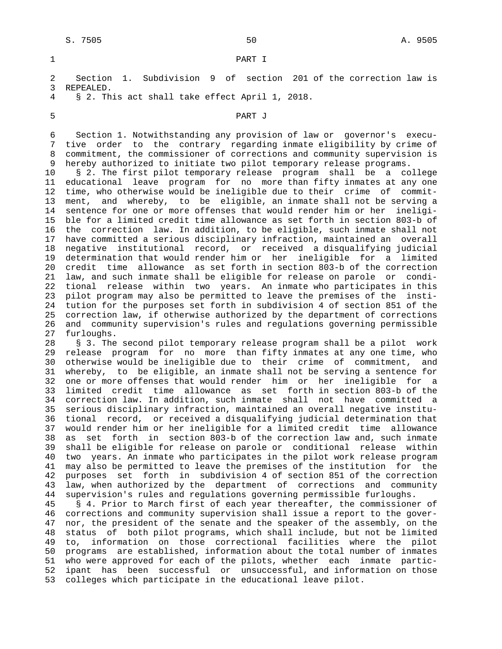| - | יחת גר<br>R<br>-----<br><b>__</b><br>- |
|---|----------------------------------------|
|---|----------------------------------------|

 2 Section 1. Subdivision 9 of section 201 of the correction law is 3 REPEALED. 4 § 2. This act shall take effect April 1, 2018. 5 PART J

 6 Section 1. Notwithstanding any provision of law or governor's execu- 7 tive order to the contrary regarding inmate eligibility by crime of 8 commitment, the commissioner of corrections and community supervision is 9 hereby authorized to initiate two pilot temporary release programs.

 10 § 2. The first pilot temporary release program shall be a college 11 educational leave program for no more than fifty inmates at any one 12 time, who otherwise would be ineligible due to their crime of commit- 13 ment, and whereby, to be eligible, an inmate shall not be serving a 14 sentence for one or more offenses that would render him or her ineligi- 15 ble for a limited credit time allowance as set forth in section 803-b of 16 the correction law. In addition, to be eligible, such inmate shall not 17 have committed a serious disciplinary infraction, maintained an overall 18 negative institutional record, or received a disqualifying judicial 19 determination that would render him or her ineligible for a limited 20 credit time allowance as set forth in section 803-b of the correction 21 law, and such inmate shall be eligible for release on parole or condi- 22 tional release within two years. An inmate who participates in this 23 pilot program may also be permitted to leave the premises of the insti- 24 tution for the purposes set forth in subdivision 4 of section 851 of the 25 correction law, if otherwise authorized by the department of corrections 26 and community supervision's rules and regulations governing permissible 27 furloughs.

 28 § 3. The second pilot temporary release program shall be a pilot work 29 release program for no more than fifty inmates at any one time, who 30 otherwise would be ineligible due to their crime of commitment, and 31 whereby, to be eligible, an inmate shall not be serving a sentence for 32 one or more offenses that would render him or her ineligible for a 33 limited credit time allowance as set forth in section 803-b of the 34 correction law. In addition, such inmate shall not have committed a 35 serious disciplinary infraction, maintained an overall negative institu- 36 tional record, or received a disqualifying judicial determination that 37 would render him or her ineligible for a limited credit time allowance 38 as set forth in section 803-b of the correction law and, such inmate 39 shall be eligible for release on parole or conditional release within 40 two years. An inmate who participates in the pilot work release program 41 may also be permitted to leave the premises of the institution for the 42 purposes set forth in subdivision 4 of section 851 of the correction 43 law, when authorized by the department of corrections and community 44 supervision's rules and regulations governing permissible furloughs.

 45 § 4. Prior to March first of each year thereafter, the commissioner of 46 corrections and community supervision shall issue a report to the gover- 47 nor, the president of the senate and the speaker of the assembly, on the 48 status of both pilot programs, which shall include, but not be limited 49 to, information on those correctional facilities where the pilot 50 programs are established, information about the total number of inmates 51 who were approved for each of the pilots, whether each inmate partic- 52 ipant has been successful or unsuccessful, and information on those 53 colleges which participate in the educational leave pilot.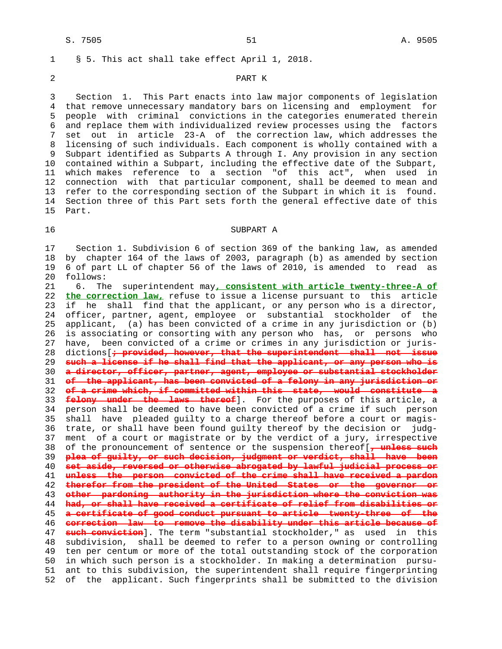1 § 5. This act shall take effect April 1, 2018.

### 2 PART K

 3 Section 1. This Part enacts into law major components of legislation 4 that remove unnecessary mandatory bars on licensing and employment for 5 people with criminal convictions in the categories enumerated therein 6 and replace them with individualized review processes using the factors 7 set out in article 23-A of the correction law, which addresses the 8 licensing of such individuals. Each component is wholly contained with a 9 Subpart identified as Subparts A through I. Any provision in any section 10 contained within a Subpart, including the effective date of the Subpart, 11 which makes reference to a section "of this act", when used in 12 connection with that particular component, shall be deemed to mean and 13 refer to the corresponding section of the Subpart in which it is found. 14 Section three of this Part sets forth the general effective date of this 15 Part.

## 16 SUBPART A

 17 Section 1. Subdivision 6 of section 369 of the banking law, as amended 18 by chapter 164 of the laws of 2003, paragraph (b) as amended by section 19 6 of part LL of chapter 56 of the laws of 2010, is amended to read as 20 follows:

 21 6. The superintendent may**, consistent with article twenty-three-A of** 22 **the correction law,** refuse to issue a license pursuant to this article 23 if he shall find that the applicant, or any person who is a director, 24 officer, partner, agent, employee or substantial stockholder of the 25 applicant, (a) has been convicted of a crime in any jurisdiction or (b) 26 is associating or consorting with any person who has, or persons who 27 have, been convicted of a crime or crimes in any jurisdiction or juris- 28 dictions[**; provided, however, that the superintendent shall not issue** 29 **such a license if he shall find that the applicant, or any person who is** 30 **a director, officer, partner, agent, employee or substantial stockholder** 31 **of the applicant, has been convicted of a felony in any jurisdiction or** 32 **of a crime which, if committed within this state, would constitute a** 33 **felony under the laws thereof**]. For the purposes of this article, a 34 person shall be deemed to have been convicted of a crime if such person 35 shall have pleaded guilty to a charge thereof before a court or magis- 36 trate, or shall have been found guilty thereof by the decision or judg- 37 ment of a court or magistrate or by the verdict of a jury, irrespective 38 of the pronouncement of sentence or the suspension thereof[**, unless such** 39 **plea of guilty, or such decision, judgment or verdict, shall have been** 40 **set aside, reversed or otherwise abrogated by lawful judicial process or** 41 **unless the person convicted of the crime shall have received a pardon** 42 **therefor from the president of the United States or the governor or** 43 **other pardoning authority in the jurisdiction where the conviction was** 44 **had, or shall have received a certificate of relief from disabilities or** 45 **a certificate of good conduct pursuant to article twenty-three of the** 46 **correction law to remove the disability under this article because of** 47 **such conviction**]. The term "substantial stockholder," as used in this 48 subdivision, shall be deemed to refer to a person owning or controlling 49 ten per centum or more of the total outstanding stock of the corporation 50 in which such person is a stockholder. In making a determination pursu- 51 ant to this subdivision, the superintendent shall require fingerprinting 52 of the applicant. Such fingerprints shall be submitted to the division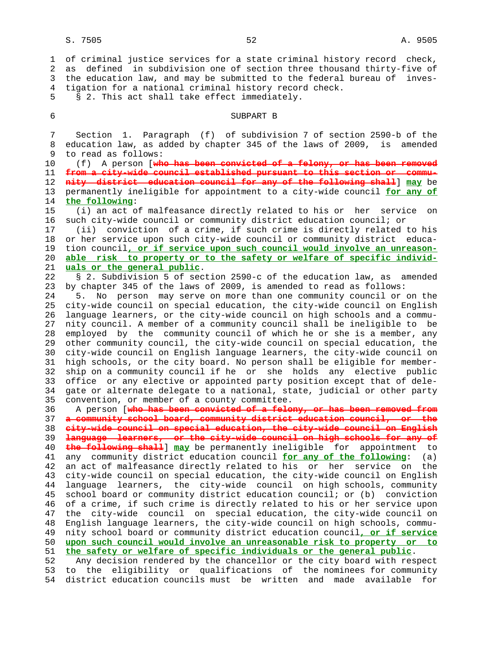1 of criminal justice services for a state criminal history record check, 2 as defined in subdivision one of section three thousand thirty-five of 3 the education law, and may be submitted to the federal bureau of inves- 4 tigation for a national criminal history record check. 5 § 2. This act shall take effect immediately. 6 SUBPART B 7 Section 1. Paragraph (f) of subdivision 7 of section 2590-b of the 8 education law, as added by chapter 345 of the laws of 2009, is amended 9 to read as follows: 10 (f) A person [**who has been convicted of a felony, or has been removed** 11 **from a city-wide council established pursuant to this section or commu-** 12 **nity district education council for any of the following shall**] **may** be 13 permanently ineligible for appointment to a city-wide council **for any of** 14 **the following**: 15 (i) an act of malfeasance directly related to his or her service on 16 such city-wide council or community district education council; or 17 (ii) conviction of a crime, if such crime is directly related to his 18 or her service upon such city-wide council or community district educa- 19 tion council**, or if service upon such council would involve an unreason-** 20 **able risk to property or to the safety or welfare of specific individ-** 21 **uals or the general public**. 22 § 2. Subdivision 5 of section 2590-c of the education law, as amended 23 by chapter 345 of the laws of 2009, is amended to read as follows: 24 5. No person may serve on more than one community council or on the 25 city-wide council on special education, the city-wide council on English 26 language learners, or the city-wide council on high schools and a commu- 27 nity council. A member of a community council shall be ineligible to be 28 employed by the community council of which he or she is a member, any 29 other community council, the city-wide council on special education, the 30 city-wide council on English language learners, the city-wide council on 31 high schools, or the city board. No person shall be eligible for member- 32 ship on a community council if he or she holds any elective public 33 office or any elective or appointed party position except that of dele- 34 gate or alternate delegate to a national, state, judicial or other party 35 convention, or member of a county committee. 36 A person [**who has been convicted of a felony, or has been removed from** 37 **a community school board, community district education council, or the** 38 **city-wide council on special education, the city-wide council on English** 39 **language learners, or the city-wide council on high schools for any of** 40 **the following shall**] **may** be permanently ineligible for appointment to 41 any community district education council **for any of the following**: (a) 42 an act of malfeasance directly related to his or her service on the 43 city-wide council on special education, the city-wide council on English 44 language learners, the city-wide council on high schools, community 45 school board or community district education council; or (b) conviction 46 of a crime, if such crime is directly related to his or her service upon 47 the city-wide council on special education, the city-wide council on 48 English language learners, the city-wide council on high schools, commu- 49 nity school board or community district education council**, or if service** 50 **upon such council would involve an unreasonable risk to property or to** 51 **the safety or welfare of specific individuals or the general public**. 52 Any decision rendered by the chancellor or the city board with respect 53 to the eligibility or qualifications of the nominees for community 54 district education councils must be written and made available for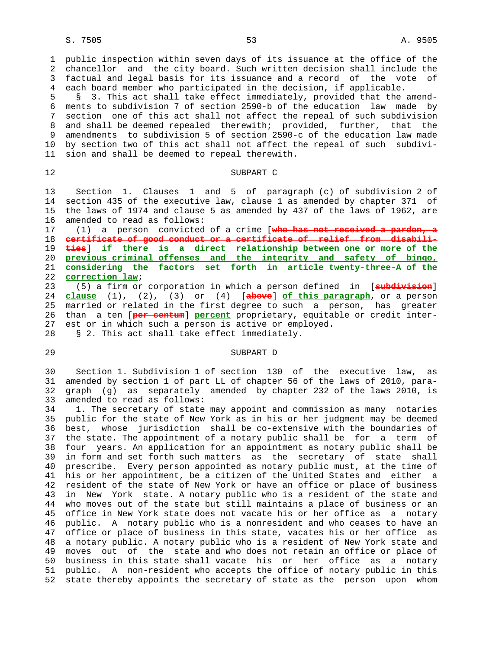$S. 7505$  and  $S. 9505$  and  $S. 9505$  and  $S. 9505$ 

 1 public inspection within seven days of its issuance at the office of the 2 chancellor and the city board. Such written decision shall include the 3 factual and legal basis for its issuance and a record of the vote of 4 each board member who participated in the decision, if applicable.

 5 § 3. This act shall take effect immediately, provided that the amend- 6 ments to subdivision 7 of section 2590-b of the education law made by 7 section one of this act shall not affect the repeal of such subdivision 8 and shall be deemed repealed therewith; provided, further, that the 9 amendments to subdivision 5 of section 2590-c of the education law made 10 by section two of this act shall not affect the repeal of such subdivi- 11 sion and shall be deemed to repeal therewith.

### 12 SUBPART C

 13 Section 1. Clauses 1 and 5 of paragraph (c) of subdivision 2 of 14 section 435 of the executive law, clause 1 as amended by chapter 371 of 15 the laws of 1974 and clause 5 as amended by 437 of the laws of 1962, are 16 amended to read as follows:

 17 (1) a person convicted of a crime [**who has not received a pardon, a certificate of good conduct or a certificate of relief from disabili- ties**] **if there is a direct relationship between one or more of the previous criminal offenses and the integrity and safety of bingo, considering the factors set forth in article twenty-three-A of the correction law**;

 23 (5) a firm or corporation in which a person defined in [**subdivision**] 24 **clause** (1), (2), (3) or (4) [**above**] **of this paragraph**, or a person 25 married or related in the first degree to such a person, has greater 26 than a ten [**per centum**] **percent** proprietary, equitable or credit inter- 27 est or in which such a person is active or employed.

28 § 2. This act shall take effect immediately.

## 29 SUBPART D

 30 Section 1. Subdivision 1 of section 130 of the executive law, as 31 amended by section 1 of part LL of chapter 56 of the laws of 2010, para- 32 graph (g) as separately amended by chapter 232 of the laws 2010, is 33 amended to read as follows:

 34 1. The secretary of state may appoint and commission as many notaries 35 public for the state of New York as in his or her judgment may be deemed 36 best, whose jurisdiction shall be co-extensive with the boundaries of 37 the state. The appointment of a notary public shall be for a term of 38 four years. An application for an appointment as notary public shall be 39 in form and set forth such matters as the secretary of state shall 40 prescribe. Every person appointed as notary public must, at the time of 41 his or her appointment, be a citizen of the United States and either a 42 resident of the state of New York or have an office or place of business 43 in New York state. A notary public who is a resident of the state and 44 who moves out of the state but still maintains a place of business or an 45 office in New York state does not vacate his or her office as a notary 46 public. A notary public who is a nonresident and who ceases to have an 47 office or place of business in this state, vacates his or her office as 48 a notary public. A notary public who is a resident of New York state and 49 moves out of the state and who does not retain an office or place of 50 business in this state shall vacate his or her office as a notary 51 public. A non-resident who accepts the office of notary public in this 52 state thereby appoints the secretary of state as the person upon whom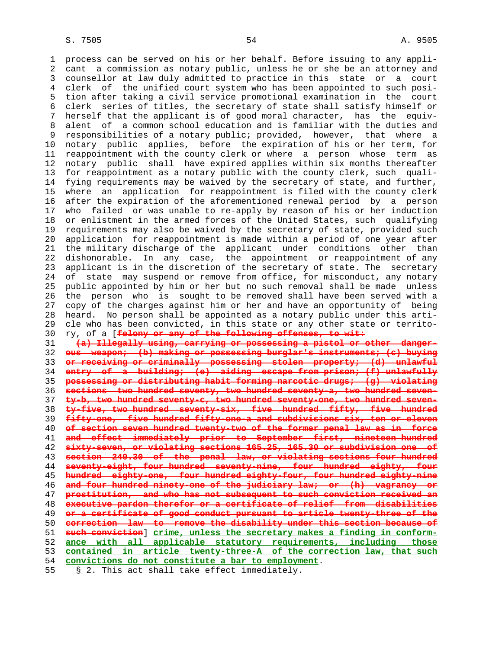1 process can be served on his or her behalf. Before issuing to any appli- 2 cant a commission as notary public, unless he or she be an attorney and 3 counsellor at law duly admitted to practice in this state or a court 4 clerk of the unified court system who has been appointed to such posi- 5 tion after taking a civil service promotional examination in the court 6 clerk series of titles, the secretary of state shall satisfy himself or 7 herself that the applicant is of good moral character, has the equiv- 8 alent of a common school education and is familiar with the duties and 9 responsibilities of a notary public; provided, however, that where a 10 notary public applies, before the expiration of his or her term, for 11 reappointment with the county clerk or where a person whose term as 12 notary public shall have expired applies within six months thereafter 13 for reappointment as a notary public with the county clerk, such quali- 14 fying requirements may be waived by the secretary of state, and further, 15 where an application for reappointment is filed with the county clerk 16 after the expiration of the aforementioned renewal period by a person 17 who failed or was unable to re-apply by reason of his or her induction 18 or enlistment in the armed forces of the United States, such qualifying 19 requirements may also be waived by the secretary of state, provided such 20 application for reappointment is made within a period of one year after 21 the military discharge of the applicant under conditions other than 22 dishonorable. In any case, the appointment or reappointment of any 23 applicant is in the discretion of the secretary of state. The secretary 24 of state may suspend or remove from office, for misconduct, any notary 25 public appointed by him or her but no such removal shall be made unless 26 the person who is sought to be removed shall have been served with a 27 copy of the charges against him or her and have an opportunity of being 28 heard. No person shall be appointed as a notary public under this arti- 29 cle who has been convicted, in this state or any other state or territo- 30 ry, of a [**felony or any of the following offenses, to wit:**

**(a) Illegally using, carrying or possessing a pistol or other danger- ous weapon; (b) making or possessing burglar's instruments; (c) buying or receiving or criminally possessing stolen property; (d) unlawful entry of a building; (e) aiding escape from prison; (f) unlawfully possessing or distributing habit forming narcotic drugs; (g) violating sections two hundred seventy, two hundred seventy-a, two hundred seven- ty-b, two hundred seventy-c, two hundred seventy-one, two hundred seven- ty-five, two hundred seventy-six, five hundred fifty, five hundred fifty-one, five hundred fifty-one-a and subdivisions six, ten or eleven of section seven hundred twenty-two of the former penal law as in force and effect immediately prior to September first, nineteen hundred sixty-seven, or violating sections 165.25, 165.30 or subdivision one of section 240.30 of the penal law, or violating sections four hundred seventy-eight, four hundred seventy-nine, four hundred eighty, four hundred eighty-one, four hundred eighty-four, four hundred eighty-nine and four hundred ninety-one of the judiciary law; or (h) vagrancy or prostitution, and who has not subsequent to such conviction received an executive pardon therefor or a certificate of relief from disabilities or a certificate of good conduct pursuant to article twenty-three of the correction law to remove the disability under this section because of such conviction**] **crime, unless the secretary makes a finding in conform- ance with all applicable statutory requirements, including those contained in article twenty-three-A of the correction law, that such convictions do not constitute a bar to employment**.

55 § 2. This act shall take effect immediately.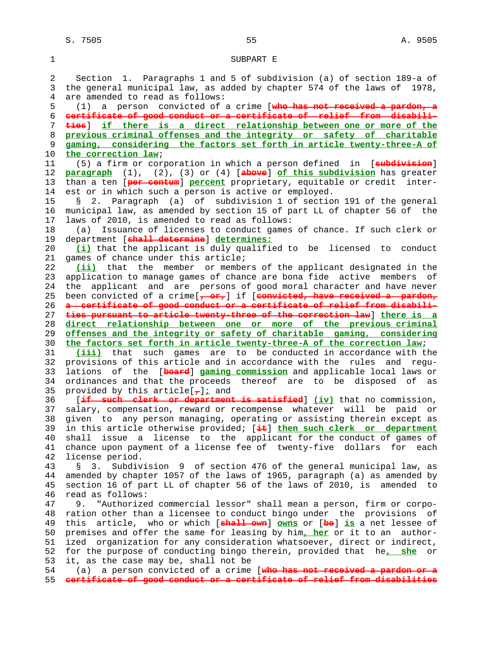| $\mathbf{1}$   | SUBPART E                                                                                                                                     |
|----------------|-----------------------------------------------------------------------------------------------------------------------------------------------|
| $\overline{c}$ | Section 1. Paragraphs 1 and 5 of subdivision (a) of section 189-a of                                                                          |
| 3              |                                                                                                                                               |
| 4              | the general municipal law, as added by chapter 574 of the laws of 1978,<br>are amended to read as follows:                                    |
| 5              | a person convicted of a crime [who has not received a pardon, a<br>(1)                                                                        |
| 6              | certificate of good conduct or a certificate of relief from disabili-                                                                         |
| 7              | ties] if there is a direct relationship between one or more of the                                                                            |
| 8              | previous criminal offenses and the integrity or safety of charitable                                                                          |
| 9              | gaming, considering the factors set forth in article twenty-three-A of                                                                        |
| 10             | the correction law;                                                                                                                           |
| 11             | (5) a firm or corporation in which a person defined in [oubdivision]                                                                          |
| 12             | paragraph (1), (2), (3) or (4) [above] of this subdivision has greater                                                                        |
| 13             | than a ten [per centum] percent proprietary, equitable or credit inter-                                                                       |
| 14             | est or in which such a person is active or employed.                                                                                          |
| 15             | 2. Paragraph (a) of subdivision 1 of section 191 of the general<br>Š.                                                                         |
| 16             | municipal law, as amended by section 15 of part LL of chapter 56 of the                                                                       |
| 17<br>18       | laws of 2010, is amended to read as follows:<br>Issuance of licenses to conduct games of chance. If such clerk or<br>(a)                      |
| 19             | department [shall determine] determines:                                                                                                      |
| 20             | (i) that the applicant is duly qualified to be licensed to conduct                                                                            |
| 21             | games of chance under this article;                                                                                                           |
| 22             | (ii) that the member or members of the applicant designated in the                                                                            |
| 23             | application to manage games of chance are bona fide active members of                                                                         |
| 24             | applicant and are persons of good moral character and have never<br>the                                                                       |
| 25             | been convicted of a crime [, or, ] if [convicted, have received a pardon,                                                                     |
| 26             | a certificate of good conduct or a certificate of relief from disabili-                                                                       |
| 27             | ties pursuant to article twenty-three of the correction law] there is a                                                                       |
| 28             | direct relationship between one or more of the previous criminal                                                                              |
| 29             | offenses and the integrity or safety of charitable gaming, considering                                                                        |
| 30             | the factors set forth in article twenty-three-A of the correction law;                                                                        |
| 31             | (iii) that such games are to be conducted in accordance with the                                                                              |
| 32             | provisions of this article and in accordance with the rules and regu-                                                                         |
| 33             | of the [board] gaming commission and applicable local laws or<br>lations                                                                      |
| 34             | ordinances and that the proceeds thereof are to be disposed of as                                                                             |
| 35             | provided by this article[ $\tau$ ]: and                                                                                                       |
| 36             | [if such clerk or department is satisfied] (iv) that no commission,                                                                           |
| 37             | salary, compensation, reward or recompense whatever will be paid or                                                                           |
| 38             | given to any person managing, operating or assisting therein except as                                                                        |
| 39             | in this article otherwise provided; [it] then such clerk or department                                                                        |
| 40             | shall issue a license to the applicant for the conduct of games of                                                                            |
| 41<br>42       | chance upon payment of a license fee of twenty-five dollars for each<br>license period.                                                       |
| 43             | $\S$ 3.<br>Subdivision 9 of section 476 of the general municipal law, as                                                                      |
| 44             | amended by chapter 1057 of the laws of 1965, paragraph (a) as amended by                                                                      |
| 45             | section 16 of part LL of chapter 56 of the laws of 2010, is amended to                                                                        |
| 46             | read as follows:                                                                                                                              |
| 47             | "Authorized commercial lessor" shall mean a person, firm or corpo-<br>9.                                                                      |
| 48             | ration other than a licensee to conduct bingo under the provisions of                                                                         |
| 49             | article, who or which [ <mark>shall own</mark> ] <u>owns</u> or [ <del>be</del> ] is a net lessee of<br>this                                  |
| 50             | premises and offer the same for leasing by him, her or it to an author-                                                                       |
| 51             |                                                                                                                                               |
|                |                                                                                                                                               |
|                | ized organization for any consideration whatsoever, direct or indirect,                                                                       |
|                | for the purpose of conducting bingo therein, provided that he, she or                                                                         |
| 52<br>53       | it, as the case may be, shall not be                                                                                                          |
| 54<br>55       | a person convicted of a crime [who has not received a pardon-<br>(a)<br>certificate of good conduct or a certificate of relief from disabilit |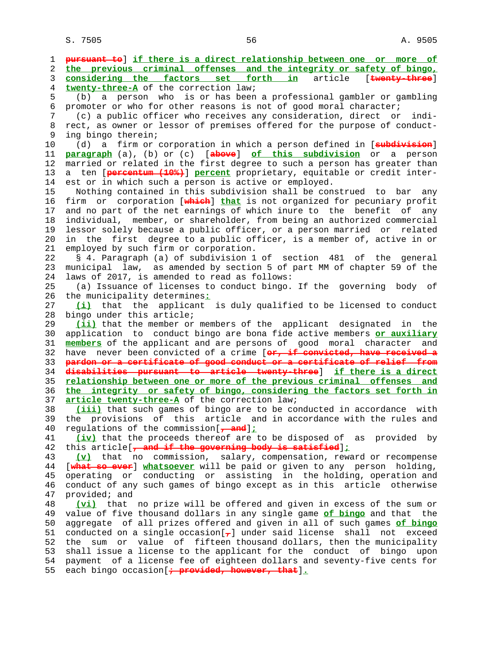$S. 7505$  and  $S. 9505$  and  $S. 9505$  and  $S. 9505$ 

 1 **pursuant to**] **if there is a direct relationship between one or more of** 2 **the previous criminal offenses and the integrity or safety of bingo,** 3 **considering the factors set forth in** article [**twenty-three**] 4 **twenty-three-A** of the correction law; 5 (b) a person who is or has been a professional gambler or gambling 6 promoter or who for other reasons is not of good moral character; 7 (c) a public officer who receives any consideration, direct or indi- 8 rect, as owner or lessor of premises offered for the purpose of conduct-<br>9 ing bingo therein; ing bingo therein; 10 (d) a firm or corporation in which a person defined in [**subdivision**] 11 **paragraph** (a), (b) or (c) [**above**] **of this subdivision** or a person 12 married or related in the first degree to such a person has greater than 13 a ten [**percentum (10%)**] **percent** proprietary, equitable or credit inter- 14 est or in which such a person is active or employed. 15 Nothing contained in this subdivision shall be construed to bar any 16 firm or corporation [**which**] **that** is not organized for pecuniary profit 17 and no part of the net earnings of which inure to the benefit of any 18 individual, member, or shareholder, from being an authorized commercial 19 lessor solely because a public officer, or a person married or related 20 in the first degree to a public officer, is a member of, active in or 21 employed by such firm or corporation. 22 § 4. Paragraph (a) of subdivision 1 of section 481 of the general 23 municipal law, as amended by section 5 of part MM of chapter 59 of the 24 laws of 2017, is amended to read as follows: 25 (a) Issuance of licenses to conduct bingo. If the governing body of 26 the municipality determines**:** 27 **(i)** that the applicant is duly qualified to be licensed to conduct 28 bingo under this article; 29 **(ii)** that the member or members of the applicant designated in the 30 application to conduct bingo are bona fide active members **or auxiliary** 31 **members** of the applicant and are persons of good moral character and 32 have never been convicted of a crime [**or, if convicted, have received a** 33 **pardon or a certificate of good conduct or a certificate of relief from** 34 **disabilities pursuant to article twenty-three**] **if there is a direct** 35 **relationship between one or more of the previous criminal offenses and** 36 **the integrity or safety of bingo, considering the factors set forth in** 37 **article twenty-three-A** of the correction law; 38 **(iii)** that such games of bingo are to be conducted in accordance with 39 the provisions of this article and in accordance with the rules and 40 regulations of the commission[**, and**]**;** 41 **(iv)** that the proceeds thereof are to be disposed of as provided by 42 this article[**, and if the governing body is satisfied**]**;** 43 **(v)** that no commission, salary, compensation, reward or recompense 44 [**what so ever**] **whatsoever** will be paid or given to any person holding, 45 operating or conducting or assisting in the holding, operation and 46 conduct of any such games of bingo except as in this article otherwise 47 provided; and 48 **(vi)** that no prize will be offered and given in excess of the sum or 49 value of five thousand dollars in any single game **of bingo** and that the 50 aggregate of all prizes offered and given in all of such games **of bingo** 51 conducted on a single occasion[**,**] under said license shall not exceed 52 the sum or value of fifteen thousand dollars, then the municipality 53 shall issue a license to the applicant for the conduct of bingo upon 54 payment of a license fee of eighteen dollars and seventy-five cents for 55 each bingo occasion[**; provided, however, that**]**.**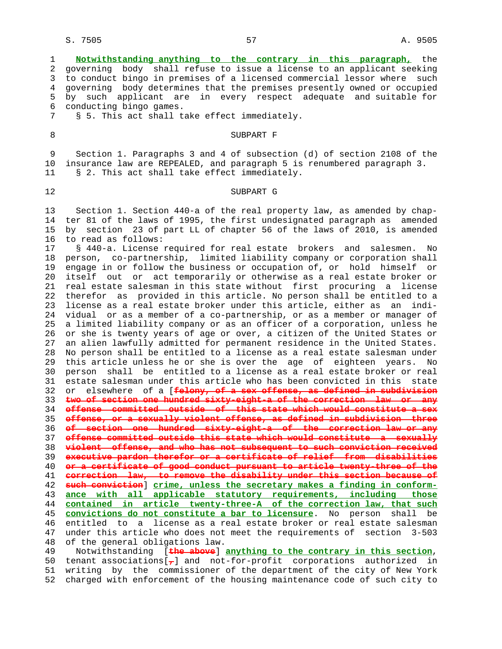1 **Notwithstanding anything to the contrary in this paragraph,** the 2 governing body shall refuse to issue a license to an applicant seeking 3 to conduct bingo in premises of a licensed commercial lessor where such 4 governing body determines that the premises presently owned or occupied 5 by such applicant are in every respect adequate and suitable for 6 conducting bingo games.

7 § 5. This act shall take effect immediately.

8 SUBPART F

 9 Section 1. Paragraphs 3 and 4 of subsection (d) of section 2108 of the 10 insurance law are REPEALED, and paragraph 5 is renumbered paragraph 3. 11 § 2. This act shall take effect immediately.

## 12 SUBPART G

 13 Section 1. Section 440-a of the real property law, as amended by chap- 14 ter 81 of the laws of 1995, the first undesignated paragraph as amended 15 by section 23 of part LL of chapter 56 of the laws of 2010, is amended 16 to read as follows:

 17 § 440-a. License required for real estate brokers and salesmen. No 18 person, co-partnership, limited liability company or corporation shall 19 engage in or follow the business or occupation of, or hold himself or 20 itself out or act temporarily or otherwise as a real estate broker or 21 real estate salesman in this state without first procuring a license 22 therefor as provided in this article. No person shall be entitled to a 23 license as a real estate broker under this article, either as an indi- 24 vidual or as a member of a co-partnership, or as a member or manager of 25 a limited liability company or as an officer of a corporation, unless he 26 or she is twenty years of age or over, a citizen of the United States or 27 an alien lawfully admitted for permanent residence in the United States. 28 No person shall be entitled to a license as a real estate salesman under 29 this article unless he or she is over the age of eighteen years. No 30 person shall be entitled to a license as a real estate broker or real 31 estate salesman under this article who has been convicted in this state 32 or elsewhere of a [**felony, of a sex offense, as defined in subdivision** 33 **two of section one hundred sixty-eight-a of the correction law or any** 34 **offense committed outside of this state which would constitute a sex** 35 **offense, or a sexually violent offense, as defined in subdivision three** 36 **of section one hundred sixty-eight-a of the correction law or any** 37 **offense committed outside this state which would constitute a sexually** 38 **violent offense, and who has not subsequent to such conviction received** 39 **executive pardon therefor or a certificate of relief from disabilities** 40 **or a certificate of good conduct pursuant to article twenty-three of the** 41 **correction law, to remove the disability under this section because of** 42 **such conviction**] **crime, unless the secretary makes a finding in conform-** 43 **ance with all applicable statutory requirements, including those** 44 **contained in article twenty-three-A of the correction law, that such** 45 **convictions do not constitute a bar to licensure**. No person shall be 46 entitled to a license as a real estate broker or real estate salesman 47 under this article who does not meet the requirements of section 3-503 48 of the general obligations law.

 49 Notwithstanding [**the above**] **anything to the contrary in this section**, 50 tenant associations[**,**] and not-for-profit corporations authorized in 51 writing by the commissioner of the department of the city of New York 52 charged with enforcement of the housing maintenance code of such city to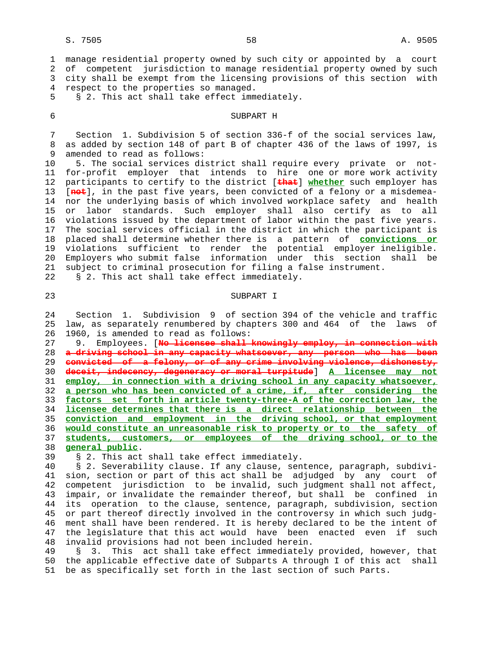1 manage residential property owned by such city or appointed by a court 2 of competent jurisdiction to manage residential property owned by such 3 city shall be exempt from the licensing provisions of this section with 4 respect to the properties so managed.

5 § 2. This act shall take effect immediately.

## 6 SUBPART H

 7 Section 1. Subdivision 5 of section 336-f of the social services law, 8 as added by section 148 of part B of chapter 436 of the laws of 1997, is 9 amended to read as follows:

 10 5. The social services district shall require every private or not- 11 for-profit employer that intends to hire one or more work activity 12 participants to certify to the district [**that**] **whether** such employer has 13 [**not**], in the past five years, been convicted of a felony or a misdemea- 14 nor the underlying basis of which involved workplace safety and health 15 or labor standards. Such employer shall also certify as to all 16 violations issued by the department of labor within the past five years. 17 The social services official in the district in which the participant is 18 placed shall determine whether there is a pattern of **convictions or** 19 violations sufficient to render the potential employer ineligible. 20 Employers who submit false information under this section shall be 21 subject to criminal prosecution for filing a false instrument. 22 § 2. This act shall take effect immediately.

## 23 SUBPART I

 24 Section 1. Subdivision 9 of section 394 of the vehicle and traffic 25 law, as separately renumbered by chapters 300 and 464 of the laws of 26 1960, is amended to read as follows:

 27 9. Employees. [**No licensee shall knowingly employ, in connection with a driving school in any capacity whatsoever, any person who has been convicted of a felony, or of any crime involving violence, dishonesty, deceit, indecency, degeneracy or moral turpitude**] **A licensee may not employ, in connection with a driving school in any capacity whatsoever, a person who has been convicted of a crime, if, after considering the factors set forth in article twenty-three-A of the correction law, the licensee determines that there is a direct relationship between the conviction and employment in the driving school, or that employment would constitute an unreasonable risk to property or to the safety of students, customers, or employees of the driving school, or to the general public**.

39 § 2. This act shall take effect immediately.

 40 § 2. Severability clause. If any clause, sentence, paragraph, subdivi- 41 sion, section or part of this act shall be adjudged by any court of 42 competent jurisdiction to be invalid, such judgment shall not affect, 43 impair, or invalidate the remainder thereof, but shall be confined in 44 its operation to the clause, sentence, paragraph, subdivision, section 45 or part thereof directly involved in the controversy in which such judg- 46 ment shall have been rendered. It is hereby declared to be the intent of 47 the legislature that this act would have been enacted even if such 48 invalid provisions had not been included herein.

 49 § 3. This act shall take effect immediately provided, however, that 50 the applicable effective date of Subparts A through I of this act shall 51 be as specifically set forth in the last section of such Parts.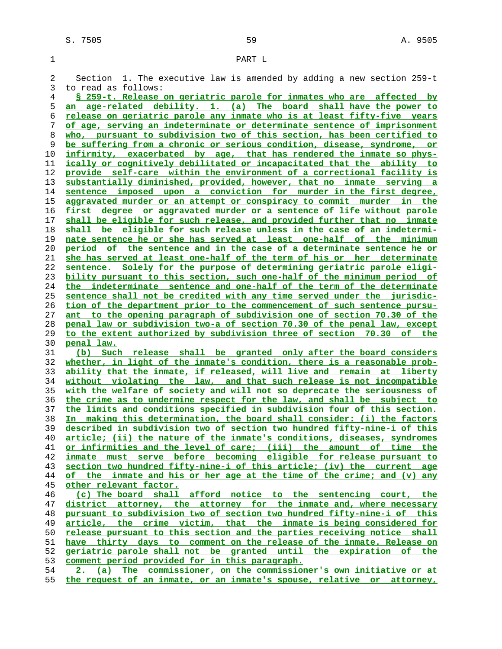# 1 PART L

 2 Section 1. The executive law is amended by adding a new section 259-t 3 to read as follows: **§ 259-t. Release on geriatric parole for inmates who are affected by an age-related debility. 1. (a) The board shall have the power to release on geriatric parole any inmate who is at least fifty-five years of age, serving an indeterminate or determinate sentence of imprisonment who, pursuant to subdivision two of this section, has been certified to be suffering from a chronic or serious condition, disease, syndrome, or infirmity, exacerbated by age, that has rendered the inmate so phys- ically or cognitively debilitated or incapacitated that the ability to provide self-care within the environment of a correctional facility is substantially diminished, provided, however, that no inmate serving a sentence imposed upon a conviction for murder in the first degree, aggravated murder or an attempt or conspiracy to commit murder in the first degree or aggravated murder or a sentence of life without parole shall be eligible for such release, and provided further that no inmate shall be eligible for such release unless in the case of an indetermi- nate sentence he or she has served at least one-half of the minimum period of the sentence and in the case of a determinate sentence he or she has served at least one-half of the term of his or her determinate sentence. Solely for the purpose of determining geriatric parole eligi- bility pursuant to this section, such one-half of the minimum period of the indeterminate sentence and one-half of the term of the determinate sentence shall not be credited with any time served under the jurisdic- tion of the department prior to the commencement of such sentence pursu- ant to the opening paragraph of subdivision one of section 70.30 of the penal law or subdivision two-a of section 70.30 of the penal law, except to the extent authorized by subdivision three of section 70.30 of the penal law. (b) Such release shall be granted only after the board considers whether, in light of the inmate's condition, there is a reasonable prob- ability that the inmate, if released, will live and remain at liberty without violating the law, and that such release is not incompatible with the welfare of society and will not so deprecate the seriousness of the crime as to undermine respect for the law, and shall be subject to the limits and conditions specified in subdivision four of this section. In making this determination, the board shall consider: (i) the factors described in subdivision two of section two hundred fifty-nine-i of this article; (ii) the nature of the inmate's conditions, diseases, syndromes or infirmities and the level of care; (iii) the amount of time the inmate must serve before becoming eligible for release pursuant to section two hundred fifty-nine-i of this article; (iv) the current age of the inmate and his or her age at the time of the crime; and (v) any other relevant factor. (c) The board shall afford notice to the sentencing court, the district attorney, the attorney for the inmate and, where necessary pursuant to subdivision two of section two hundred fifty-nine-i of this article, the crime victim, that the inmate is being considered for release pursuant to this section and the parties receiving notice shall have thirty days to comment on the release of the inmate. Release on geriatric parole shall not be granted until the expiration of the comment period provided for in this paragraph. 2. (a) The commissioner, on the commissioner's own initiative or at the request of an inmate, or an inmate's spouse, relative or attorney,**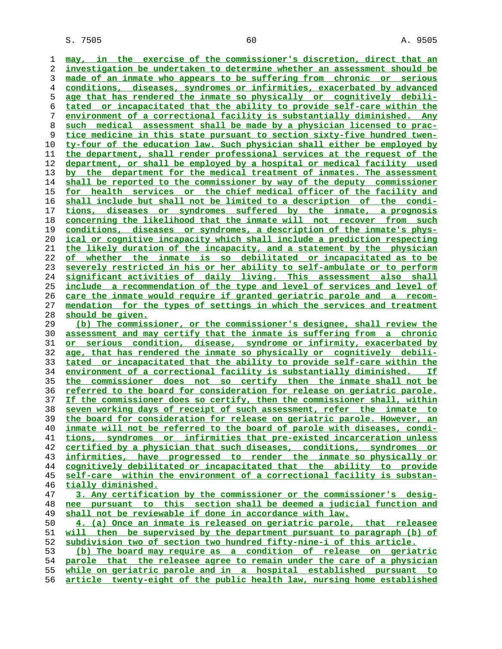$S. 7505$  and  $S. 9505$  and  $S. 9505$  and  $S. 9505$ 

**may, in the exercise of the commissioner's discretion, direct that an investigation be undertaken to determine whether an assessment should be made of an inmate who appears to be suffering from chronic or serious conditions, diseases, syndromes or infirmities, exacerbated by advanced age that has rendered the inmate so physically or cognitively debili- tated or incapacitated that the ability to provide self-care within the environment of a correctional facility is substantially diminished. Any such medical assessment shall be made by a physician licensed to prac- tice medicine in this state pursuant to section sixty-five hundred twen- ty-four of the education law. Such physician shall either be employed by the department, shall render professional services at the request of the department, or shall be employed by a hospital or medical facility used by the department for the medical treatment of inmates. The assessment** shall be reported to the commissioner by way of the deputy commissioner **for health services or the chief medical officer of the facility and shall include but shall not be limited to a description of the condi- tions, diseases or syndromes suffered by the inmate, a prognosis concerning the likelihood that the inmate will not recover from such conditions, diseases or syndromes, a description of the inmate's phys- ical or cognitive incapacity which shall include a prediction respecting the likely duration of the incapacity, and a statement by the physician of whether the inmate is so debilitated or incapacitated as to be severely restricted in his or her ability to self-ambulate or to perform significant activities of daily living. This assessment also shall include a recommendation of the type and level of services and level of care the inmate would require if granted geriatric parole and a recom- mendation for the types of settings in which the services and treatment should be given. (b) The commissioner, or the commissioner's designee, shall review the assessment and may certify that the inmate is suffering from a chronic or serious condition, disease, syndrome or infirmity, exacerbated by age, that has rendered the inmate so physically or cognitively debili- tated or incapacitated that the ability to provide self-care within the environment of a correctional facility is substantially diminished. If the commissioner does not so certify then the inmate shall not be referred to the board for consideration for release on geriatric parole. If the commissioner does so certify, then the commissioner shall, within seven working days of receipt of such assessment, refer the inmate to the board for consideration for release on geriatric parole. However, an inmate will not be referred to the board of parole with diseases, condi- tions, syndromes or infirmities that pre-existed incarceration unless certified by a physician that such diseases, conditions, syndromes or infirmities, have progressed to render the inmate so physically or cognitively debilitated or incapacitated that the ability to provide self-care within the environment of a correctional facility is substan- tially diminished. 3. Any certification by the commissioner or the commissioner's desig- nee pursuant to this section shall be deemed a judicial function and shall not be reviewable if done in accordance with law. 4. (a) Once an inmate is released on geriatric parole, that releasee will then be supervised by the department pursuant to paragraph (b) of subdivision two of section two hundred fifty-nine-i of this article. (b) The board may require as a condition of release on geriatric parole that the releasee agree to remain under the care of a physician while on geriatric parole and in a hospital established pursuant to article twenty-eight of the public health law, nursing home established**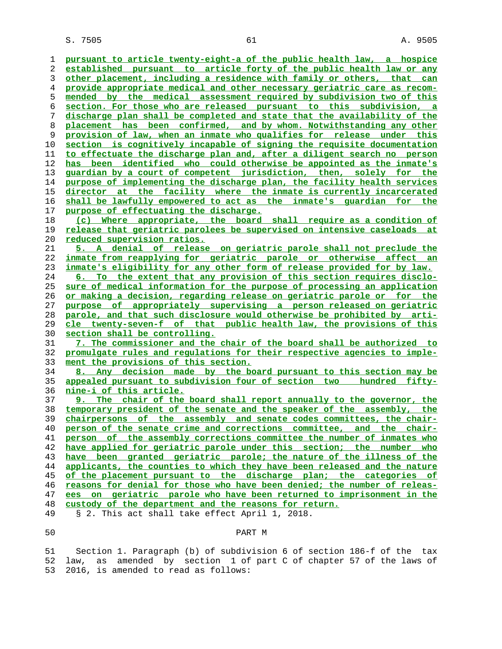$S. 7505$  and  $S. 9505$  and  $S. 9505$ 

| ı        | pursuant to article twenty-eight-a of the public health law, a hospice                                                                            |
|----------|---------------------------------------------------------------------------------------------------------------------------------------------------|
| 2        | established pursuant to article forty of the public health law or any                                                                             |
| 3        | other placement, including a residence with family or others, that can                                                                            |
| 4        | provide appropriate medical and other necessary geriatric care as recom-                                                                          |
| 5        | mended by the medical assessment required by subdivision two of this                                                                              |
| 6        | section. For those who are released pursuant to this subdivision, a                                                                               |
| 7        | discharge plan shall be completed and state that the availability of the                                                                          |
| 8        | placement has been confirmed, and by whom. Notwithstanding any other                                                                              |
| 9        | provision of law, when an inmate who qualifies for release under this                                                                             |
| 10       | section is cognitively incapable of signing the requisite documentation                                                                           |
| 11       | to effectuate the discharge plan and, after a diligent search no person                                                                           |
| 12       | has been identified who could otherwise be appointed as the inmate's                                                                              |
| 13       | <u>guardian by a court of competent jurisdiction, then, solely for the</u>                                                                        |
| 14       | purpose of implementing the discharge plan, the facility health services                                                                          |
| 15       | director at the facility where the inmate is currently incarcerated                                                                               |
| 16       | shall be lawfully empowered to act as the inmate's quardian for the<br>purpose of effectuating the discharge.                                     |
| 17<br>18 | (c) Where appropriate, the board shall require as a condition of                                                                                  |
| 19       | release that geriatric parolees be supervised on intensive caseloads at                                                                           |
| 20       | reduced supervision ratios.                                                                                                                       |
| 21       | 5. A denial of release on geriatric parole shall not preclude the                                                                                 |
| 22       | inmate from reapplying for geriatric parole or otherwise affect an                                                                                |
| 23       | inmate's eligibility for any other form of release provided for by law.                                                                           |
| 24       | 6. To the extent that any provision of this section requires disclo-                                                                              |
| 25       | sure of medical information for the purpose of processing an application                                                                          |
| 26       | or making a decision, regarding release on geriatric parole or for the                                                                            |
| 27       | purpose of appropriately supervising a person released on geriatric                                                                               |
| 28       | parole, and that such disclosure would otherwise be prohibited by arti-                                                                           |
| 29       | cle twenty-seven-f of that public health law, the provisions of this                                                                              |
| 30       | section shall be controlling.                                                                                                                     |
| 31       | 7. The commissioner and the chair of the board shall be authorized to                                                                             |
| 32       | promulgate rules and requiations for their respective agencies to imple-                                                                          |
| 33       | ment the provisions of this section.                                                                                                              |
| 34       | 8. Any decision made by the board pursuant to this section may be                                                                                 |
| 35       | appealed pursuant to subdivision four of section two hundred fifty-                                                                               |
| 36       | nine-i of this article.                                                                                                                           |
| 37       | 9. The chair of the board shall report annually to the governor, the                                                                              |
| 38       | temporary president of the senate and the speaker of the assembly, the                                                                            |
| 39       | chairpersons of the assembly and senate codes committees, the chair-                                                                              |
| 40       | person of the senate crime and corrections committee, and the chair-                                                                              |
| 41       | person of the assembly corrections committee the number of inmates who                                                                            |
| 42       | have applied for geriatric parole under this section; the number who                                                                              |
| 43       | have been granted geriatric parole; the nature of the illness of the                                                                              |
| 44       | applicants, the counties to which they have been released and the nature<br>of the placement pursuant to the discharge plan; the categories of    |
| 45       |                                                                                                                                                   |
| 46<br>47 | reasons for denial for those who have been denied; the number of releas-<br>ees on geriatric parole who have been returned to imprisonment in the |
| 48       | custody of the department and the reasons for return.                                                                                             |
| 49       | § 2. This act shall take effect April 1, 2018.                                                                                                    |
|          |                                                                                                                                                   |

# 50 PART M

 51 Section 1. Paragraph (b) of subdivision 6 of section 186-f of the tax 52 law, as amended by section 1 of part C of chapter 57 of the laws of 53 2016, is amended to read as follows: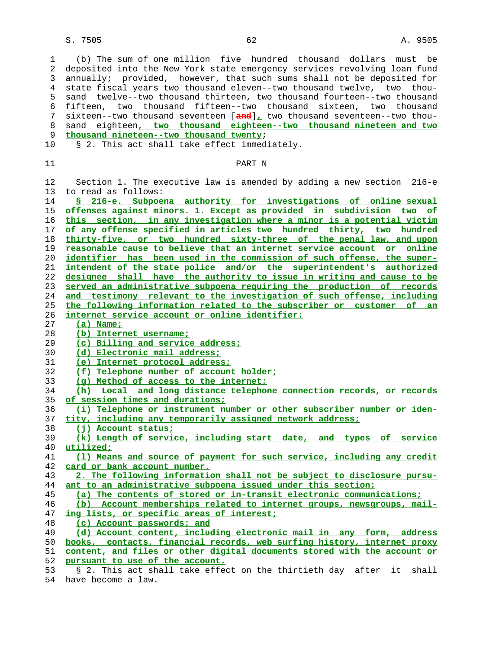1 (b) The sum of one million five hundred thousand dollars must be 2 deposited into the New York state emergency services revolving loan fund 3 annually; provided, however, that such sums shall not be deposited for 4 state fiscal years two thousand eleven--two thousand twelve, two thou- 5 sand twelve--two thousand thirteen, two thousand fourteen--two thousand 6 fifteen, two thousand fifteen--two thousand sixteen, two thousand 7 sixteen--two thousand seventeen [**and**]**,** two thousand seventeen--two thou- 8 sand eighteen**, two thousand eighteen--two thousand nineteen and two thousand nineteen--two thousand twenty**; 10 § 2. This act shall take effect immediately. 11 PART N 12 Section 1. The executive law is amended by adding a new section 216-e 13 to read as follows: **§ 216-e. Subpoena authority for investigations of online sexual offenses against minors. 1. Except as provided in subdivision two of this section, in any investigation where a minor is a potential victim of any offense specified in articles two hundred thirty, two hundred thirty-five, or two hundred sixty-three of the penal law, and upon reasonable cause to believe that an internet service account or online identifier has been used in the commission of such offense, the super- intendent of the state police and/or the superintendent's authorized designee shall have the authority to issue in writing and cause to be served an administrative subpoena requiring the production of records and testimony relevant to the investigation of such offense, including the following information related to the subscriber or customer of an internet service account or online identifier: (a) Name; (b) Internet username; (c) Billing and service address; (d) Electronic mail address; (e) Internet protocol address; (f) Telephone number of account holder; (g) Method of access to the internet; (h) Local and long distance telephone connection records, or records of session times and durations; (i) Telephone or instrument number or other subscriber number or iden- tity, including any temporarily assigned network address; (j) Account status; (k) Length of service, including start date, and types of service utilized; (l) Means and source of payment for such service, including any credit card or bank account number. 2. The following information shall not be subject to disclosure pursu- ant to an administrative subpoena issued under this section: (a) The contents of stored or in-transit electronic communications; (b) Account memberships related to internet groups, newsgroups, mail** ing lists, or specific areas of interest; **(c) Account passwords; and (d) Account content, including electronic mail in any form, address books, contacts, financial records, web surfing history, internet proxy content, and files or other digital documents stored with the account or pursuant to use of the account.** 53 § 2. This act shall take effect on the thirtieth day after it shall

54 have become a law.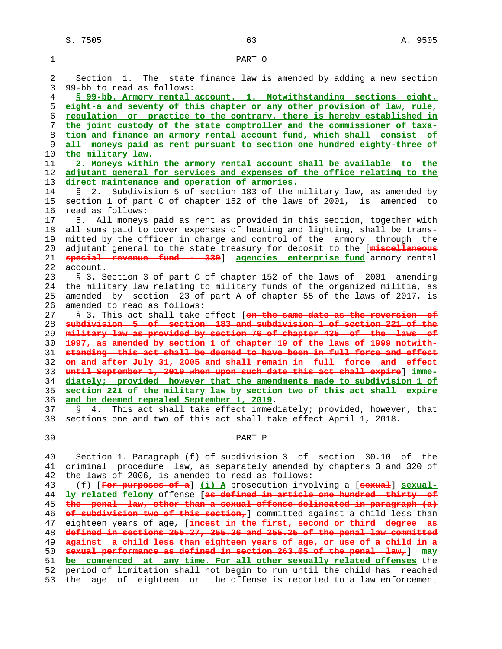1 PART O 2 Section 1. The state finance law is amended by adding a new section 3 99-bb to read as follows: 4 **§ 99-bb. Armory rental account. 1. Notwithstanding sections eight,** 5 **eight-a and seventy of this chapter or any other provision of law, rule,** 6 **regulation or practice to the contrary, there is hereby established in** 7 **the joint custody of the state comptroller and the commissioner of taxa-** 8 **tion and finance an armory rental account fund, which shall consist of** 9 **all moneys paid as rent pursuant to section one hundred eighty-three of** 10 **the military law.** 11 **2. Moneys within the armory rental account shall be available to the** 12 **adjutant general for services and expenses of the office relating to the** 13 **direct maintenance and operation of armories.** 14 § 2. Subdivision 5 of section 183 of the military law, as amended by 15 section 1 of part C of chapter 152 of the laws of 2001, is amended to 16 read as follows: 17 5. All moneys paid as rent as provided in this section, together with 18 all sums paid to cover expenses of heating and lighting, shall be trans- 19 mitted by the officer in charge and control of the armory through the 20 adjutant general to the state treasury for deposit to the [**miscellaneous** 21 **special revenue fund - 339**] **agencies enterprise fund** armory rental 22 account. 23 § 3. Section 3 of part C of chapter 152 of the laws of 2001 amending 24 the military law relating to military funds of the organized militia, as 25 amended by section 23 of part A of chapter 55 of the laws of 2017, is 26 amended to read as follows: 27 § 3. This act shall take effect [**on the same date as the reversion of** 28 **subdivision 5 of section 183 and subdivision 1 of section 221 of the** 29 **military law as provided by section 76 of chapter 435 of the laws of** 30 **1997, as amended by section 1 of chapter 19 of the laws of 1999 notwith-** 31 **standing this act shall be deemed to have been in full force and effect** 32 **on and after July 31, 2005 and shall remain in full force and effect** 33 **until September 1, 2019 when upon such date this act shall expire**] **imme-** 34 **diately; provided however that the amendments made to subdivision 1 of** 35 **section 221 of the military law by section two of this act shall expire** 36 **and be deemed repealed September 1, 2019**. 37 § 4. This act shall take effect immediately; provided, however, that 38 sections one and two of this act shall take effect April 1, 2018. 39 PART P 40 Section 1. Paragraph (f) of subdivision 3 of section 30.10 of the 41 criminal procedure law, as separately amended by chapters 3 and 320 of 42 the laws of 2006, is amended to read as follows: 43 (f) [**For purposes of a**] **(i) A** prosecution involving a [**sexual**] **sexual-** 44 **ly related felony** offense [**as defined in article one hundred thirty of** 45 **the penal law, other than a sexual offense delineated in paragraph (a)** 46 **of subdivision two of this section,**] committed against a child less than 47 eighteen years of age, [**incest in the first, second or third degree as** 48 **defined in sections 255.27, 255.26 and 255.25 of the penal law committed** 49 **against a child less than eighteen years of age, or use of a child in a** 50 **sexual performance as defined in section 263.05 of the penal law,**] **may** 51 **be commenced at any time. For all other sexually related offenses** the 52 period of limitation shall not begin to run until the child has reached 53 the age of eighteen or the offense is reported to a law enforcement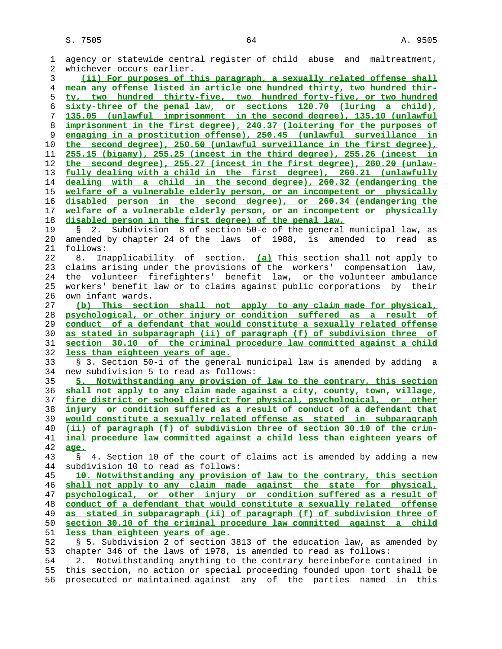1 agency or statewide central register of child abuse and maltreatment, 2 whichever occurs earlier. **(ii) For purposes of this paragraph, a sexually related offense shall mean any offense listed in article one hundred thirty, two hundred thir- ty, two hundred thirty-five, two hundred forty-five, or two hundred sixty-three of the penal law, or sections 120.70 (luring a child), 135.05 (unlawful imprisonment in the second degree), 135.10 (unlawful imprisonment in the first degree), 240.37 (loitering for the purposes of engaging in a prostitution offense), 250.45 (unlawful surveillance in the second degree), 250.50 (unlawful surveillance in the first degree), 255.15 (bigamy), 255.25 (incest in the third degree), 255.26 (incest in the second degree), 255.27 (incest in the first degree), 260.20 (unlaw- fully dealing with a child in the first degree), 260.21 (unlawfully dealing with a child in the second degree), 260.32 (endangering the welfare of a vulnerable elderly person, or an incompetent or physically disabled person in the second degree), or 260.34 (endangering the welfare of a vulnerable elderly person, or an incompetent or physically disabled person in the first degree) of the penal law.** 19 § 2. Subdivision 8 of section 50-e of the general municipal law, as 20 amended by chapter 24 of the laws of 1988, is amended to read as 21 follows: 22 8. Inapplicability of section. **(a)** This section shall not apply to 23 claims arising under the provisions of the workers' compensation law, 24 the volunteer firefighters' benefit law, or the volunteer ambulance 25 workers' benefit law or to claims against public corporations by their 26 own infant wards. **(b) This section shall not apply to any claim made for physical, psychological, or other injury or condition suffered as a result of conduct of a defendant that would constitute a sexually related offense as stated in subparagraph (ii) of paragraph (f) of subdivision three of section 30.10 of the criminal procedure law committed against a child less than eighteen years of age.** 33 § 3. Section 50-i of the general municipal law is amended by adding a 34 new subdivision 5 to read as follows: **5. Notwithstanding any provision of law to the contrary, this section shall not apply to any claim made against a city, county, town, village, fire district or school district for physical, psychological, or other injury or condition suffered as a result of conduct of a defendant that would constitute a sexually related offense as stated in subparagraph (ii) of paragraph (f) of subdivision three of section 30.10 of the crim- inal procedure law committed against a child less than eighteen years of age.** 43 § 4. Section 10 of the court of claims act is amended by adding a new 44 subdivision 10 to read as follows: **10. Notwithstanding any provision of law to the contrary, this section shall not apply to any claim made against the state for physical, psychological, or other injury or condition suffered as a result of conduct of a defendant that would constitute a sexually related offense as stated in subparagraph (ii) of paragraph (f) of subdivision three of section 30.10 of the criminal procedure law committed against a child less than eighteen years of age.** 52 § 5. Subdivision 2 of section 3813 of the education law, as amended by 53 chapter 346 of the laws of 1978, is amended to read as follows: 54 2. Notwithstanding anything to the contrary hereinbefore contained in

 55 this section, no action or special proceeding founded upon tort shall be 56 prosecuted or maintained against any of the parties named in this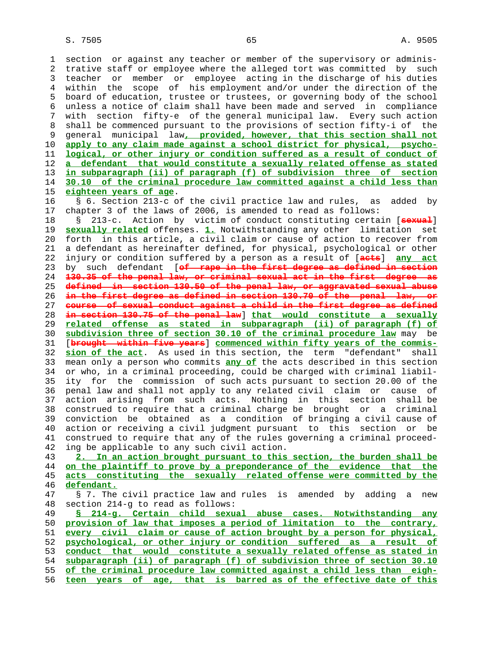1 section or against any teacher or member of the supervisory or adminis- 2 trative staff or employee where the alleged tort was committed by such 3 teacher or member or employee acting in the discharge of his duties 4 within the scope of his employment and/or under the direction of the 5 board of education, trustee or trustees, or governing body of the school 6 unless a notice of claim shall have been made and served in compliance 7 with section fifty-e of the general municipal law. Every such action 8 shall be commenced pursuant to the provisions of section fifty-i of the 9 general municipal law**, provided, however, that this section shall not** 10 **apply to any claim made against a school district for physical, psycho-** 11 **logical, or other injury or condition suffered as a result of conduct of** 12 **a defendant that would constitute a sexually related offense as stated** 13 **in subparagraph (ii) of paragraph (f) of subdivision three of section** 14 **30.10 of the criminal procedure law committed against a child less than** 15 **eighteen years of age**. 16 § 6. Section 213-c of the civil practice law and rules, as added by 17 chapter 3 of the laws of 2006, is amended to read as follows: 18 § 213-c. Action by victim of conduct constituting certain [**sexual**] 19 **sexually related** offenses. **1.** Notwithstanding any other limitation set 20 forth in this article, a civil claim or cause of action to recover from 21 a defendant as hereinafter defined, for physical, psychological or other 22 injury or condition suffered by a person as a result of [**acts**] **any act** 23 by such defendant [**of rape in the first degree as defined in section** 24 **130.35 of the penal law, or criminal sexual act in the first degree as** 25 **defined in section 130.50 of the penal law, or aggravated sexual abuse** 26 **in the first degree as defined in section 130.70 of the penal law, or** 27 **course of sexual conduct against a child in the first degree as defined** 28 **in section 130.75 of the penal law**] **that would constitute a sexually** 29 **related offense as stated in subparagraph (ii) of paragraph (f) of** 30 **subdivision three of section 30.10 of the criminal procedure law** may be 31 [**brought within five years**] **commenced within fifty years of the commis-** 32 **sion of the act**. As used in this section, the term "defendant" shall 33 mean only a person who commits **any of** the acts described in this section 34 or who, in a criminal proceeding, could be charged with criminal liabil- 35 ity for the commission of such acts pursuant to section 20.00 of the 36 penal law and shall not apply to any related civil claim or cause of 37 action arising from such acts. Nothing in this section shall be 38 construed to require that a criminal charge be brought or a criminal 39 conviction be obtained as a condition of bringing a civil cause of 40 action or receiving a civil judgment pursuant to this section or be 41 construed to require that any of the rules governing a criminal proceed- 42 ing be applicable to any such civil action. 43 **2. In an action brought pursuant to this section, the burden shall be** 44 **on the plaintiff to prove by a preponderance of the evidence that the** 45 **acts constituting the sexually related offense were committed by the** 46 **defendant.** 47 § 7. The civil practice law and rules is amended by adding a new 48 section 214-g to read as follows: 49 **§ 214-g. Certain child sexual abuse cases. Notwithstanding any** 50 **provision of law that imposes a period of limitation to the contrary,** 51 **every civil claim or cause of action brought by a person for physical,** 52 **psychological, or other injury or condition suffered as a result of** 53 **conduct that would constitute a sexually related offense as stated in** 54 **subparagraph (ii) of paragraph (f) of subdivision three of section 30.10** 55 **of the criminal procedure law committed against a child less than eigh-** 56 **teen years of age, that is barred as of the effective date of this**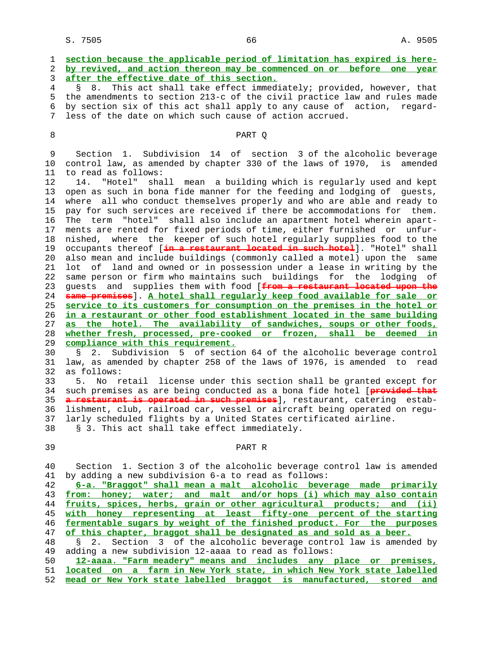| 1  | section because the applicable period of limitation has expired is here-               |
|----|----------------------------------------------------------------------------------------|
| 2  | by revived, and action thereon may be commenced on or before one year                  |
| 3  | after the effective date of this section.                                              |
| 4  | This act shall take effect immediately; provided, however, that<br>$\mathcal{S}$<br>8. |
| 5  | the amendments to section 213-c of the civil practice law and rules made               |
| 6  | by section six of this act shall apply to any cause of action, regard-                 |
| 7  | less of the date on which such cause of action accrued.                                |
|    |                                                                                        |
| 8  | PART Q                                                                                 |
| 9  | Section 1. Subdivision 14 of section 3 of the alcoholic beverage                       |
| 10 | control law, as amended by chapter 330 of the laws of 1970, is amended                 |
| 11 | to read as follows:                                                                    |
| 12 | 14.<br>"Hotel"<br>shall mean a building which is regularly used and kept               |
| 13 | open as such in bona fide manner for the feeding and lodging of guests,                |
| 14 | where all who conduct themselves properly and who are able and ready to                |
|    | pay for such services are received if there be accommodations for them.                |
| 15 |                                                                                        |
| 16 | The term "hotel" shall also include an apartment hotel wherein apart-                  |
| 17 | ments are rented for fixed periods of time, either furnished or unfur-                 |
| 18 | nished, where the keeper of such hotel regularly supplies food to the                  |
| 19 | occupants thereof [in a restaurant located in such hotel]. "Hotel" shall               |
| 20 | also mean and include buildings (commonly called a motel) upon the same                |
| 21 | of land and owned or in possession under a lease in writing by the<br>lot              |
| 22 | same person or firm who maintains such buildings for the lodging of                    |
| 23 | and supplies them with food [from a restaurant located upon the<br>quests              |
| 24 | same premises]. A hotel shall reqularly keep food available for sale or                |
| 25 | service to its customers for consumption on the premises in the hotel or               |
| 26 | in a restaurant or other food establishment located in the same building               |
| 27 | as the hotel. The availability of sandwiches, soups or other foods,                    |
| 28 | whether fresh, processed, pre-cooked or frozen, shall be deemed in                     |
| 29 | compliance with this requirement.                                                      |
| 30 | Subdivision 5 of section 64 of the alcoholic beverage control<br>2.<br>$\mathbb{S}$    |
| 31 | law, as amended by chapter 258 of the laws of 1976, is amended to read                 |
| 32 | as follows:                                                                            |
| 33 | No retail license under this section shall be granted except for<br>5.                 |
| 34 | such premises as are being conducted as a bona fide hotel [provided that               |
| 35 | a restaurant is operated in such premises], restaurant, catering estab-                |
| 36 | lishment, club, railroad car, vessel or aircraft being operated on regu-               |
| 37 | larly scheduled flights by a United States certificated airline.                       |
| 38 | § 3. This act shall take effect immediately.                                           |
| 39 | PART R                                                                                 |
|    |                                                                                        |
| 40 | Section 1. Section 3 of the alcoholic beverage control law is amended                  |
| 41 | by adding a new subdivision 6-a to read as follows:                                    |
| 42 | 6-a. "Braggot" shall mean a malt alcoholic beverage made primarily                     |
| 43 | from: honey; water; and malt and/or hops (i) which may also contain                    |
| 44 | fruits, spices, herbs, grain or other agricultural products; and (ii)                  |
| 45 | with honey representing at least fifty-one percent of the starting                     |
| 46 | fermentable sugars by weight of the finished product. For the purposes                 |
| 47 | of this chapter, braggot shall be designated as and sold as a beer.                    |
| 48 | Section 3 of the alcoholic beverage control law is amended by<br>S.<br>2.              |
| 49 | adding a new subdivision 12-aaaa to read as follows:                                   |
| 50 | 12-aaaa. "Farm meadery" means and includes any place or premises,                      |

 51 **located on a farm in New York state, in which New York state labelled** 52 **mead or New York state labelled braggot is manufactured, stored and**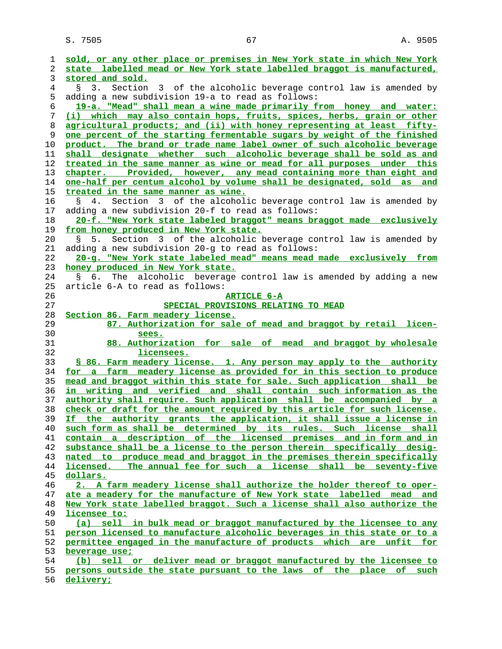| 1<br>2   | sold, or any other place or premises in New York state in which New York<br>state labelled mead or New York state labelled braggot is manufactured, |
|----------|-----------------------------------------------------------------------------------------------------------------------------------------------------|
| 3        | stored and sold.                                                                                                                                    |
| 4        | § 3. Section 3 of the alcoholic beverage control law is amended by                                                                                  |
| 5        | adding a new subdivision 19-a to read as follows:                                                                                                   |
| 6        | 19-a. "Mead" shall mean a wine made primarily from honey and water:                                                                                 |
| 7        | (i) which may also contain hops, fruits, spices, herbs, grain or other                                                                              |
| 8        | agricultural products; and (ii) with honey representing at least fifty-                                                                             |
| 9        | one percent of the starting fermentable sugars by weight of the finished                                                                            |
| 10       | product. The brand or trade name label owner of such alcoholic beverage                                                                             |
| 11       | shall designate whether such alcoholic beverage shall be sold as and                                                                                |
| 12       | treated in the same manner as wine or mead for all purposes under this                                                                              |
| 13       | chapter. Provided, however, any mead containing more than eight and                                                                                 |
| 14       | one-half per centum alcohol by volume shall be designated, sold as and                                                                              |
| 15       | treated in the same manner as wine.                                                                                                                 |
| 16       | Section 3 of the alcoholic beverage control law is amended by                                                                                       |
|          | 4.<br>S.                                                                                                                                            |
| 17       | adding a new subdivision 20-f to read as follows:                                                                                                   |
| 18       | 20-f. "New York state labeled braggot" means braggot made exclusively                                                                               |
| 19       | from honey produced in New York state.                                                                                                              |
| 20       | Section 3 of the alcoholic beverage control law is amended by<br>5.<br>Š.                                                                           |
| 21       | adding a new subdivision 20-g to read as follows:                                                                                                   |
| 22       | 20-g. "New York state labeled mead" means mead made exclusively from                                                                                |
| 23       | honey produced in New York state.                                                                                                                   |
| 24       | 6. The alcoholic beverage control law is amended by adding a new<br>$\mathbb{S}$                                                                    |
| 25       | article 6-A to read as follows:                                                                                                                     |
| 26       | <b>ARTICLE 6-A</b>                                                                                                                                  |
| 27       | SPECIAL PROVISIONS RELATING TO MEAD                                                                                                                 |
| 28<br>29 | Section 86. Farm meadery license.                                                                                                                   |
| 30       | 87. Authorization for sale of mead and braggot by retail licen-                                                                                     |
| 31       | sees.<br>88. Authorization for sale of mead and braggot by wholesale                                                                                |
| 32       | licensees.                                                                                                                                          |
| 33       | § 86. Farm meadery license. 1. Any person may apply to the authority                                                                                |
| 34       | for a farm meadery license as provided for in this section to produce                                                                               |
| 35       | mead and braggot within this state for sale. Such application shall be                                                                              |
| 36       | in writing and verified and shall contain such information as the                                                                                   |
| 37       | authority shall require. Such application shall be accompanied by a                                                                                 |
| 38       | check or draft for the amount required by this article for such license.                                                                            |
| 39       | If the authority grants the application, it shall issue a license in                                                                                |
| 40       | such form as shall be determined by its rules. Such license shall                                                                                   |
| 41       | contain a description of the licensed premises and in form and in                                                                                   |
| 42       | substance shall be a license to the person therein specifically desig-                                                                              |
| 43       | nated to produce mead and braggot in the premises therein specifically                                                                              |
| 44       | The annual fee for such a license shall be seventy-five<br>licensed.                                                                                |
| 45       | dollars.                                                                                                                                            |
| 46       | 2. A farm meadery license shall authorize the holder thereof to oper-                                                                               |
| 47       | ate a meadery for the manufacture of New York state labelled mead and                                                                               |
| 48       | New York state labelled braggot. Such a license shall also authorize the                                                                            |
| 49       | licensee to:                                                                                                                                        |
| 50       | (a) sell in bulk mead or braggot manufactured by the licensee to any                                                                                |
| 51       | person licensed to manufacture alcoholic beverages in this state or to a                                                                            |
| 52       |                                                                                                                                                     |
|          |                                                                                                                                                     |
|          | permittee engaged in the manufacture of products which are unfit for                                                                                |
| 53       | beverage use;                                                                                                                                       |
| 54       | (b) sell or deliver mead or braggot manufactured by the licensee to                                                                                 |
| 55<br>56 | persons outside the state pursuant to the laws of the place of such<br>delivery;                                                                    |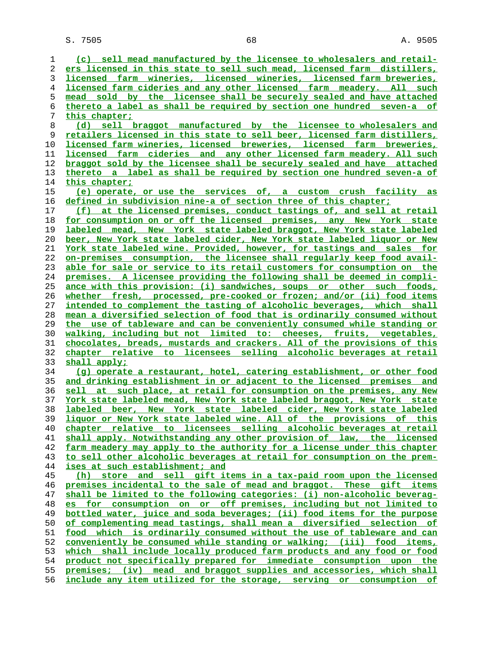$S. 7505$  and  $S. 9505$  and  $S. 9505$  and  $S. 9505$ 

**(c) sell mead manufactured by the licensee to wholesalers and retail- ers licensed in this state to sell such mead, licensed farm distillers, licensed farm wineries, licensed wineries, licensed farm breweries, licensed farm cideries and any other licensed farm meadery. All such mead sold by the licensee shall be securely sealed and have attached thereto a label as shall be required by section one hundred seven-a of this chapter; (d) sell braggot manufactured by the licensee to wholesalers and retailers licensed in this state to sell beer, licensed farm distillers, licensed farm wineries, licensed breweries, licensed farm breweries, licensed farm cideries and any other licensed farm meadery. All such braggot sold by the licensee shall be securely sealed and have attached thereto a label as shall be required by section one hundred seven-a of this chapter; (e) operate, or use the services of, a custom crush facility as defined in subdivision nine-a of section three of this chapter; (f) at the licensed premises, conduct tastings of, and sell at retail for consumption on or off the licensed premises, any New York state labeled mead, New York state labeled braggot, New York state labeled beer, New York state labeled cider, New York state labeled liquor or New York state labeled wine. Provided, however, for tastings and sales for on-premises consumption, the licensee shall regularly keep food avail- able for sale or service to its retail customers for consumption on the premises. A licensee providing the following shall be deemed in compli- ance with this provision: (i) sandwiches, soups or other such foods, whether fresh, processed, pre-cooked or frozen; and/or (ii) food items intended to complement the tasting of alcoholic beverages, which shall mean a diversified selection of food that is ordinarily consumed without the use of tableware and can be conveniently consumed while standing or walking, including but not limited to: cheeses, fruits, vegetables, chocolates, breads, mustards and crackers. All of the provisions of this chapter relative to licensees selling alcoholic beverages at retail shall apply; (g) operate a restaurant, hotel, catering establishment, or other food and drinking establishment in or adjacent to the licensed premises and sell at such place, at retail for consumption on the premises, any New York state labeled mead, New York state labeled braggot, New York state labeled beer, New York state labeled cider, New York state labeled liquor or New York state labeled wine. All of the provisions of this chapter relative to licensees selling alcoholic beverages at retail shall apply. Notwithstanding any other provision of law, the licensed farm meadery may apply to the authority for a license under this chapter to sell other alcoholic beverages at retail for consumption on the prem- ises at such establishment; and (h) store and sell gift items in a tax-paid room upon the licensed premises incidental to the sale of mead and braggot. These gift items shall be limited to the following categories: (i) non-alcoholic beverag- es for consumption on or off premises, including but not limited to bottled water, juice and soda beverages; (ii) food items for the purpose of complementing mead tastings, shall mean a diversified selection of food which is ordinarily consumed without the use of tableware and can conveniently be consumed while standing or walking; (iii) food items, which shall include locally produced farm products and any food or food product not specifically prepared for immediate consumption upon the premises; (iv) mead and braggot supplies and accessories, which shall include any item utilized for the storage, serving or consumption of**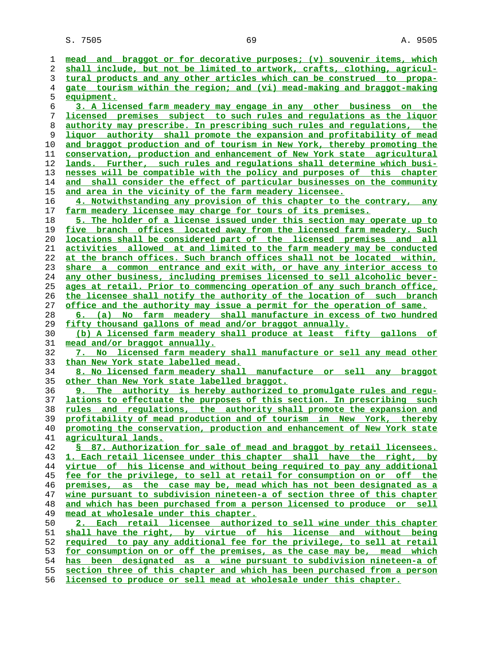S. 7505 69 A. 9505

**mead and braggot or for decorative purposes; (v) souvenir items, which shall include, but not be limited to artwork, crafts, clothing, agricul- tural products and any other articles which can be construed to propa- gate tourism within the region; and (vi) mead-making and braggot-making equipment. 3. A licensed farm meadery may engage in any other business on the licensed premises subject to such rules and regulations as the liquor authority may prescribe. In prescribing such rules and regulations, the liquor authority shall promote the expansion and profitability of mead and braggot production and of tourism in New York, thereby promoting the conservation, production and enhancement of New York state agricultural lands. Further, such rules and regulations shall determine which busi- nesses will be compatible with the policy and purposes of this chapter and shall consider the effect of particular businesses on the community and area in the vicinity of the farm meadery licensee. 4. Notwithstanding any provision of this chapter to the contrary, any farm meadery licensee may charge for tours of its premises. 5. The holder of a license issued under this section may operate up to five branch offices located away from the licensed farm meadery. Such locations shall be considered part of the licensed premises and all activities allowed at and limited to the farm meadery may be conducted at the branch offices. Such branch offices shall not be located within, share a common entrance and exit with, or have any interior access to any other business, including premises licensed to sell alcoholic bever- ages at retail. Prior to commencing operation of any such branch office, the licensee shall notify the authority of the location of such branch office and the authority may issue a permit for the operation of same. 6. (a) No farm meadery shall manufacture in excess of two hundred fifty thousand gallons of mead and/or braggot annually. (b) A licensed farm meadery shall produce at least fifty gallons of mead and/or braggot annually. 7. No licensed farm meadery shall manufacture or sell any mead other than New York state labelled mead. 8. No licensed farm meadery shall manufacture or sell any braggot other than New York state labelled braggot. 9. The authority is hereby authorized to promulgate rules and regu- lations to effectuate the purposes of this section. In prescribing such rules and regulations, the authority shall promote the expansion and profitability of mead production and of tourism in New York, thereby promoting the conservation, production and enhancement of New York state agricultural lands. § 87. Authorization for sale of mead and braggot by retail licensees. 1. Each retail licensee under this chapter shall have the right, by virtue of his license and without being required to pay any additional fee for the privilege, to sell at retail for consumption on or off the premises, as the case may be, mead which has not been designated as a wine pursuant to subdivision nineteen-a of section three of this chapter and which has been purchased from a person licensed to produce or sell mead at wholesale under this chapter. 2. Each retail licensee authorized to sell wine under this chapter shall have the right, by virtue of his license and without being required to pay any additional fee for the privilege, to sell at retail for consumption on or off the premises, as the case may be, mead which has been designated as a wine pursuant to subdivision nineteen-a of section three of this chapter and which has been purchased from a person licensed to produce or sell mead at wholesale under this chapter.**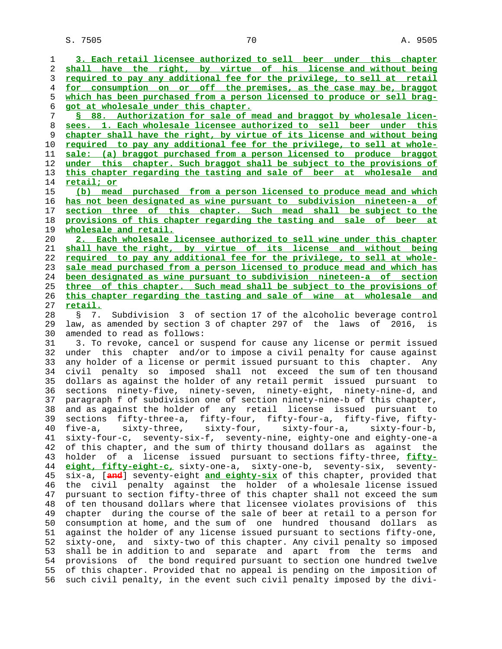S. 7505 70 A. 9505

 1 **3. Each retail licensee authorized to sell beer under this chapter** 2 **shall have the right, by virtue of his license and without being** 3 **required to pay any additional fee for the privilege, to sell at retail** 4 **for consumption on or off the premises, as the case may be, braggot** 5 **which has been purchased from a person licensed to produce or sell brag-** 6 **got at wholesale under this chapter.** 7 **§ 88. Authorization for sale of mead and braggot by wholesale licen-** 8 **sees. 1. Each wholesale licensee authorized to sell beer under this** 9 **chapter shall have the right, by virtue of its license and without being** 10 **required to pay any additional fee for the privilege, to sell at whole-** 11 **sale: (a) braggot purchased from a person licensed to produce braggot** 12 **under this chapter. Such braggot shall be subject to the provisions of** 13 **this chapter regarding the tasting and sale of beer at wholesale and** 14 **retail; or** 15 **(b) mead purchased from a person licensed to produce mead and which** 16 **has not been designated as wine pursuant to subdivision nineteen-a of** 17 **section three of this chapter. Such mead shall be subject to the** 18 **provisions of this chapter regarding the tasting and sale of beer at** 19 **wholesale and retail.** 20 **2. Each wholesale licensee authorized to sell wine under this chapter** 21 **shall have the right, by virtue of its license and without being** 22 **required to pay any additional fee for the privilege, to sell at whole-** 23 **sale mead purchased from a person licensed to produce mead and which has** 24 **been designated as wine pursuant to subdivision nineteen-a of section** 25 **three of this chapter. Such mead shall be subject to the provisions of** 26 **this chapter regarding the tasting and sale of wine at wholesale and** 27 **retail.** 28 § 7. Subdivision 3 of section 17 of the alcoholic beverage control 29 law, as amended by section 3 of chapter 297 of the laws of 2016, is 30 amended to read as follows: 31 3. To revoke, cancel or suspend for cause any license or permit issued 32 under this chapter and/or to impose a civil penalty for cause against 33 any holder of a license or permit issued pursuant to this chapter. Any 34 civil penalty so imposed shall not exceed the sum of ten thousand 35 dollars as against the holder of any retail permit issued pursuant to 36 sections ninety-five, ninety-seven, ninety-eight, ninety-nine-d, and 37 paragraph f of subdivision one of section ninety-nine-b of this chapter, 38 and as against the holder of any retail license issued pursuant to 39 sections fifty-three-a, fifty-four, fifty-four-a, fifty-five, fifty- 40 five-a, sixty-three, sixty-four, sixty-four-a, sixty-four-b, 41 sixty-four-c, seventy-six-f, seventy-nine, eighty-one and eighty-one-a 42 of this chapter, and the sum of thirty thousand dollars as against the 43 holder of a license issued pursuant to sections fifty-three, **fifty-** 44 **eight, fifty-eight-c,** sixty-one-a, sixty-one-b, seventy-six, seventy- 45 six-a, [**and**] seventy-eight **and eighty-six** of this chapter, provided that 46 the civil penalty against the holder of a wholesale license issued 47 pursuant to section fifty-three of this chapter shall not exceed the sum 48 of ten thousand dollars where that licensee violates provisions of this 49 chapter during the course of the sale of beer at retail to a person for 50 consumption at home, and the sum of one hundred thousand dollars as 51 against the holder of any license issued pursuant to sections fifty-one, 52 sixty-one, and sixty-two of this chapter. Any civil penalty so imposed 53 shall be in addition to and separate and apart from the terms and 54 provisions of the bond required pursuant to section one hundred twelve 55 of this chapter. Provided that no appeal is pending on the imposition of 56 such civil penalty, in the event such civil penalty imposed by the divi-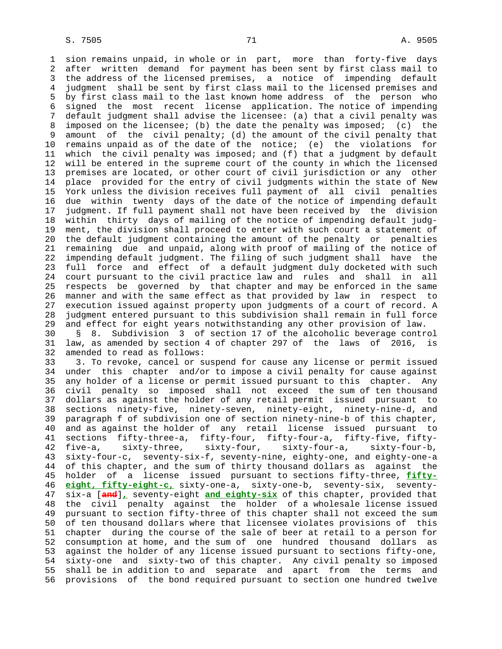1 sion remains unpaid, in whole or in part, more than forty-five days 2 after written demand for payment has been sent by first class mail to 3 the address of the licensed premises, a notice of impending default 4 judgment shall be sent by first class mail to the licensed premises and 5 by first class mail to the last known home address of the person who 6 signed the most recent license application. The notice of impending 7 default judgment shall advise the licensee: (a) that a civil penalty was 8 imposed on the licensee; (b) the date the penalty was imposed; (c) the<br>9 amount of the civil penalty; (d) the amount of the civil penalty that amount of the civil penalty; (d) the amount of the civil penalty that 10 remains unpaid as of the date of the notice; (e) the violations for 11 which the civil penalty was imposed; and (f) that a judgment by default 12 will be entered in the supreme court of the county in which the licensed 13 premises are located, or other court of civil jurisdiction or any other 14 place provided for the entry of civil judgments within the state of New 15 York unless the division receives full payment of all civil penalties 16 due within twenty days of the date of the notice of impending default 17 judgment. If full payment shall not have been received by the division 18 within thirty days of mailing of the notice of impending default judg- 19 ment, the division shall proceed to enter with such court a statement of 20 the default judgment containing the amount of the penalty or penalties 21 remaining due and unpaid, along with proof of mailing of the notice of 22 impending default judgment. The filing of such judgment shall have the 23 full force and effect of a default judgment duly docketed with such 24 court pursuant to the civil practice law and rules and shall in all 25 respects be governed by that chapter and may be enforced in the same 26 manner and with the same effect as that provided by law in respect to 27 execution issued against property upon judgments of a court of record. A 28 judgment entered pursuant to this subdivision shall remain in full force 29 and effect for eight years notwithstanding any other provision of law. 30 § 8. Subdivision 3 of section 17 of the alcoholic beverage control

 31 law, as amended by section 4 of chapter 297 of the laws of 2016, is 32 amended to read as follows:

 33 3. To revoke, cancel or suspend for cause any license or permit issued 34 under this chapter and/or to impose a civil penalty for cause against 35 any holder of a license or permit issued pursuant to this chapter. Any 36 civil penalty so imposed shall not exceed the sum of ten thousand 37 dollars as against the holder of any retail permit issued pursuant to 38 sections ninety-five, ninety-seven, ninety-eight, ninety-nine-d, and 39 paragraph f of subdivision one of section ninety-nine-b of this chapter, 40 and as against the holder of any retail license issued pursuant to 41 sections fifty-three-a, fifty-four, fifty-four-a, fifty-five, fifty- 42 five-a, sixty-three, sixty-four, sixty-four-a, sixty-four-b, 43 sixty-four-c, seventy-six-f, seventy-nine, eighty-one, and eighty-one-a 44 of this chapter, and the sum of thirty thousand dollars as against the 45 holder of a license issued pursuant to sections fifty-three, **fifty-** 46 **eight, fifty-eight-c,** sixty-one-a, sixty-one-b, seventy-six, seventy- 47 six-a [**and**]**,** seventy-eight **and eighty-six** of this chapter, provided that 48 the civil penalty against the holder of a wholesale license issued 49 pursuant to section fifty-three of this chapter shall not exceed the sum 50 of ten thousand dollars where that licensee violates provisions of this 51 chapter during the course of the sale of beer at retail to a person for 52 consumption at home, and the sum of one hundred thousand dollars as 53 against the holder of any license issued pursuant to sections fifty-one, 54 sixty-one and sixty-two of this chapter. Any civil penalty so imposed 55 shall be in addition to and separate and apart from the terms and 56 provisions of the bond required pursuant to section one hundred twelve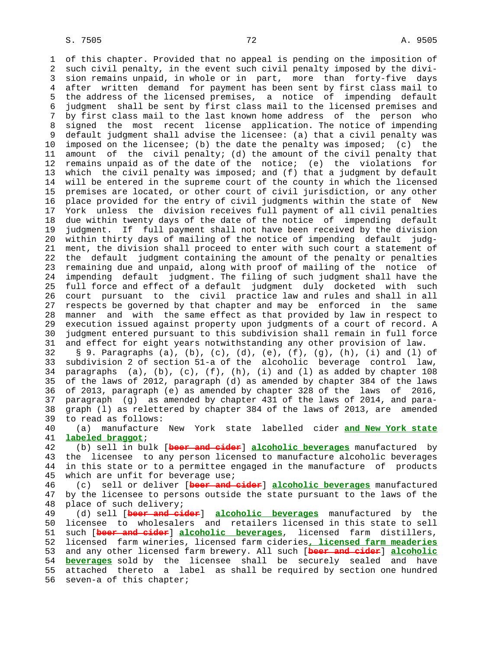1 of this chapter. Provided that no appeal is pending on the imposition of 2 such civil penalty, in the event such civil penalty imposed by the divi- 3 sion remains unpaid, in whole or in part, more than forty-five days 4 after written demand for payment has been sent by first class mail to 5 the address of the licensed premises, a notice of impending default 6 judgment shall be sent by first class mail to the licensed premises and 7 by first class mail to the last known home address of the person who 8 signed the most recent license application. The notice of impending 9 default judgment shall advise the licensee: (a) that a civil penalty was 10 imposed on the licensee; (b) the date the penalty was imposed; (c) the 11 amount of the civil penalty; (d) the amount of the civil penalty that 12 remains unpaid as of the date of the notice; (e) the violations for 13 which the civil penalty was imposed; and (f) that a judgment by default 14 will be entered in the supreme court of the county in which the licensed 15 premises are located, or other court of civil jurisdiction, or any other 16 place provided for the entry of civil judgments within the state of New 17 York unless the division receives full payment of all civil penalties 18 due within twenty days of the date of the notice of impending default 19 judgment. If full payment shall not have been received by the division 20 within thirty days of mailing of the notice of impending default judg- 21 ment, the division shall proceed to enter with such court a statement of 22 the default judgment containing the amount of the penalty or penalties 23 remaining due and unpaid, along with proof of mailing of the notice of 24 impending default judgment. The filing of such judgment shall have the 25 full force and effect of a default judgment duly docketed with such 26 court pursuant to the civil practice law and rules and shall in all 27 respects be governed by that chapter and may be enforced in the same 28 manner and with the same effect as that provided by law in respect to 29 execution issued against property upon judgments of a court of record. A 30 judgment entered pursuant to this subdivision shall remain in full force 31 and effect for eight years notwithstanding any other provision of law.

 32 § 9. Paragraphs (a), (b), (c), (d), (e), (f), (g), (h), (i) and (l) of 33 subdivision 2 of section 51-a of the alcoholic beverage control law, 34 paragraphs  $(a)$ ,  $(b)$ ,  $(c)$ ,  $(f)$ ,  $(h)$ ,  $(i)$  and  $(1)$  as added by chapter 108 35 of the laws of 2012, paragraph (d) as amended by chapter 384 of the laws 36 of 2013, paragraph (e) as amended by chapter 328 of the laws of 2016, 37 paragraph (g) as amended by chapter 431 of the laws of 2014, and para- 38 graph (l) as relettered by chapter 384 of the laws of 2013, are amended 39 to read as follows:

 40 (a) manufacture New York state labelled cider **and New York state** 41 **labeled braggot**;

 42 (b) sell in bulk [**beer and cider**] **alcoholic beverages** manufactured by 43 the licensee to any person licensed to manufacture alcoholic beverages 44 in this state or to a permittee engaged in the manufacture of products 45 which are unfit for beverage use;

 46 (c) sell or deliver [**beer and cider**] **alcoholic beverages** manufactured 47 by the licensee to persons outside the state pursuant to the laws of the 48 place of such delivery;

 49 (d) sell [**beer and cider**] **alcoholic beverages** manufactured by the 50 licensee to wholesalers and retailers licensed in this state to sell 51 such [**beer and cider**] **alcoholic beverages**, licensed farm distillers, 52 licensed farm wineries, licensed farm cideries**, licensed farm meaderies** 53 and any other licensed farm brewery. All such [**beer and cider**] **alcoholic** 54 **beverages** sold by the licensee shall be securely sealed and have 55 attached thereto a label as shall be required by section one hundred 56 seven-a of this chapter;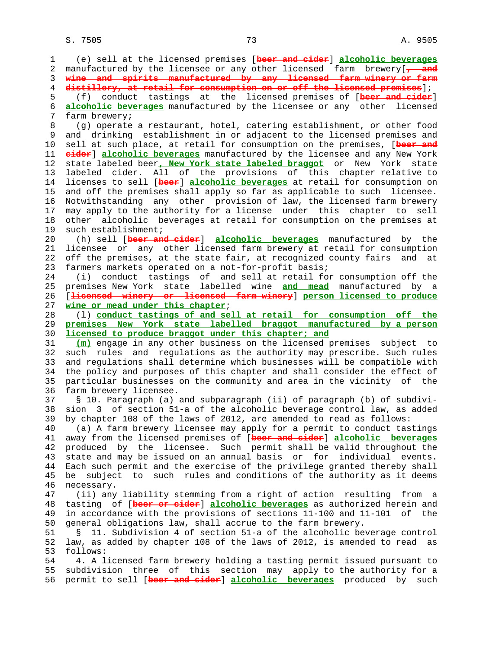1 (e) sell at the licensed premises [**beer and cider**] **alcoholic beverages** 2 manufactured by the licensee or any other licensed farm brewery[**, and** 3 **wine and spirits manufactured by any licensed farm winery or farm** 4 **distillery, at retail for consumption on or off the licensed premises**]; 5 (f) conduct tastings at the licensed premises of [**beer and cider**] 6 **alcoholic beverages** manufactured by the licensee or any other licensed 7 farm brewery; 8 (g) operate a restaurant, hotel, catering establishment, or other food<br>9 and drinking establishment in or adjacent to the licensed premises and and drinking establishment in or adjacent to the licensed premises and 10 sell at such place, at retail for consumption on the premises, [**beer and** 11 **cider**] **alcoholic beverages** manufactured by the licensee and any New York 12 state labeled beer**, New York state labeled braggot** or New York state 13 labeled cider. All of the provisions of this chapter relative to 14 licenses to sell [**beer**] **alcoholic beverages** at retail for consumption on 15 and off the premises shall apply so far as applicable to such licensee. 16 Notwithstanding any other provision of law, the licensed farm brewery 17 may apply to the authority for a license under this chapter to sell 18 other alcoholic beverages at retail for consumption on the premises at 19 such establishment; 20 (h) sell [**beer and cider**] **alcoholic beverages** manufactured by the 21 licensee or any other licensed farm brewery at retail for consumption 22 off the premises, at the state fair, at recognized county fairs and at 23 farmers markets operated on a not-for-profit basis; 24 (i) conduct tastings of and sell at retail for consumption off the 25 premises New York state labelled wine **and mead** manufactured by a 26 [**licensed winery or licensed farm winery**] **person licensed to produce** 27 **wine or mead under this chapter**; 28 (l) **conduct tastings of and sell at retail for consumption off the** 29 **premises New York state labelled braggot manufactured by a person** 30 **licensed to produce braggot under this chapter; and** 31 **(m)** engage in any other business on the licensed premises subject to 32 such rules and regulations as the authority may prescribe. Such rules 33 and regulations shall determine which businesses will be compatible with 34 the policy and purposes of this chapter and shall consider the effect of 35 particular businesses on the community and area in the vicinity of the 36 farm brewery licensee. 37 § 10. Paragraph (a) and subparagraph (ii) of paragraph (b) of subdivi- 38 sion 3 of section 51-a of the alcoholic beverage control law, as added 39 by chapter 108 of the laws of 2012, are amended to read as follows: 40 (a) A farm brewery licensee may apply for a permit to conduct tastings 41 away from the licensed premises of [**beer and cider**] **alcoholic beverages** 42 produced by the licensee. Such permit shall be valid throughout the 43 state and may be issued on an annual basis or for individual events. 44 Each such permit and the exercise of the privilege granted thereby shall 45 be subject to such rules and conditions of the authority as it deems 46 necessary. 47 (ii) any liability stemming from a right of action resulting from a 48 tasting of [**beer or cider**] **alcoholic beverages** as authorized herein and 49 in accordance with the provisions of sections 11-100 and 11-101 of the 50 general obligations law, shall accrue to the farm brewery. 51 § 11. Subdivision 4 of section 51-a of the alcoholic beverage control 52 law, as added by chapter 108 of the laws of 2012, is amended to read as 53 follows: 54 4. A licensed farm brewery holding a tasting permit issued pursuant to 55 subdivision three of this section may apply to the authority for a 56 permit to sell [**beer and cider**] **alcoholic beverages** produced by such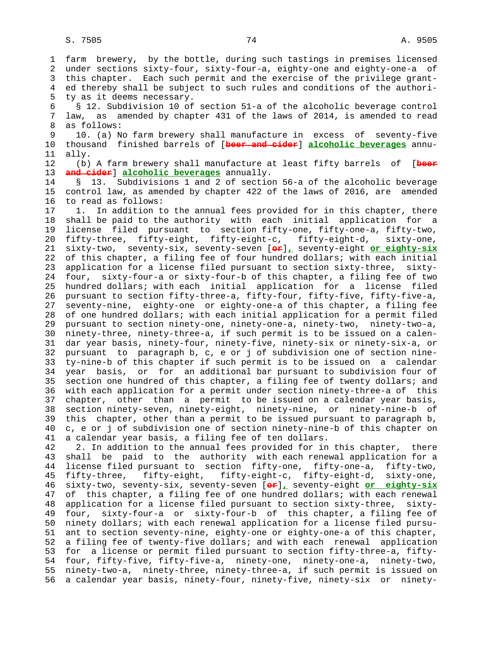1 farm brewery, by the bottle, during such tastings in premises licensed

 2 under sections sixty-four, sixty-four-a, eighty-one and eighty-one-a of 3 this chapter. Each such permit and the exercise of the privilege grant- 4 ed thereby shall be subject to such rules and conditions of the authori- 5 ty as it deems necessary. 6 § 12. Subdivision 10 of section 51-a of the alcoholic beverage control 7 law, as amended by chapter 431 of the laws of 2014, is amended to read 8 as follows:<br>9 10. (a) N 9 10. (a) No farm brewery shall manufacture in excess of seventy-five 10 thousand finished barrels of [**beer and cider**] **alcoholic beverages** annu- 11 ally. 12 (b) A farm brewery shall manufacture at least fifty barrels of [**beer** 13 **and cider**] **alcoholic beverages** annually. 14 § 13. Subdivisions 1 and 2 of section 56-a of the alcoholic beverage 15 control law, as amended by chapter 422 of the laws of 2016, are amended 16 to read as follows: 17 1. In addition to the annual fees provided for in this chapter, there 18 shall be paid to the authority with each initial application for a 19 license filed pursuant to section fifty-one, fifty-one-a, fifty-two, 20 fifty-three, fifty-eight, fifty-eight-c, fifty-eight-d, sixty-one, 21 sixty-two, seventy-six, seventy-seven [**or**]**,** seventy-eight **or eighty-six** 22 of this chapter, a filing fee of four hundred dollars; with each initial 23 application for a license filed pursuant to section sixty-three, sixty- 24 four, sixty-four-a or sixty-four-b of this chapter, a filing fee of two 25 hundred dollars; with each initial application for a license filed 26 pursuant to section fifty-three-a, fifty-four, fifty-five, fifty-five-a, 27 seventy-nine, eighty-one or eighty-one-a of this chapter, a filing fee 28 of one hundred dollars; with each initial application for a permit filed 29 pursuant to section ninety-one, ninety-one-a, ninety-two, ninety-two-a, 30 ninety-three, ninety-three-a, if such permit is to be issued on a calen- 31 dar year basis, ninety-four, ninety-five, ninety-six or ninety-six-a, or 32 pursuant to paragraph b, c, e or j of subdivision one of section nine- 33 ty-nine-b of this chapter if such permit is to be issued on a calendar 34 year basis, or for an additional bar pursuant to subdivision four of 35 section one hundred of this chapter, a filing fee of twenty dollars; and 36 with each application for a permit under section ninety-three-a of this 37 chapter, other than a permit to be issued on a calendar year basis, 38 section ninety-seven, ninety-eight, ninety-nine, or ninety-nine-b of 39 this chapter, other than a permit to be issued pursuant to paragraph b, 40 c, e or j of subdivision one of section ninety-nine-b of this chapter on 41 a calendar year basis, a filing fee of ten dollars. 42 2. In addition to the annual fees provided for in this chapter, there 43 shall be paid to the authority with each renewal application for a 44 license filed pursuant to section fifty-one, fifty-one-a, fifty-two, 45 fifty-three, fifty-eight, fifty-eight-c, fifty-eight-d, sixty-one, 46 sixty-two, seventy-six, seventy-seven [**or**]**,** seventy-eight **or eighty-six** 47 of this chapter, a filing fee of one hundred dollars; with each renewal 48 application for a license filed pursuant to section sixty-three, sixty- 49 four, sixty-four-a or sixty-four-b of this chapter, a filing fee of 50 ninety dollars; with each renewal application for a license filed pursu- 51 ant to section seventy-nine, eighty-one or eighty-one-a of this chapter, 52 a filing fee of twenty-five dollars; and with each renewal application 53 for a license or permit filed pursuant to section fifty-three-a, fifty- 54 four, fifty-five, fifty-five-a, ninety-one, ninety-one-a, ninety-two, 55 ninety-two-a, ninety-three, ninety-three-a, if such permit is issued on 56 a calendar year basis, ninety-four, ninety-five, ninety-six or ninety-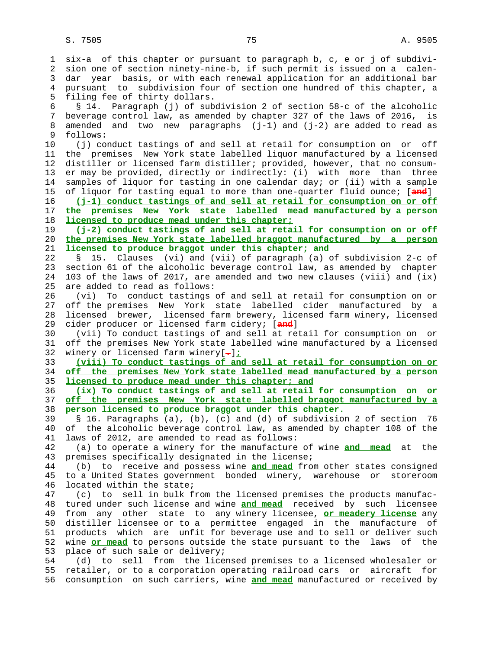1 six-a of this chapter or pursuant to paragraph b, c, e or j of subdivi- 2 sion one of section ninety-nine-b, if such permit is issued on a calen- 3 dar year basis, or with each renewal application for an additional bar 4 pursuant to subdivision four of section one hundred of this chapter, a 5 filing fee of thirty dollars. 6 § 14. Paragraph (j) of subdivision 2 of section 58-c of the alcoholic 7 beverage control law, as amended by chapter 327 of the laws of 2016, is 8 amended and two new paragraphs  $(j-1)$  and  $(j-2)$  are added to read as  $9$  follows: follows: 10 (j) conduct tastings of and sell at retail for consumption on or off 11 the premises New York state labelled liquor manufactured by a licensed 12 distiller or licensed farm distiller; provided, however, that no consum- 13 er may be provided, directly or indirectly: (i) with more than three 14 samples of liquor for tasting in one calendar day; or (ii) with a sample 15 of liquor for tasting equal to more than one-quarter fluid ounce; [**and**] 16 **(j-1) conduct tastings of and sell at retail for consumption on or off** 17 **the premises New York state labelled mead manufactured by a person** 18 **licensed to produce mead under this chapter;** 19 **(j-2) conduct tastings of and sell at retail for consumption on or off** 20 **the premises New York state labelled braggot manufactured by a person** 21 **licensed to produce braggot under this chapter; and** 22 § 15. Clauses (vi) and (vii) of paragraph (a) of subdivision 2-c of 23 section 61 of the alcoholic beverage control law, as amended by chapter 24 103 of the laws of 2017, are amended and two new clauses (viii) and (ix) 25 are added to read as follows: 26 (vi) To conduct tastings of and sell at retail for consumption on or 27 off the premises New York state labelled cider manufactured by a 28 licensed brewer, licensed farm brewery, licensed farm winery, licensed 29 cider producer or licensed farm cidery; [**and**] 30 (vii) To conduct tastings of and sell at retail for consumption on or 31 off the premises New York state labelled wine manufactured by a licensed 32 winery or licensed farm winery[**.**]**;** 33 **(viii) To conduct tastings of and sell at retail for consumption on or** 34 **off the premises New York state labelled mead manufactured by a person** 35 **licensed to produce mead under this chapter; and** 36 **(ix) To conduct tastings of and sell at retail for consumption on or** 37 **off the premises New York state labelled braggot manufactured by a** 38 **person licensed to produce braggot under this chapter.** 39 § 16. Paragraphs (a), (b), (c) and (d) of subdivision 2 of section 76 40 of the alcoholic beverage control law, as amended by chapter 108 of the 41 laws of 2012, are amended to read as follows: 42 (a) to operate a winery for the manufacture of wine **and mead** at the 43 premises specifically designated in the license; 44 (b) to receive and possess wine **and mead** from other states consigned 45 to a United States government bonded winery, warehouse or storeroom 46 located within the state; 47 (c) to sell in bulk from the licensed premises the products manufac- 48 tured under such license and wine **and mead** received by such licensee 49 from any other state to any winery licensee, **or meadery license** any 50 distiller licensee or to a permittee engaged in the manufacture of 51 products which are unfit for beverage use and to sell or deliver such 52 wine **or mead** to persons outside the state pursuant to the laws of the 53 place of such sale or delivery; 54 (d) to sell from the licensed premises to a licensed wholesaler or 55 retailer, or to a corporation operating railroad cars or aircraft for 56 consumption on such carriers, wine **and mead** manufactured or received by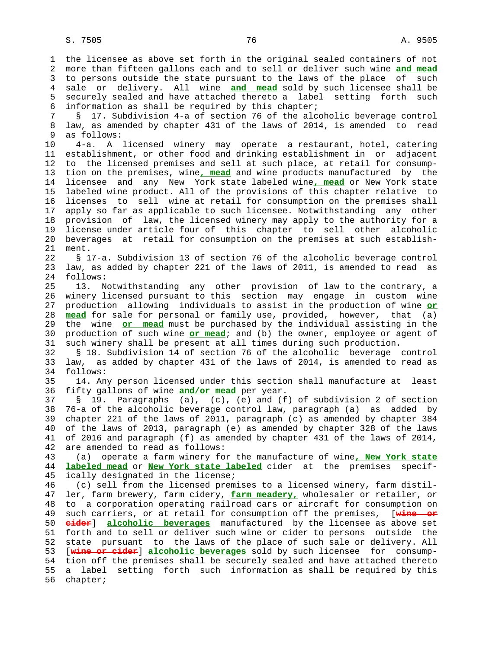1 the licensee as above set forth in the original sealed containers of not 2 more than fifteen gallons each and to sell or deliver such wine **and mead** 3 to persons outside the state pursuant to the laws of the place of such 4 sale or delivery. All wine **and mead** sold by such licensee shall be 5 securely sealed and have attached thereto a label setting forth such 6 information as shall be required by this chapter; 7 § 17. Subdivision 4-a of section 76 of the alcoholic beverage control 8 law, as amended by chapter 431 of the laws of 2014, is amended to read as follows: 10 4-a. A licensed winery may operate a restaurant, hotel, catering 11 establishment, or other food and drinking establishment in or adjacent 12 to the licensed premises and sell at such place, at retail for consump- 13 tion on the premises, wine**, mead** and wine products manufactured by the 14 licensee and any New York state labeled wine**, mead** or New York state 15 labeled wine product. All of the provisions of this chapter relative to 16 licenses to sell wine at retail for consumption on the premises shall 17 apply so far as applicable to such licensee. Notwithstanding any other 18 provision of law, the licensed winery may apply to the authority for a 19 license under article four of this chapter to sell other alcoholic 20 beverages at retail for consumption on the premises at such establish- 21 ment. 22 § 17-a. Subdivision 13 of section 76 of the alcoholic beverage control 23 law, as added by chapter 221 of the laws of 2011, is amended to read as 24 follows: 25 13. Notwithstanding any other provision of law to the contrary, a 26 winery licensed pursuant to this section may engage in custom wine 27 production allowing individuals to assist in the production of wine **or** 28 **mead** for sale for personal or family use, provided, however, that (a) 29 the wine **or mead** must be purchased by the individual assisting in the 30 production of such wine **or mead**; and (b) the owner, employee or agent of 31 such winery shall be present at all times during such production. 32 § 18. Subdivision 14 of section 76 of the alcoholic beverage control 33 law, as added by chapter 431 of the laws of 2014, is amended to read as 34 follows: 35 14. Any person licensed under this section shall manufacture at least 36 fifty gallons of wine **and/or mead** per year. 37 § 19. Paragraphs (a), (c), (e) and (f) of subdivision 2 of section 38 76-a of the alcoholic beverage control law, paragraph (a) as added by 39 chapter 221 of the laws of 2011, paragraph (c) as amended by chapter 384 40 of the laws of 2013, paragraph (e) as amended by chapter 328 of the laws 41 of 2016 and paragraph (f) as amended by chapter 431 of the laws of 2014, 42 are amended to read as follows: 43 (a) operate a farm winery for the manufacture of wine**, New York state** 44 **labeled mead** or **New York state labeled** cider at the premises specif- 45 ically designated in the license; 46 (c) sell from the licensed premises to a licensed winery, farm distil- 47 ler, farm brewery, farm cidery, **farm meadery,** wholesaler or retailer, or 48 to a corporation operating railroad cars or aircraft for consumption on 49 such carriers, or at retail for consumption off the premises, [**wine or** 50 **cider**] **alcoholic beverages** manufactured by the licensee as above set 51 forth and to sell or deliver such wine or cider to persons outside the 52 state pursuant to the laws of the place of such sale or delivery. All 53 [**wine or cider**] **alcoholic beverages** sold by such licensee for consump- 54 tion off the premises shall be securely sealed and have attached thereto 55 a label setting forth such information as shall be required by this 56 chapter;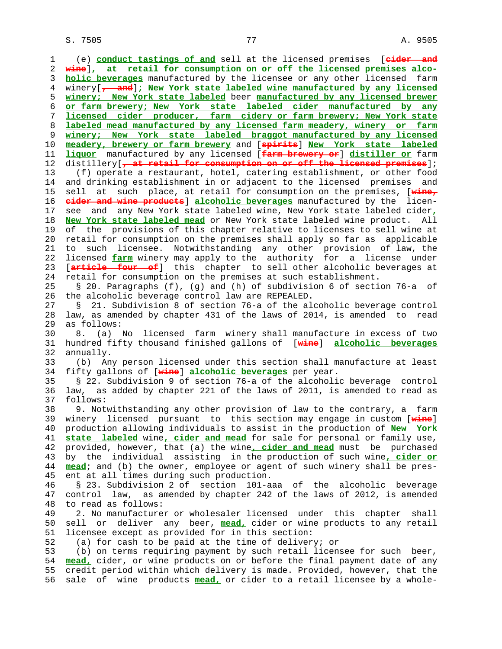S. 7505 77 A. 9505

 1 (e) **conduct tastings of and** sell at the licensed premises [**cider and** 2 **wine**]**, at retail for consumption on or off the licensed premises alco-** 3 **holic beverages** manufactured by the licensee or any other licensed farm 4 winery[**, and**]**; New York state labeled wine manufactured by any licensed** 5 **winery; New York state labeled** beer **manufactured by any licensed brewer** 6 **or farm brewery; New York state labeled cider manufactured by any** 7 **licensed cider producer, farm cidery or farm brewery; New York state** 8 **labeled mead manufactured by any licensed farm meadery, winery or farm** 9 **winery; New York state labeled braggot manufactured by any licensed** 10 **meadery, brewery or farm brewery** and [**spirits**] **New York state labeled** 11 **liquor** manufactured by any licensed [**farm brewery or**] **distiller or** farm 12 distillery[**, at retail for consumption on or off the licensed premises**]; 13 (f) operate a restaurant, hotel, catering establishment, or other food 14 and drinking establishment in or adjacent to the licensed premises and 15 sell at such place, at retail for consumption on the premises, [**wine,** 16 **cider and wine products**] **alcoholic beverages** manufactured by the licen- 17 see and any New York state labeled wine, New York state labeled cider**,** 18 **New York state labeled mead** or New York state labeled wine product. All 19 of the provisions of this chapter relative to licenses to sell wine at 20 retail for consumption on the premises shall apply so far as applicable 21 to such licensee. Notwithstanding any other provision of law, the 22 licensed **farm** winery may apply to the authority for a license under 23 [**article four of**] this chapter to sell other alcoholic beverages at 24 retail for consumption on the premises at such establishment. 25 § 20. Paragraphs (f), (g) and (h) of subdivision 6 of section 76-a of 26 the alcoholic beverage control law are REPEALED. 27 § 21. Subdivision 8 of section 76-a of the alcoholic beverage control 28 law, as amended by chapter 431 of the laws of 2014, is amended to read 29 as follows: 30 8. (a) No licensed farm winery shall manufacture in excess of two 31 hundred fifty thousand finished gallons of [**wine**] **alcoholic beverages** 32 annually. 33 (b) Any person licensed under this section shall manufacture at least 34 fifty gallons of [**wine**] **alcoholic beverages** per year. 35 § 22. Subdivision 9 of section 76-a of the alcoholic beverage control 36 law, as added by chapter 221 of the laws of 2011, is amended to read as 37 follows: 38 9. Notwithstanding any other provision of law to the contrary, a farm 39 winery licensed pursuant to this section may engage in custom [**wine**] 40 production allowing individuals to assist in the production of **New York** 41 **state labeled** wine**, cider and mead** for sale for personal or family use, 42 provided, however, that (a) the wine**, cider and mead** must be purchased 43 by the individual assisting in the production of such wine**, cider or** 44 **mead**; and (b) the owner, employee or agent of such winery shall be pres- 45 ent at all times during such production. 46 § 23. Subdivision 2 of section 101-aaa of the alcoholic beverage 47 control law, as amended by chapter 242 of the laws of 2012, is amended 48 to read as follows: 49 2. No manufacturer or wholesaler licensed under this chapter shall 50 sell or deliver any beer, **mead,** cider or wine products to any retail 51 licensee except as provided for in this section: 52 (a) for cash to be paid at the time of delivery; or 53 (b) on terms requiring payment by such retail licensee for such beer, 54 **mead,** cider, or wine products on or before the final payment date of any 55 credit period within which delivery is made. Provided, however, that the 56 sale of wine products **mead,** or cider to a retail licensee by a whole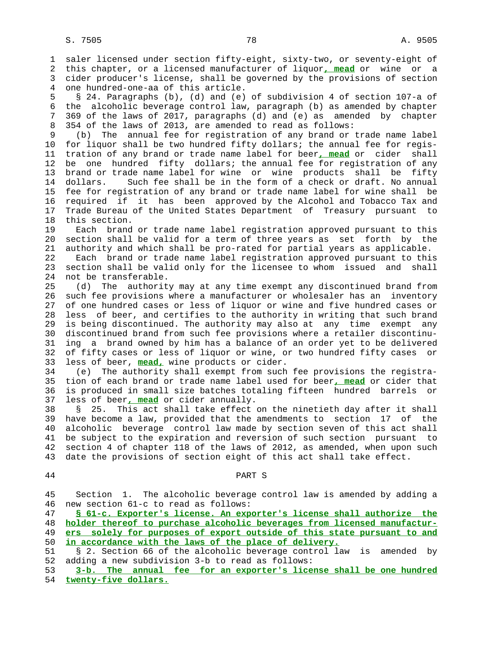1 saler licensed under section fifty-eight, sixty-two, or seventy-eight of 2 this chapter, or a licensed manufacturer of liquor**, mead** or wine or a 3 cider producer's license, shall be governed by the provisions of section 4 one hundred-one-aa of this article.

 5 § 24. Paragraphs (b), (d) and (e) of subdivision 4 of section 107-a of 6 the alcoholic beverage control law, paragraph (b) as amended by chapter 7 369 of the laws of 2017, paragraphs (d) and (e) as amended by chapter 8 354 of the laws of 2013, are amended to read as follows:

 9 (b) The annual fee for registration of any brand or trade name label 10 for liquor shall be two hundred fifty dollars; the annual fee for regis- 11 tration of any brand or trade name label for beer**, mead** or cider shall 12 be one hundred fifty dollars; the annual fee for registration of any 13 brand or trade name label for wine or wine products shall be fifty 14 dollars. Such fee shall be in the form of a check or draft. No annual 15 fee for registration of any brand or trade name label for wine shall be 16 required if it has been approved by the Alcohol and Tobacco Tax and 17 Trade Bureau of the United States Department of Treasury pursuant to 18 this section.

 19 Each brand or trade name label registration approved pursuant to this 20 section shall be valid for a term of three years as set forth by the 21 authority and which shall be pro-rated for partial years as applicable.

 22 Each brand or trade name label registration approved pursuant to this 23 section shall be valid only for the licensee to whom issued and shall 24 not be transferable.

 25 (d) The authority may at any time exempt any discontinued brand from 26 such fee provisions where a manufacturer or wholesaler has an inventory 27 of one hundred cases or less of liquor or wine and five hundred cases or 28 less of beer, and certifies to the authority in writing that such brand 29 is being discontinued. The authority may also at any time exempt any 30 discontinued brand from such fee provisions where a retailer discontinu- 31 ing a brand owned by him has a balance of an order yet to be delivered 32 of fifty cases or less of liquor or wine, or two hundred fifty cases or 33 less of beer, **mead,** wine products or cider.

 34 (e) The authority shall exempt from such fee provisions the registra- 35 tion of each brand or trade name label used for beer**, mead** or cider that 36 is produced in small size batches totaling fifteen hundred barrels or 37 less of beer**, mead** or cider annually.

 38 § 25. This act shall take effect on the ninetieth day after it shall 39 have become a law, provided that the amendments to section 17 of the 40 alcoholic beverage control law made by section seven of this act shall 41 be subject to the expiration and reversion of such section pursuant to 42 section 4 of chapter 118 of the laws of 2012, as amended, when upon such 43 date the provisions of section eight of this act shall take effect.

44 PART S

 45 Section 1. The alcoholic beverage control law is amended by adding a 46 new section 61-c to read as follows: 47 **§ 61-c. Exporter's license. An exporter's license shall authorize the** 48 **holder thereof to purchase alcoholic beverages from licensed manufactur-** 49 **ers solely for purposes of export outside of this state pursuant to and** 50 **in accordance with the laws of the place of delivery.** 51 § 2. Section 66 of the alcoholic beverage control law is amended by 52 adding a new subdivision 3-b to read as follows: 53 **3-b. The annual fee for an exporter's license shall be one hundred**

54 **twenty-five dollars.**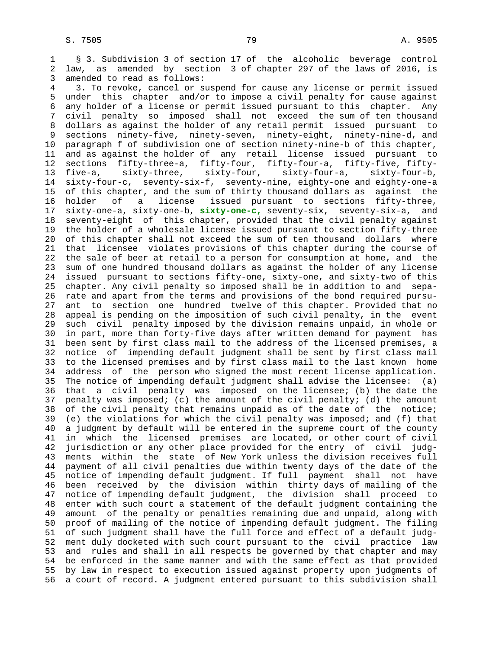1 § 3. Subdivision 3 of section 17 of the alcoholic beverage control 2 law, as amended by section 3 of chapter 297 of the laws of 2016, is 3 amended to read as follows:

 4 3. To revoke, cancel or suspend for cause any license or permit issued 5 under this chapter and/or to impose a civil penalty for cause against 6 any holder of a license or permit issued pursuant to this chapter. Any 7 civil penalty so imposed shall not exceed the sum of ten thousand 8 dollars as against the holder of any retail permit issued pursuant to<br>9 sections ninety-five, ninety-seven, ninety-eight, ninety-nine-d, and sections ninety-five, ninety-seven, ninety-eight, ninety-nine-d, and 10 paragraph f of subdivision one of section ninety-nine-b of this chapter, 11 and as against the holder of any retail license issued pursuant to 12 sections fifty-three-a, fifty-four, fifty-four-a, fifty-five, fifty- 13 five-a, sixty-three, sixty-four, sixty-four-a, sixty-four-b, 14 sixty-four-c, seventy-six-f, seventy-nine, eighty-one and eighty-one-a 15 of this chapter, and the sum of thirty thousand dollars as against the 16 holder of a license issued pursuant to sections fifty-three, 17 sixty-one-a, sixty-one-b, **sixty-one-c,** seventy-six, seventy-six-a, and 18 seventy-eight of this chapter, provided that the civil penalty against 19 the holder of a wholesale license issued pursuant to section fifty-three 20 of this chapter shall not exceed the sum of ten thousand dollars where 21 that licensee violates provisions of this chapter during the course of 22 the sale of beer at retail to a person for consumption at home, and the 23 sum of one hundred thousand dollars as against the holder of any license 24 issued pursuant to sections fifty-one, sixty-one, and sixty-two of this 25 chapter. Any civil penalty so imposed shall be in addition to and sepa- 26 rate and apart from the terms and provisions of the bond required pursu- 27 ant to section one hundred twelve of this chapter. Provided that no 28 appeal is pending on the imposition of such civil penalty, in the event 29 such civil penalty imposed by the division remains unpaid, in whole or 30 in part, more than forty-five days after written demand for payment has 31 been sent by first class mail to the address of the licensed premises, a 32 notice of impending default judgment shall be sent by first class mail 33 to the licensed premises and by first class mail to the last known home 34 address of the person who signed the most recent license application. 35 The notice of impending default judgment shall advise the licensee: (a) 36 that a civil penalty was imposed on the licensee; (b) the date the 37 penalty was imposed; (c) the amount of the civil penalty; (d) the amount 38 of the civil penalty that remains unpaid as of the date of the notice; 39 (e) the violations for which the civil penalty was imposed; and (f) that 40 a judgment by default will be entered in the supreme court of the county 41 in which the licensed premises are located, or other court of civil 42 jurisdiction or any other place provided for the entry of civil judg- 43 ments within the state of New York unless the division receives full 44 payment of all civil penalties due within twenty days of the date of the 45 notice of impending default judgment. If full payment shall not have 46 been received by the division within thirty days of mailing of the 47 notice of impending default judgment, the division shall proceed to 48 enter with such court a statement of the default judgment containing the 49 amount of the penalty or penalties remaining due and unpaid, along with 50 proof of mailing of the notice of impending default judgment. The filing 51 of such judgment shall have the full force and effect of a default judg- 52 ment duly docketed with such court pursuant to the civil practice law 53 and rules and shall in all respects be governed by that chapter and may 54 be enforced in the same manner and with the same effect as that provided 55 by law in respect to execution issued against property upon judgments of 56 a court of record. A judgment entered pursuant to this subdivision shall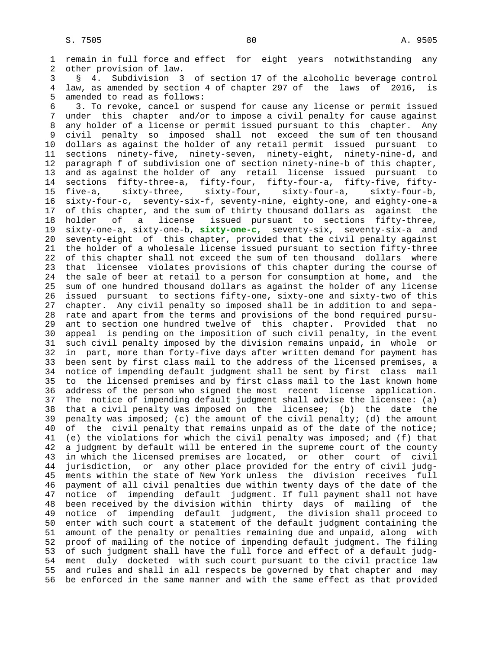1 remain in full force and effect for eight years notwithstanding any 2 other provision of law. 3 § 4. Subdivision 3 of section 17 of the alcoholic beverage control 4 law, as amended by section 4 of chapter 297 of the laws of 2016, is 5 amended to read as follows: 6 3. To revoke, cancel or suspend for cause any license or permit issued 7 under this chapter and/or to impose a civil penalty for cause against 8 any holder of a license or permit issued pursuant to this chapter. Any<br>9 civil penalty so imposed shall not exceed the sum of ten thousand 9 civil penalty so imposed shall not exceed the sum of ten thousand 10 dollars as against the holder of any retail permit issued pursuant to 11 sections ninety-five, ninety-seven, ninety-eight, ninety-nine-d, and 12 paragraph f of subdivision one of section ninety-nine-b of this chapter, 13 and as against the holder of any retail license issued pursuant to 14 sections fifty-three-a, fifty-four, fifty-four-a, fifty-five, fifty- 15 five-a, sixty-three, sixty-four, sixty-four-a, sixty-four-b, 16 sixty-four-c, seventy-six-f, seventy-nine, eighty-one, and eighty-one-a 17 of this chapter, and the sum of thirty thousand dollars as against the 18 holder of a license issued pursuant to sections fifty-three, 19 sixty-one-a, sixty-one-b, **sixty-one-c,** seventy-six, seventy-six-a and 20 seventy-eight of this chapter, provided that the civil penalty against 21 the holder of a wholesale license issued pursuant to section fifty-three 22 of this chapter shall not exceed the sum of ten thousand dollars where 23 that licensee violates provisions of this chapter during the course of 24 the sale of beer at retail to a person for consumption at home, and the 25 sum of one hundred thousand dollars as against the holder of any license 26 issued pursuant to sections fifty-one, sixty-one and sixty-two of this 27 chapter. Any civil penalty so imposed shall be in addition to and sepa- 28 rate and apart from the terms and provisions of the bond required pursu- 29 ant to section one hundred twelve of this chapter. Provided that no 30 appeal is pending on the imposition of such civil penalty, in the event 31 such civil penalty imposed by the division remains unpaid, in whole or 32 in part, more than forty-five days after written demand for payment has 33 been sent by first class mail to the address of the licensed premises, a 34 notice of impending default judgment shall be sent by first class mail 35 to the licensed premises and by first class mail to the last known home 36 address of the person who signed the most recent license application. 37 The notice of impending default judgment shall advise the licensee: (a) 38 that a civil penalty was imposed on the licensee; (b) the date the 39 penalty was imposed; (c) the amount of the civil penalty; (d) the amount 40 of the civil penalty that remains unpaid as of the date of the notice; 41 (e) the violations for which the civil penalty was imposed; and (f) that 42 a judgment by default will be entered in the supreme court of the county 43 in which the licensed premises are located, or other court of civil 44 jurisdiction, or any other place provided for the entry of civil judg- 45 ments within the state of New York unless the division receives full 46 payment of all civil penalties due within twenty days of the date of the 47 notice of impending default judgment. If full payment shall not have 48 been received by the division within thirty days of mailing of the 49 notice of impending default judgment, the division shall proceed to 50 enter with such court a statement of the default judgment containing the 51 amount of the penalty or penalties remaining due and unpaid, along with 52 proof of mailing of the notice of impending default judgment. The filing 53 of such judgment shall have the full force and effect of a default judg- 54 ment duly docketed with such court pursuant to the civil practice law 55 and rules and shall in all respects be governed by that chapter and may 56 be enforced in the same manner and with the same effect as that provided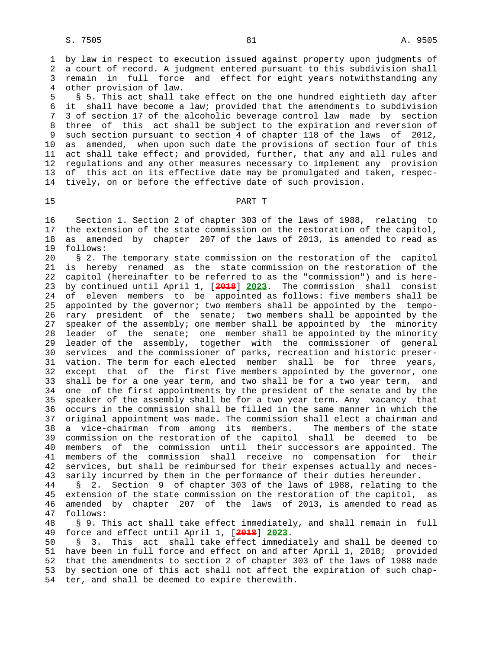1 by law in respect to execution issued against property upon judgments of 2 a court of record. A judgment entered pursuant to this subdivision shall 3 remain in full force and effect for eight years notwithstanding any 4 other provision of law.

 5 § 5. This act shall take effect on the one hundred eightieth day after 6 it shall have become a law; provided that the amendments to subdivision 7 3 of section 17 of the alcoholic beverage control law made by section 8 three of this act shall be subject to the expiration and reversion of 9 such section pursuant to section 4 of chapter 118 of the laws of 2012, 10 as amended, when upon such date the provisions of section four of this 11 act shall take effect; and provided, further, that any and all rules and 12 regulations and any other measures necessary to implement any provision 13 of this act on its effective date may be promulgated and taken, respec- 14 tively, on or before the effective date of such provision.

## 15 PART T

 16 Section 1. Section 2 of chapter 303 of the laws of 1988, relating to 17 the extension of the state commission on the restoration of the capitol, 18 as amended by chapter 207 of the laws of 2013, is amended to read as 19 follows:

 20 § 2. The temporary state commission on the restoration of the capitol 21 is hereby renamed as the state commission on the restoration of the 22 capitol (hereinafter to be referred to as the "commission") and is here- 23 by continued until April 1, [**2018**] **2023**. The commission shall consist 24 of eleven members to be appointed as follows: five members shall be 25 appointed by the governor; two members shall be appointed by the tempo- 26 rary president of the senate; two members shall be appointed by the 27 speaker of the assembly; one member shall be appointed by the minority 28 leader of the senate; one member shall be appointed by the minority 29 leader of the assembly, together with the commissioner of general 30 services and the commissioner of parks, recreation and historic preser- 31 vation. The term for each elected member shall be for three years, 32 except that of the first five members appointed by the governor, one 33 shall be for a one year term, and two shall be for a two year term, and 34 one of the first appointments by the president of the senate and by the 35 speaker of the assembly shall be for a two year term. Any vacancy that 36 occurs in the commission shall be filled in the same manner in which the 37 original appointment was made. The commission shall elect a chairman and 38 a vice-chairman from among its members. The members of the state 39 commission on the restoration of the capitol shall be deemed to be 40 members of the commission until their successors are appointed. The 41 members of the commission shall receive no compensation for their 42 services, but shall be reimbursed for their expenses actually and neces- 43 sarily incurred by them in the performance of their duties hereunder.

 44 § 2. Section 9 of chapter 303 of the laws of 1988, relating to the 45 extension of the state commission on the restoration of the capitol, as 46 amended by chapter 207 of the laws of 2013, is amended to read as 47 follows:

 48 § 9. This act shall take effect immediately, and shall remain in full 49 force and effect until April 1, [**2018**] **2023**.

 50 § 3. This act shall take effect immediately and shall be deemed to 51 have been in full force and effect on and after April 1, 2018; provided 52 that the amendments to section 2 of chapter 303 of the laws of 1988 made 53 by section one of this act shall not affect the expiration of such chap- 54 ter, and shall be deemed to expire therewith.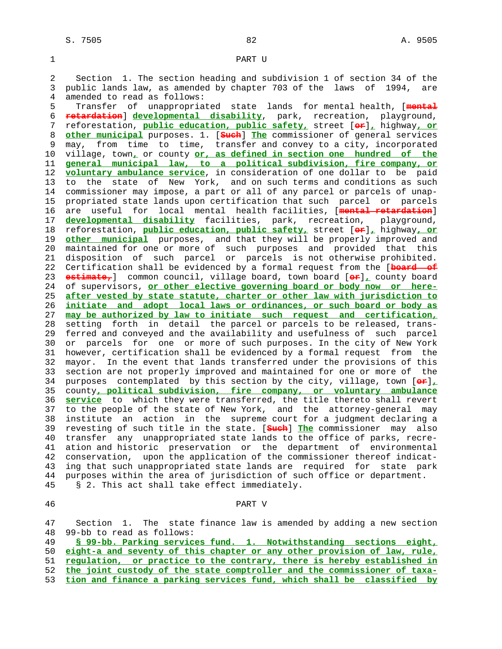### 1 PART U

 2 Section 1. The section heading and subdivision 1 of section 34 of the 3 public lands law, as amended by chapter 703 of the laws of 1994, are 4 amended to read as follows: 5 Transfer of unappropriated state lands for mental health, [**mental** 6 **retardation**] **developmental disability**, park, recreation, playground, 7 reforestation, **public education, public safety,** street [**or**]**,** highway**, or** 8 **other municipal** purposes. 1. [**Such**] **The** commissioner of general services 9 may, from time to time, transfer and convey to a city, incorporated 10 village, town**,** or county **or, as defined in section one hundred of the** 11 **general municipal law, to a political subdivision, fire company, or** 12 **voluntary ambulance service**, in consideration of one dollar to be paid 13 to the state of New York, and on such terms and conditions as such 14 commissioner may impose, a part or all of any parcel or parcels of unap- 15 propriated state lands upon certification that such parcel or parcels 16 are useful for local mental health facilities, [**mental retardation**] 17 **developmental disability** facilities, park, recreation, playground, 18 reforestation, **public education, public safety,** street [**or**]**,** highway**, or** 19 **other municipal** purposes, and that they will be properly improved and 20 maintained for one or more of such purposes and provided that this 21 disposition of such parcel or parcels is not otherwise prohibited. 22 Certification shall be evidenced by a formal request from the [**board of** 23 **estimate,**] common council, village board, town board [**or**]**,** county board 24 of supervisors, **or other elective governing board or body now or here-** 25 **after vested by state statute, charter or other law with jurisdiction to** 26 **initiate and adopt local laws or ordinances, or such board or body as** 27 **may be authorized by law to initiate such request and certification,** 28 setting forth in detail the parcel or parcels to be released, trans- 29 ferred and conveyed and the availability and usefulness of such parcel 30 or parcels for one or more of such purposes. In the city of New York 31 however, certification shall be evidenced by a formal request from the 32 mayor. In the event that lands transferred under the provisions of this 33 section are not properly improved and maintained for one or more of the 34 purposes contemplated by this section by the city, village, town [**or**]**,** 35 county**, political subdivision, fire company, or voluntary ambulance** 36 **service** to which they were transferred, the title thereto shall revert 37 to the people of the state of New York, and the attorney-general may 38 institute an action in the supreme court for a judgment declaring a 39 revesting of such title in the state. [**Such**] **The** commissioner may also 40 transfer any unappropriated state lands to the office of parks, recre- 41 ation and historic preservation or the department of environmental 42 conservation, upon the application of the commissioner thereof indicat- 43 ing that such unappropriated state lands are required for state park 44 purposes within the area of jurisdiction of such office or department. 45 § 2. This act shall take effect immediately.

46 PART V

 47 Section 1. The state finance law is amended by adding a new section 48 99-bb to read as follows: 49 **§ 99-bb. Parking services fund. 1. Notwithstanding sections eight,** 50 **eight-a and seventy of this chapter or any other provision of law, rule,** 51 **regulation, or practice to the contrary, there is hereby established in**

52 **the joint custody of the state comptroller and the commissioner of taxa-**

53 **tion and finance a parking services fund, which shall be classified by**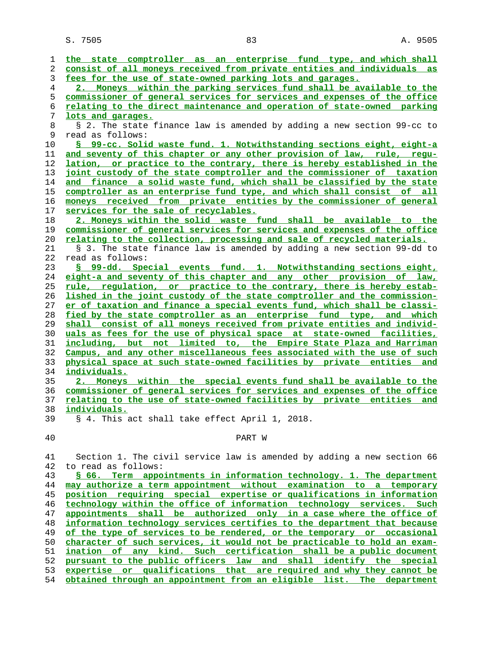S. 7505 83 A. 9505

| 1              | the state comptroller as an enterprise fund type, and which shall        |
|----------------|--------------------------------------------------------------------------|
| 2              | consist of all moneys received from private entities and individuals as  |
| 3              | fees for the use of state-owned parking lots and garages.                |
| $\overline{4}$ | 2. Moneys within the parking services fund shall be available to the     |
| 5              | commissioner of general services for services and expenses of the office |
| 6              | relating to the direct maintenance and operation of state-owned parking  |
| 7              | lots and garages.                                                        |
| 8              | § 2. The state finance law is amended by adding a new section 99-cc to   |
| 9              | read as follows:                                                         |
| 10             | § 99-cc. Solid waste fund. 1. Notwithstanding sections eight, eight-a    |
| 11             | and seventy of this chapter or any other provision of law, rule, requ-   |
| 12             | lation, or practice to the contrary, there is hereby established in the  |
| 13             | joint custody of the state comptroller and the commissioner of taxation  |
| 14             |                                                                          |
|                | and finance a solid waste fund, which shall be classified by the state   |
| 15             | comptroller as an enterprise fund type, and which shall consist of all   |
| 16             | moneys received from private entities by the commissioner of general     |
| 17             | services for the sale of recyclables.                                    |
| 18             | 2. Moneys within the solid waste fund shall be available to the          |
| 19             | commissioner of general services for services and expenses of the office |
| 20             | relating to the collection, processing and sale of recycled materials.   |
| 21             | § 3. The state finance law is amended by adding a new section 99-dd to   |
| 22             | read as follows:                                                         |
| 23             | § 99-dd. Special events fund. 1. Notwithstanding sections eight,         |
| 24             | eight-a and seventy of this chapter and any other provision of law,      |
| 25             | rule, regulation, or practice to the contrary, there is hereby estab-    |
| 26             | lished in the joint custody of the state comptroller and the commission- |
|                | er of taxation and finance a special events fund, which shall be classi- |
| 27<br>28       | fied by the state comptroller as an enterprise fund type, and which      |
| 29             | shall consist of all moneys received from private entities and individ-  |
|                |                                                                          |
| 30<br>31       | uals as fees for the use of physical space at state-owned facilities,    |
|                | including, but not limited to, the Empire State Plaza and Harriman       |
| 32             | Campus, and any other miscellaneous fees associated with the use of such |
| 33             | physical space at such state-owned facilities by private entities and    |
| 34             | individuals.                                                             |
| 35<br>36       | 2. Moneys within the special events fund shall be available to the       |
|                | commissioner of general services for services and expenses of the office |
| 37<br>38       | relating to the use of state-owned facilities by private entities and    |
|                | individuals.                                                             |
|                | § 4. This act shall take effect April 1, 2018.                           |
|                |                                                                          |
|                | PART W                                                                   |
|                |                                                                          |
| 41             | Section 1. The civil service law is amended by adding a new section 66   |
|                | to read as follows:                                                      |
| 42             | § 66. Term appointments in information technology. 1. The department     |
| 43<br>44       | may authorize a term appointment without examination to a temporary      |
| 45             | position requiring special expertise or qualifications in information    |
|                |                                                                          |
| 46             | technology within the office of information technology services. Such    |
| 47             | appointments shall be authorized only in a case where the office of      |
| 48             | information technology services certifies to the department that because |
| 49             | of the type of services to be rendered, or the temporary or occasional   |
| 50             | character of such services, it would not be practicable to hold an exam- |
| 51             | ination of any kind. Such certification shall be a public document       |
| 52             | pursuant to the public officers law and shall identify the special       |
| 53             | expertise or qualifications that are required and why they cannot be     |
| 54             | obtained through an appointment from an eligible list. The department    |
|                |                                                                          |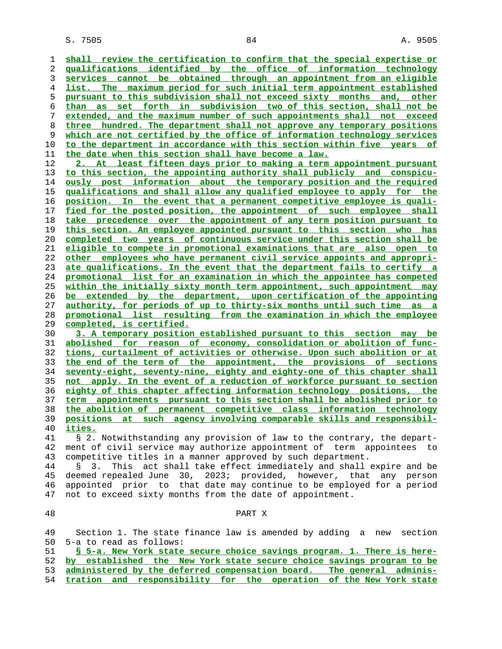$S. 7505$   $84$   $R. 9505$ 

**shall review the certification to confirm that the special expertise or qualifications identified by the office of information technology services cannot be obtained through an appointment from an eligible list. The maximum period for such initial term appointment established pursuant to this subdivision shall not exceed sixty months and, other than as set forth in subdivision two of this section, shall not be extended, and the maximum number of such appointments shall not exceed three hundred. The department shall not approve any temporary positions which are not certified by the office of information technology services to the department in accordance with this section within five years of the date when this section shall have become a law. 2. At least fifteen days prior to making a term appointment pursuant to this section, the appointing authority shall publicly and conspicu- ously post information about the temporary position and the required qualifications and shall allow any qualified employee to apply for the position. In the event that a permanent competitive employee is quali- fied for the posted position, the appointment of such employee shall take precedence over the appointment of any term position pursuant to this section. An employee appointed pursuant to this section who has completed two years of continuous service under this section shall be eligible to compete in promotional examinations that are also open to other employees who have permanent civil service appoints and appropri- ate qualifications. In the event that the department fails to certify a promotional list for an examination in which the appointee has competed within the initially sixty month term appointment, such appointment may be extended by the department, upon certification of the appointing authority, for periods of up to thirty-six months until such time as a promotional list resulting from the examination in which the employee completed, is certified. 3. A temporary position established pursuant to this section may be abolished for reason of economy, consolidation or abolition of func- tions, curtailment of activities or otherwise. Upon such abolition or at the end of the term of the appointment, the provisions of sections seventy-eight, seventy-nine, eighty and eighty-one of this chapter shall not apply. In the event of a reduction of workforce pursuant to section eighty of this chapter affecting information technology positions, the term appointments pursuant to this section shall be abolished prior to the abolition of permanent competitive class information technology positions at such agency involving comparable skills and responsibil- ities.** 41 § 2. Notwithstanding any provision of law to the contrary, the depart- 42 ment of civil service may authorize appointment of term appointees to 43 competitive titles in a manner approved by such department. 44 § 3. This act shall take effect immediately and shall expire and be 45 deemed repealed June 30, 2023; provided, however, that any person 46 appointed prior to that date may continue to be employed for a period 47 not to exceed sixty months from the date of appointment. 48 PART X

 49 Section 1. The state finance law is amended by adding a new section 50 5-a to read as follows:

**§ 5-a. New York state secure choice savings program. 1. There is here- by established the New York state secure choice savings program to be administered by the deferred compensation board. The general adminis- tration and responsibility for the operation of the New York state**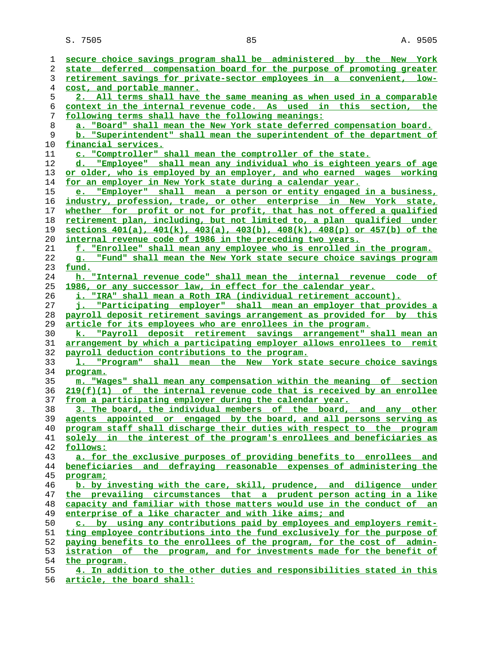S. 7505 A. 9505

| 1<br>2   | secure choice savings program shall be administered by the New York<br>state deferred compensation board for the purpose of promoting greater |
|----------|-----------------------------------------------------------------------------------------------------------------------------------------------|
| 3        | retirement savings for private-sector employees in a convenient, low-                                                                         |
| 4        | cost, and portable manner.                                                                                                                    |
| 5        | 2. All terms shall have the same meaning as when used in a comparable                                                                         |
| 6        | context in the internal revenue code. As used in this section, the                                                                            |
| 7        | following terms shall have the following meanings:                                                                                            |
| 8        | a. "Board" shall mean the New York state deferred compensation board.                                                                         |
| 9        | b. "Superintendent" shall mean the superintendent of the department of                                                                        |
| 10       | financial services.                                                                                                                           |
| 11       | c. "Comptroller" shall mean the comptroller of the state.                                                                                     |
| 12       | d. "Employee" shall mean any individual who is eighteen years of age                                                                          |
| 13       | or older, who is employed by an employer, and who earned wages working                                                                        |
| 14       | for an employer in New York state during a calendar year.                                                                                     |
| 15       | e. "Employer" shall mean a person or entity engaged in a business,                                                                            |
| 16       | industry, profession, trade, or other enterprise in New York state,                                                                           |
| 17       | whether for profit or not for profit, that has not offered a qualified                                                                        |
| 18       | <u>retirement plan, including, but not limited to, a plan qualified under</u>                                                                 |
| 19       | sections 401(a), 401(k), 403(a), 403(b), 408(k), 408(p) or 457(b) of the                                                                      |
| 20       | internal revenue code of 1986 in the preceding two years.                                                                                     |
| 21       | f. "Enrollee" shall mean any employee who is enrolled in the program.                                                                         |
| 22       | g. "Fund" shall mean the New York state secure choice savings program                                                                         |
| 23       | fund.                                                                                                                                         |
| 24       | h. "Internal revenue code" shall mean the internal revenue code of                                                                            |
| 25       | 1986, or any successor law, in effect for the calendar year.                                                                                  |
| 26       | i. "IRA" shall mean a Roth IRA (individual retirement account).                                                                               |
| 27       | j. "Participating employer" shall mean an employer that provides a                                                                            |
| 28       | payroll deposit retirement savings arrangement as provided for by this                                                                        |
| 29<br>30 | article for its employees who are enrollees in the program.                                                                                   |
| 31       | k. "Payroll deposit retirement savings arrangement" shall mean an<br>arrangement by which a participating employer allows enrollees to remit  |
| 32       | payroll deduction contributions to the program.                                                                                               |
| 33       | 1. "Program" shall mean the New York state secure choice savings                                                                              |
| 34       | program.                                                                                                                                      |
| 35       | m. "Wages" shall mean any compensation within the meaning of section                                                                          |
| 36       | $219(f)(1)$ of the internal revenue code that is received by an enrollee                                                                      |
| 37       | from a participating employer during the calendar year.                                                                                       |
| 38       | 3. The board, the individual members of the board, and any other                                                                              |
| 39       | agents appointed or engaged by the board, and all persons serving as                                                                          |
| 40       | program staff shall discharge their duties with respect to the program                                                                        |
| 41       | solely in the interest of the program's enrollees and beneficiaries as                                                                        |
| 42       | follows:                                                                                                                                      |
| 43       | a. for the exclusive purposes of providing benefits to enrollees<br>and                                                                       |
| 44       | beneficiaries and defraying reasonable expenses of administering the                                                                          |
| 45       | program;                                                                                                                                      |
| 46       | b. by investing with the care, skill, prudence, and diligence under                                                                           |
| 47       | the prevailing circumstances that a prudent person acting in a like                                                                           |
| 48       | capacity and familiar with those matters would use in the conduct of an                                                                       |
| 49       | enterprise of a like character and with like aims; and                                                                                        |
| 50       | c. by using any contributions paid by employees and employers remit-                                                                          |
| 51       | ting employee contributions into the fund exclusively for the purpose of                                                                      |
| 52       | paying benefits to the enrollees of the program, for the cost of admin-                                                                       |
| 53       | istration of the program, and for investments made for the benefit of                                                                         |
| 54       | the program.                                                                                                                                  |
| 55       | 4. In addition to the other duties and responsibilities stated in this                                                                        |

**article, the board shall:**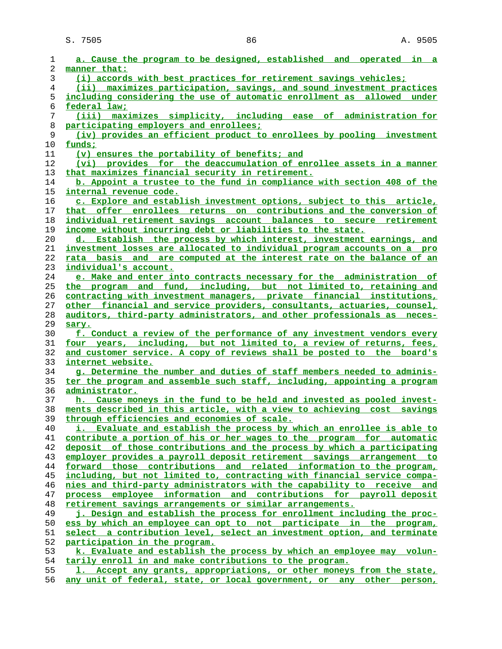S. 7505 86 86 A. 9505

| 1              | a. Cause the program to be designed, established and operated in a                                                                              |
|----------------|-------------------------------------------------------------------------------------------------------------------------------------------------|
| 2              | manner that:                                                                                                                                    |
| 3              | (i) accords with best practices for retirement savings vehicles;                                                                                |
| $\overline{4}$ | (ii) maximizes participation, savings, and sound investment practices                                                                           |
| 5              | including considering the use of automatic enrollment as allowed under                                                                          |
| 6              | federal law;                                                                                                                                    |
| 7              | (iii) maximizes simplicity, including ease of administration for                                                                                |
| 8              | participating employers and enrollees;                                                                                                          |
| 9              | (iv) provides an efficient product to enrollees by pooling investment                                                                           |
| 10             | funds;                                                                                                                                          |
| 11             | (v) ensures the portability of benefits; and                                                                                                    |
| 12             | (vi) provides for the deaccumulation of enrollee assets in a manner                                                                             |
| 13             | that maximizes financial security in retirement.                                                                                                |
| 14             | b. Appoint a trustee to the fund in compliance with section 408 of the                                                                          |
| 15             | internal revenue code.                                                                                                                          |
| 16             | c. Explore and establish investment options, subject to this article,                                                                           |
| 17             | that offer enrollees returns on contributions and the conversion of                                                                             |
| 18             | individual retirement savings account balances to secure retirement                                                                             |
| 19             | income without incurring debt or liabilities to the state.                                                                                      |
| 20             | d. Establish the process by which interest, investment earnings, and                                                                            |
| 21             | investment losses are allocated to individual program accounts on a pro                                                                         |
| 22             | rata basis and are computed at the interest rate on the balance of an                                                                           |
| 23             | individual's account.                                                                                                                           |
| 24             | e. Make and enter into contracts necessary for the administration of                                                                            |
| 25             | the program and fund, including, but not limited to, retaining and                                                                              |
| 26             | contracting with investment managers, private financial institutions,                                                                           |
| 27             | other financial and service providers, consultants, actuaries, counsel,                                                                         |
| 28             | auditors, third-party administrators, and other professionals as neces-                                                                         |
| 29             | sary.                                                                                                                                           |
| 30             | f. Conduct a review of the performance of any investment vendors every<br>four years, including, but not limited to, a review of returns, fees, |
| 31<br>32       | and customer service. A copy of reviews shall be posted to the board's                                                                          |
| 33             | internet website.                                                                                                                               |
| 34             | g. Determine the number and duties of staff members needed to adminis-                                                                          |
| 35             | ter the program and assemble such staff, including, appointing a program                                                                        |
| 36             | administrator.                                                                                                                                  |
| 37             | h. Cause moneys in the fund to be held and invested as pooled invest-                                                                           |
| 38             | ments described in this article, with a view to achieving cost savings                                                                          |
| 39             | through efficiencies and economies of scale.                                                                                                    |
| 40             | Evaluate and establish the process by which an enrollee is able to                                                                              |
| 41             | contribute a portion of his or her wages to the program for automatic                                                                           |
| 42             | deposit of those contributions and the process by which a participating                                                                         |
| 43             | employer provides a payroll deposit retirement savings arrangement to                                                                           |
| 44             | forward those contributions and related information to the program,                                                                             |
| 45             | including, but not limited to, contracting with financial service compa-                                                                        |
| 46             | nies and third-party administrators with the capability to receive and                                                                          |
| 47             | process employee information and contributions for payroll deposit                                                                              |
| 48             | retirement savings arrangements or similar arrangements.                                                                                        |
| 49             | j. Design and establish the process for enrollment including the proc-                                                                          |
| 50             | ess by which an employee can opt to not participate in the program,                                                                             |
| 51             | select a contribution level, select an investment option, and terminate                                                                         |
| 52             | participation in the program.                                                                                                                   |
| 53             | k. Evaluate and establish the process by which an employee may volun-                                                                           |
| 54             | tarily enroll in and make contributions to the program.                                                                                         |
| 55             | 1. Accept any grants, appropriations, or other moneys from the state,                                                                           |

**any unit of federal, state, or local government, or any other person,**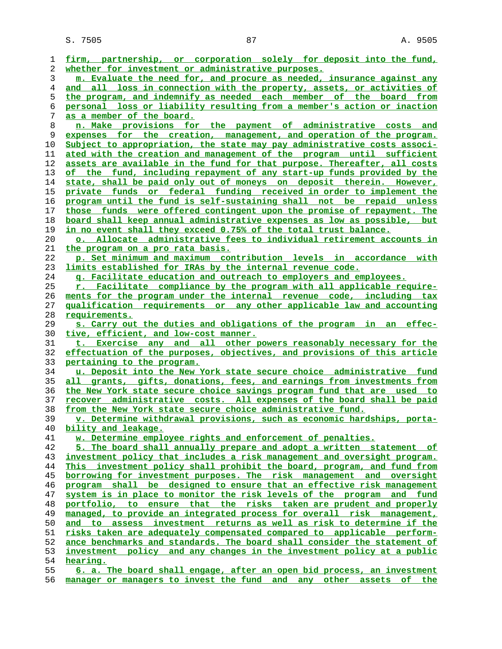S. 7505 87 87 A. 9505

| 1              | firm, partnership, or corporation solely for deposit into the fund,          |
|----------------|------------------------------------------------------------------------------|
|                |                                                                              |
| 2              | whether for investment or administrative purposes.                           |
| 3              | m. Evaluate the need for, and procure as needed, insurance against any       |
| $\overline{4}$ | and all loss in connection with the property, assets, or activities of       |
| 5              | the program, and indemnify as needed each member of the board from           |
| 6              | personal loss or liability resulting from a member's action or inaction      |
| 7              | <u>as a member of the board.</u>                                             |
| 8              | n. Make provisions for the payment of administrative costs and               |
| 9              | expenses for the creation, management, and operation of the program.         |
|                | Subject to appropriation, the state may pay administrative costs associ-     |
| 10             |                                                                              |
| 11             | ated with the creation and management of the program until sufficient        |
| 12             | assets are available in the fund for that purpose. Thereafter, all costs     |
| 13             | of the fund, including repayment of any start-up funds provided by the       |
| 14             | state, shall be paid only out of moneys on deposit therein. However,         |
| 15             | private funds or federal funding received in order to implement the          |
| 16             | program until the fund is self-sustaining shall not be repaid unless         |
| 17             | those funds were offered contingent upon the promise of repayment. The       |
| 18             | board shall keep annual administrative expenses as low as possible, but      |
| 19             | in no event shall they exceed 0.75% of the total trust balance.              |
| 20             | o. Allocate administrative fees to individual retirement accounts in         |
|                |                                                                              |
| 21             | the program on a pro rata basis.                                             |
| 22             | p. Set minimum and maximum contribution levels in accordance with            |
| 23             | limits established for IRAs by the internal revenue code.                    |
| 24             | g. Facilitate education and outreach to employers and employees.             |
| 25             | r. Facilitate compliance by the program with all applicable require-         |
| 26             | ments for the program under the internal revenue code, including tax         |
| 27             | <u>qualification requirements or any other applicable law and accounting</u> |
| 28             | requirements.                                                                |
| 29             | s. Carry out the duties and obligations of the program in an<br>effec-       |
| 30             | tive, efficient, and low-cost manner.                                        |
| 31             | t. Exercise any and all other powers reasonably necessary for the            |
| 32             | effectuation of the purposes, objectives, and provisions of this article     |
| 33             | pertaining to the program.                                                   |
|                |                                                                              |
| 34             | u. Deposit into the New York state secure choice administrative fund         |
| 35             | all grants, gifts, donations, fees, and earnings from investments from       |
| 36             | the New York state secure choice savings program fund that are used to       |
| 37             | administrative costs. All expenses of the board shall be paid<br>recover     |
| 38             | from the New York state secure choice administrative fund.                   |
| 39             | v. Determine withdrawal provisions, such as economic hardships, porta-       |
| 40             | bility and leakage.                                                          |
| 41             | w. Determine employee rights and enforcement of penalties.                   |
| 42             | 5. The board shall annually prepare and adopt a written statement of         |
| 43             | investment policy that includes a risk management and oversight program.     |
| 44             | This investment policy shall prohibit the board, program, and fund from      |
| 45             | borrowing for investment purposes. The risk management and oversight         |
| 46             | program shall be designed to ensure that an effective risk management        |
|                |                                                                              |
| 47             | system is in place to monitor the risk levels of the program and fund        |
| 48             | portfolio, to ensure that the risks taken are prudent and properly           |
| 49             | managed, to provide an integrated process for overall risk management,       |
| 50             | assess investment returns as well as risk to determine if the<br>and to      |
| 51             | risks taken are adequately compensated compared to applicable perform-       |
| 52             | ance benchmarks and standards. The board shall consider the statement of     |
| 53             | investment policy and any changes in the investment policy at a public       |
| 54             | hearing.                                                                     |
| 55             | 6. a. The board shall engage, after an open bid process, an investment       |
| 56             | manager or managers to invest the fund and any other assets of the           |
|                |                                                                              |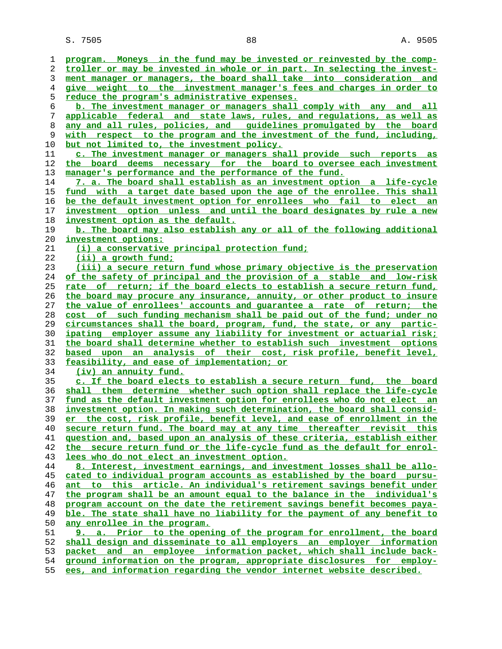S. 7505 88 A. 9505

| 1  | program. Moneys in the fund may be invested or reinvested by the comp-   |
|----|--------------------------------------------------------------------------|
| 2  | troller or may be invested in whole or in part. In selecting the invest- |
| 3  | ment manager or managers, the board shall take into consideration and    |
| 4  | give weight to the investment manager's fees and charges in order to     |
| 5  | <u>reduce the program's administrative expenses.</u>                     |
| 6  | b. The investment manager or managers shall comply with any and all      |
| 7  | applicable federal and state laws, rules, and requlations, as well as    |
| 8  | any and all rules, policies, and guidelines promulgated by the board     |
| 9  | with respect to the program and the investment of the fund, including,   |
| 10 | but not limited to, the investment policy.                               |
| 11 | c. The investment manager or managers shall provide such reports as      |
| 12 | the board deems necessary for the board to oversee each investment       |
| 13 | manager's performance and the performance of the fund.                   |
| 14 | 7. a. The board shall establish as an investment option a life-cycle     |
| 15 | fund with a target date based upon the age of the enrollee. This shall   |
| 16 | be the default investment option for enrollees who fail to elect an      |
| 17 | investment option unless and until the board designates by rule a new    |
| 18 | <u>investment option as the default.</u>                                 |
| 19 | b. The board may also establish any or all of the following additional   |
| 20 | investment options:                                                      |
| 21 | (i) a conservative principal protection fund;                            |
| 22 | $(ii)$ a growth fund;                                                    |
| 23 | (iii) a secure return fund whose primary objective is the preservation   |
| 24 | of the safety of principal and the provision of a stable and low-risk    |
| 25 | rate of return; if the board elects to establish a secure return fund,   |
| 26 | the board may procure any insurance, annuity, or other product to insure |
| 27 | the value of enrollees' accounts and quarantee a rate of return; the     |
| 28 | cost of such funding mechanism shall be paid out of the fund; under no   |
| 29 | circumstances shall the board, program, fund, the state, or any partic-  |
| 30 | ipating employer assume any liability for investment or actuarial risk;  |
| 31 | the board shall determine whether to establish such investment options   |
| 32 | based upon an analysis of their cost, risk profile, benefit level,       |
| 33 | feasibility, and ease of implementation; or                              |
| 34 | (iv) an annuity fund.                                                    |
| 35 | c. If the board elects to establish a secure return fund, the board      |
| 36 | shall them determine whether such option shall replace the life-cycle    |
| 37 | fund as the default investment option for enrollees who do not elect an  |
| 38 | investment option. In making such determination, the board shall consid- |
| 39 | er the cost, risk profile, benefit level, and ease of enrollment in the  |
| 40 | secure return fund. The board may at any time thereafter revisit this    |
| 41 | guestion and, based upon an analysis of these criteria, establish either |
| 42 | the secure return fund or the life-cycle fund as the default for enrol-  |
| 43 | lees who do not elect an investment option.                              |
| 44 | 8. Interest, investment earnings, and investment losses shall be allo-   |
| 45 | cated to individual program accounts as established by the board pursu-  |
| 46 | ant to this article. An individual's retirement savings benefit under    |
| 47 | the program shall be an amount equal to the balance in the individual's  |
| 48 | program account on the date the retirement savings benefit becomes paya- |
| 49 | ble. The state shall have no liability for the payment of any benefit to |
| 50 | any enrollee in the program.                                             |
| 51 | 9. a. Prior to the opening of the program for enrollment, the board      |
| 52 | shall design and disseminate to all employers an employer information    |
| 53 | and an employee information packet, which shall include back-<br>packet  |
| 54 | ground information on the program, appropriate disclosures for employ-   |

**ees, and information regarding the vendor internet website described.**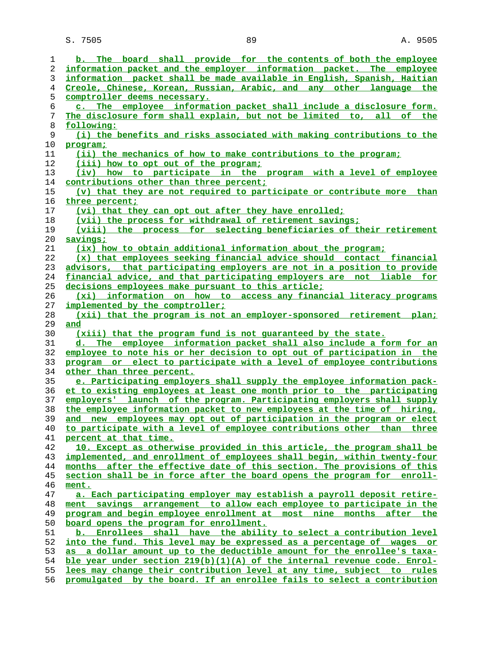S. 7505 89 A. 9505

| 1  | b. The board shall provide for the contents of both the employee           |
|----|----------------------------------------------------------------------------|
| 2  | information packet and the employer information packet. The employee       |
| 3  | information packet shall be made available in English, Spanish, Haitian    |
| 4  | Creole, Chinese, Korean, Russian, Arabic, and any other language the       |
| 5  | comptroller deems necessary.                                               |
| 6  | c. The employee information packet shall include a disclosure form.        |
| 7  | The disclosure form shall explain, but not be limited to, all of the       |
| 8  | following:                                                                 |
| 9  | (i) the benefits and risks associated with making contributions to the     |
| 10 | program;                                                                   |
| 11 | (ii) the mechanics of how to make contributions to the program;            |
| 12 | (iii) how to opt out of the program;                                       |
| 13 | (iv) how to participate in the program with a level of employee            |
| 14 | <u>contributions other than three percent;</u>                             |
| 15 | (v) that they are not required to participate or contribute more than      |
|    |                                                                            |
| 16 | three percent;                                                             |
| 17 | (vi) that they can opt out after they have enrolled;                       |
| 18 | (vii) the process for withdrawal of retirement savings;                    |
| 19 | (viii) the process for selecting beneficiaries of their retirement         |
| 20 | savings;                                                                   |
| 21 | (ix) how to obtain additional information about the program;               |
| 22 | (x) that employees seeking financial advice should contact financial       |
| 23 | advisors, that participating employers are not in a position to provide    |
| 24 | financial advice, and that participating employers are not liable for      |
| 25 | decisions employees make pursuant to this article;                         |
| 26 | (xi) information on how to access any financial literacy programs          |
| 27 | implemented by the comptroller;                                            |
| 28 | (xii) that the program is not an employer-sponsored retirement plan;       |
|    |                                                                            |
| 29 | and                                                                        |
|    |                                                                            |
| 30 | (xiii) that the program fund is not guaranteed by the state.               |
| 31 | d. The employee information packet shall also include a form for an        |
| 32 | employee to note his or her decision to opt out of participation in the    |
| 33 | program or elect to participate with a level of employee contributions     |
| 34 | other than three percent.                                                  |
| 35 | e. Participating employers shall supply the employee information pack-     |
| 36 | et to existing employees at least one month prior to the participating     |
| 37 | employers' launch of the program. Participating employers shall supply     |
| 38 | the employee information packet to new employees at the time of hiring,    |
| 39 | and new employees may opt out of participation in the program or elect     |
| 40 | to participate with a level of employee contributions other than three     |
| 41 | percent at that time.                                                      |
| 42 | 10. Except as otherwise provided in this article, the program shall be     |
| 43 | implemented, and enrollment of employees shall begin, within twenty-four   |
| 44 | months after the effective date of this section. The provisions of this    |
| 45 | section shall be in force after the board opens the program for enroll-    |
| 46 | ment.                                                                      |
| 47 | a. Each participating employer may establish a payroll deposit retire-     |
| 48 | ment savings arrangement to allow each employee to participate in the      |
| 49 | program and begin employee enrollment at most nine months after the        |
| 50 | board opens the program for enrollment.                                    |
| 51 | b. Enrollees shall have the ability to select a contribution level         |
| 52 | into the fund. This level may be expressed as a percentage of wages or     |
| 53 | a dollar amount up to the deductible amount for the enrollee's taxa-<br>as |
| 54 | ble year under section 219(b)(1)(A) of the internal revenue code. Enrol-   |
| 55 | lees may change their contribution level at any time, subject to rules     |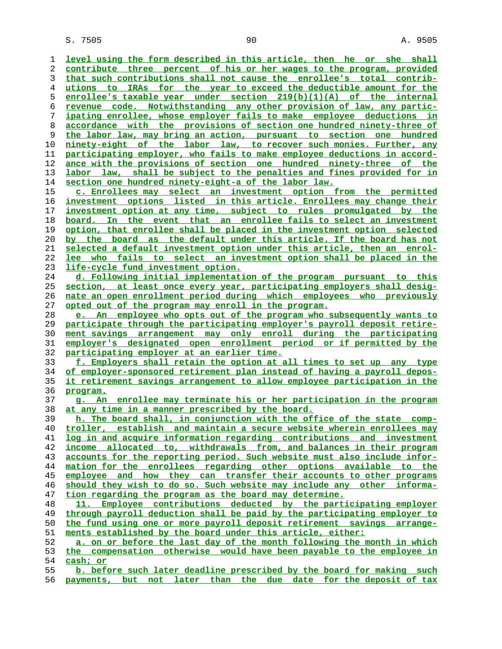S. 7505 90 A. 9505

**level using the form described in this article, then he or she shall contribute three percent of his or her wages to the program, provided that such contributions shall not cause the enrollee's total contrib- utions to IRAs for the year to exceed the deductible amount for the enrollee's taxable year under section 219(b)(1)(A) of the internal revenue code. Notwithstanding any other provision of law, any partic- ipating enrollee, whose employer fails to make employee deductions in accordance with the provisions of section one hundred ninety-three of the labor law, may bring an action, pursuant to section one hundred ninety-eight of the labor law, to recover such monies. Further, any participating employer, who fails to make employee deductions in accord- ance with the provisions of section one hundred ninety-three of the labor law, shall be subject to the penalties and fines provided for in section one hundred ninety-eight-a of the labor law. c. Enrollees may select an investment option from the permitted investment options listed in this article. Enrollees may change their investment option at any time, subject to rules promulgated by the board. In the event that an enrollee fails to select an investment option, that enrollee shall be placed in the investment option selected by the board as the default under this article. If the board has not selected a default investment option under this article, then an enrol- lee who fails to select an investment option shall be placed in the life-cycle fund investment option. d. Following initial implementation of the program pursuant to this section, at least once every year, participating employers shall desig- nate an open enrollment period during which employees who previously opted out of the program may enroll in the program. e. An employee who opts out of the program who subsequently wants to participate through the participating employer's payroll deposit retire- ment savings arrangement may only enroll during the participating employer's designated open enrollment period or if permitted by the participating employer at an earlier time. f. Employers shall retain the option at all times to set up any type of employer-sponsored retirement plan instead of having a payroll depos- it retirement savings arrangement to allow employee participation in the program. g. An enrollee may terminate his or her participation in the program at any time in a manner prescribed by the board. h. The board shall, in conjunction with the office of the state comp- troller, establish and maintain a secure website wherein enrollees may log in and acquire information regarding contributions and investment income allocated to, withdrawals from, and balances in their program accounts for the reporting period. Such website must also include infor- mation for the enrollees regarding other options available to the employee and how they can transfer their accounts to other programs should they wish to do so. Such website may include any other informa- tion regarding the program as the board may determine. 11. Employee contributions deducted by the participating employer through payroll deduction shall be paid by the participating employer to the fund using one or more payroll deposit retirement savings arrange- ments established by the board under this article, either: a. on or before the last day of the month following the month in which the compensation otherwise would have been payable to the employee in cash; or b. before such later deadline prescribed by the board for making such**

**payments, but not later than the due date for the deposit of tax**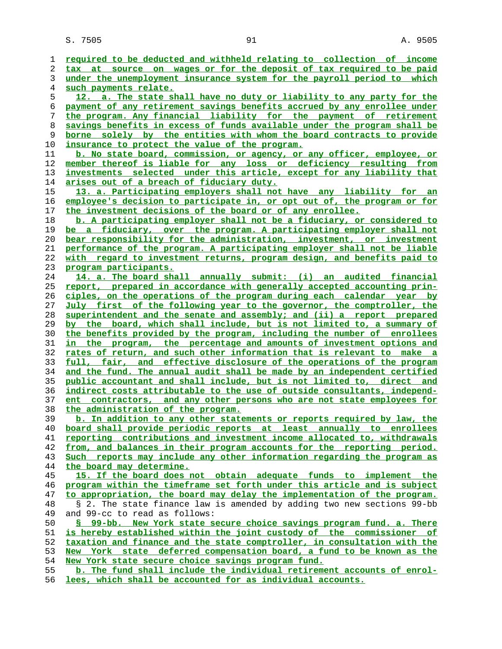S. 7505 91 A. 9505

**required to be deducted and withheld relating to collection of income tax at source on wages or for the deposit of tax required to be paid under the unemployment insurance system for the payroll period to which such payments relate. 12. a. The state shall have no duty or liability to any party for the payment of any retirement savings benefits accrued by any enrollee under the program. Any financial liability for the payment of retirement savings benefits in excess of funds available under the program shall be borne solely by the entities with whom the board contracts to provide insurance to protect the value of the program. b. No state board, commission, or agency, or any officer, employee, or member thereof is liable for any loss or deficiency resulting from investments selected under this article, except for any liability that arises out of a breach of fiduciary duty. 13. a. Participating employers shall not have any liability for an employee's decision to participate in, or opt out of, the program or for the investment decisions of the board or of any enrollee. b. A participating employer shall not be a fiduciary, or considered to be a fiduciary, over the program. A participating employer shall not bear responsibility for the administration, investment, or investment performance of the program. A participating employer shall not be liable with regard to investment returns, program design, and benefits paid to program participants. 14. a. The board shall annually submit: (i) an audited financial report, prepared in accordance with generally accepted accounting prin- ciples, on the operations of the program during each calendar year by July first of the following year to the governor, the comptroller, the superintendent and the senate and assembly; and (ii) a report prepared by the board, which shall include, but is not limited to, a summary of the benefits provided by the program, including the number of enrollees in the program, the percentage and amounts of investment options and rates of return, and such other information that is relevant to make a full, fair, and effective disclosure of the operations of the program and the fund. The annual audit shall be made by an independent certified public accountant and shall include, but is not limited to, direct and indirect costs attributable to the use of outside consultants, independ- ent contractors, and any other persons who are not state employees for the administration of the program. b. In addition to any other statements or reports required by law, the board shall provide periodic reports at least annually to enrollees reporting contributions and investment income allocated to, withdrawals from, and balances in their program accounts for the reporting period. Such reports may include any other information regarding the program as the board may determine. 15. If the board does not obtain adequate funds to implement the program within the timeframe set forth under this article and is subject to appropriation, the board may delay the implementation of the program.** 48 § 2. The state finance law is amended by adding two new sections 99-bb and 99-cc to read as follows: **§ 99-bb. New York state secure choice savings program fund. a. There is hereby established within the joint custody of the commissioner of taxation and finance and the state comptroller, in consultation with the New York state deferred compensation board, a fund to be known as the New York state secure choice savings program fund. b. The fund shall include the individual retirement accounts of enrol- lees, which shall be accounted for as individual accounts.**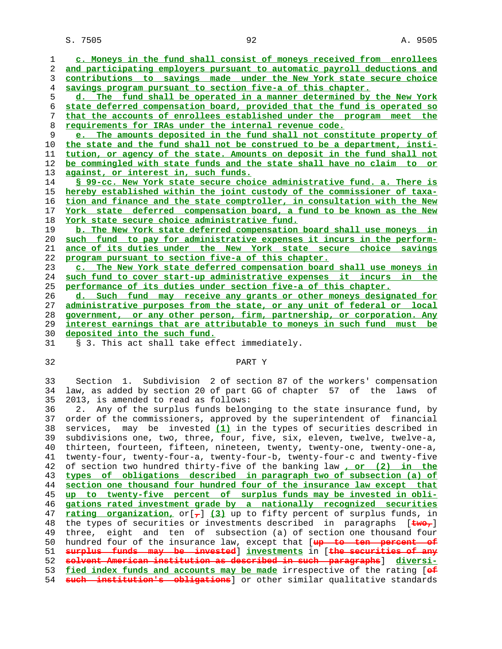S. 7505 92 A. 9505

| 1             | c. Moneys in the fund shall consist of moneys received from enrollees                                                                              |
|---------------|----------------------------------------------------------------------------------------------------------------------------------------------------|
| 2             | and participating employers pursuant to automatic payroll deductions and                                                                           |
| 3             | contributions to savings made under the New York state secure choice                                                                               |
| 4             | savings program pursuant to section five-a of this chapter.                                                                                        |
| 5             | d. The fund shall be operated in a manner determined by the New York                                                                               |
| 6             | state deferred compensation board, provided that the fund is operated so                                                                           |
| 7             | that the accounts of enrollees established under the program meet the                                                                              |
| 8             | requirements for IRAs under the internal revenue code.                                                                                             |
| 9             | e. The amounts deposited in the fund shall not constitute property of                                                                              |
| 10            | the state and the fund shall not be construed to be a department, insti-                                                                           |
| 11            | tution, or agency of the state. Amounts on deposit in the fund shall not                                                                           |
| 12            | be commingled with state funds and the state shall have no claim to or                                                                             |
| 13            | against, or interest in, such funds.                                                                                                               |
| 14            | § 99-cc. New York state secure choice administrative fund. a. There is                                                                             |
| 15            | hereby established within the joint custody of the commissioner of taxa-                                                                           |
| 16            | tion and finance and the state comptroller, in consultation with the New                                                                           |
| 17            | York state deferred compensation board, a fund to be known as the New                                                                              |
| 18            | York state secure choice administrative fund.                                                                                                      |
| 19            | b. The New York state deferred compensation board shall use moneys in                                                                              |
| 20            | such fund to pay for administrative expenses it incurs in the perform-                                                                             |
| 21            | ance of its duties under the New York state secure choice savings                                                                                  |
| 22            | program pursuant to section five-a of this chapter.                                                                                                |
| 23            | c. The New York state deferred compensation board shall use moneys in                                                                              |
| 24            | such fund to cover start-up administrative expenses it incurs in the                                                                               |
| 25            | performance of its duties under section five-a of this chapter.                                                                                    |
| 26            | d. Such fund may receive any grants or other moneys designated for                                                                                 |
| 27<br>28      | administrative purposes from the state, or any unit of federal or local<br>government, or any other person, firm, partnership, or corporation. Any |
| 29            | interest earnings that are attributable to moneys in such fund must be                                                                             |
| 30            | deposited into the such fund.                                                                                                                      |
| 31            | § 3. This act shall take effect immediately.                                                                                                       |
|               |                                                                                                                                                    |
| 32            | PART Y                                                                                                                                             |
|               |                                                                                                                                                    |
| 33            | Section 1. Subdivision 2 of section 87 of the workers' compensation                                                                                |
| 34            | law, as added by section 20 of part GG of chapter 57 of the laws of                                                                                |
| 35            | 2013, is amended to read as follows:                                                                                                               |
| 36            | Any of the surplus funds belonging to the state insurance fund, by<br>2.                                                                           |
| 37            | order of the commissioners, approved by the superintendent of financial                                                                            |
| $\sim$ $\sim$ | the contract of the contract of the contract of the contract of the contract of the contract of the contract of                                    |

 38 services, may be invested **(1)** in the types of securities described in 39 subdivisions one, two, three, four, five, six, eleven, twelve, twelve-a, 40 thirteen, fourteen, fifteen, nineteen, twenty, twenty-one, twenty-one-a, 41 twenty-four, twenty-four-a, twenty-four-b, twenty-four-c and twenty-five 42 of section two hundred thirty-five of the banking law **, or (2) in the types of obligations described in paragraph two of subsection (a) of section one thousand four hundred four of the insurance law except that up to twenty-five percent of surplus funds may be invested in obli- gations rated investment grade by a nationally recognized securities rating organization,** or[**,**] **(3)** up to fifty percent of surplus funds, in 48 the types of securities or investments described in paragraphs [**two,**] 49 three, eight and ten of subsection (a) of section one thousand four 50 hundred four of the insurance law, except that [**up to ten percent of surplus funds may be invested**] **investments** in [**the securities of any solvent American institution as described in such paragraphs**] **diversi- fied index funds and accounts may be made** irrespective of the rating [**of such institution's obligations**] or other similar qualitative standards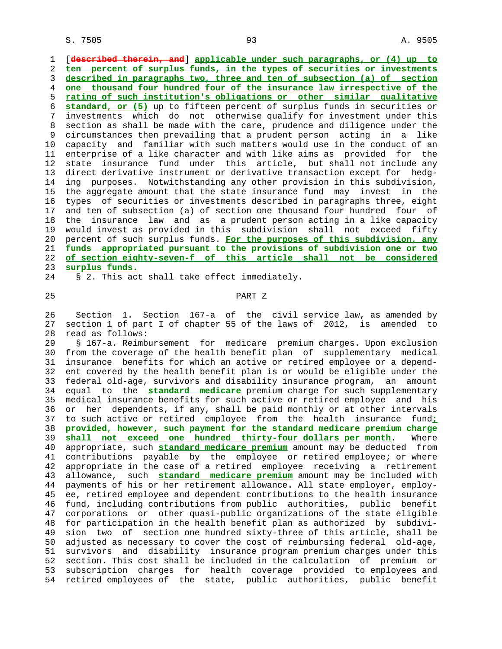S. 7505 93 A. 9505

 1 [**described therein, and**] **applicable under such paragraphs, or (4) up to** 2 **ten percent of surplus funds, in the types of securities or investments** 3 **described in paragraphs two, three and ten of subsection (a) of section** 4 **one thousand four hundred four of the insurance law irrespective of the** 5 **rating of such institution's obligations or other similar qualitative** 6 **standard, or (5)** up to fifteen percent of surplus funds in securities or 7 investments which do not otherwise qualify for investment under this 8 section as shall be made with the care, prudence and diligence under the<br>9 circumstances then prevailing that a prudent person acting in a like 9 circumstances then prevailing that a prudent person acting in a like 10 capacity and familiar with such matters would use in the conduct of an 11 enterprise of a like character and with like aims as provided for the 12 state insurance fund under this article, but shall not include any 13 direct derivative instrument or derivative transaction except for hedg- 14 ing purposes. Notwithstanding any other provision in this subdivision, 15 the aggregate amount that the state insurance fund may invest in the 16 types of securities or investments described in paragraphs three, eight 17 and ten of subsection (a) of section one thousand four hundred four of 18 the insurance law and as a prudent person acting in a like capacity 19 would invest as provided in this subdivision shall not exceed fifty 20 percent of such surplus funds. **For the purposes of this subdivision, any** 21 **funds appropriated pursuant to the provisions of subdivision one or two** 22 **of section eighty-seven-f of this article shall not be considered** 23 **surplus funds.**

# 25 PART Z

 26 Section 1. Section 167-a of the civil service law, as amended by 27 section 1 of part I of chapter 55 of the laws of 2012, is amended to 28 read as follows:

24 § 2. This act shall take effect immediately.

 29 § 167-a. Reimbursement for medicare premium charges. Upon exclusion 30 from the coverage of the health benefit plan of supplementary medical 31 insurance benefits for which an active or retired employee or a depend- 32 ent covered by the health benefit plan is or would be eligible under the 33 federal old-age, survivors and disability insurance program, an amount 34 equal to the **standard medicare** premium charge for such supplementary 35 medical insurance benefits for such active or retired employee and his 36 or her dependents, if any, shall be paid monthly or at other intervals 37 to such active or retired employee from the health insurance fund**;** 38 **provided, however, such payment for the standard medicare premium charge** 39 **shall not exceed one hundred thirty-four dollars per month**. Where 40 appropriate, such **standard medicare premium** amount may be deducted from 41 contributions payable by the employee or retired employee; or where 42 appropriate in the case of a retired employee receiving a retirement 43 allowance, such **standard medicare premium** amount may be included with 44 payments of his or her retirement allowance. All state employer, employ- 45 ee, retired employee and dependent contributions to the health insurance 46 fund, including contributions from public authorities, public benefit 47 corporations or other quasi-public organizations of the state eligible 48 for participation in the health benefit plan as authorized by subdivi- 49 sion two of section one hundred sixty-three of this article, shall be 50 adjusted as necessary to cover the cost of reimbursing federal old-age, 51 survivors and disability insurance program premium charges under this 52 section. This cost shall be included in the calculation of premium or 53 subscription charges for health coverage provided to employees and 54 retired employees of the state, public authorities, public benefit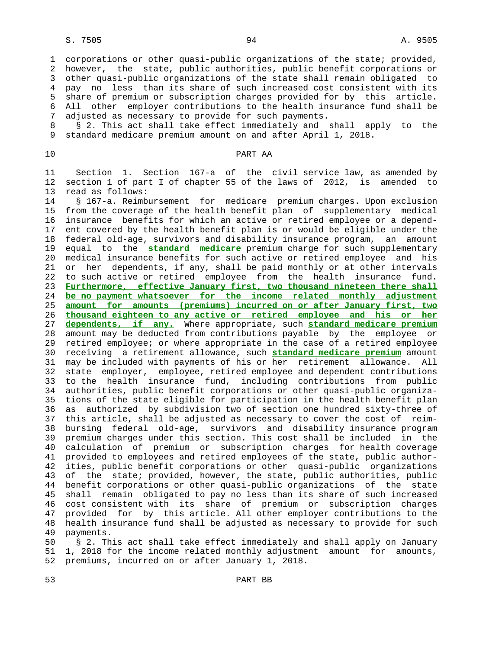1 corporations or other quasi-public organizations of the state; provided, 2 however, the state, public authorities, public benefit corporations or 3 other quasi-public organizations of the state shall remain obligated to 4 pay no less than its share of such increased cost consistent with its 5 share of premium or subscription charges provided for by this article. 6 All other employer contributions to the health insurance fund shall be 7 adjusted as necessary to provide for such payments.

 8 § 2. This act shall take effect immediately and shall apply to the 9 standard medicare premium amount on and after April 1, 2018.

# 10 PART AA

 11 Section 1. Section 167-a of the civil service law, as amended by 12 section 1 of part I of chapter 55 of the laws of 2012, is amended to 13 read as follows:

 14 § 167-a. Reimbursement for medicare premium charges. Upon exclusion 15 from the coverage of the health benefit plan of supplementary medical 16 insurance benefits for which an active or retired employee or a depend- 17 ent covered by the health benefit plan is or would be eligible under the 18 federal old-age, survivors and disability insurance program, an amount 19 equal to the **standard medicare** premium charge for such supplementary 20 medical insurance benefits for such active or retired employee and his 21 or her dependents, if any, shall be paid monthly or at other intervals 22 to such active or retired employee from the health insurance fund. 23 **Furthermore, effective January first, two thousand nineteen there shall** 24 **be no payment whatsoever for the income related monthly adjustment** 25 **amount for amounts (premiums) incurred on or after January first, two** 26 **thousand eighteen to any active or retired employee and his or her** 27 **dependents, if any.** Where appropriate, such **standard medicare premium** 28 amount may be deducted from contributions payable by the employee or 29 retired employee; or where appropriate in the case of a retired employee 30 receiving a retirement allowance, such **standard medicare premium** amount 31 may be included with payments of his or her retirement allowance. All 32 state employer, employee, retired employee and dependent contributions 33 to the health insurance fund, including contributions from public 34 authorities, public benefit corporations or other quasi-public organiza- 35 tions of the state eligible for participation in the health benefit plan 36 as authorized by subdivision two of section one hundred sixty-three of 37 this article, shall be adjusted as necessary to cover the cost of reim- 38 bursing federal old-age, survivors and disability insurance program 39 premium charges under this section. This cost shall be included in the 40 calculation of premium or subscription charges for health coverage 41 provided to employees and retired employees of the state, public author- 42 ities, public benefit corporations or other quasi-public organizations 43 of the state; provided, however, the state, public authorities, public 44 benefit corporations or other quasi-public organizations of the state 45 shall remain obligated to pay no less than its share of such increased 46 cost consistent with its share of premium or subscription charges 47 provided for by this article. All other employer contributions to the 48 health insurance fund shall be adjusted as necessary to provide for such 49 payments.

 50 § 2. This act shall take effect immediately and shall apply on January 51 1, 2018 for the income related monthly adjustment amount for amounts, 52 premiums, incurred on or after January 1, 2018.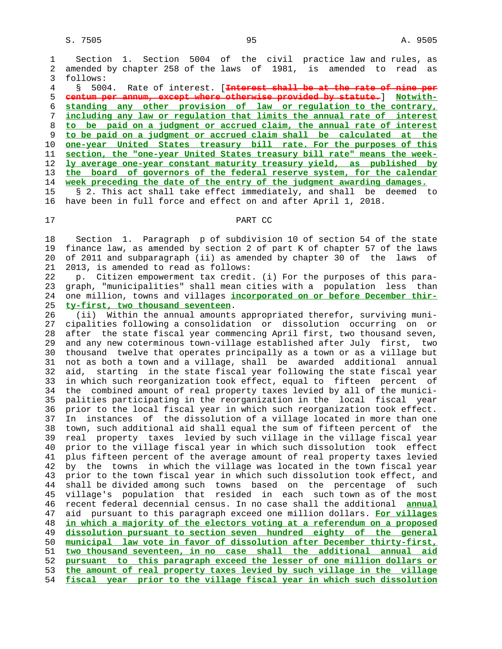1 Section 1. Section 5004 of the civil practice law and rules, as 2 amended by chapter 258 of the laws of 1981, is amended to read as 3 follows:

 4 § 5004. Rate of interest. [**Interest shall be at the rate of nine per centum per annum, except where otherwise provided by statute.**] **Notwith- standing any other provision of law or regulation to the contrary, including any law or regulation that limits the annual rate of interest to be paid on a judgment or accrued claim, the annual rate of interest to be paid on a judgment or accrued claim shall be calculated at the one-year United States treasury bill rate. For the purposes of this section, the "one-year United States treasury bill rate" means the week- ly average one-year constant maturity treasury yield, as published by the board of governors of the federal reserve system, for the calendar week preceding the date of the entry of the judgment awarding damages.**

 15 § 2. This act shall take effect immediately, and shall be deemed to 16 have been in full force and effect on and after April 1, 2018.

### 17 PART CC

 18 Section 1. Paragraph p of subdivision 10 of section 54 of the state 19 finance law, as amended by section 2 of part K of chapter 57 of the laws 20 of 2011 and subparagraph (ii) as amended by chapter 30 of the laws of 21 2013, is amended to read as follows:

 22 p. Citizen empowerment tax credit. (i) For the purposes of this para- 23 graph, "municipalities" shall mean cities with a population less than 24 one million, towns and villages **incorporated on or before December thir-** 25 **ty-first, two thousand seventeen**.

 26 (ii) Within the annual amounts appropriated therefor, surviving muni- 27 cipalities following a consolidation or dissolution occurring on or 28 after the state fiscal year commencing April first, two thousand seven, 29 and any new coterminous town-village established after July first, two 30 thousand twelve that operates principally as a town or as a village but 31 not as both a town and a village, shall be awarded additional annual 32 aid, starting in the state fiscal year following the state fiscal year 33 in which such reorganization took effect, equal to fifteen percent of 34 the combined amount of real property taxes levied by all of the munici- 35 palities participating in the reorganization in the local fiscal year 36 prior to the local fiscal year in which such reorganization took effect. 37 In instances of the dissolution of a village located in more than one 38 town, such additional aid shall equal the sum of fifteen percent of the 39 real property taxes levied by such village in the village fiscal year 40 prior to the village fiscal year in which such dissolution took effect 41 plus fifteen percent of the average amount of real property taxes levied 42 by the towns in which the village was located in the town fiscal year 43 prior to the town fiscal year in which such dissolution took effect, and 44 shall be divided among such towns based on the percentage of such 45 village's population that resided in each such town as of the most 46 recent federal decennial census. In no case shall the additional **annual** 47 aid pursuant to this paragraph exceed one million dollars. **For villages** 48 **in which a majority of the electors voting at a referendum on a proposed** 49 **dissolution pursuant to section seven hundred eighty of the general** 50 **municipal law vote in favor of dissolution after December thirty-first,** 51 **two thousand seventeen, in no case shall the additional annual aid** 52 **pursuant to this paragraph exceed the lesser of one million dollars or** 53 **the amount of real property taxes levied by such village in the village** 54 **fiscal year prior to the village fiscal year in which such dissolution**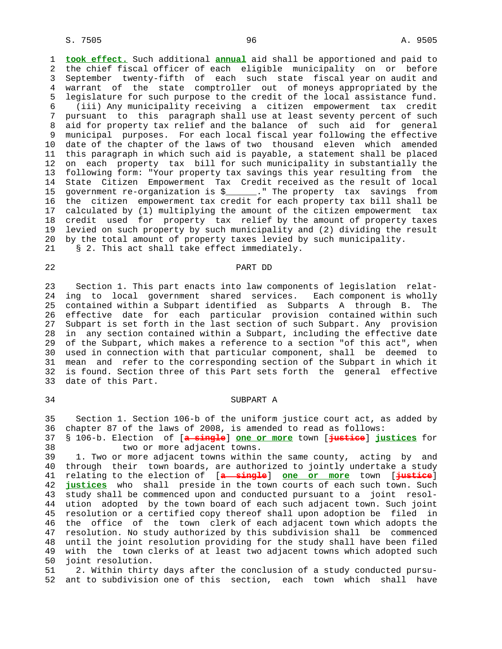1 **took effect.** Such additional **annual** aid shall be apportioned and paid to 2 the chief fiscal officer of each eligible municipality on or before 3 September twenty-fifth of each such state fiscal year on audit and 4 warrant of the state comptroller out of moneys appropriated by the 5 legislature for such purpose to the credit of the local assistance fund. 6 (iii) Any municipality receiving a citizen empowerment tax credit 7 pursuant to this paragraph shall use at least seventy percent of such 8 aid for property tax relief and the balance of such aid for general municipal purposes. For each local fiscal year following the effective 10 date of the chapter of the laws of two thousand eleven which amended 11 this paragraph in which such aid is payable, a statement shall be placed 12 on each property tax bill for such municipality in substantially the 13 following form: "Your property tax savings this year resulting from the 14 State Citizen Empowerment Tax Credit received as the result of local 15 government re-organization is \$\_\_\_\_\_\_." The property tax savings from 16 the citizen empowerment tax credit for each property tax bill shall be 17 calculated by (1) multiplying the amount of the citizen empowerment tax 18 credit used for property tax relief by the amount of property taxes 19 levied on such property by such municipality and (2) dividing the result 20 by the total amount of property taxes levied by such municipality. 21 § 2. This act shall take effect immediately.

### 22 PART DD

 23 Section 1. This part enacts into law components of legislation relat- 24 ing to local government shared services. Each component is wholly 25 contained within a Subpart identified as Subparts A through B. The 26 effective date for each particular provision contained within such 27 Subpart is set forth in the last section of such Subpart. Any provision 28 in any section contained within a Subpart, including the effective date 29 of the Subpart, which makes a reference to a section "of this act", when 30 used in connection with that particular component, shall be deemed to 31 mean and refer to the corresponding section of the Subpart in which it 32 is found. Section three of this Part sets forth the general effective 33 date of this Part.

## 34 SUBPART A

 35 Section 1. Section 106-b of the uniform justice court act, as added by 36 chapter 87 of the laws of 2008, is amended to read as follows:

 37 § 106-b. Election of [**a single**] **one or more** town [**justice**] **justices** for 38 two or more adjacent towns.

 39 1. Two or more adjacent towns within the same county, acting by and 40 through their town boards, are authorized to jointly undertake a study 41 relating to the election of [**a single**] **one or more** town [**justice**] 42 **justices** who shall preside in the town courts of each such town. Such 43 study shall be commenced upon and conducted pursuant to a joint resol- 44 ution adopted by the town board of each such adjacent town. Such joint 45 resolution or a certified copy thereof shall upon adoption be filed in 46 the office of the town clerk of each adjacent town which adopts the 47 resolution. No study authorized by this subdivision shall be commenced 48 until the joint resolution providing for the study shall have been filed 49 with the town clerks of at least two adjacent towns which adopted such 50 joint resolution.

 51 2. Within thirty days after the conclusion of a study conducted pursu- 52 ant to subdivision one of this section, each town which shall have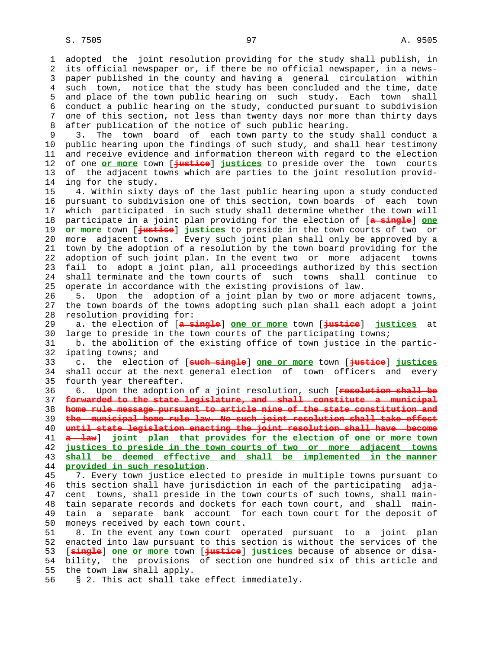1 adopted the joint resolution providing for the study shall publish, in 2 its official newspaper or, if there be no official newspaper, in a news- 3 paper published in the county and having a general circulation within 4 such town, notice that the study has been concluded and the time, date 5 and place of the town public hearing on such study. Each town shall 6 conduct a public hearing on the study, conducted pursuant to subdivision 7 one of this section, not less than twenty days nor more than thirty days 8 after publication of the notice of such public hearing.<br>9 3. The town board of each town party to the stud

 9 3. The town board of each town party to the study shall conduct a 10 public hearing upon the findings of such study, and shall hear testimony 11 and receive evidence and information thereon with regard to the election 12 of one **or more** town [**justice**] **justices** to preside over the town courts 13 of the adjacent towns which are parties to the joint resolution provid- 14 ing for the study.

 15 4. Within sixty days of the last public hearing upon a study conducted 16 pursuant to subdivision one of this section, town boards of each town 17 which participated in such study shall determine whether the town will 18 participate in a joint plan providing for the election of [**a single**] **one** 19 **or more** town [**justice**] **justices** to preside in the town courts of two or 20 more adjacent towns. Every such joint plan shall only be approved by a 21 town by the adoption of a resolution by the town board providing for the 22 adoption of such joint plan. In the event two or more adjacent towns 23 fail to adopt a joint plan, all proceedings authorized by this section 24 shall terminate and the town courts of such towns shall continue to 25 operate in accordance with the existing provisions of law.

 26 5. Upon the adoption of a joint plan by two or more adjacent towns, 27 the town boards of the towns adopting such plan shall each adopt a joint 28 resolution providing for:

 29 a. the election of [**a single**] **one or more** town [**justice**] **justices** at 30 large to preside in the town courts of the participating towns;

 31 b. the abolition of the existing office of town justice in the partic- 32 ipating towns; and

 33 c. the election of [**such single**] **one or more** town [**justice**] **justices** 34 shall occur at the next general election of town officers and every 35 fourth year thereafter.

 36 6. Upon the adoption of a joint resolution, such [**resolution shall be forwarded to the state legislature, and shall constitute a municipal home rule message pursuant to article nine of the state constitution and the municipal home rule law. No such joint resolution shall take effect until state legislation enacting the joint resolution shall have become a law**] **joint plan that provides for the election of one or more town justices to preside in the town courts of two or more adjacent towns shall be deemed effective and shall be implemented in the manner provided in such resolution**.

 45 7. Every town justice elected to preside in multiple towns pursuant to 46 this section shall have jurisdiction in each of the participating adja- 47 cent towns, shall preside in the town courts of such towns, shall main- 48 tain separate records and dockets for each town court, and shall main- 49 tain a separate bank account for each town court for the deposit of 50 moneys received by each town court.

 51 8. In the event any town court operated pursuant to a joint plan 52 enacted into law pursuant to this section is without the services of the 53 [**single**] **one or more** town [**justice**] **justices** because of absence or disa- 54 bility, the provisions of section one hundred six of this article and 55 the town law shall apply.

56 § 2. This act shall take effect immediately.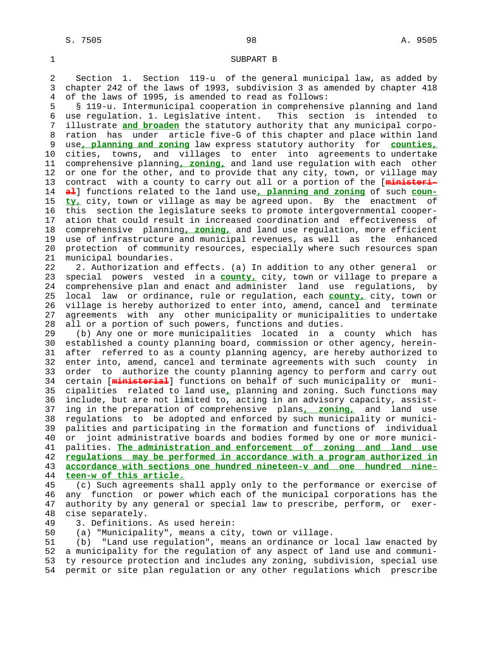### 1 SUBPART B

 2 Section 1. Section 119-u of the general municipal law, as added by 3 chapter 242 of the laws of 1993, subdivision 3 as amended by chapter 418 4 of the laws of 1995, is amended to read as follows:

 5 § 119-u. Intermunicipal cooperation in comprehensive planning and land 6 use regulation. 1. Legislative intent. This section is intended to 7 illustrate **and broaden** the statutory authority that any municipal corpo- 8 ration has under article five-G of this chapter and place within land 9 use**, planning and zoning** law express statutory authority for **counties,** 10 cities, towns, and villages to enter into agreements to undertake 11 comprehensive planning**, zoning,** and land use regulation with each other 12 or one for the other, and to provide that any city, town, or village may 13 contract with a county to carry out all or a portion of the [**ministeri-** 14 **al**] functions related to the land use**, planning and zoning** of such **coun-** 15 **ty,** city, town or village as may be agreed upon. By the enactment of 16 this section the legislature seeks to promote intergovernmental cooper- 17 ation that could result in increased coordination and effectiveness of 18 comprehensive planning**, zoning,** and land use regulation, more efficient 19 use of infrastructure and municipal revenues, as well as the enhanced 20 protection of community resources, especially where such resources span 21 municipal boundaries.

 22 2. Authorization and effects. (a) In addition to any other general or 23 special powers vested in a **county,** city, town or village to prepare a 24 comprehensive plan and enact and administer land use regulations, by 25 local law or ordinance, rule or regulation, each **county,** city, town or 26 village is hereby authorized to enter into, amend, cancel and terminate 27 agreements with any other municipality or municipalities to undertake 28 all or a portion of such powers, functions and duties.

 29 (b) Any one or more municipalities located in a county which has 30 established a county planning board, commission or other agency, herein- 31 after referred to as a county planning agency, are hereby authorized to 32 enter into, amend, cancel and terminate agreements with such county in 33 order to authorize the county planning agency to perform and carry out 34 certain [**ministerial**] functions on behalf of such municipality or muni- 35 cipalities related to land use**,** planning and zoning. Such functions may 36 include, but are not limited to, acting in an advisory capacity, assist- 37 ing in the preparation of comprehensive plans**, zoning,** and land use 38 regulations to be adopted and enforced by such municipality or munici- 39 palities and participating in the formation and functions of individual 40 or joint administrative boards and bodies formed by one or more munici- 41 palities. **The administration and enforcement of zoning and land use** 42 **regulations may be performed in accordance with a program authorized in** 43 **accordance with sections one hundred nineteen-v and one hundred nine-** 44 **teen-w of this article.**

 45 (c) Such agreements shall apply only to the performance or exercise of 46 any function or power which each of the municipal corporations has the 47 authority by any general or special law to prescribe, perform, or exer- 48 cise separately.

49 3. Definitions. As used herein:

50 (a) "Municipality", means a city, town or village.

 51 (b) "Land use regulation", means an ordinance or local law enacted by 52 a municipality for the regulation of any aspect of land use and communi- 53 ty resource protection and includes any zoning, subdivision, special use 54 permit or site plan regulation or any other regulations which prescribe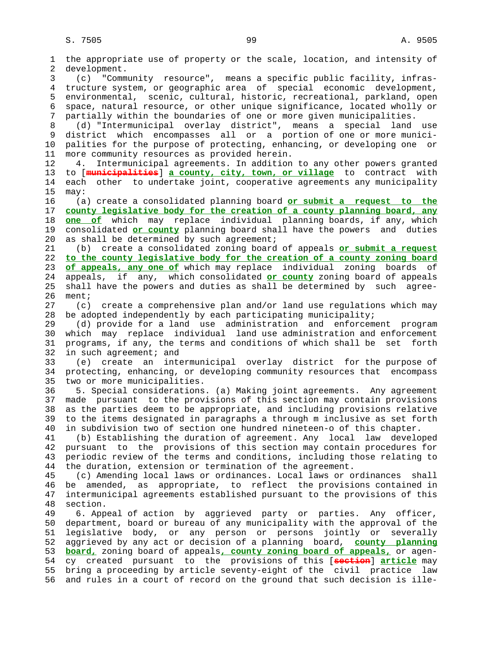1 the appropriate use of property or the scale, location, and intensity of 2 development. 3 (c) "Community resource", means a specific public facility, infras- 4 tructure system, or geographic area of special economic development, 5 environmental, scenic, cultural, historic, recreational, parkland, open 6 space, natural resource, or other unique significance, located wholly or 7 partially within the boundaries of one or more given municipalities. 8 (d) "Intermunicipal overlay district", means a special land use district which encompasses all or a portion of one or more munici- 10 palities for the purpose of protecting, enhancing, or developing one or 11 more community resources as provided herein. 12 4. Intermunicipal agreements. In addition to any other powers granted 13 to [**municipalities**] **a county, city, town, or village** to contract with 14 each other to undertake joint, cooperative agreements any municipality 15 may: 16 (a) create a consolidated planning board **or submit a request to the** 17 **county legislative body for the creation of a county planning board, any** 18 **one of** which may replace individual planning boards, if any, which 19 consolidated **or county** planning board shall have the powers and duties 20 as shall be determined by such agreement; 21 (b) create a consolidated zoning board of appeals **or submit a request** 22 **to the county legislative body for the creation of a county zoning board** 23 **of appeals, any one of** which may replace individual zoning boards of 24 appeals, if any, which consolidated **or county** zoning board of appeals 25 shall have the powers and duties as shall be determined by such agree- 26 ment; 27 (c) create a comprehensive plan and/or land use regulations which may 28 be adopted independently by each participating municipality; 29 (d) provide for a land use administration and enforcement program 30 which may replace individual land use administration and enforcement 31 programs, if any, the terms and conditions of which shall be set forth 32 in such agreement; and 33 (e) create an intermunicipal overlay district for the purpose of 34 protecting, enhancing, or developing community resources that encompass 35 two or more municipalities. 36 5. Special considerations. (a) Making joint agreements. Any agreement 37 made pursuant to the provisions of this section may contain provisions 38 as the parties deem to be appropriate, and including provisions relative 39 to the items designated in paragraphs a through m inclusive as set forth 40 in subdivision two of section one hundred nineteen-o of this chapter. 41 (b) Establishing the duration of agreement. Any local law developed 42 pursuant to the provisions of this section may contain procedures for 43 periodic review of the terms and conditions, including those relating to 44 the duration, extension or termination of the agreement. 45 (c) Amending local laws or ordinances. Local laws or ordinances shall 46 be amended, as appropriate, to reflect the provisions contained in 47 intermunicipal agreements established pursuant to the provisions of this 48 section. 49 6. Appeal of action by aggrieved party or parties. Any officer, 50 department, board or bureau of any municipality with the approval of the 51 legislative body, or any person or persons jointly or severally 52 aggrieved by any act or decision of a planning board, **county planning** 53 **board,** zoning board of appeals**, county zoning board of appeals,** or agen- 54 cy created pursuant to the provisions of this [**section**] **article** may 55 bring a proceeding by article seventy-eight of the civil practice law 56 and rules in a court of record on the ground that such decision is ille-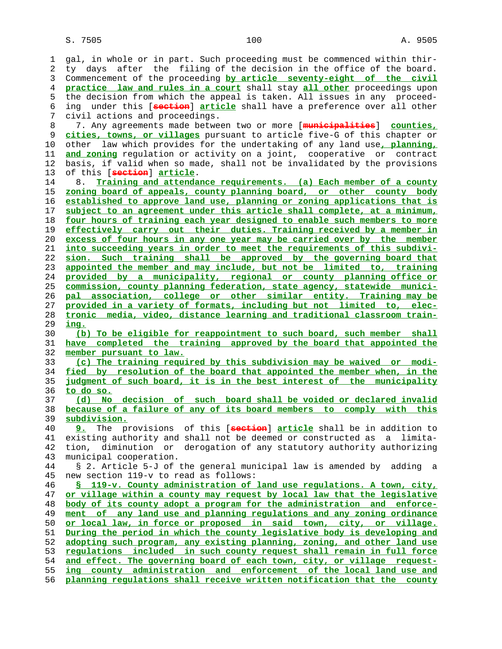1 gal, in whole or in part. Such proceeding must be commenced within thir- 2 ty days after the filing of the decision in the office of the board. 3 Commencement of the proceeding **by article seventy-eight of the civil practice law and rules in a court** shall stay **all other** proceedings upon 5 the decision from which the appeal is taken. All issues in any proceed- 6 ing under this [**section**] **article** shall have a preference over all other 7 civil actions and proceedings. 8 7. Any agreements made between two or more [**municipalities**] **counties, cities, towns, or villages** pursuant to article five-G of this chapter or 10 other law which provides for the undertaking of any land use**, planning, and zoning** regulation or activity on a joint, cooperative or contract 12 basis, if valid when so made, shall not be invalidated by the provisions 13 of this [**section**] **article**. 14 8. **Training and attendance requirements. (a) Each member of a county zoning board of appeals, county planning board, or other county body established to approve land use, planning or zoning applications that is subject to an agreement under this article shall complete, at a minimum, four hours of training each year designed to enable such members to more effectively carry out their duties. Training received by a member in excess of four hours in any one year may be carried over by the member into succeeding years in order to meet the requirements of this subdivi- sion. Such training shall be approved by the governing board that appointed the member and may include, but not be limited to, training provided by a municipality, regional or county planning office or commission, county planning federation, state agency, statewide munici- pal association, college or other similar entity. Training may be provided in a variety of formats, including but not limited to, elec- tronic media, video, distance learning and traditional classroom train- ing. (b) To be eligible for reappointment to such board, such member shall have completed the training approved by the board that appointed the member pursuant to law. (c) The training required by this subdivision may be waived or modi- fied by resolution of the board that appointed the member when, in the judgment of such board, it is in the best interest of the municipality to do so. (d) No decision of such board shall be voided or declared invalid because of a failure of any of its board members to comply with this subdivision. 9.** The provisions of this [**section**] **article** shall be in addition to 41 existing authority and shall not be deemed or constructed as a limita- 42 tion, diminution or derogation of any statutory authority authorizing 43 municipal cooperation. 44 § 2. Article 5-J of the general municipal law is amended by adding a 45 new section 119-v to read as follows: **§ 119-v. County administration of land use regulations. A town, city, or village within a county may request by local law that the legislative body of its county adopt a program for the administration and enforce- ment of any land use and planning regulations and any zoning ordinance or local law, in force or proposed in said town, city, or village. During the period in which the county legislative body is developing and adopting such program, any existing planning, zoning, and other land use regulations included in such county request shall remain in full force and effect. The governing board of each town, city, or village request- ing county administration and enforcement of the local land use and planning regulations shall receive written notification that the county**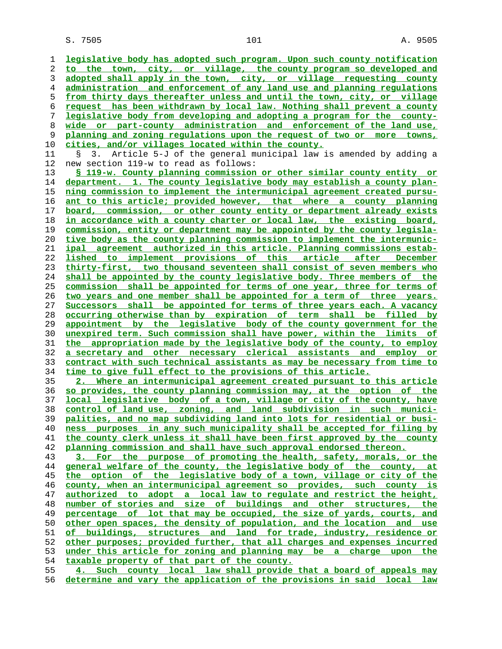S. 7505 101 A. 9505

**legislative body has adopted such program. Upon such county notification to the town, city, or village, the county program so developed and adopted shall apply in the town, city, or village requesting county administration and enforcement of any land use and planning regulations from thirty days thereafter unless and until the town, city, or village request has been withdrawn by local law. Nothing shall prevent a county legislative body from developing and adopting a program for the county- wide or part-county administration and enforcement of the land use, planning and zoning regulations upon the request of two or more towns, cities, and/or villages located within the county.** 11 § 3. Article 5-J of the general municipal law is amended by adding a 12 new section 119-w to read as follows: **§ 119-w. County planning commission or other similar county entity or department. 1. The county legislative body may establish a county plan- ning commission to implement the intermunicipal agreement created pursu- ant to this article; provided however, that where a county planning board, commission, or other county entity or department already exists in accordance with a county charter or local law, the existing board, commission, entity or department may be appointed by the county legisla- tive body as the county planning commission to implement the intermunic- ipal agreement authorized in this article. Planning commissions estab- lished to implement provisions of this article after December thirty-first, two thousand seventeen shall consist of seven members who shall be appointed by the county legislative body. Three members of the commission shall be appointed for terms of one year, three for terms of two years and one member shall be appointed for a term of three years. Successors shall be appointed for terms of three years each. A vacancy occurring otherwise than by expiration of term shall be filled by appointment by the legislative body of the county government for the unexpired term. Such commission shall have power, within the limits of the appropriation made by the legislative body of the county, to employ a secretary and other necessary clerical assistants and employ or contract with such technical assistants as may be necessary from time to time to give full effect to the provisions of this article. 2. Where an intermunicipal agreement created pursuant to this article so provides, the county planning commission may, at the option of the local legislative body of a town, village or city of the county, have control of land use, zoning, and land subdivision in such munici- palities, and no map subdividing land into lots for residential or busi- ness purposes in any such municipality shall be accepted for filing by the county clerk unless it shall have been first approved by the county planning commission and shall have such approval endorsed thereon. 3. For the purpose of promoting the health, safety, morals, or the general welfare of the county, the legislative body of the county, at the option of the legislative body of a town, village or city of the county, when an intermunicipal agreement so provides, such county is authorized to adopt a local law to regulate and restrict the height, number of stories and size of buildings and other structures, the percentage of lot that may be occupied, the size of yards, courts, and other open spaces, the density of population, and the location and use of buildings, structures and land for trade, industry, residence or other purposes; provided further, that all charges and expenses incurred under this article for zoning and planning may be a charge upon the taxable property of that part of the county. 4. Such county local law shall provide that a board of appeals may determine and vary the application of the provisions in said local law**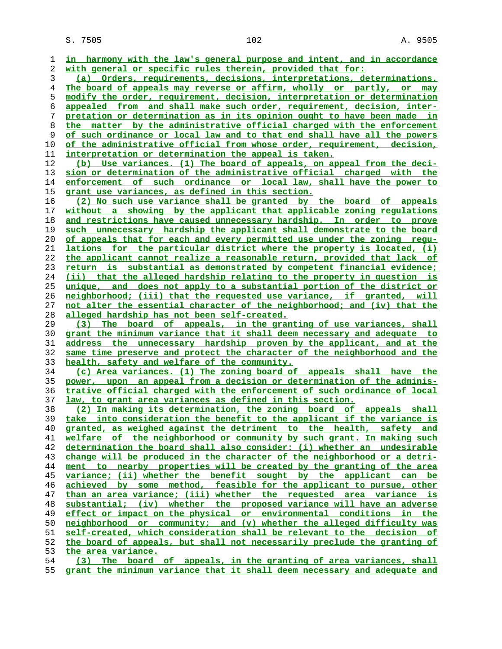S. 7505 102 A. 9505

**in harmony with the law's general purpose and intent, and in accordance with general or specific rules therein, provided that for: (a) Orders, requirements, decisions, interpretations, determinations. The board of appeals may reverse or affirm, wholly or partly, or may modify the order, requirement, decision, interpretation or determination appealed from and shall make such order, requirement, decision, inter- pretation or determination as in its opinion ought to have been made in the matter by the administrative official charged with the enforcement of such ordinance or local law and to that end shall have all the powers of the administrative official from whose order, requirement, decision, interpretation or determination the appeal is taken. (b) Use variances. (1) The board of appeals, on appeal from the deci- sion or determination of the administrative official charged with the enforcement of such ordinance or local law, shall have the power to grant use variances, as defined in this section. (2) No such use variance shall be granted by the board of appeals without a showing by the applicant that applicable zoning regulations and restrictions have caused unnecessary hardship. In order to prove such unnecessary hardship the applicant shall demonstrate to the board of appeals that for each and every permitted use under the zoning regu- lations for the particular district where the property is located, (i) the applicant cannot realize a reasonable return, provided that lack of return is substantial as demonstrated by competent financial evidence; (ii) that the alleged hardship relating to the property in question is unique, and does not apply to a substantial portion of the district or neighborhood; (iii) that the requested use variance, if granted, will not alter the essential character of the neighborhood; and (iv) that the alleged hardship has not been self-created. (3) The board of appeals, in the granting of use variances, shall grant the minimum variance that it shall deem necessary and adequate to address the unnecessary hardship proven by the applicant, and at the same time preserve and protect the character of the neighborhood and the health, safety and welfare of the community. (c) Area variances. (1) The zoning board of appeals shall have the power, upon an appeal from a decision or determination of the adminis- trative official charged with the enforcement of such ordinance of local law, to grant area variances as defined in this section. (2) In making its determination, the zoning board of appeals shall take into consideration the benefit to the applicant if the variance is granted, as weighed against the detriment to the health, safety and welfare of the neighborhood or community by such grant. In making such determination the board shall also consider: (i) whether an undesirable change will be produced in the character of the neighborhood or a detri- ment to nearby properties will be created by the granting of the area variance; (ii) whether the benefit sought by the applicant can be achieved by some method, feasible for the applicant to pursue, other than an area variance; (iii) whether the requested area variance is substantial; (iv) whether the proposed variance will have an adverse effect or impact on the physical or environmental conditions in the neighborhood or community; and (v) whether the alleged difficulty was self-created, which consideration shall be relevant to the decision of the board of appeals, but shall not necessarily preclude the granting of the area variance. (3) The board of appeals, in the granting of area variances, shall**

**grant the minimum variance that it shall deem necessary and adequate and**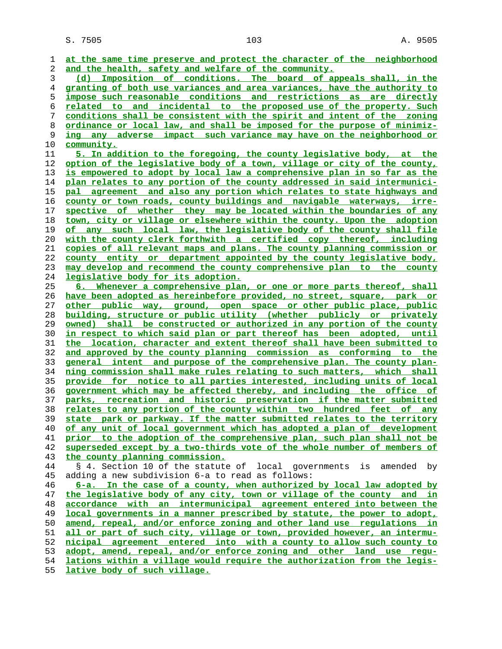S. 7505 103 A. 9505

**at the same time preserve and protect the character of the neighborhood and the health, safety and welfare of the community. (d) Imposition of conditions. The board of appeals shall, in the granting of both use variances and area variances, have the authority to impose such reasonable conditions and restrictions as are directly related to and incidental to the proposed use of the property. Such conditions shall be consistent with the spirit and intent of the zoning ordinance or local law, and shall be imposed for the purpose of minimiz- ing any adverse impact such variance may have on the neighborhood or community. 5. In addition to the foregoing, the county legislative body, at the option of the legislative body of a town, village or city of the county, is empowered to adopt by local law a comprehensive plan in so far as the plan relates to any portion of the county addressed in said intermunici- pal agreement and also any portion which relates to state highways and county or town roads, county buildings and navigable waterways, irre- spective of whether they may be located within the boundaries of any town, city or village or elsewhere within the county. Upon the adoption of any such local law, the legislative body of the county shall file with the county clerk forthwith a certified copy thereof, including copies of all relevant maps and plans. The county planning commission or county entity or department appointed by the county legislative body, may develop and recommend the county comprehensive plan to the county legislative body for its adoption. 6. Whenever a comprehensive plan, or one or more parts thereof, shall have been adopted as hereinbefore provided, no street, square, park or other public way, ground, open space or other public place, public building, structure or public utility (whether publicly or privately owned) shall be constructed or authorized in any portion of the county in respect to which said plan or part thereof has been adopted, until the location, character and extent thereof shall have been submitted to and approved by the county planning commission as conforming to the general intent and purpose of the comprehensive plan. The county plan- ning commission shall make rules relating to such matters, which shall provide for notice to all parties interested, including units of local government which may be affected thereby, and including the office of parks, recreation and historic preservation if the matter submitted relates to any portion of the county within two hundred feet of any state park or parkway. If the matter submitted relates to the territory of any unit of local government which has adopted a plan of development prior to the adoption of the comprehensive plan, such plan shall not be superseded except by a two-thirds vote of the whole number of members of the county planning commission.** 44 § 4. Section 10 of the statute of local governments is amended by 45 adding a new subdivision 6-a to read as follows: **6-a. In the case of a county, when authorized by local law adopted by the legislative body of any city, town or village of the county and in accordance with an intermunicipal agreement entered into between the local governments in a manner prescribed by statute, the power to adopt, amend, repeal, and/or enforce zoning and other land use regulations in all or part of such city, village or town, provided however, an intermu- nicipal agreement entered into with a county to allow such county to adopt, amend, repeal, and/or enforce zoning and other land use regu- lations within a village would require the authorization from the legis-**

**lative body of such village.**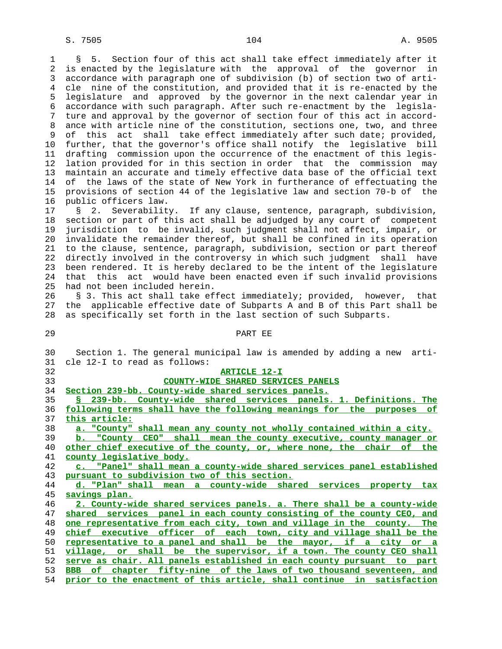1 § 5. Section four of this act shall take effect immediately after it 2 is enacted by the legislature with the approval of the governor in 3 accordance with paragraph one of subdivision (b) of section two of arti- 4 cle nine of the constitution, and provided that it is re-enacted by the 5 legislature and approved by the governor in the next calendar year in 6 accordance with such paragraph. After such re-enactment by the legisla- 7 ture and approval by the governor of section four of this act in accord- 8 ance with article nine of the constitution, sections one, two, and three 9 of this act shall take effect immediately after such date; provided, 10 further, that the governor's office shall notify the legislative bill 11 drafting commission upon the occurrence of the enactment of this legis- 12 lation provided for in this section in order that the commission may 13 maintain an accurate and timely effective data base of the official text 14 of the laws of the state of New York in furtherance of effectuating the 15 provisions of section 44 of the legislative law and section 70-b of the 16 public officers law.

 17 § 2. Severability. If any clause, sentence, paragraph, subdivision, 18 section or part of this act shall be adjudged by any court of competent 19 jurisdiction to be invalid, such judgment shall not affect, impair, or 20 invalidate the remainder thereof, but shall be confined in its operation 21 to the clause, sentence, paragraph, subdivision, section or part thereof 22 directly involved in the controversy in which such judgment shall have 23 been rendered. It is hereby declared to be the intent of the legislature 24 that this act would have been enacted even if such invalid provisions 25 had not been included herein.

 26 § 3. This act shall take effect immediately; provided, however, that 27 the applicable effective date of Subparts A and B of this Part shall be 28 as specifically set forth in the last section of such Subparts.

## 29 PART EE

| 30 | Section 1. The general municipal law is amended by adding a new arti-          |
|----|--------------------------------------------------------------------------------|
| 31 | cle 12-I to read as follows:                                                   |
| 32 | <b>ARTICLE 12-I</b>                                                            |
| 33 | COUNTY-WIDE SHARED SERVICES PANELS                                             |
| 34 | Section 239-bb. County-wide shared services panels.                            |
| 35 | § 239-bb. County-wide shared services panels. 1. Definitions. The              |
| 36 | following terms shall have the following meanings for the purposes of          |
| 37 | this article:                                                                  |
| 38 | a. "County" shall mean any county not wholly contained within a city.          |
| 39 | b. "County CEO" shall mean the county executive, county manager or             |
| 40 | other chief executive of the county, or, where none, the chair of the          |
| 41 | county legislative body.                                                       |
| 42 | c. "Panel" shall mean a county-wide shared services panel established          |
| 43 | pursuant to subdivision two of this section.                                   |
| 44 | d. "Plan" shall mean a county-wide shared services property tax                |
| 45 | savings plan.                                                                  |
| 46 | 2. County-wide shared services panels. a. There shall be a county-wide         |
| 47 | shared services panel in each county consisting of the county CEO, and         |
| 48 | <u>one representative from each city, town and village in the county. The </u> |
| 49 | chief executive officer of each town, city and village shall be the            |
| 50 | representative to a panel and shall be the mayor, if a city or a               |
| 51 | village, or shall be the supervisor, if a town. The county CEO shall           |
| 52 | serve as chair. All panels established in each county pursuant to part         |
| 53 | chapter fifty-nine of the laws of two thousand seventeen, and<br>BBB of        |
| 54 | prior to the enactment of this article, shall continue in satisfaction         |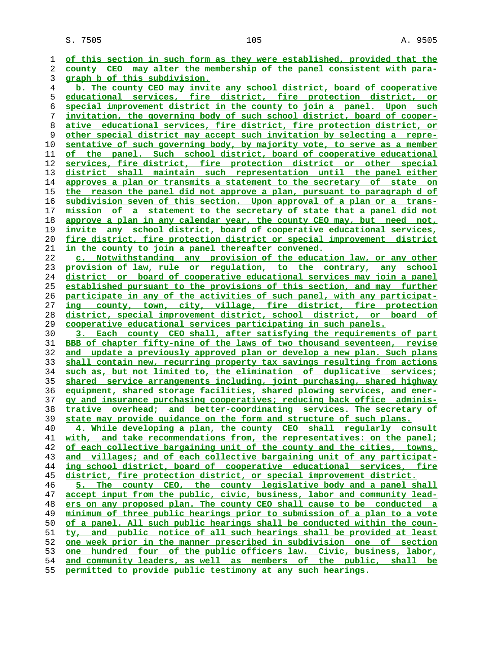S. 7505 105 A. 9505

**of this section in such form as they were established, provided that the county CEO may alter the membership of the panel consistent with para- graph b of this subdivision. b. The county CEO may invite any school district, board of cooperative educational services, fire district, fire protection district, or special improvement district in the county to join a panel. Upon such invitation, the governing body of such school district, board of cooper- ative educational services, fire district, fire protection district, or other special district may accept such invitation by selecting a repre- sentative of such governing body, by majority vote, to serve as a member of the panel. Such school district, board of cooperative educational services, fire district, fire protection district or other special district shall maintain such representation until the panel either**<br>14 **approves a plan or transmits a statement to the secretary of state on approves a plan or transmits a statement to the secretary of state on the reason the panel did not approve a plan, pursuant to paragraph d of subdivision seven of this section. Upon approval of a plan or a trans- mission of a statement to the secretary of state that a panel did not approve a plan in any calendar year, the county CEO may, but need not, invite any school district, board of cooperative educational services, fire district, fire protection district or special improvement district in the county to join a panel thereafter convened. c. Notwithstanding any provision of the education law, or any other provision of law, rule or regulation, to the contrary, any school district or board of cooperative educational services may join a panel established pursuant to the provisions of this section, and may further participate in any of the activities of such panel, with any participat- ing county, town, city, village, fire district, fire protection district, special improvement district, school district, or board of cooperative educational services participating in such panels. 3. Each county CEO shall, after satisfying the requirements of part BBB of chapter fifty-nine of the laws of two thousand seventeen, revise and update a previously approved plan or develop a new plan. Such plans shall contain new, recurring property tax savings resulting from actions such as, but not limited to, the elimination of duplicative services; shared service arrangements including, joint purchasing, shared highway equipment, shared storage facilities, shared plowing services, and ener- gy and insurance purchasing cooperatives; reducing back office adminis- trative overhead; and better-coordinating services. The secretary of state may provide guidance on the form and structure of such plans. 4. While developing a plan, the county CEO shall regularly consult with, and take recommendations from, the representatives: on the panel; of each collective bargaining unit of the county and the cities, towns, and villages; and of each collective bargaining unit of any participat- ing school district, board of cooperative educational services, fire district, fire protection district, or special improvement district. 5. The county CEO, the county legislative body and a panel shall accept input from the public, civic, business, labor and community lead- ers on any proposed plan. The county CEO shall cause to be conducted a minimum of three public hearings prior to submission of a plan to a vote of a panel. All such public hearings shall be conducted within the coun- ty, and public notice of all such hearings shall be provided at least one week prior in the manner prescribed in subdivision one of section one hundred four of the public officers law. Civic, business, labor, and community leaders, as well as members of the public, shall be permitted to provide public testimony at any such hearings.**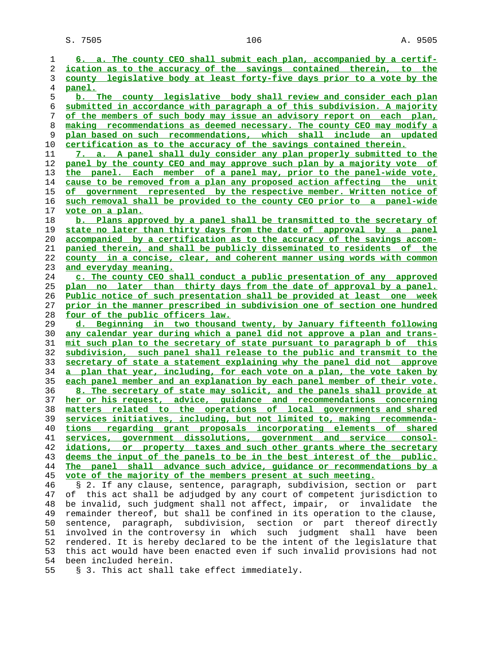S. 7505 106 A. 9505

**6. a. The county CEO shall submit each plan, accompanied by a certif- ication as to the accuracy of the savings contained therein, to the county legislative body at least forty-five days prior to a vote by the panel. b. The county legislative body shall review and consider each plan submitted in accordance with paragraph a of this subdivision. A majority of the members of such body may issue an advisory report on each plan, making recommendations as deemed necessary. The county CEO may modify a plan based on such recommendations, which shall include an updated certification as to the accuracy of the savings contained therein. 7. a. A panel shall duly consider any plan properly submitted to the panel by the county CEO and may approve such plan by a majority vote of the panel. Each member of a panel may, prior to the panel-wide vote, cause to be removed from a plan any proposed action affecting the unit of government represented by the respective member. Written notice of such removal shall be provided to the county CEO prior to a panel-wide vote on a plan. b. Plans approved by a panel shall be transmitted to the secretary of state no later than thirty days from the date of approval by a panel accompanied by a certification as to the accuracy of the savings accom- panied therein, and shall be publicly disseminated to residents of the county in a concise, clear, and coherent manner using words with common and everyday meaning. c. The county CEO shall conduct a public presentation of any approved plan no later than thirty days from the date of approval by a panel. Public notice of such presentation shall be provided at least one week prior in the manner prescribed in subdivision one of section one hundred four of the public officers law. d. Beginning in two thousand twenty, by January fifteenth following any calendar year during which a panel did not approve a plan and trans- mit such plan to the secretary of state pursuant to paragraph b of this subdivision, such panel shall release to the public and transmit to the secretary of state a statement explaining why the panel did not approve a plan that year, including, for each vote on a plan, the vote taken by each panel member and an explanation by each panel member of their vote. 8. The secretary of state may solicit, and the panels shall provide at her or his request, advice, guidance and recommendations concerning matters related to the operations of local governments and shared services initiatives, including, but not limited to, making recommenda- tions regarding grant proposals incorporating elements of shared services, government dissolutions, government and service consol- idations, or property taxes and such other grants where the secretary deems the input of the panels to be in the best interest of the public. The panel shall advance such advice, guidance or recommendations by a vote of the majority of the members present at such meeting.** 46 § 2. If any clause, sentence, paragraph, subdivision, section or part 47 of this act shall be adjudged by any court of competent jurisdiction to 48 be invalid, such judgment shall not affect, impair, or invalidate the 49 remainder thereof, but shall be confined in its operation to the clause, 50 sentence, paragraph, subdivision, section or part thereof directly 51 involved in the controversy in which such judgment shall have been 52 rendered. It is hereby declared to be the intent of the legislature that 53 this act would have been enacted even if such invalid provisions had not 54 been included herein.

55 § 3. This act shall take effect immediately.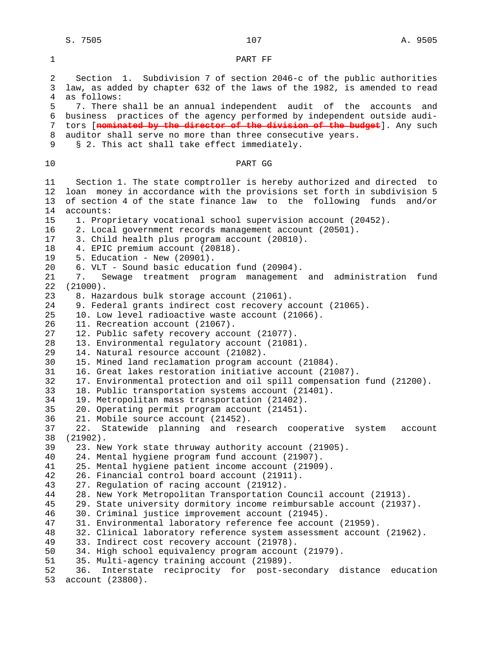| 1                     | PART FF                                                                                                                                                                                                                                                                                                                                  |
|-----------------------|------------------------------------------------------------------------------------------------------------------------------------------------------------------------------------------------------------------------------------------------------------------------------------------------------------------------------------------|
| 2<br>3<br>4           | Subdivision 7 of section 2046-c of the public authorities<br>Section 1.<br>law, as added by chapter 632 of the laws of the 1982, is amended to read<br>as follows:                                                                                                                                                                       |
| 5<br>6<br>7<br>8<br>9 | 7. There shall be an annual independent audit of the accounts<br>and<br>business practices of the agency performed by independent outside audi-<br>tors [nominated by the director of the division of the budget]. Any such<br>auditor shall serve no more than three consecutive years.<br>§ 2. This act shall take effect immediately. |
| 10                    | PART GG                                                                                                                                                                                                                                                                                                                                  |
| 11<br>12<br>13<br>14  | Section 1. The state comptroller is hereby authorized and directed to<br>loan money in accordance with the provisions set forth in subdivision 5<br>of section 4 of the state finance law to the following funds<br>and/or<br>accounts:                                                                                                  |
| 15                    | 1. Proprietary vocational school supervision account (20452).                                                                                                                                                                                                                                                                            |
| 16                    | 2. Local government records management account (20501).                                                                                                                                                                                                                                                                                  |
| 17                    | 3. Child health plus program account (20810).                                                                                                                                                                                                                                                                                            |
| 18                    | 4. EPIC premium account (20818).                                                                                                                                                                                                                                                                                                         |
| 19                    | 5. Education - New (20901).                                                                                                                                                                                                                                                                                                              |
| 20                    | 6. VLT - Sound basic education fund (20904).                                                                                                                                                                                                                                                                                             |
| 21<br>22<br>23        | Sewage treatment program management and administration fund<br>7.<br>$(21000)$ .<br>8. Hazardous bulk storage account (21061).                                                                                                                                                                                                           |
| 24                    | 9. Federal grants indirect cost recovery account (21065).                                                                                                                                                                                                                                                                                |
| 25                    | 10. Low level radioactive waste account (21066).                                                                                                                                                                                                                                                                                         |
| 26                    | 11. Recreation account (21067).                                                                                                                                                                                                                                                                                                          |
| 27                    | 12. Public safety recovery account (21077).                                                                                                                                                                                                                                                                                              |
| 28                    | 13. Environmental regulatory account (21081).                                                                                                                                                                                                                                                                                            |
| 29                    | 14. Natural resource account (21082).                                                                                                                                                                                                                                                                                                    |
| 30                    | 15. Mined land reclamation program account (21084).                                                                                                                                                                                                                                                                                      |
| 31                    | 16. Great lakes restoration initiative account (21087).                                                                                                                                                                                                                                                                                  |
| 32                    | 17. Environmental protection and oil spill compensation fund (21200).                                                                                                                                                                                                                                                                    |
| 33                    | 18. Public transportation systems account (21401).                                                                                                                                                                                                                                                                                       |
| 34                    | 19. Metropolitan mass transportation (21402).                                                                                                                                                                                                                                                                                            |
| 35                    | 20. Operating permit program account (21451).                                                                                                                                                                                                                                                                                            |
| 36<br>37              | 21. Mobile source account (21452).<br>Statewide planning and research cooperative system<br>22.<br>account                                                                                                                                                                                                                               |
| 38                    | $(21902)$ .                                                                                                                                                                                                                                                                                                                              |
| 39                    | 23. New York state thruway authority account (21905).                                                                                                                                                                                                                                                                                    |
| 40                    | 24. Mental hygiene program fund account (21907).                                                                                                                                                                                                                                                                                         |
| 41                    | 25. Mental hygiene patient income account (21909).                                                                                                                                                                                                                                                                                       |
| 42                    | 26. Financial control board account (21911).                                                                                                                                                                                                                                                                                             |
| 43                    | 27. Regulation of racing account (21912).                                                                                                                                                                                                                                                                                                |
| 44                    | 28. New York Metropolitan Transportation Council account (21913).                                                                                                                                                                                                                                                                        |
| 45                    | 29. State university dormitory income reimbursable account (21937).                                                                                                                                                                                                                                                                      |
| 46                    | 30. Criminal justice improvement account (21945).                                                                                                                                                                                                                                                                                        |
| 47                    | 31. Environmental laboratory reference fee account (21959).                                                                                                                                                                                                                                                                              |
| 48                    | 32. Clinical laboratory reference system assessment account (21962).                                                                                                                                                                                                                                                                     |
| 49                    | 33. Indirect cost recovery account (21978).                                                                                                                                                                                                                                                                                              |
| 50                    | 34. High school equivalency program account (21979).                                                                                                                                                                                                                                                                                     |
| 51<br>52<br>53        | 35. Multi-agency training account (21989).<br>Interstate reciprocity for post-secondary distance education<br>36.<br>account (23800).                                                                                                                                                                                                    |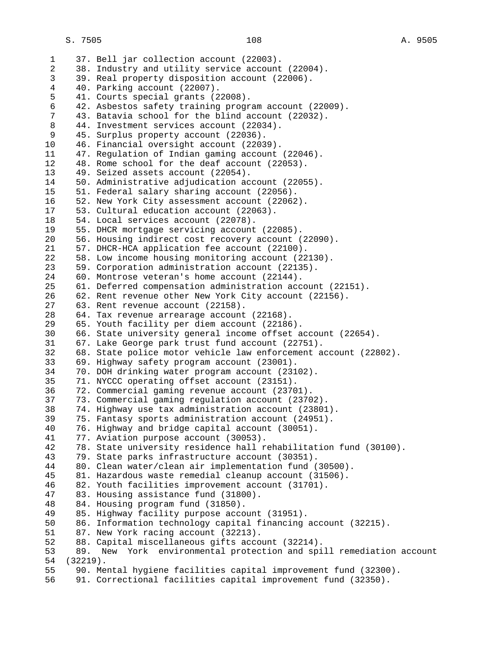1 37. Bell jar collection account (22003). 2 38. Industry and utility service account (22004). 3 39. Real property disposition account (22006). 4 40. Parking account (22007). 5 41. Courts special grants (22008). 6 42. Asbestos safety training program account (22009).<br>7 43. Batavia school for the blind account (22032). 43. Batavia school for the blind account (22032). 8 44. Investment services account (22034).<br>9 45. Surplus property account (22036). 45. Surplus property account (22036). 10 46. Financial oversight account (22039). 11 47. Regulation of Indian gaming account (22046). 12 48. Rome school for the deaf account (22053). 13 49. Seized assets account (22054). 14 50. Administrative adjudication account (22055). 15 51. Federal salary sharing account (22056). 16 52. New York City assessment account (22062). 17 53. Cultural education account (22063). 18 54. Local services account (22078). 55. DHCR mortgage servicing account (22085). 20 56. Housing indirect cost recovery account (22090). 21 57. DHCR-HCA application fee account (22100). 22 58. Low income housing monitoring account (22130). 23 59. Corporation administration account (22135). 24 60. Montrose veteran's home account (22144). 25 61. Deferred compensation administration account (22151). 26 62. Rent revenue other New York City account (22156). 27 63. Rent revenue account (22158). 28 64. Tax revenue arrearage account (22168). 29 65. Youth facility per diem account (22186). 30 66. State university general income offset account (22654). 31 67. Lake George park trust fund account (22751). 32 68. State police motor vehicle law enforcement account (22802). 33 69. Highway safety program account (23001). 34 70. DOH drinking water program account (23102). 35 71. NYCCC operating offset account (23151). 36 72. Commercial gaming revenue account (23701). 37 73. Commercial gaming regulation account (23702). 38 74. Highway use tax administration account (23801). 39 75. Fantasy sports administration account (24951). 40 76. Highway and bridge capital account (30051). 41 77. Aviation purpose account (30053). 42 78. State university residence hall rehabilitation fund (30100). 43 79. State parks infrastructure account (30351). 44 80. Clean water/clean air implementation fund (30500). 45 81. Hazardous waste remedial cleanup account (31506). 46 82. Youth facilities improvement account (31701). 47 83. Housing assistance fund (31800). 48 84. Housing program fund (31850).<br>49 85. Highway facility purpose acco 85. Highway facility purpose account (31951). 50 86. Information technology capital financing account (32215). 51 87. New York racing account (32213). 52 88. Capital miscellaneous gifts account (32214). 53 89. New York environmental protection and spill remediation account 54 (32219). 55 90. Mental hygiene facilities capital improvement fund (32300). 56 91. Correctional facilities capital improvement fund (32350).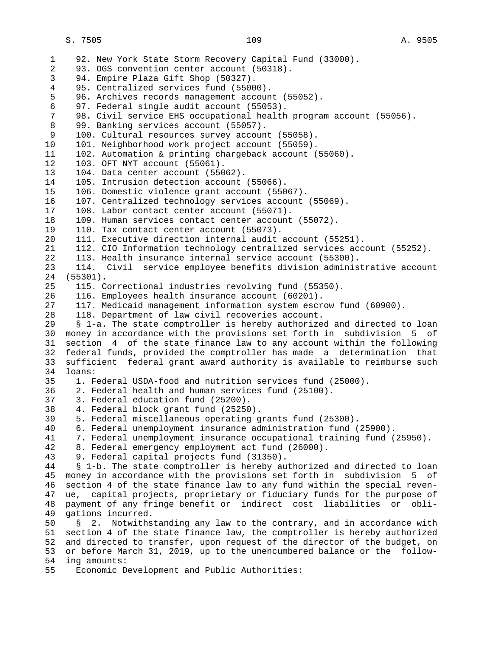1 92. New York State Storm Recovery Capital Fund (33000). 2 93. OGS convention center account (50318). 3 94. Empire Plaza Gift Shop (50327). 4 95. Centralized services fund (55000). 5 96. Archives records management account (55052). 6 97. Federal single audit account (55053). 98. Civil service EHS occupational health program account (55056). 8 99. Banking services account (55057). 100. Cultural resources survey account (55058). 10 101. Neighborhood work project account (55059). 11 102. Automation & printing chargeback account (55060). 12 103. OFT NYT account (55061). 13 104. Data center account (55062). 14 105. Intrusion detection account (55066). 15 106. Domestic violence grant account (55067). 16 107. Centralized technology services account (55069). 17 108. Labor contact center account (55071). 18 109. Human services contact center account (55072). 19 110. Tax contact center account (55073). 20 111. Executive direction internal audit account (55251). 21 112. CIO Information technology centralized services account (55252). 22 113. Health insurance internal service account (55300). 23 114. Civil service employee benefits division administrative account 24 (55301). 25 115. Correctional industries revolving fund (55350). 26 116. Employees health insurance account (60201). 27 117. Medicaid management information system escrow fund (60900). 28 118. Department of law civil recoveries account. 29 § 1-a. The state comptroller is hereby authorized and directed to loan 30 money in accordance with the provisions set forth in subdivision 5 of 31 section 4 of the state finance law to any account within the following 32 federal funds, provided the comptroller has made a determination that 33 sufficient federal grant award authority is available to reimburse such 34 loans: 35 1. Federal USDA-food and nutrition services fund (25000). 36 2. Federal health and human services fund (25100). 37 3. Federal education fund (25200). 38 4. Federal block grant fund (25250). 39 5. Federal miscellaneous operating grants fund (25300). 40 6. Federal unemployment insurance administration fund (25900). 41 7. Federal unemployment insurance occupational training fund (25950). 42 8. Federal emergency employment act fund (26000). 43 9. Federal capital projects fund (31350). 44 § 1-b. The state comptroller is hereby authorized and directed to loan 45 money in accordance with the provisions set forth in subdivision 5 of 46 section 4 of the state finance law to any fund within the special reven- 47 ue, capital projects, proprietary or fiduciary funds for the purpose of 48 payment of any fringe benefit or indirect cost liabilities or obli gations incurred. 50 § 2. Notwithstanding any law to the contrary, and in accordance with 51 section 4 of the state finance law, the comptroller is hereby authorized 52 and directed to transfer, upon request of the director of the budget, on 53 or before March 31, 2019, up to the unencumbered balance or the follow- 54 ing amounts:

55 Economic Development and Public Authorities: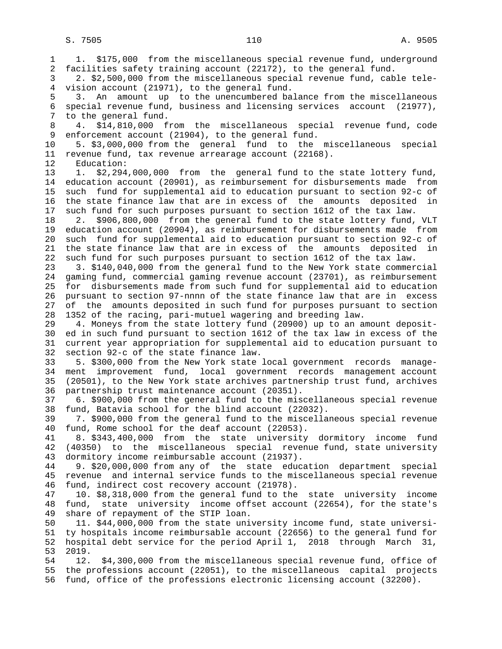1 1. \$175,000 from the miscellaneous special revenue fund, underground 2 facilities safety training account (22172), to the general fund. 3 2. \$2,500,000 from the miscellaneous special revenue fund, cable tele- 4 vision account (21971), to the general fund. 5 3. An amount up to the unencumbered balance from the miscellaneous 6 special revenue fund, business and licensing services account (21977), 7 to the general fund. 8 4. \$14,810,000 from the miscellaneous special revenue fund, code<br>9 enforcement account (21904), to the general fund. enforcement account (21904), to the general fund. 10 5. \$3,000,000 from the general fund to the miscellaneous special 11 revenue fund, tax revenue arrearage account (22168). 12 Education: 13 1. \$2,294,000,000 from the general fund to the state lottery fund, 14 education account (20901), as reimbursement for disbursements made from 15 such fund for supplemental aid to education pursuant to section 92-c of 16 the state finance law that are in excess of the amounts deposited in 17 such fund for such purposes pursuant to section 1612 of the tax law. 18 2. \$906,800,000 from the general fund to the state lottery fund, VLT 19 education account (20904), as reimbursement for disbursements made from 20 such fund for supplemental aid to education pursuant to section 92-c of 21 the state finance law that are in excess of the amounts deposited in 22 such fund for such purposes pursuant to section 1612 of the tax law. 23 3. \$140,040,000 from the general fund to the New York state commercial 24 gaming fund, commercial gaming revenue account (23701), as reimbursement 25 for disbursements made from such fund for supplemental aid to education 26 pursuant to section 97-nnnn of the state finance law that are in excess 27 of the amounts deposited in such fund for purposes pursuant to section 28 1352 of the racing, pari-mutuel wagering and breeding law. 29 4. Moneys from the state lottery fund (20900) up to an amount deposit- 30 ed in such fund pursuant to section 1612 of the tax law in excess of the 31 current year appropriation for supplemental aid to education pursuant to 32 section 92-c of the state finance law. 33 5. \$300,000 from the New York state local government records manage- 34 ment improvement fund, local government records management account 35 (20501), to the New York state archives partnership trust fund, archives 36 partnership trust maintenance account (20351). 37 6. \$900,000 from the general fund to the miscellaneous special revenue 38 fund, Batavia school for the blind account (22032). 39 7. \$900,000 from the general fund to the miscellaneous special revenue 40 fund, Rome school for the deaf account (22053). 41 8. \$343,400,000 from the state university dormitory income fund 42 (40350) to the miscellaneous special revenue fund, state university 43 dormitory income reimbursable account (21937). 44 9. \$20,000,000 from any of the state education department special 45 revenue and internal service funds to the miscellaneous special revenue 46 fund, indirect cost recovery account (21978). 47 10. \$8,318,000 from the general fund to the state university income 48 fund, state university income offset account (22654), for the state's 49 share of repayment of the STIP loan. 50 11. \$44,000,000 from the state university income fund, state universi- 51 ty hospitals income reimbursable account (22656) to the general fund for 52 hospital debt service for the period April 1, 2018 through March 31, 53 2019. 54 12. \$4,300,000 from the miscellaneous special revenue fund, office of 55 the professions account (22051), to the miscellaneous capital projects 56 fund, office of the professions electronic licensing account (32200).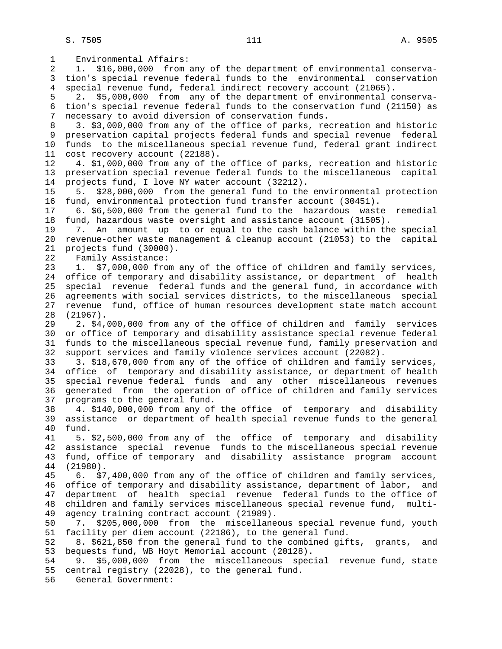1 Environmental Affairs: 2 1. \$16,000,000 from any of the department of environmental conserva- 3 tion's special revenue federal funds to the environmental conservation 4 special revenue fund, federal indirect recovery account (21065). 5 2. \$5,000,000 from any of the department of environmental conserva- 6 tion's special revenue federal funds to the conservation fund (21150) as 7 necessary to avoid diversion of conservation funds. 8 3. \$3,000,000 from any of the office of parks, recreation and historic 9 preservation capital projects federal funds and special revenue federal 10 funds to the miscellaneous special revenue fund, federal grant indirect 11 cost recovery account (22188). 12 4. \$1,000,000 from any of the office of parks, recreation and historic 13 preservation special revenue federal funds to the miscellaneous capital 14 projects fund, I love NY water account (32212). 15 5. \$28,000,000 from the general fund to the environmental protection 16 fund, environmental protection fund transfer account (30451). 17 6. \$6,500,000 from the general fund to the hazardous waste remedial 18 fund, hazardous waste oversight and assistance account (31505). 19 7. An amount up to or equal to the cash balance within the special 20 revenue-other waste management & cleanup account (21053) to the capital 21 projects fund (30000). 22 Family Assistance: 23 1. \$7,000,000 from any of the office of children and family services, 24 office of temporary and disability assistance, or department of health 25 special revenue federal funds and the general fund, in accordance with 26 agreements with social services districts, to the miscellaneous special 27 revenue fund, office of human resources development state match account 28 (21967). 29 2. \$4,000,000 from any of the office of children and family services 30 or office of temporary and disability assistance special revenue federal 31 funds to the miscellaneous special revenue fund, family preservation and 32 support services and family violence services account (22082). 33 3. \$18,670,000 from any of the office of children and family services, 34 office of temporary and disability assistance, or department of health 35 special revenue federal funds and any other miscellaneous revenues 36 generated from the operation of office of children and family services 37 programs to the general fund. 38 4. \$140,000,000 from any of the office of temporary and disability 39 assistance or department of health special revenue funds to the general 40 fund. 41 5. \$2,500,000 from any of the office of temporary and disability 42 assistance special revenue funds to the miscellaneous special revenue 43 fund, office of temporary and disability assistance program account 44 (21980). 45 6. \$7,400,000 from any of the office of children and family services, 46 office of temporary and disability assistance, department of labor, and 47 department of health special revenue federal funds to the office of 48 children and family services miscellaneous special revenue fund, multi- 49 agency training contract account (21989). 50 7. \$205,000,000 from the miscellaneous special revenue fund, youth 51 facility per diem account (22186), to the general fund. 52 8. \$621,850 from the general fund to the combined gifts, grants, and 53 bequests fund, WB Hoyt Memorial account (20128). 54 9. \$5,000,000 from the miscellaneous special revenue fund, state 55 central registry (22028), to the general fund. 56 General Government: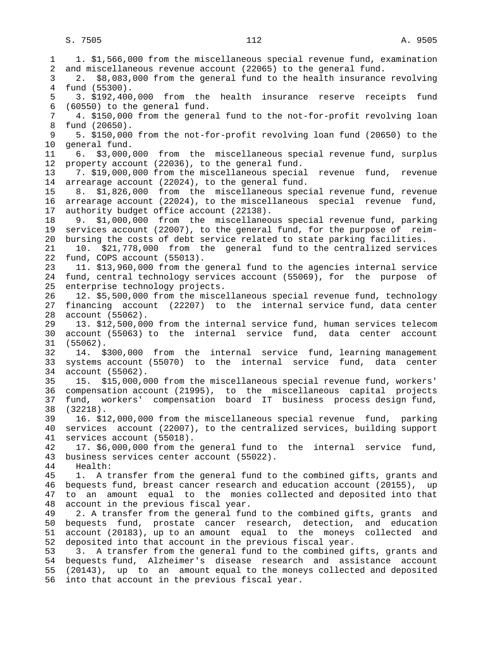1 1. \$1,566,000 from the miscellaneous special revenue fund, examination 2 and miscellaneous revenue account (22065) to the general fund. 3 2. \$8,083,000 from the general fund to the health insurance revolving 4 fund (55300). 5 3. \$192,400,000 from the health insurance reserve receipts fund 6 (60550) to the general fund. 7 4. \$150,000 from the general fund to the not-for-profit revolving loan 8 fund (20650). 9 5. \$150,000 from the not-for-profit revolving loan fund (20650) to the 10 general fund. 11 6. \$3,000,000 from the miscellaneous special revenue fund, surplus 12 property account (22036), to the general fund. 13 7. \$19,000,000 from the miscellaneous special revenue fund, revenue 14 arrearage account (22024), to the general fund. 15 8. \$1,826,000 from the miscellaneous special revenue fund, revenue 16 arrearage account (22024), to the miscellaneous special revenue fund, 17 authority budget office account (22138). 18 9. \$1,000,000 from the miscellaneous special revenue fund, parking 19 services account (22007), to the general fund, for the purpose of reim- 20 bursing the costs of debt service related to state parking facilities. 21 10. \$21,778,000 from the general fund to the centralized services 22 fund, COPS account (55013). 23 11. \$13,960,000 from the general fund to the agencies internal service 24 fund, central technology services account (55069), for the purpose of 25 enterprise technology projects. 26 12. \$5,500,000 from the miscellaneous special revenue fund, technology 27 financing account (22207) to the internal service fund, data center 28 account (55062). 29 13. \$12,500,000 from the internal service fund, human services telecom 30 account (55063) to the internal service fund, data center account 31 (55062). 32 14. \$300,000 from the internal service fund, learning management 33 systems account (55070) to the internal service fund, data center 34 account (55062). 35 15. \$15,000,000 from the miscellaneous special revenue fund, workers' 36 compensation account (21995), to the miscellaneous capital projects 37 fund, workers' compensation board IT business process design fund, 38 (32218). 39 16. \$12,000,000 from the miscellaneous special revenue fund, parking 40 services account (22007), to the centralized services, building support 41 services account (55018). 42 17. \$6,000,000 from the general fund to the internal service fund, 43 business services center account (55022). 44 Health: 45 1. A transfer from the general fund to the combined gifts, grants and 46 bequests fund, breast cancer research and education account (20155), up 47 to an amount equal to the monies collected and deposited into that 48 account in the previous fiscal year. 49 2. A transfer from the general fund to the combined gifts, grants and 50 bequests fund, prostate cancer research, detection, and education 51 account (20183), up to an amount equal to the moneys collected and 52 deposited into that account in the previous fiscal year. 53 3. A transfer from the general fund to the combined gifts, grants and 54 bequests fund, Alzheimer's disease research and assistance account 55 (20143), up to an amount equal to the moneys collected and deposited 56 into that account in the previous fiscal year.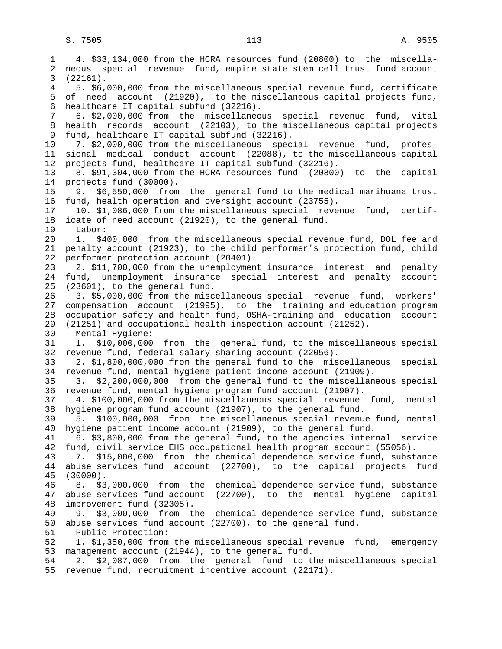1 4. \$33,134,000 from the HCRA resources fund (20800) to the miscella- 2 neous special revenue fund, empire state stem cell trust fund account 3 (22161). 4 5. \$6,000,000 from the miscellaneous special revenue fund, certificate 5 of need account (21920), to the miscellaneous capital projects fund, 6 healthcare IT capital subfund (32216). 7 6. \$2,000,000 from the miscellaneous special revenue fund, vital 8 health records account (22103), to the miscellaneous capital projects<br>9 fund, healthcare IT capital subfund (32216). fund, healthcare IT capital subfund (32216). 10 7. \$2,000,000 from the miscellaneous special revenue fund, profes- 11 sional medical conduct account (22088), to the miscellaneous capital 12 projects fund, healthcare IT capital subfund (32216). 13 8. \$91,304,000 from the HCRA resources fund (20800) to the capital 14 projects fund (30000). 15 9. \$6,550,000 from the general fund to the medical marihuana trust 16 fund, health operation and oversight account (23755). 17 10. \$1,086,000 from the miscellaneous special revenue fund, certif- 18 icate of need account (21920), to the general fund. 19 Labor: 20 1. \$400,000 from the miscellaneous special revenue fund, DOL fee and 21 penalty account (21923), to the child performer's protection fund, child 22 performer protection account (20401). 23 2. \$11,700,000 from the unemployment insurance interest and penalty 24 fund, unemployment insurance special interest and penalty account 25 (23601), to the general fund. 26 3. \$5,000,000 from the miscellaneous special revenue fund, workers' 27 compensation account (21995), to the training and education program 28 occupation safety and health fund, OSHA-training and education account 29 (21251) and occupational health inspection account (21252). 30 Mental Hygiene: 31 1. \$10,000,000 from the general fund, to the miscellaneous special 32 revenue fund, federal salary sharing account (22056). 33 2. \$1,800,000,000 from the general fund to the miscellaneous special 34 revenue fund, mental hygiene patient income account (21909). 35 3. \$2,200,000,000 from the general fund to the miscellaneous special 36 revenue fund, mental hygiene program fund account (21907). 37 4. \$100,000,000 from the miscellaneous special revenue fund, mental 38 hygiene program fund account (21907), to the general fund. 39 5. \$100,000,000 from the miscellaneous special revenue fund, mental 40 hygiene patient income account (21909), to the general fund. 41 6. \$3,800,000 from the general fund, to the agencies internal service 42 fund, civil service EHS occupational health program account (55056). 43 7. \$15,000,000 from the chemical dependence service fund, substance 44 abuse services fund account (22700), to the capital projects fund 45 (30000). 46 8. \$3,000,000 from the chemical dependence service fund, substance 47 abuse services fund account (22700), to the mental hygiene capital 48 improvement fund (32305). 49 9. \$3,000,000 from the chemical dependence service fund, substance 50 abuse services fund account (22700), to the general fund. 51 Public Protection: 52 1. \$1,350,000 from the miscellaneous special revenue fund, emergency 53 management account (21944), to the general fund. 54 2. \$2,087,000 from the general fund to the miscellaneous special 55 revenue fund, recruitment incentive account (22171).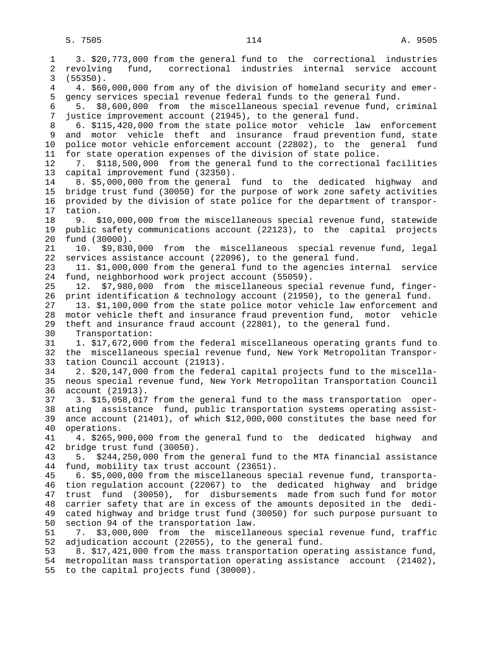1 3. \$20,773,000 from the general fund to the correctional industries 2 revolving fund, correctional industries internal service account 3 (55350). 4 4. \$60,000,000 from any of the division of homeland security and emer- 5 gency services special revenue federal funds to the general fund. 6 5. \$8,600,000 from the miscellaneous special revenue fund, criminal 7 justice improvement account (21945), to the general fund. 8 6. \$115,420,000 from the state police motor vehicle law enforcement and motor vehicle theft and insurance fraud prevention fund, state 10 police motor vehicle enforcement account (22802), to the general fund 11 for state operation expenses of the division of state police. 12 7. \$118,500,000 from the general fund to the correctional facilities 13 capital improvement fund (32350). 14 8. \$5,000,000 from the general fund to the dedicated highway and 15 bridge trust fund (30050) for the purpose of work zone safety activities 16 provided by the division of state police for the department of transpor- 17 tation. 18 9. \$10,000,000 from the miscellaneous special revenue fund, statewide 19 public safety communications account (22123), to the capital projects 20 fund (30000). 21 10. \$9,830,000 from the miscellaneous special revenue fund, legal 22 services assistance account (22096), to the general fund. 23 11. \$1,000,000 from the general fund to the agencies internal service 24 fund, neighborhood work project account (55059). 25 12. \$7,980,000 from the miscellaneous special revenue fund, finger- 26 print identification & technology account (21950), to the general fund. 27 13. \$1,100,000 from the state police motor vehicle law enforcement and 28 motor vehicle theft and insurance fraud prevention fund, motor vehicle 29 theft and insurance fraud account (22801), to the general fund. 30 Transportation: 31 1. \$17,672,000 from the federal miscellaneous operating grants fund to 32 the miscellaneous special revenue fund, New York Metropolitan Transpor- 33 tation Council account (21913). 34 2. \$20,147,000 from the federal capital projects fund to the miscella- 35 neous special revenue fund, New York Metropolitan Transportation Council 36 account (21913). 37 3. \$15,058,017 from the general fund to the mass transportation oper- 38 ating assistance fund, public transportation systems operating assist- 39 ance account (21401), of which \$12,000,000 constitutes the base need for 40 operations. 41 4. \$265,900,000 from the general fund to the dedicated highway and 42 bridge trust fund (30050). 43 5. \$244,250,000 from the general fund to the MTA financial assistance 44 fund, mobility tax trust account (23651). 45 6. \$5,000,000 from the miscellaneous special revenue fund, transporta- 46 tion regulation account (22067) to the dedicated highway and bridge 47 trust fund (30050), for disbursements made from such fund for motor 48 carrier safety that are in excess of the amounts deposited in the dedi- 49 cated highway and bridge trust fund (30050) for such purpose pursuant to 50 section 94 of the transportation law. 51 7. \$3,000,000 from the miscellaneous special revenue fund, traffic 52 adjudication account (22055), to the general fund. 53 8. \$17,421,000 from the mass transportation operating assistance fund, 54 metropolitan mass transportation operating assistance account (21402),

55 to the capital projects fund (30000).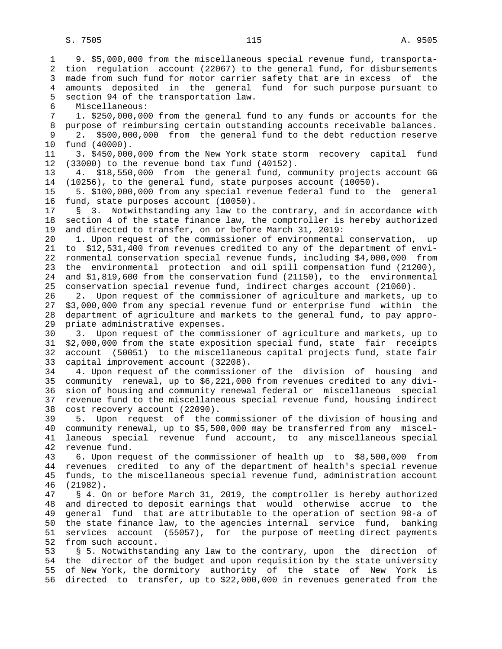1 9. \$5,000,000 from the miscellaneous special revenue fund, transporta- 2 tion regulation account (22067) to the general fund, for disbursements 3 made from such fund for motor carrier safety that are in excess of the 4 amounts deposited in the general fund for such purpose pursuant to 5 section 94 of the transportation law. 6 Miscellaneous: 7 1. \$250,000,000 from the general fund to any funds or accounts for the 8 purpose of reimbursing certain outstanding accounts receivable balances.<br>9 2. \$500,000,000 from the general fund to the debt reduction reserve 9 2. \$500,000,000 from the general fund to the debt reduction reserve 10 fund (40000). 11 3. \$450,000,000 from the New York state storm recovery capital fund 12 (33000) to the revenue bond tax fund (40152). 13 4. \$18,550,000 from the general fund, community projects account GG 14 (10256), to the general fund, state purposes account (10050). 15 5. \$100,000,000 from any special revenue federal fund to the general 16 fund, state purposes account (10050). 17 § 3. Notwithstanding any law to the contrary, and in accordance with 18 section 4 of the state finance law, the comptroller is hereby authorized 19 and directed to transfer, on or before March 31, 2019: 20 1. Upon request of the commissioner of environmental conservation, up 21 to \$12,531,400 from revenues credited to any of the department of envi- 22 ronmental conservation special revenue funds, including \$4,000,000 from 23 the environmental protection and oil spill compensation fund (21200), 24 and \$1,819,600 from the conservation fund (21150), to the environmental 25 conservation special revenue fund, indirect charges account (21060). 26 2. Upon request of the commissioner of agriculture and markets, up to 27 \$3,000,000 from any special revenue fund or enterprise fund within the 28 department of agriculture and markets to the general fund, to pay appro- 29 priate administrative expenses. 30 3. Upon request of the commissioner of agriculture and markets, up to 31 \$2,000,000 from the state exposition special fund, state fair receipts 32 account (50051) to the miscellaneous capital projects fund, state fair 33 capital improvement account (32208). 34 4. Upon request of the commissioner of the division of housing and 35 community renewal, up to \$6,221,000 from revenues credited to any divi- 36 sion of housing and community renewal federal or miscellaneous special 37 revenue fund to the miscellaneous special revenue fund, housing indirect 38 cost recovery account (22090). 39 5. Upon request of the commissioner of the division of housing and 40 community renewal, up to \$5,500,000 may be transferred from any miscel- 41 laneous special revenue fund account, to any miscellaneous special 42 revenue fund. 43 6. Upon request of the commissioner of health up to \$8,500,000 from 44 revenues credited to any of the department of health's special revenue 45 funds, to the miscellaneous special revenue fund, administration account 46 (21982). 47 § 4. On or before March 31, 2019, the comptroller is hereby authorized 48 and directed to deposit earnings that would otherwise accrue to the 49 general fund that are attributable to the operation of section 98-a of 50 the state finance law, to the agencies internal service fund, banking 51 services account (55057), for the purpose of meeting direct payments 52 from such account. 53 § 5. Notwithstanding any law to the contrary, upon the direction of 54 the director of the budget and upon requisition by the state university 55 of New York, the dormitory authority of the state of New York is 56 directed to transfer, up to \$22,000,000 in revenues generated from the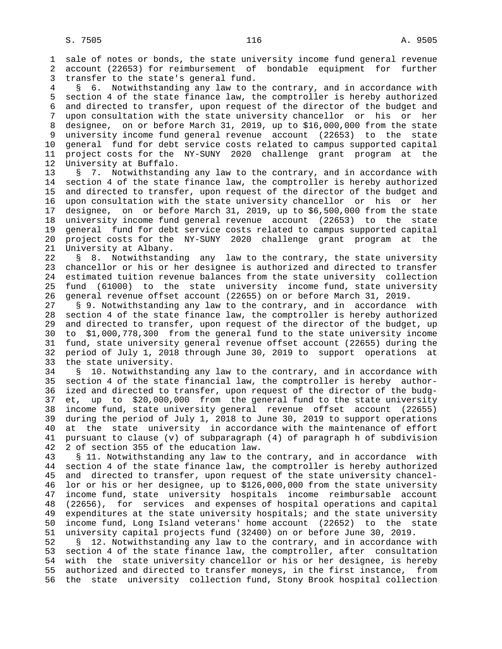1 sale of notes or bonds, the state university income fund general revenue 2 account (22653) for reimbursement of bondable equipment for further 3 transfer to the state's general fund.

 4 § 6. Notwithstanding any law to the contrary, and in accordance with 5 section 4 of the state finance law, the comptroller is hereby authorized 6 and directed to transfer, upon request of the director of the budget and 7 upon consultation with the state university chancellor or his or her 8 designee, on or before March 31, 2019, up to \$16,000,000 from the state university income fund general revenue account (22653) to the state 10 general fund for debt service costs related to campus supported capital 11 project costs for the NY-SUNY 2020 challenge grant program at the 12 University at Buffalo.

 13 § 7. Notwithstanding any law to the contrary, and in accordance with 14 section 4 of the state finance law, the comptroller is hereby authorized 15 and directed to transfer, upon request of the director of the budget and 16 upon consultation with the state university chancellor or his or her 17 designee, on or before March 31, 2019, up to \$6,500,000 from the state 18 university income fund general revenue account (22653) to the state 19 general fund for debt service costs related to campus supported capital 20 project costs for the NY-SUNY 2020 challenge grant program at the 21 University at Albany.

 22 § 8. Notwithstanding any law to the contrary, the state university 23 chancellor or his or her designee is authorized and directed to transfer 24 estimated tuition revenue balances from the state university collection 25 fund (61000) to the state university income fund, state university 26 general revenue offset account (22655) on or before March 31, 2019.

 27 § 9. Notwithstanding any law to the contrary, and in accordance with 28 section 4 of the state finance law, the comptroller is hereby authorized 29 and directed to transfer, upon request of the director of the budget, up 30 to \$1,000,778,300 from the general fund to the state university income 31 fund, state university general revenue offset account (22655) during the 32 period of July 1, 2018 through June 30, 2019 to support operations at 33 the state university.

 34 § 10. Notwithstanding any law to the contrary, and in accordance with 35 section 4 of the state financial law, the comptroller is hereby author- 36 ized and directed to transfer, upon request of the director of the budg- 37 et, up to \$20,000,000 from the general fund to the state university 38 income fund, state university general revenue offset account (22655) 39 during the period of July 1, 2018 to June 30, 2019 to support operations 40 at the state university in accordance with the maintenance of effort 41 pursuant to clause (v) of subparagraph (4) of paragraph h of subdivision 42 2 of section 355 of the education law.

 43 § 11. Notwithstanding any law to the contrary, and in accordance with 44 section 4 of the state finance law, the comptroller is hereby authorized 45 and directed to transfer, upon request of the state university chancel- 46 lor or his or her designee, up to \$126,000,000 from the state university 47 income fund, state university hospitals income reimbursable account 48 (22656), for services and expenses of hospital operations and capital 49 expenditures at the state university hospitals; and the state university 50 income fund, Long Island veterans' home account (22652) to the state 51 university capital projects fund (32400) on or before June 30, 2019.

 52 § 12. Notwithstanding any law to the contrary, and in accordance with 53 section 4 of the state finance law, the comptroller, after consultation 54 with the state university chancellor or his or her designee, is hereby 55 authorized and directed to transfer moneys, in the first instance, from 56 the state university collection fund, Stony Brook hospital collection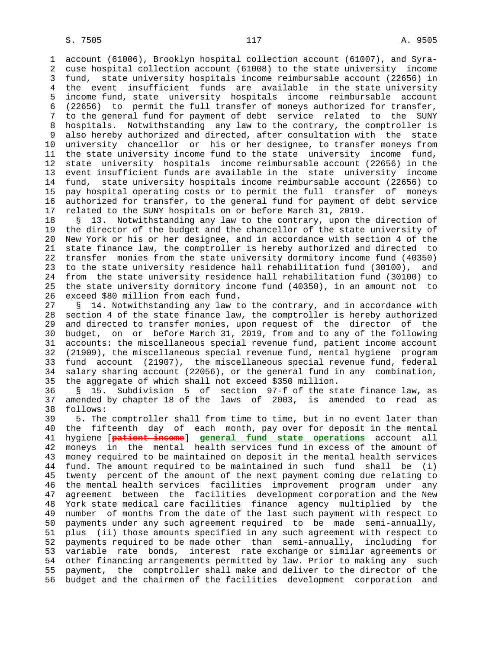1 account (61006), Brooklyn hospital collection account (61007), and Syra- 2 cuse hospital collection account (61008) to the state university income 3 fund, state university hospitals income reimbursable account (22656) in 4 the event insufficient funds are available in the state university 5 income fund, state university hospitals income reimbursable account 6 (22656) to permit the full transfer of moneys authorized for transfer, 7 to the general fund for payment of debt service related to the SUNY 8 hospitals. Notwithstanding any law to the contrary, the comptroller is<br>9 also hereby authorized and directed, after consultation with the state also hereby authorized and directed, after consultation with the state 10 university chancellor or his or her designee, to transfer moneys from 11 the state university income fund to the state university income fund, 12 state university hospitals income reimbursable account (22656) in the 13 event insufficient funds are available in the state university income 14 fund, state university hospitals income reimbursable account (22656) to 15 pay hospital operating costs or to permit the full transfer of moneys 16 authorized for transfer, to the general fund for payment of debt service 17 related to the SUNY hospitals on or before March 31, 2019.

 18 § 13. Notwithstanding any law to the contrary, upon the direction of 19 the director of the budget and the chancellor of the state university of 20 New York or his or her designee, and in accordance with section 4 of the 21 state finance law, the comptroller is hereby authorized and directed to 22 transfer monies from the state university dormitory income fund (40350) 23 to the state university residence hall rehabilitation fund (30100), and 24 from the state university residence hall rehabilitation fund (30100) to 25 the state university dormitory income fund (40350), in an amount not to 26 exceed \$80 million from each fund.

 27 § 14. Notwithstanding any law to the contrary, and in accordance with 28 section 4 of the state finance law, the comptroller is hereby authorized 29 and directed to transfer monies, upon request of the director of the 30 budget, on or before March 31, 2019, from and to any of the following 31 accounts: the miscellaneous special revenue fund, patient income account 32 (21909), the miscellaneous special revenue fund, mental hygiene program 33 fund account (21907), the miscellaneous special revenue fund, federal 34 salary sharing account (22056), or the general fund in any combination, 35 the aggregate of which shall not exceed \$350 million.

 36 § 15. Subdivision 5 of section 97-f of the state finance law, as 37 amended by chapter 18 of the laws of 2003, is amended to read as 38 follows:

 39 5. The comptroller shall from time to time, but in no event later than 40 the fifteenth day of each month, pay over for deposit in the mental 41 hygiene [**patient income**] **general fund state operations** account all 42 moneys in the mental health services fund in excess of the amount of 43 money required to be maintained on deposit in the mental health services 44 fund. The amount required to be maintained in such fund shall be (i) 45 twenty percent of the amount of the next payment coming due relating to 46 the mental health services facilities improvement program under any 47 agreement between the facilities development corporation and the New 48 York state medical care facilities finance agency multiplied by the 49 number of months from the date of the last such payment with respect to 50 payments under any such agreement required to be made semi-annually, 51 plus (ii) those amounts specified in any such agreement with respect to 52 payments required to be made other than semi-annually, including for 53 variable rate bonds, interest rate exchange or similar agreements or 54 other financing arrangements permitted by law. Prior to making any such 55 payment, the comptroller shall make and deliver to the director of the 56 budget and the chairmen of the facilities development corporation and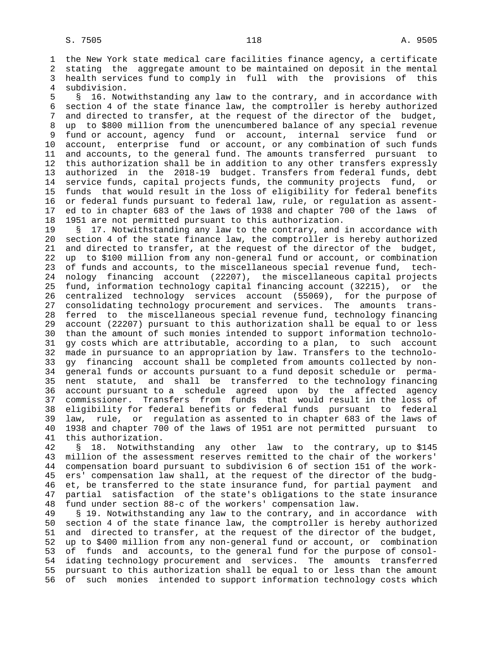1 the New York state medical care facilities finance agency, a certificate 2 stating the aggregate amount to be maintained on deposit in the mental 3 health services fund to comply in full with the provisions of this 4 subdivision.

 5 § 16. Notwithstanding any law to the contrary, and in accordance with 6 section 4 of the state finance law, the comptroller is hereby authorized 7 and directed to transfer, at the request of the director of the budget, 8 up to \$800 million from the unencumbered balance of any special revenue<br>9 fund or account, agency fund or account, internal service fund or fund or account, agency fund or account, internal service fund or 10 account, enterprise fund or account, or any combination of such funds 11 and accounts, to the general fund. The amounts transferred pursuant to 12 this authorization shall be in addition to any other transfers expressly 13 authorized in the 2018-19 budget. Transfers from federal funds, debt 14 service funds, capital projects funds, the community projects fund, or 15 funds that would result in the loss of eligibility for federal benefits 16 or federal funds pursuant to federal law, rule, or regulation as assent- 17 ed to in chapter 683 of the laws of 1938 and chapter 700 of the laws of 18 1951 are not permitted pursuant to this authorization.

 19 § 17. Notwithstanding any law to the contrary, and in accordance with 20 section 4 of the state finance law, the comptroller is hereby authorized 21 and directed to transfer, at the request of the director of the budget, 22 up to \$100 million from any non-general fund or account, or combination 23 of funds and accounts, to the miscellaneous special revenue fund, tech- 24 nology financing account (22207), the miscellaneous capital projects 25 fund, information technology capital financing account (32215), or the 26 centralized technology services account (55069), for the purpose of 27 consolidating technology procurement and services. The amounts trans- 28 ferred to the miscellaneous special revenue fund, technology financing 29 account (22207) pursuant to this authorization shall be equal to or less 30 than the amount of such monies intended to support information technolo- 31 gy costs which are attributable, according to a plan, to such account 32 made in pursuance to an appropriation by law. Transfers to the technolo- 33 gy financing account shall be completed from amounts collected by non- 34 general funds or accounts pursuant to a fund deposit schedule or perma- 35 nent statute, and shall be transferred to the technology financing 36 account pursuant to a schedule agreed upon by the affected agency 37 commissioner. Transfers from funds that would result in the loss of 38 eligibility for federal benefits or federal funds pursuant to federal 39 law, rule, or regulation as assented to in chapter 683 of the laws of 40 1938 and chapter 700 of the laws of 1951 are not permitted pursuant to 41 this authorization.

 42 § 18. Notwithstanding any other law to the contrary, up to \$145 43 million of the assessment reserves remitted to the chair of the workers' 44 compensation board pursuant to subdivision 6 of section 151 of the work- 45 ers' compensation law shall, at the request of the director of the budg- 46 et, be transferred to the state insurance fund, for partial payment and 47 partial satisfaction of the state's obligations to the state insurance 48 fund under section 88-c of the workers' compensation law.

 49 § 19. Notwithstanding any law to the contrary, and in accordance with 50 section 4 of the state finance law, the comptroller is hereby authorized 51 and directed to transfer, at the request of the director of the budget, 52 up to \$400 million from any non-general fund or account, or combination 53 of funds and accounts, to the general fund for the purpose of consol- 54 idating technology procurement and services. The amounts transferred 55 pursuant to this authorization shall be equal to or less than the amount 56 of such monies intended to support information technology costs which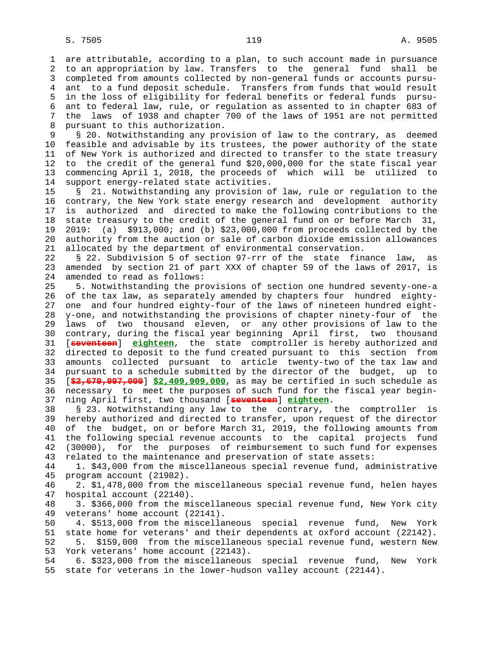1 are attributable, according to a plan, to such account made in pursuance 2 to an appropriation by law. Transfers to the general fund shall be 3 completed from amounts collected by non-general funds or accounts pursu- 4 ant to a fund deposit schedule. Transfers from funds that would result 5 in the loss of eligibility for federal benefits or federal funds pursu- 6 ant to federal law, rule, or regulation as assented to in chapter 683 of 7 the laws of 1938 and chapter 700 of the laws of 1951 are not permitted 8 pursuant to this authorization.<br>9 \$ 20. Notwithstanding any pro

§ 20. Notwithstanding any provision of law to the contrary, as deemed 10 feasible and advisable by its trustees, the power authority of the state 11 of New York is authorized and directed to transfer to the state treasury 12 to the credit of the general fund \$20,000,000 for the state fiscal year 13 commencing April 1, 2018, the proceeds of which will be utilized to 14 support energy-related state activities.

 15 § 21. Notwithstanding any provision of law, rule or regulation to the 16 contrary, the New York state energy research and development authority 17 is authorized and directed to make the following contributions to the 18 state treasury to the credit of the general fund on or before March 31, 19 2019: (a) \$913,000; and (b) \$23,000,000 from proceeds collected by the 20 authority from the auction or sale of carbon dioxide emission allowances 21 allocated by the department of environmental conservation.

 22 § 22. Subdivision 5 of section 97-rrr of the state finance law, as 23 amended by section 21 of part XXX of chapter 59 of the laws of 2017, is 24 amended to read as follows:

 25 5. Notwithstanding the provisions of section one hundred seventy-one-a 26 of the tax law, as separately amended by chapters four hundred eighty- 27 one and four hundred eighty-four of the laws of nineteen hundred eight- 28 y-one, and notwithstanding the provisions of chapter ninety-four of the 29 laws of two thousand eleven, or any other provisions of law to the 30 contrary, during the fiscal year beginning April first, two thousand 31 [**seventeen**] **eighteen**, the state comptroller is hereby authorized and 32 directed to deposit to the fund created pursuant to this section from 33 amounts collected pursuant to article twenty-two of the tax law and 34 pursuant to a schedule submitted by the director of the budget, up to 35 [**\$2,679,997,000**] **\$2,409,909,000**, as may be certified in such schedule as 36 necessary to meet the purposes of such fund for the fiscal year begin- 37 ning April first, two thousand [**seventeen**] **eighteen**.

 38 § 23. Notwithstanding any law to the contrary, the comptroller is 39 hereby authorized and directed to transfer, upon request of the director 40 of the budget, on or before March 31, 2019, the following amounts from 41 the following special revenue accounts to the capital projects fund 42 (30000), for the purposes of reimbursement to such fund for expenses 43 related to the maintenance and preservation of state assets:

 44 1. \$43,000 from the miscellaneous special revenue fund, administrative 45 program account (21982).

 46 2. \$1,478,000 from the miscellaneous special revenue fund, helen hayes 47 hospital account (22140).

 48 3. \$366,000 from the miscellaneous special revenue fund, New York city 49 veterans' home account (22141).

 50 4. \$513,000 from the miscellaneous special revenue fund, New York 51 state home for veterans' and their dependents at oxford account (22142).

 52 5. \$159,000 from the miscellaneous special revenue fund, western New 53 York veterans' home account (22143).<br>54 6. \$323,000 from the miscellaneous

 54 6. \$323,000 from the miscellaneous special revenue fund, New York 55 state for veterans in the lower-hudson valley account (22144).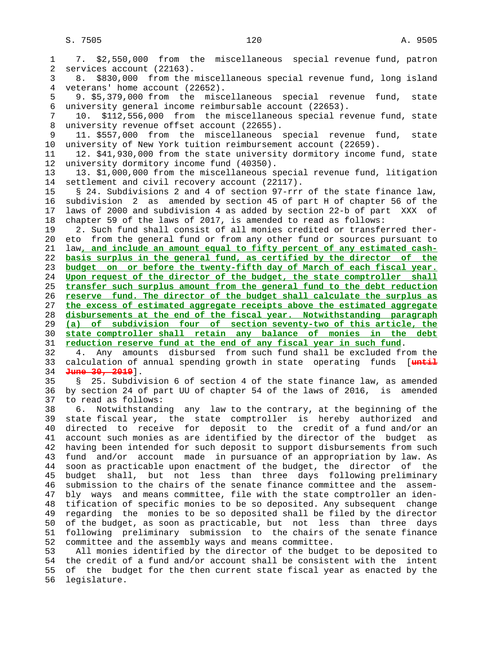1 7. \$2,550,000 from the miscellaneous special revenue fund, patron 2 services account (22163). 3 8. \$830,000 from the miscellaneous special revenue fund, long island 4 veterans' home account (22652). 5 9. \$5,379,000 from the miscellaneous special revenue fund, state 6 university general income reimbursable account (22653). 7 10. \$112,556,000 from the miscellaneous special revenue fund, state 8 university revenue offset account (22655).<br>9 11. \$557,000 from the miscellaneous 9 11. \$557,000 from the miscellaneous special revenue fund, state 10 university of New York tuition reimbursement account (22659). 11 12. \$41,930,000 from the state university dormitory income fund, state 12 university dormitory income fund (40350). 13 13. \$1,000,000 from the miscellaneous special revenue fund, litigation 14 settlement and civil recovery account (22117). 15 § 24. Subdivisions 2 and 4 of section 97-rrr of the state finance law, 16 subdivision 2 as amended by section 45 of part H of chapter 56 of the 17 laws of 2000 and subdivision 4 as added by section 22-b of part XXX of 18 chapter 59 of the laws of 2017, is amended to read as follows: 19 2. Such fund shall consist of all monies credited or transferred ther- 20 eto from the general fund or from any other fund or sources pursuant to 21 law**, and include an amount equal to fifty percent of any estimated cash-** 22 **basis surplus in the general fund, as certified by the director of the** 23 **budget on or before the twenty-fifth day of March of each fiscal year.** 24 **Upon request of the director of the budget, the state comptroller shall** 25 **transfer such surplus amount from the general fund to the debt reduction** 26 **reserve fund. The director of the budget shall calculate the surplus as** 27 **the excess of estimated aggregate receipts above the estimated aggregate** 28 **disbursements at the end of the fiscal year. Notwithstanding paragraph** 29 **(a) of subdivision four of section seventy-two of this article, the** 30 **state comptroller shall retain any balance of monies in the debt** 31 **reduction reserve fund at the end of any fiscal year in such fund**. 32 4. Any amounts disbursed from such fund shall be excluded from the 33 calculation of annual spending growth in state operating funds [**until** 34 **June 30, 2019**]. 35 § 25. Subdivision 6 of section 4 of the state finance law, as amended 36 by section 24 of part UU of chapter 54 of the laws of 2016, is amended 37 to read as follows: 38 6. Notwithstanding any law to the contrary, at the beginning of the 39 state fiscal year, the state comptroller is hereby authorized and 40 directed to receive for deposit to the credit of a fund and/or an 41 account such monies as are identified by the director of the budget as 42 having been intended for such deposit to support disbursements from such 43 fund and/or account made in pursuance of an appropriation by law. As 44 soon as practicable upon enactment of the budget, the director of the 45 budget shall, but not less than three days following preliminary 46 submission to the chairs of the senate finance committee and the assem- 47 bly ways and means committee, file with the state comptroller an iden- 48 tification of specific monies to be so deposited. Any subsequent change 49 regarding the monies to be so deposited shall be filed by the director 50 of the budget, as soon as practicable, but not less than three days 51 following preliminary submission to the chairs of the senate finance 52 committee and the assembly ways and means committee. 53 All monies identified by the director of the budget to be deposited to 54 the credit of a fund and/or account shall be consistent with the intent 55 of the budget for the then current state fiscal year as enacted by the 56 legislature.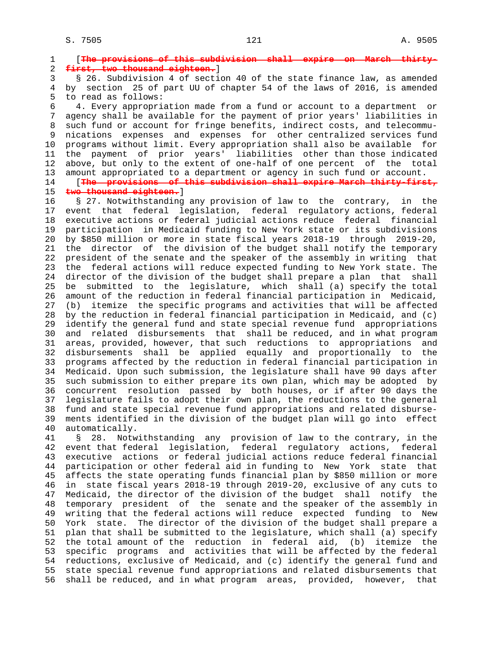1 [**The provisions of this subdivision shall expire on March thirty-** 2 **first, two thousand eighteen.**] 3 § 26. Subdivision 4 of section 40 of the state finance law, as amended 4 by section 25 of part UU of chapter 54 of the laws of 2016, is amended 5 to read as follows: 6 4. Every appropriation made from a fund or account to a department or 7 agency shall be available for the payment of prior years' liabilities in 8 such fund or account for fringe benefits, indirect costs, and telecommu- 9 nications expenses and expenses for other centralized services fund 10 programs without limit. Every appropriation shall also be available for 11 the payment of prior years' liabilities other than those indicated 12 above, but only to the extent of one-half of one percent of the total 13 amount appropriated to a department or agency in such fund or account. 14 [**The provisions of this subdivision shall expire March thirty-first,** 15 **two thousand eighteen.**] 16 § 27. Notwithstanding any provision of law to the contrary, in the 17 event that federal legislation, federal regulatory actions, federal 18 executive actions or federal judicial actions reduce federal financial 19 participation in Medicaid funding to New York state or its subdivisions 20 by \$850 million or more in state fiscal years 2018-19 through 2019-20, 21 the director of the division of the budget shall notify the temporary 22 president of the senate and the speaker of the assembly in writing that 23 the federal actions will reduce expected funding to New York state. The 24 director of the division of the budget shall prepare a plan that shall 25 be submitted to the legislature, which shall (a) specify the total 26 amount of the reduction in federal financial participation in Medicaid, 27 (b) itemize the specific programs and activities that will be affected 28 by the reduction in federal financial participation in Medicaid, and (c) 29 identify the general fund and state special revenue fund appropriations 30 and related disbursements that shall be reduced, and in what program 31 areas, provided, however, that such reductions to appropriations and 32 disbursements shall be applied equally and proportionally to the 33 programs affected by the reduction in federal financial participation in 34 Medicaid. Upon such submission, the legislature shall have 90 days after 35 such submission to either prepare its own plan, which may be adopted by 36 concurrent resolution passed by both houses, or if after 90 days the 37 legislature fails to adopt their own plan, the reductions to the general 38 fund and state special revenue fund appropriations and related disburse- 39 ments identified in the division of the budget plan will go into effect 40 automatically. 41 § 28. Notwithstanding any provision of law to the contrary, in the 42 event that federal legislation, federal regulatory actions, federal 43 executive actions or federal judicial actions reduce federal financial 44 participation or other federal aid in funding to New York state that

 45 affects the state operating funds financial plan by \$850 million or more 46 in state fiscal years 2018-19 through 2019-20, exclusive of any cuts to 47 Medicaid, the director of the division of the budget shall notify the 48 temporary president of the senate and the speaker of the assembly in 49 writing that the federal actions will reduce expected funding to New 50 York state. The director of the division of the budget shall prepare a 51 plan that shall be submitted to the legislature, which shall (a) specify 52 the total amount of the reduction in federal aid, (b) itemize the 53 specific programs and activities that will be affected by the federal 54 reductions, exclusive of Medicaid, and (c) identify the general fund and 55 state special revenue fund appropriations and related disbursements that 56 shall be reduced, and in what program areas, provided, however, that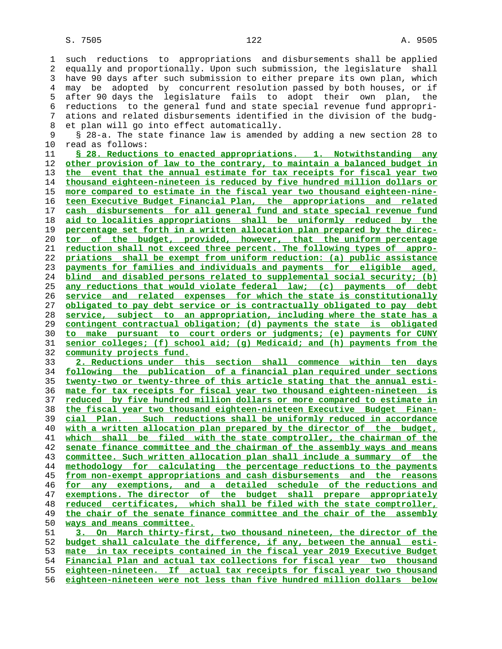1 such reductions to appropriations and disbursements shall be applied 2 equally and proportionally. Upon such submission, the legislature shall 3 have 90 days after such submission to either prepare its own plan, which 4 may be adopted by concurrent resolution passed by both houses, or if 5 after 90 days the legislature fails to adopt their own plan, the 6 reductions to the general fund and state special revenue fund appropri- 7 ations and related disbursements identified in the division of the budg- 8 et plan will go into effect automatically.<br>9 § 28-a. The state finance law is amended

 9 § 28-a. The state finance law is amended by adding a new section 28 to 10 read as follows:

**§ 28. Reductions to enacted appropriations. 1. Notwithstanding any other provision of law to the contrary, to maintain a balanced budget in the event that the annual estimate for tax receipts for fiscal year two thousand eighteen-nineteen is reduced by five hundred million dollars or more compared to estimate in the fiscal year two thousand eighteen-nine- teen Executive Budget Financial Plan, the appropriations and related cash disbursements for all general fund and state special revenue fund aid to localities appropriations shall be uniformly reduced by the percentage set forth in a written allocation plan prepared by the direc- tor of the budget, provided, however, that the uniform percentage reduction shall not exceed three percent. The following types of appro- priations shall be exempt from uniform reduction: (a) public assistance payments for families and individuals and payments for eligible aged, blind and disabled persons related to supplemental social security; (b) any reductions that would violate federal law; (c) payments of debt service and related expenses for which the state is constitutionally obligated to pay debt service or is contractually obligated to pay debt service, subject to an appropriation, including where the state has a contingent contractual obligation; (d) payments the state is obligated to make pursuant to court orders or judgments; (e) payments for CUNY senior colleges; (f) school aid; (g) Medicaid; and (h) payments from the community projects fund.**

**2. Reductions under this section shall commence within ten days following the publication of a financial plan required under sections twenty-two or twenty-three of this article stating that the annual esti- mate for tax receipts for fiscal year two thousand eighteen-nineteen is reduced by five hundred million dollars or more compared to estimate in the fiscal year two thousand eighteen-nineteen Executive Budget Finan- cial Plan. Such reductions shall be uniformly reduced in accordance with a written allocation plan prepared by the director of the budget, which shall be filed with the state comptroller, the chairman of the senate finance committee and the chairman of the assembly ways and means committee. Such written allocation plan shall include a summary of the methodology for calculating the percentage reductions to the payments from non-exempt appropriations and cash disbursements and the reasons for any exemptions, and a detailed schedule of the reductions and exemptions. The director of the budget shall prepare appropriately reduced certificates, which shall be filed with the state comptroller, the chair of the senate finance committee and the chair of the assembly ways and means committee. 3. On March thirty-first, two thousand nineteen, the director of the**

**budget shall calculate the difference, if any, between the annual esti- mate in tax receipts contained in the fiscal year 2019 Executive Budget Financial Plan and actual tax collections for fiscal year two thousand eighteen-nineteen. If actual tax receipts for fiscal year two thousand eighteen-nineteen were not less than five hundred million dollars below**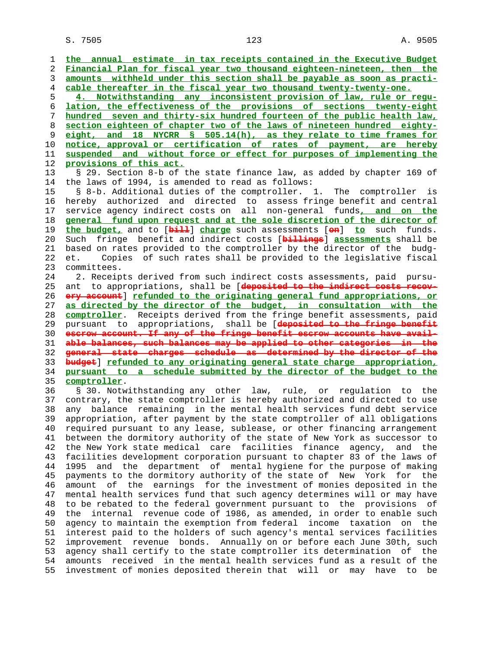S. 7505 123 A. 9505

 1 **the annual estimate in tax receipts contained in the Executive Budget** 2 **Financial Plan for fiscal year two thousand eighteen-nineteen, then the** 3 **amounts withheld under this section shall be payable as soon as practi-** 4 **cable thereafter in the fiscal year two thousand twenty-twenty-one.** 5 **4. Notwithstanding any inconsistent provision of law, rule or regu-** 6 **lation, the effectiveness of the provisions of sections twenty-eight** 7 **hundred seven and thirty-six hundred fourteen of the public health law,** 8 **section eighteen of chapter two of the laws of nineteen hundred eighty-** 9 **eight, and 18 NYCRR § 505.14(h), as they relate to time frames for** 10 **notice, approval or certification of rates of payment, are hereby** 11 **suspended and without force or effect for purposes of implementing the** 12 **provisions of this act.** 13 § 29. Section 8-b of the state finance law, as added by chapter 169 of 14 the laws of 1994, is amended to read as follows: 15 § 8-b. Additional duties of the comptroller. 1. The comptroller is 16 hereby authorized and directed to assess fringe benefit and central 17 service agency indirect costs on all non-general funds**, and on the** 18 **general fund upon request and at the sole discretion of the director of** 19 **the budget,** and to [**bill**] **charge** such assessments [**on**] **to** such funds. 20 Such fringe benefit and indirect costs [**billings**] **assessments** shall be 21 based on rates provided to the comptroller by the director of the budg- 22 et. Copies of such rates shall be provided to the legislative fiscal 23 committees. 24 2. Receipts derived from such indirect costs assessments, paid pursu- 25 ant to appropriations, shall be [**deposited to the indirect costs recov-** 26 **ery account**] **refunded to the originating general fund appropriations, or** 27 **as directed by the director of the budget, in consultation with the** 28 **comptroller**. Receipts derived from the fringe benefit assessments, paid 29 pursuant to appropriations, shall be [**deposited to the fringe benefit** 30 **escrow account. If any of the fringe benefit escrow accounts have avail-** 31 **able balances, such balances may be applied to other categories in the** 32 **general state charges schedule as determined by the director of the** 33 **budget**] **refunded to any originating general state charge appropriation,** 34 **pursuant to a schedule submitted by the director of the budget to the** 35 **comptroller**. 36 § 30. Notwithstanding any other law, rule, or regulation to the 37 contrary, the state comptroller is hereby authorized and directed to use 38 any balance remaining in the mental health services fund debt service 39 appropriation, after payment by the state comptroller of all obligations 40 required pursuant to any lease, sublease, or other financing arrangement 41 between the dormitory authority of the state of New York as successor to 42 the New York state medical care facilities finance agency, and the 43 facilities development corporation pursuant to chapter 83 of the laws of 44 1995 and the department of mental hygiene for the purpose of making 45 payments to the dormitory authority of the state of New York for the 46 amount of the earnings for the investment of monies deposited in the 47 mental health services fund that such agency determines will or may have 48 to be rebated to the federal government pursuant to the provisions of 49 the internal revenue code of 1986, as amended, in order to enable such 50 agency to maintain the exemption from federal income taxation on the 51 interest paid to the holders of such agency's mental services facilities 52 improvement revenue bonds. Annually on or before each June 30th, such 53 agency shall certify to the state comptroller its determination of the 54 amounts received in the mental health services fund as a result of the 55 investment of monies deposited therein that will or may have to be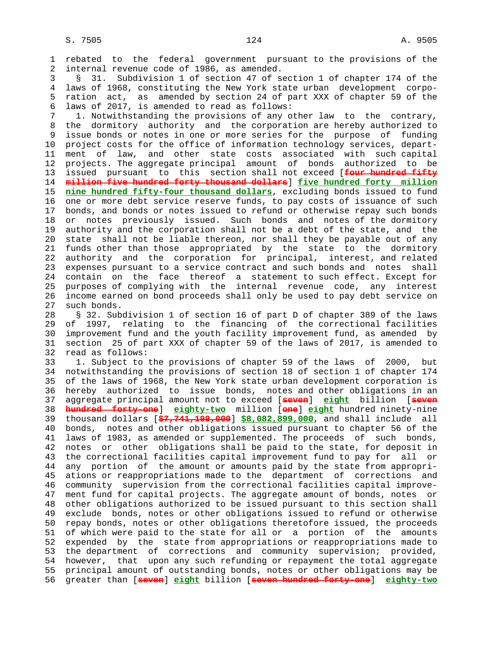1 rebated to the federal government pursuant to the provisions of the 2 internal revenue code of 1986, as amended.

 3 § 31. Subdivision 1 of section 47 of section 1 of chapter 174 of the 4 laws of 1968, constituting the New York state urban development corpo- 5 ration act, as amended by section 24 of part XXX of chapter 59 of the 6 laws of 2017, is amended to read as follows:

 7 1. Notwithstanding the provisions of any other law to the contrary, 8 the dormitory authority and the corporation are hereby authorized to<br>9 issue bonds or notes in one or more series for the purpose of funding issue bonds or notes in one or more series for the purpose of funding 10 project costs for the office of information technology services, depart- 11 ment of law, and other state costs associated with such capital 12 projects. The aggregate principal amount of bonds authorized to be 13 issued pursuant to this section shall not exceed [**four hundred fifty** 14 **million five hundred forty thousand dollars**] **five hundred forty million** 15 **nine hundred fifty-four thousand dollars**, excluding bonds issued to fund 16 one or more debt service reserve funds, to pay costs of issuance of such 17 bonds, and bonds or notes issued to refund or otherwise repay such bonds 18 or notes previously issued. Such bonds and notes of the dormitory 19 authority and the corporation shall not be a debt of the state, and the 20 state shall not be liable thereon, nor shall they be payable out of any 21 funds other than those appropriated by the state to the dormitory 22 authority and the corporation for principal, interest, and related 23 expenses pursuant to a service contract and such bonds and notes shall 24 contain on the face thereof a statement to such effect. Except for 25 purposes of complying with the internal revenue code, any interest 26 income earned on bond proceeds shall only be used to pay debt service on 27 such bonds.

 28 § 32. Subdivision 1 of section 16 of part D of chapter 389 of the laws 29 of 1997, relating to the financing of the correctional facilities 30 improvement fund and the youth facility improvement fund, as amended by 31 section 25 of part XXX of chapter 59 of the laws of 2017, is amended to 32 read as follows:

 33 1. Subject to the provisions of chapter 59 of the laws of 2000, but 34 notwithstanding the provisions of section 18 of section 1 of chapter 174 35 of the laws of 1968, the New York state urban development corporation is 36 hereby authorized to issue bonds, notes and other obligations in an 37 aggregate principal amount not to exceed [**seven**] **eight** billion [**seven** 38 **hundred forty-one**] **eighty-two** million [**one**] **eight** hundred ninety-nine 39 thousand dollars [**\$7,741,199,000**] **\$8,082,899,000**, and shall include all 40 bonds, notes and other obligations issued pursuant to chapter 56 of the 41 laws of 1983, as amended or supplemented. The proceeds of such bonds, 42 notes or other obligations shall be paid to the state, for deposit in 43 the correctional facilities capital improvement fund to pay for all or 44 any portion of the amount or amounts paid by the state from appropri- 45 ations or reappropriations made to the department of corrections and 46 community supervision from the correctional facilities capital improve- 47 ment fund for capital projects. The aggregate amount of bonds, notes or 48 other obligations authorized to be issued pursuant to this section shall 49 exclude bonds, notes or other obligations issued to refund or otherwise 50 repay bonds, notes or other obligations theretofore issued, the proceeds 51 of which were paid to the state for all or a portion of the amounts 52 expended by the state from appropriations or reappropriations made to 53 the department of corrections and community supervision; provided, 54 however, that upon any such refunding or repayment the total aggregate 55 principal amount of outstanding bonds, notes or other obligations may be 56 greater than [**seven**] **eight** billion [**seven hundred forty-one**] **eighty-two**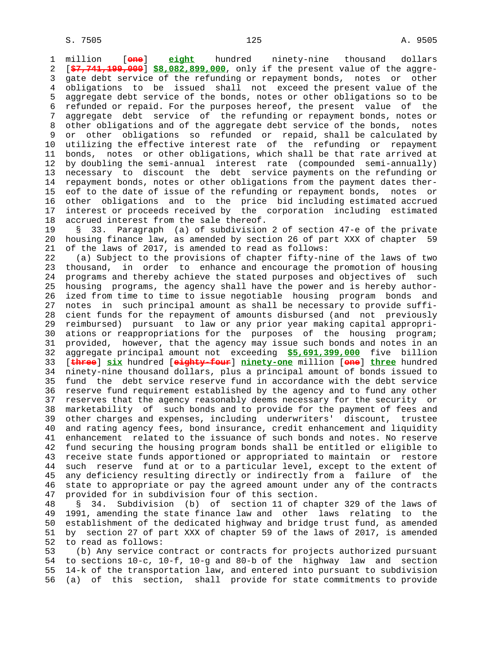1 million [**one**] **eight** hundred ninety-nine thousand dollars 2 [**\$7,741,199,000**] **\$8,082,899,000**, only if the present value of the aggre- 3 gate debt service of the refunding or repayment bonds, notes or other 4 obligations to be issued shall not exceed the present value of the 5 aggregate debt service of the bonds, notes or other obligations so to be 6 refunded or repaid. For the purposes hereof, the present value of the 7 aggregate debt service of the refunding or repayment bonds, notes or 8 other obligations and of the aggregate debt service of the bonds, notes 9 or other obligations so refunded or repaid, shall be calculated by 10 utilizing the effective interest rate of the refunding or repayment 11 bonds, notes or other obligations, which shall be that rate arrived at 12 by doubling the semi-annual interest rate (compounded semi-annually) 13 necessary to discount the debt service payments on the refunding or 14 repayment bonds, notes or other obligations from the payment dates ther- 15 eof to the date of issue of the refunding or repayment bonds, notes or 16 other obligations and to the price bid including estimated accrued 17 interest or proceeds received by the corporation including estimated 18 accrued interest from the sale thereof. 19 § 33. Paragraph (a) of subdivision 2 of section 47-e of the private

 20 housing finance law, as amended by section 26 of part XXX of chapter 59 21 of the laws of 2017, is amended to read as follows:

 22 (a) Subject to the provisions of chapter fifty-nine of the laws of two 23 thousand, in order to enhance and encourage the promotion of housing 24 programs and thereby achieve the stated purposes and objectives of such 25 housing programs, the agency shall have the power and is hereby author- 26 ized from time to time to issue negotiable housing program bonds and 27 notes in such principal amount as shall be necessary to provide suffi- 28 cient funds for the repayment of amounts disbursed (and not previously 29 reimbursed) pursuant to law or any prior year making capital appropri- 30 ations or reappropriations for the purposes of the housing program; 31 provided, however, that the agency may issue such bonds and notes in an 32 aggregate principal amount not exceeding **\$5,691,399,000** five billion 33 [**three**] **six** hundred [**eighty-four**] **ninety-one** million [**one**] **three** hundred 34 ninety-nine thousand dollars, plus a principal amount of bonds issued to 35 fund the debt service reserve fund in accordance with the debt service 36 reserve fund requirement established by the agency and to fund any other 37 reserves that the agency reasonably deems necessary for the security or 38 marketability of such bonds and to provide for the payment of fees and 39 other charges and expenses, including underwriters' discount, trustee 40 and rating agency fees, bond insurance, credit enhancement and liquidity 41 enhancement related to the issuance of such bonds and notes. No reserve 42 fund securing the housing program bonds shall be entitled or eligible to 43 receive state funds apportioned or appropriated to maintain or restore 44 such reserve fund at or to a particular level, except to the extent of 45 any deficiency resulting directly or indirectly from a failure of the 46 state to appropriate or pay the agreed amount under any of the contracts 47 provided for in subdivision four of this section.

 48 § 34. Subdivision (b) of section 11 of chapter 329 of the laws of 49 1991, amending the state finance law and other laws relating to the 50 establishment of the dedicated highway and bridge trust fund, as amended 51 by section 27 of part XXX of chapter 59 of the laws of 2017, is amended 52 to read as follows:

 53 (b) Any service contract or contracts for projects authorized pursuant 54 to sections 10-c, 10-f, 10-g and 80-b of the highway law and section 55 14-k of the transportation law, and entered into pursuant to subdivision 56 (a) of this section, shall provide for state commitments to provide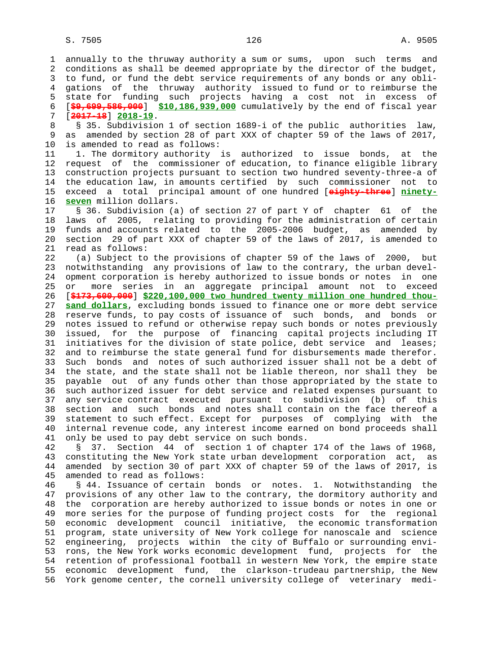1 annually to the thruway authority a sum or sums, upon such terms and 2 conditions as shall be deemed appropriate by the director of the budget, 3 to fund, or fund the debt service requirements of any bonds or any obli- 4 gations of the thruway authority issued to fund or to reimburse the 5 state for funding such projects having a cost not in excess of 6 [**\$9,699,586,000**] **\$10,186,939,000** cumulatively by the end of fiscal year 7 [**2017-18**] **2018-19**. 8 § 35. Subdivision 1 of section 1689-i of the public authorities law, as amended by section 28 of part XXX of chapter 59 of the laws of 2017, 10 is amended to read as follows: 11 1. The dormitory authority is authorized to issue bonds, at the 12 request of the commissioner of education, to finance eligible library 13 construction projects pursuant to section two hundred seventy-three-a of 14 the education law, in amounts certified by such commissioner not to 15 exceed a total principal amount of one hundred [**eighty-three**] **ninety-** 16 **seven** million dollars. 17 § 36. Subdivision (a) of section 27 of part Y of chapter 61 of the 18 laws of 2005, relating to providing for the administration of certain 19 funds and accounts related to the 2005-2006 budget, as amended by 20 section 29 of part XXX of chapter 59 of the laws of 2017, is amended to 21 read as follows: 22 (a) Subject to the provisions of chapter 59 of the laws of 2000, but 23 notwithstanding any provisions of law to the contrary, the urban devel- 24 opment corporation is hereby authorized to issue bonds or notes in one 25 or more series in an aggregate principal amount not to exceed 26 [**\$173,600,000**] **\$220,100,000 two hundred twenty million one hundred thou-** 27 **sand dollars**, excluding bonds issued to finance one or more debt service 28 reserve funds, to pay costs of issuance of such bonds, and bonds or 29 notes issued to refund or otherwise repay such bonds or notes previously 30 issued, for the purpose of financing capital projects including IT 31 initiatives for the division of state police, debt service and leases; 32 and to reimburse the state general fund for disbursements made therefor. 33 Such bonds and notes of such authorized issuer shall not be a debt of 34 the state, and the state shall not be liable thereon, nor shall they be 35 payable out of any funds other than those appropriated by the state to 36 such authorized issuer for debt service and related expenses pursuant to 37 any service contract executed pursuant to subdivision (b) of this 38 section and such bonds and notes shall contain on the face thereof a 39 statement to such effect. Except for purposes of complying with the 40 internal revenue code, any interest income earned on bond proceeds shall 41 only be used to pay debt service on such bonds. 42 § 37. Section 44 of section 1 of chapter 174 of the laws of 1968, 43 constituting the New York state urban development corporation act, as 44 amended by section 30 of part XXX of chapter 59 of the laws of 2017, is 45 amended to read as follows: 46 § 44. Issuance of certain bonds or notes. 1. Notwithstanding the

 47 provisions of any other law to the contrary, the dormitory authority and 48 the corporation are hereby authorized to issue bonds or notes in one or 49 more series for the purpose of funding project costs for the regional 50 economic development council initiative, the economic transformation 51 program, state university of New York college for nanoscale and science 52 engineering, projects within the city of Buffalo or surrounding envi- 53 rons, the New York works economic development fund, projects for the 54 retention of professional football in western New York, the empire state 55 economic development fund, the clarkson-trudeau partnership, the New 56 York genome center, the cornell university college of veterinary medi-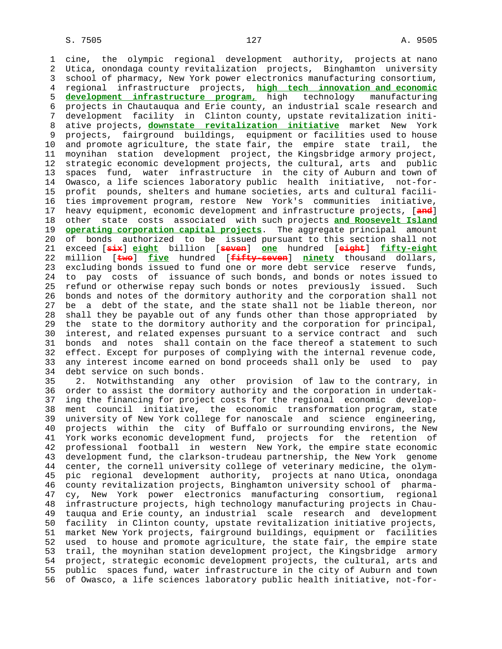1 cine, the olympic regional development authority, projects at nano 2 Utica, onondaga county revitalization projects, Binghamton university 3 school of pharmacy, New York power electronics manufacturing consortium, 4 regional infrastructure projects, **high tech innovation and economic** 5 **development infrastructure program,** high technology manufacturing 6 projects in Chautauqua and Erie county, an industrial scale research and 7 development facility in Clinton county, upstate revitalization initi- 8 ative projects, **downstate revitalization initiative** market New York projects, fairground buildings, equipment or facilities used to house 10 and promote agriculture, the state fair, the empire state trail, the 11 moynihan station development project, the Kingsbridge armory project, 12 strategic economic development projects, the cultural, arts and public 13 spaces fund, water infrastructure in the city of Auburn and town of 14 Owasco, a life sciences laboratory public health initiative, not-for- 15 profit pounds, shelters and humane societies, arts and cultural facili- 16 ties improvement program, restore New York's communities initiative, 17 heavy equipment, economic development and infrastructure projects, [**and**] 18 other state costs associated with such projects **and Roosevelt Island** 19 **operating corporation capital projects**. The aggregate principal amount 20 of bonds authorized to be issued pursuant to this section shall not 21 exceed [**six**] **eight** billion [**seven**] **one** hundred [**eight**] **fifty-eight** 22 million [**two**] **five** hundred [**fifty-seven**] **ninety** thousand dollars, 23 excluding bonds issued to fund one or more debt service reserve funds, 24 to pay costs of issuance of such bonds, and bonds or notes issued to 25 refund or otherwise repay such bonds or notes previously issued. Such 26 bonds and notes of the dormitory authority and the corporation shall not 27 be a debt of the state, and the state shall not be liable thereon, nor 28 shall they be payable out of any funds other than those appropriated by 29 the state to the dormitory authority and the corporation for principal, 30 interest, and related expenses pursuant to a service contract and such 31 bonds and notes shall contain on the face thereof a statement to such 32 effect. Except for purposes of complying with the internal revenue code, 33 any interest income earned on bond proceeds shall only be used to pay 34 debt service on such bonds.

 35 2. Notwithstanding any other provision of law to the contrary, in 36 order to assist the dormitory authority and the corporation in undertak- 37 ing the financing for project costs for the regional economic develop- 38 ment council initiative, the economic transformation program, state 39 university of New York college for nanoscale and science engineering, 40 projects within the city of Buffalo or surrounding environs, the New 41 York works economic development fund, projects for the retention of 42 professional football in western New York, the empire state economic 43 development fund, the clarkson-trudeau partnership, the New York genome 44 center, the cornell university college of veterinary medicine, the olym- 45 pic regional development authority, projects at nano Utica, onondaga 46 county revitalization projects, Binghamton university school of pharma- 47 cy, New York power electronics manufacturing consortium, regional 48 infrastructure projects, high technology manufacturing projects in Chau- 49 tauqua and Erie county, an industrial scale research and development 50 facility in Clinton county, upstate revitalization initiative projects, 51 market New York projects, fairground buildings, equipment or facilities 52 used to house and promote agriculture, the state fair, the empire state 53 trail, the moynihan station development project, the Kingsbridge armory 54 project, strategic economic development projects, the cultural, arts and 55 public spaces fund, water infrastructure in the city of Auburn and town 56 of Owasco, a life sciences laboratory public health initiative, not-for-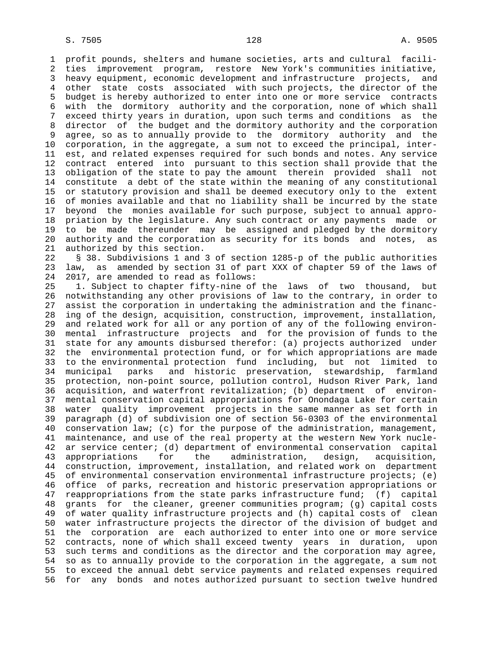1 profit pounds, shelters and humane societies, arts and cultural facili- 2 ties improvement program, restore New York's communities initiative, 3 heavy equipment, economic development and infrastructure projects, and 4 other state costs associated with such projects, the director of the 5 budget is hereby authorized to enter into one or more service contracts 6 with the dormitory authority and the corporation, none of which shall 7 exceed thirty years in duration, upon such terms and conditions as the 8 director of the budget and the dormitory authority and the corporation 9 agree, so as to annually provide to the dormitory authority and the 10 corporation, in the aggregate, a sum not to exceed the principal, inter- 11 est, and related expenses required for such bonds and notes. Any service 12 contract entered into pursuant to this section shall provide that the 13 obligation of the state to pay the amount therein provided shall not 14 constitute a debt of the state within the meaning of any constitutional 15 or statutory provision and shall be deemed executory only to the extent 16 of monies available and that no liability shall be incurred by the state 17 beyond the monies available for such purpose, subject to annual appro- 18 priation by the legislature. Any such contract or any payments made or 19 to be made thereunder may be assigned and pledged by the dormitory 20 authority and the corporation as security for its bonds and notes, as 21 authorized by this section.

 22 § 38. Subdivisions 1 and 3 of section 1285-p of the public authorities 23 law, as amended by section 31 of part XXX of chapter 59 of the laws of 24 2017, are amended to read as follows:

 25 1. Subject to chapter fifty-nine of the laws of two thousand, but 26 notwithstanding any other provisions of law to the contrary, in order to 27 assist the corporation in undertaking the administration and the financ- 28 ing of the design, acquisition, construction, improvement, installation, 29 and related work for all or any portion of any of the following environ- 30 mental infrastructure projects and for the provision of funds to the 31 state for any amounts disbursed therefor: (a) projects authorized under 32 the environmental protection fund, or for which appropriations are made 33 to the environmental protection fund including, but not limited to 34 municipal parks and historic preservation, stewardship, farmland 35 protection, non-point source, pollution control, Hudson River Park, land 36 acquisition, and waterfront revitalization; (b) department of environ- 37 mental conservation capital appropriations for Onondaga Lake for certain 38 water quality improvement projects in the same manner as set forth in 39 paragraph (d) of subdivision one of section 56-0303 of the environmental 40 conservation law; (c) for the purpose of the administration, management, 41 maintenance, and use of the real property at the western New York nucle- 42 ar service center; (d) department of environmental conservation capital 43 appropriations for the administration, design, acquisition, 44 construction, improvement, installation, and related work on department 45 of environmental conservation environmental infrastructure projects; (e) 46 office of parks, recreation and historic preservation appropriations or 47 reappropriations from the state parks infrastructure fund; (f) capital 48 grants for the cleaner, greener communities program; (g) capital costs 49 of water quality infrastructure projects and (h) capital costs of clean 50 water infrastructure projects the director of the division of budget and 51 the corporation are each authorized to enter into one or more service 52 contracts, none of which shall exceed twenty years in duration, upon 53 such terms and conditions as the director and the corporation may agree, 54 so as to annually provide to the corporation in the aggregate, a sum not 55 to exceed the annual debt service payments and related expenses required 56 for any bonds and notes authorized pursuant to section twelve hundred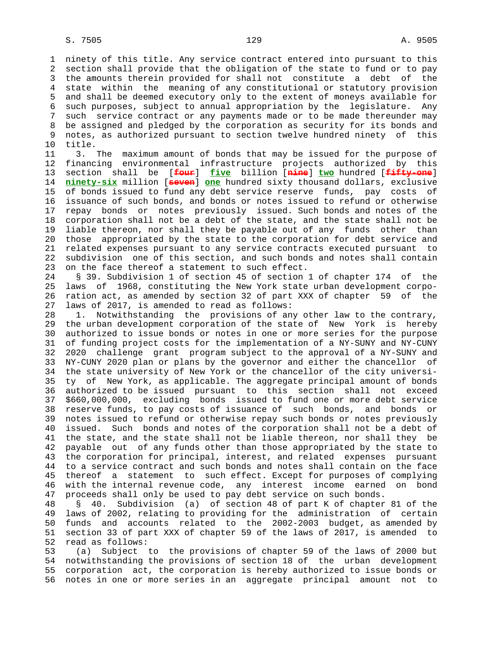1 ninety of this title. Any service contract entered into pursuant to this 2 section shall provide that the obligation of the state to fund or to pay 3 the amounts therein provided for shall not constitute a debt of the 4 state within the meaning of any constitutional or statutory provision 5 and shall be deemed executory only to the extent of moneys available for 6 such purposes, subject to annual appropriation by the legislature. Any 7 such service contract or any payments made or to be made thereunder may 8 be assigned and pledged by the corporation as security for its bonds and<br>9 notes, as authorized pursuant to section twelve hundred ninety of this notes, as authorized pursuant to section twelve hundred ninety of this 10 title.

 11 3. The maximum amount of bonds that may be issued for the purpose of 12 financing environmental infrastructure projects authorized by this 13 section shall be [**four**] **five** billion [**nine**] **two** hundred [**fifty-one**] 14 **ninety-six** million [**seven**] **one** hundred sixty thousand dollars, exclusive 15 of bonds issued to fund any debt service reserve funds, pay costs of 16 issuance of such bonds, and bonds or notes issued to refund or otherwise 17 repay bonds or notes previously issued. Such bonds and notes of the 18 corporation shall not be a debt of the state, and the state shall not be 19 liable thereon, nor shall they be payable out of any funds other than 20 those appropriated by the state to the corporation for debt service and 21 related expenses pursuant to any service contracts executed pursuant to 22 subdivision one of this section, and such bonds and notes shall contain 23 on the face thereof a statement to such effect.

 24 § 39. Subdivision 1 of section 45 of section 1 of chapter 174 of the 25 laws of 1968, constituting the New York state urban development corpo- 26 ration act, as amended by section 32 of part XXX of chapter 59 of the 27 laws of 2017, is amended to read as follows:

 28 1. Notwithstanding the provisions of any other law to the contrary, 29 the urban development corporation of the state of New York is hereby 30 authorized to issue bonds or notes in one or more series for the purpose 31 of funding project costs for the implementation of a NY-SUNY and NY-CUNY 32 2020 challenge grant program subject to the approval of a NY-SUNY and 33 NY-CUNY 2020 plan or plans by the governor and either the chancellor of 34 the state university of New York or the chancellor of the city universi- 35 ty of New York, as applicable. The aggregate principal amount of bonds 36 authorized to be issued pursuant to this section shall not exceed 37 \$660,000,000, excluding bonds issued to fund one or more debt service 38 reserve funds, to pay costs of issuance of such bonds, and bonds or 39 notes issued to refund or otherwise repay such bonds or notes previously 40 issued. Such bonds and notes of the corporation shall not be a debt of 41 the state, and the state shall not be liable thereon, nor shall they be 42 payable out of any funds other than those appropriated by the state to 43 the corporation for principal, interest, and related expenses pursuant 44 to a service contract and such bonds and notes shall contain on the face 45 thereof a statement to such effect. Except for purposes of complying 46 with the internal revenue code, any interest income earned on bond 47 proceeds shall only be used to pay debt service on such bonds.

 48 § 40. Subdivision (a) of section 48 of part K of chapter 81 of the 49 laws of 2002, relating to providing for the administration of certain 50 funds and accounts related to the 2002-2003 budget, as amended by 51 section 33 of part XXX of chapter 59 of the laws of 2017, is amended to 52 read as follows:

 53 (a) Subject to the provisions of chapter 59 of the laws of 2000 but 54 notwithstanding the provisions of section 18 of the urban development 55 corporation act, the corporation is hereby authorized to issue bonds or 56 notes in one or more series in an aggregate principal amount not to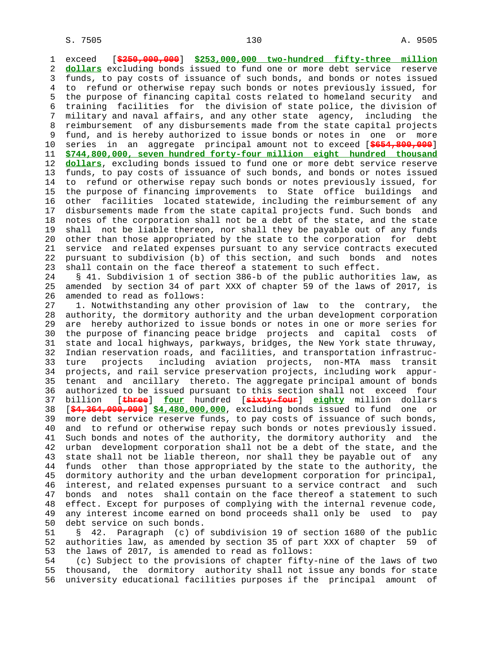1 exceed [**\$250,000,000**] **\$253,000,000 two-hundred fifty-three million** 2 **dollars** excluding bonds issued to fund one or more debt service reserve 3 funds, to pay costs of issuance of such bonds, and bonds or notes issued 4 to refund or otherwise repay such bonds or notes previously issued, for 5 the purpose of financing capital costs related to homeland security and 6 training facilities for the division of state police, the division of 7 military and naval affairs, and any other state agency, including the 8 reimbursement of any disbursements made from the state capital projects 9 fund, and is hereby authorized to issue bonds or notes in one or more 10 series in an aggregate principal amount not to exceed [**\$654,800,000**] 11 **\$744,800,000, seven hundred forty-four million eight hundred thousand** 12 **dollars**, excluding bonds issued to fund one or more debt service reserve 13 funds, to pay costs of issuance of such bonds, and bonds or notes issued 14 to refund or otherwise repay such bonds or notes previously issued, for 15 the purpose of financing improvements to State office buildings and 16 other facilities located statewide, including the reimbursement of any 17 disbursements made from the state capital projects fund. Such bonds and 18 notes of the corporation shall not be a debt of the state, and the state 19 shall not be liable thereon, nor shall they be payable out of any funds 20 other than those appropriated by the state to the corporation for debt 21 service and related expenses pursuant to any service contracts executed 22 pursuant to subdivision (b) of this section, and such bonds and notes 23 shall contain on the face thereof a statement to such effect. 24 § 41. Subdivision 1 of section 386-b of the public authorities law, as 25 amended by section 34 of part XXX of chapter 59 of the laws of 2017, is 26 amended to read as follows: 27 1. Notwithstanding any other provision of law to the contrary, the 28 authority, the dormitory authority and the urban development corporation 29 are hereby authorized to issue bonds or notes in one or more series for 30 the purpose of financing peace bridge projects and capital costs of 31 state and local highways, parkways, bridges, the New York state thruway, 32 Indian reservation roads, and facilities, and transportation infrastruc- 33 ture projects including aviation projects, non-MTA mass transit 34 projects, and rail service preservation projects, including work appur- 35 tenant and ancillary thereto. The aggregate principal amount of bonds 36 authorized to be issued pursuant to this section shall not exceed four 37 billion [**three**] **four** hundred [**sixty-four**] **eighty** million dollars 38 [**\$4,364,000,000**] **\$4,480,000,000**, excluding bonds issued to fund one or 39 more debt service reserve funds, to pay costs of issuance of such bonds, 40 and to refund or otherwise repay such bonds or notes previously issued. 41 Such bonds and notes of the authority, the dormitory authority and the 42 urban development corporation shall not be a debt of the state, and the 43 state shall not be liable thereon, nor shall they be payable out of any 44 funds other than those appropriated by the state to the authority, the 45 dormitory authority and the urban development corporation for principal, 46 interest, and related expenses pursuant to a service contract and such 47 bonds and notes shall contain on the face thereof a statement to such 48 effect. Except for purposes of complying with the internal revenue code, 49 any interest income earned on bond proceeds shall only be used to pay 50 debt service on such bonds.

 51 § 42. Paragraph (c) of subdivision 19 of section 1680 of the public 52 authorities law, as amended by section 35 of part XXX of chapter 59 of 53 the laws of 2017, is amended to read as follows:

 54 (c) Subject to the provisions of chapter fifty-nine of the laws of two 55 thousand, the dormitory authority shall not issue any bonds for state 56 university educational facilities purposes if the principal amount of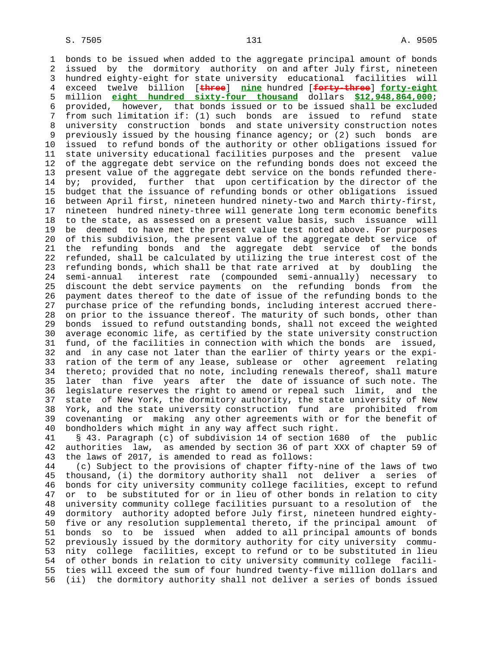1 bonds to be issued when added to the aggregate principal amount of bonds 2 issued by the dormitory authority on and after July first, nineteen 3 hundred eighty-eight for state university educational facilities will 4 exceed twelve billion [**three**] **nine** hundred [**forty-three**] **forty-eight** 5 million **eight hundred sixty-four thousand** dollars **\$12,948,864,000**; 6 provided, however, that bonds issued or to be issued shall be excluded 7 from such limitation if: (1) such bonds are issued to refund state 8 university construction bonds and state university construction notes<br>9 previously issued by the housing finance agency; or (2) such bonds are previously issued by the housing finance agency; or  $(2)$  such bonds are 10 issued to refund bonds of the authority or other obligations issued for 11 state university educational facilities purposes and the present value 12 of the aggregate debt service on the refunding bonds does not exceed the 13 present value of the aggregate debt service on the bonds refunded there- 14 by; provided, further that upon certification by the director of the 15 budget that the issuance of refunding bonds or other obligations issued 16 between April first, nineteen hundred ninety-two and March thirty-first, 17 nineteen hundred ninety-three will generate long term economic benefits 18 to the state, as assessed on a present value basis, such issuance will 19 be deemed to have met the present value test noted above. For purposes 20 of this subdivision, the present value of the aggregate debt service of 21 the refunding bonds and the aggregate debt service of the bonds 22 refunded, shall be calculated by utilizing the true interest cost of the 23 refunding bonds, which shall be that rate arrived at by doubling the 24 semi-annual interest rate (compounded semi-annually) necessary to 25 discount the debt service payments on the refunding bonds from the 26 payment dates thereof to the date of issue of the refunding bonds to the 27 purchase price of the refunding bonds, including interest accrued there- 28 on prior to the issuance thereof. The maturity of such bonds, other than 29 bonds issued to refund outstanding bonds, shall not exceed the weighted 30 average economic life, as certified by the state university construction 31 fund, of the facilities in connection with which the bonds are issued, 32 and in any case not later than the earlier of thirty years or the expi- 33 ration of the term of any lease, sublease or other agreement relating 34 thereto; provided that no note, including renewals thereof, shall mature 35 later than five years after the date of issuance of such note. The 36 legislature reserves the right to amend or repeal such limit, and the 37 state of New York, the dormitory authority, the state university of New 38 York, and the state university construction fund are prohibited from 39 covenanting or making any other agreements with or for the benefit of 40 bondholders which might in any way affect such right. 41 § 43. Paragraph (c) of subdivision 14 of section 1680 of the public

 42 authorities law, as amended by section 36 of part XXX of chapter 59 of 43 the laws of 2017, is amended to read as follows:

 44 (c) Subject to the provisions of chapter fifty-nine of the laws of two 45 thousand, (i) the dormitory authority shall not deliver a series of 46 bonds for city university community college facilities, except to refund 47 or to be substituted for or in lieu of other bonds in relation to city 48 university community college facilities pursuant to a resolution of the 49 dormitory authority adopted before July first, nineteen hundred eighty- 50 five or any resolution supplemental thereto, if the principal amount of 51 bonds so to be issued when added to all principal amounts of bonds 52 previously issued by the dormitory authority for city university commu- 53 nity college facilities, except to refund or to be substituted in lieu 54 of other bonds in relation to city university community college facili- 55 ties will exceed the sum of four hundred twenty-five million dollars and 56 (ii) the dormitory authority shall not deliver a series of bonds issued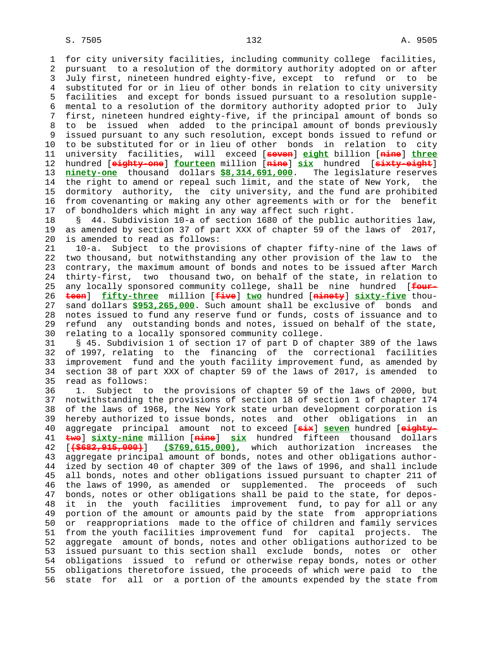S. 7505 132 A. 9505 1 for city university facilities, including community college facilities, 2 pursuant to a resolution of the dormitory authority adopted on or after 3 July first, nineteen hundred eighty-five, except to refund or to be 4 substituted for or in lieu of other bonds in relation to city university 5 facilities and except for bonds issued pursuant to a resolution supple- 6 mental to a resolution of the dormitory authority adopted prior to July 7 first, nineteen hundred eighty-five, if the principal amount of bonds so 8 to be issued when added to the principal amount of bonds previously 9 issued pursuant to any such resolution, except bonds issued to refund or 10 to be substituted for or in lieu of other bonds in relation to city 11 university facilities, will exceed [**seven**] **eight** billion [**nine**] **three** 12 hundred [**eighty-one**] **fourteen** million [**nine**] **six** hundred [**sixty-eight**] 13 **ninety-one** thousand dollars **\$8,314,691,000**. The legislature reserves 14 the right to amend or repeal such limit, and the state of New York, the 15 dormitory authority, the city university, and the fund are prohibited 16 from covenanting or making any other agreements with or for the benefit 17 of bondholders which might in any way affect such right. 18 § 44. Subdivision 10-a of section 1680 of the public authorities law, 19 as amended by section 37 of part XXX of chapter 59 of the laws of 2017, 20 is amended to read as follows: 21 10-a. Subject to the provisions of chapter fifty-nine of the laws of 22 two thousand, but notwithstanding any other provision of the law to the 23 contrary, the maximum amount of bonds and notes to be issued after March 24 thirty-first, two thousand two, on behalf of the state, in relation to 25 any locally sponsored community college, shall be nine hundred [**four-** 26 **teen**] **fifty-three** million [**five**] **two** hundred [**ninety**] **sixty-five** thou- 27 sand dollars **\$953,265,000**. Such amount shall be exclusive of bonds and 28 notes issued to fund any reserve fund or funds, costs of issuance and to 29 refund any outstanding bonds and notes, issued on behalf of the state, 30 relating to a locally sponsored community college. 31 § 45. Subdivision 1 of section 17 of part D of chapter 389 of the laws 32 of 1997, relating to the financing of the correctional facilities 33 improvement fund and the youth facility improvement fund, as amended by 34 section 38 of part XXX of chapter 59 of the laws of 2017, is amended to 35 read as follows: 36 1. Subject to the provisions of chapter 59 of the laws of 2000, but 37 notwithstanding the provisions of section 18 of section 1 of chapter 174 38 of the laws of 1968, the New York state urban development corporation is 39 hereby authorized to issue bonds, notes and other obligations in an 40 aggregate principal amount not to exceed [**six**] **seven** hundred [**eighty-** 41 **two**] **sixty-nine** million [**nine**] **six** hundred fifteen thousand dollars 42 [**(\$682,915,000)**] **(\$769,615,000)**, which authorization increases the 43 aggregate principal amount of bonds, notes and other obligations author- 44 ized by section 40 of chapter 309 of the laws of 1996, and shall include 45 all bonds, notes and other obligations issued pursuant to chapter 211 of 46 the laws of 1990, as amended or supplemented. The proceeds of such 47 bonds, notes or other obligations shall be paid to the state, for depos- 48 it in the youth facilities improvement fund, to pay for all or any 49 portion of the amount or amounts paid by the state from appropriations 50 or reappropriations made to the office of children and family services 51 from the youth facilities improvement fund for capital projects. The 52 aggregate amount of bonds, notes and other obligations authorized to be 53 issued pursuant to this section shall exclude bonds, notes or other 54 obligations issued to refund or otherwise repay bonds, notes or other

 55 obligations theretofore issued, the proceeds of which were paid to the 56 state for all or a portion of the amounts expended by the state from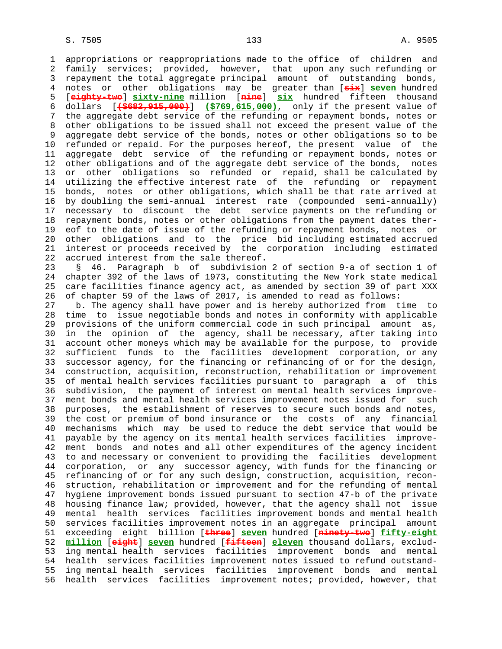1 appropriations or reappropriations made to the office of children and 2 family services; provided, however, that upon any such refunding or 3 repayment the total aggregate principal amount of outstanding bonds, 4 notes or other obligations may be greater than [**six**] **seven** hundred 5 [**eighty-two**] **sixty-nine** million [**nine**] **six** hundred fifteen thousand 6 dollars [**(\$682,915,000)**] **(\$769,615,000)**, only if the present value of 7 the aggregate debt service of the refunding or repayment bonds, notes or 8 other obligations to be issued shall not exceed the present value of the aggregate debt service of the bonds, notes or other obligations so to be 10 refunded or repaid. For the purposes hereof, the present value of the 11 aggregate debt service of the refunding or repayment bonds, notes or 12 other obligations and of the aggregate debt service of the bonds, notes 13 or other obligations so refunded or repaid, shall be calculated by 14 utilizing the effective interest rate of the refunding or repayment 15 bonds, notes or other obligations, which shall be that rate arrived at 16 by doubling the semi-annual interest rate (compounded semi-annually) 17 necessary to discount the debt service payments on the refunding or 18 repayment bonds, notes or other obligations from the payment dates ther- 19 eof to the date of issue of the refunding or repayment bonds, notes or 20 other obligations and to the price bid including estimated accrued 21 interest or proceeds received by the corporation including estimated 22 accrued interest from the sale thereof. 23 § 46. Paragraph b of subdivision 2 of section 9-a of section 1 of 24 chapter 392 of the laws of 1973, constituting the New York state medical 25 care facilities finance agency act, as amended by section 39 of part XXX 26 of chapter 59 of the laws of 2017, is amended to read as follows:

 27 b. The agency shall have power and is hereby authorized from time to 28 time to issue negotiable bonds and notes in conformity with applicable 29 provisions of the uniform commercial code in such principal amount as, 30 in the opinion of the agency, shall be necessary, after taking into 31 account other moneys which may be available for the purpose, to provide 32 sufficient funds to the facilities development corporation, or any 33 successor agency, for the financing or refinancing of or for the design, 34 construction, acquisition, reconstruction, rehabilitation or improvement 35 of mental health services facilities pursuant to paragraph a of this 36 subdivision, the payment of interest on mental health services improve- 37 ment bonds and mental health services improvement notes issued for such 38 purposes, the establishment of reserves to secure such bonds and notes, 39 the cost or premium of bond insurance or the costs of any financial 40 mechanisms which may be used to reduce the debt service that would be 41 payable by the agency on its mental health services facilities improve- 42 ment bonds and notes and all other expenditures of the agency incident 43 to and necessary or convenient to providing the facilities development 44 corporation, or any successor agency, with funds for the financing or 45 refinancing of or for any such design, construction, acquisition, recon- 46 struction, rehabilitation or improvement and for the refunding of mental 47 hygiene improvement bonds issued pursuant to section 47-b of the private 48 housing finance law; provided, however, that the agency shall not issue 49 mental health services facilities improvement bonds and mental health 50 services facilities improvement notes in an aggregate principal amount 51 exceeding eight billion [**three**] **seven** hundred [**ninety-two**] **fifty-eight** 52 **million** [**eight**] **seven** hundred [**fifteen**] **eleven** thousand dollars, exclud- 53 ing mental health services facilities improvement bonds and mental 54 health services facilities improvement notes issued to refund outstand- 55 ing mental health services facilities improvement bonds and mental 56 health services facilities improvement notes; provided, however, that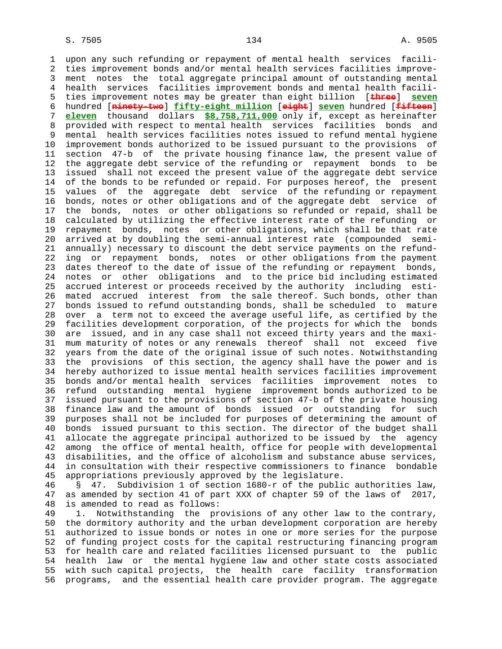1 upon any such refunding or repayment of mental health services facili- 2 ties improvement bonds and/or mental health services facilities improve- 3 ment notes the total aggregate principal amount of outstanding mental 4 health services facilities improvement bonds and mental health facili- 5 ties improvement notes may be greater than eight billion [**three**] **seven** 6 hundred [**ninety-two**] **fifty-eight million** [**eight**] **seven** hundred [**fifteen**] 7 **eleven** thousand dollars **\$8,758,711,000** only if, except as hereinafter 8 provided with respect to mental health services facilities bonds and mental health services facilities notes issued to refund mental hygiene 10 improvement bonds authorized to be issued pursuant to the provisions of 11 section 47-b of the private housing finance law, the present value of 12 the aggregate debt service of the refunding or repayment bonds to be 13 issued shall not exceed the present value of the aggregate debt service 14 of the bonds to be refunded or repaid. For purposes hereof, the present 15 values of the aggregate debt service of the refunding or repayment 16 bonds, notes or other obligations and of the aggregate debt service of 17 the bonds, notes or other obligations so refunded or repaid, shall be 18 calculated by utilizing the effective interest rate of the refunding or 19 repayment bonds, notes or other obligations, which shall be that rate 20 arrived at by doubling the semi-annual interest rate (compounded semi- 21 annually) necessary to discount the debt service payments on the refund- 22 ing or repayment bonds, notes or other obligations from the payment 23 dates thereof to the date of issue of the refunding or repayment bonds, 24 notes or other obligations and to the price bid including estimated 25 accrued interest or proceeds received by the authority including esti- 26 mated accrued interest from the sale thereof. Such bonds, other than 27 bonds issued to refund outstanding bonds, shall be scheduled to mature 28 over a term not to exceed the average useful life, as certified by the 29 facilities development corporation, of the projects for which the bonds 30 are issued, and in any case shall not exceed thirty years and the maxi- 31 mum maturity of notes or any renewals thereof shall not exceed five 32 years from the date of the original issue of such notes. Notwithstanding 33 the provisions of this section, the agency shall have the power and is 34 hereby authorized to issue mental health services facilities improvement 35 bonds and/or mental health services facilities improvement notes to 36 refund outstanding mental hygiene improvement bonds authorized to be 37 issued pursuant to the provisions of section 47-b of the private housing 38 finance law and the amount of bonds issued or outstanding for such 39 purposes shall not be included for purposes of determining the amount of 40 bonds issued pursuant to this section. The director of the budget shall 41 allocate the aggregate principal authorized to be issued by the agency 42 among the office of mental health, office for people with developmental 43 disabilities, and the office of alcoholism and substance abuse services, 44 in consultation with their respective commissioners to finance bondable 45 appropriations previously approved by the legislature.

 46 § 47. Subdivision 1 of section 1680-r of the public authorities law, 47 as amended by section 41 of part XXX of chapter 59 of the laws of 2017, 48 is amended to read as follows:

 49 1. Notwithstanding the provisions of any other law to the contrary, 50 the dormitory authority and the urban development corporation are hereby 51 authorized to issue bonds or notes in one or more series for the purpose 52 of funding project costs for the capital restructuring financing program 53 for health care and related facilities licensed pursuant to the public 54 health law or the mental hygiene law and other state costs associated 55 with such capital projects, the health care facility transformation 56 programs, and the essential health care provider program. The aggregate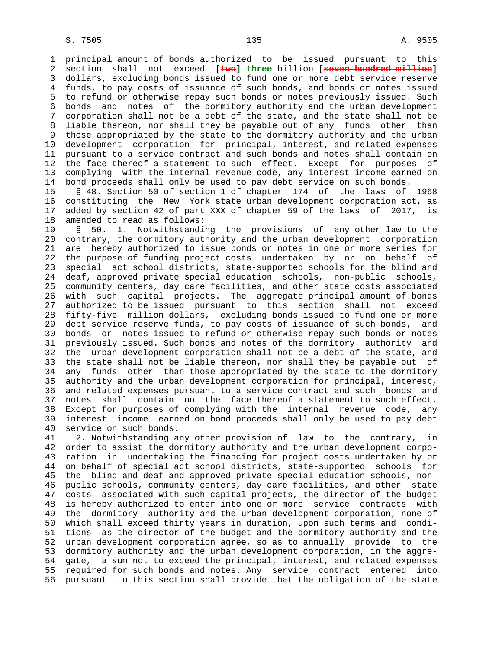1 principal amount of bonds authorized to be issued pursuant to this 2 section shall not exceed [**two**] **three** billion [**seven hundred million**] 3 dollars, excluding bonds issued to fund one or more debt service reserve 4 funds, to pay costs of issuance of such bonds, and bonds or notes issued 5 to refund or otherwise repay such bonds or notes previously issued. Such 6 bonds and notes of the dormitory authority and the urban development 7 corporation shall not be a debt of the state, and the state shall not be 8 liable thereon, nor shall they be payable out of any funds other than 9 those appropriated by the state to the dormitory authority and the urban 10 development corporation for principal, interest, and related expenses 11 pursuant to a service contract and such bonds and notes shall contain on 12 the face thereof a statement to such effect. Except for purposes of 13 complying with the internal revenue code, any interest income earned on<br>14 bond proceeds shall only be used to pay debt service on such bonds. bond proceeds shall only be used to pay debt service on such bonds.

 15 § 48. Section 50 of section 1 of chapter 174 of the laws of 1968 16 constituting the New York state urban development corporation act, as 17 added by section 42 of part XXX of chapter 59 of the laws of 2017, is 18 amended to read as follows:

 19 § 50. 1. Notwithstanding the provisions of any other law to the 20 contrary, the dormitory authority and the urban development corporation 21 are hereby authorized to issue bonds or notes in one or more series for 22 the purpose of funding project costs undertaken by or on behalf of 23 special act school districts, state-supported schools for the blind and 24 deaf, approved private special education schools, non-public schools, 25 community centers, day care facilities, and other state costs associated 26 with such capital projects. The aggregate principal amount of bonds 27 authorized to be issued pursuant to this section shall not exceed 28 fifty-five million dollars, excluding bonds issued to fund one or more 29 debt service reserve funds, to pay costs of issuance of such bonds, and 30 bonds or notes issued to refund or otherwise repay such bonds or notes 31 previously issued. Such bonds and notes of the dormitory authority and 32 the urban development corporation shall not be a debt of the state, and 33 the state shall not be liable thereon, nor shall they be payable out of 34 any funds other than those appropriated by the state to the dormitory 35 authority and the urban development corporation for principal, interest, 36 and related expenses pursuant to a service contract and such bonds and 37 notes shall contain on the face thereof a statement to such effect. 38 Except for purposes of complying with the internal revenue code, any 39 interest income earned on bond proceeds shall only be used to pay debt 40 service on such bonds.

 41 2. Notwithstanding any other provision of law to the contrary, in 42 order to assist the dormitory authority and the urban development corpo- 43 ration in undertaking the financing for project costs undertaken by or 44 on behalf of special act school districts, state-supported schools for 45 the blind and deaf and approved private special education schools, non- 46 public schools, community centers, day care facilities, and other state 47 costs associated with such capital projects, the director of the budget 48 is hereby authorized to enter into one or more service contracts with 49 the dormitory authority and the urban development corporation, none of 50 which shall exceed thirty years in duration, upon such terms and condi- 51 tions as the director of the budget and the dormitory authority and the 52 urban development corporation agree, so as to annually provide to the 53 dormitory authority and the urban development corporation, in the aggre- 54 gate, a sum not to exceed the principal, interest, and related expenses 55 required for such bonds and notes. Any service contract entered into 56 pursuant to this section shall provide that the obligation of the state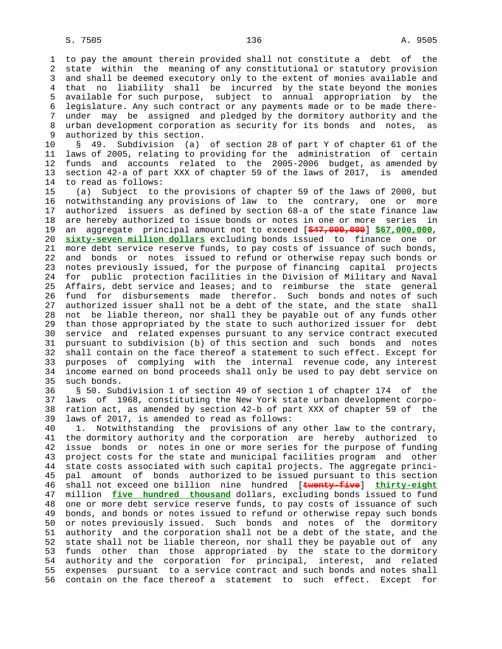1 to pay the amount therein provided shall not constitute a debt of the 2 state within the meaning of any constitutional or statutory provision 3 and shall be deemed executory only to the extent of monies available and 4 that no liability shall be incurred by the state beyond the monies 5 available for such purpose, subject to annual appropriation by the 6 legislature. Any such contract or any payments made or to be made there- 7 under may be assigned and pledged by the dormitory authority and the 8 urban development corporation as security for its bonds and notes, as<br>9 authorized by this section. authorized by this section.

 10 § 49. Subdivision (a) of section 28 of part Y of chapter 61 of the 11 laws of 2005, relating to providing for the administration of certain 12 funds and accounts related to the 2005-2006 budget, as amended by 13 section 42-a of part XXX of chapter 59 of the laws of 2017, is amended 14 to read as follows:

 15 (a) Subject to the provisions of chapter 59 of the laws of 2000, but 16 notwithstanding any provisions of law to the contrary, one or more 17 authorized issuers as defined by section 68-a of the state finance law 18 are hereby authorized to issue bonds or notes in one or more series in 19 an aggregate principal amount not to exceed [**\$47,000,000**] **\$67,000,000**, 20 **sixty-seven million dollars** excluding bonds issued to finance one or 21 more debt service reserve funds, to pay costs of issuance of such bonds, 22 and bonds or notes issued to refund or otherwise repay such bonds or 23 notes previously issued, for the purpose of financing capital projects 24 for public protection facilities in the Division of Military and Naval 25 Affairs, debt service and leases; and to reimburse the state general 26 fund for disbursements made therefor. Such bonds and notes of such 27 authorized issuer shall not be a debt of the state, and the state shall 28 not be liable thereon, nor shall they be payable out of any funds other 29 than those appropriated by the state to such authorized issuer for debt 30 service and related expenses pursuant to any service contract executed 31 pursuant to subdivision (b) of this section and such bonds and notes 32 shall contain on the face thereof a statement to such effect. Except for 33 purposes of complying with the internal revenue code, any interest 34 income earned on bond proceeds shall only be used to pay debt service on 35 such bonds.

 36 § 50. Subdivision 1 of section 49 of section 1 of chapter 174 of the 37 laws of 1968, constituting the New York state urban development corpo- 38 ration act, as amended by section 42-b of part XXX of chapter 59 of the 39 laws of 2017, is amended to read as follows:

 40 1. Notwithstanding the provisions of any other law to the contrary, 41 the dormitory authority and the corporation are hereby authorized to 42 issue bonds or notes in one or more series for the purpose of funding 43 project costs for the state and municipal facilities program and other 44 state costs associated with such capital projects. The aggregate princi- 45 pal amount of bonds authorized to be issued pursuant to this section 46 shall not exceed one billion nine hundred [**twenty-five**] **thirty-eight** 47 million **five hundred thousand** dollars, excluding bonds issued to fund 48 one or more debt service reserve funds, to pay costs of issuance of such 49 bonds, and bonds or notes issued to refund or otherwise repay such bonds 50 or notes previously issued. Such bonds and notes of the dormitory 51 authority and the corporation shall not be a debt of the state, and the 52 state shall not be liable thereon, nor shall they be payable out of any 53 funds other than those appropriated by the state to the dormitory 54 authority and the corporation for principal, interest, and related 55 expenses pursuant to a service contract and such bonds and notes shall 56 contain on the face thereof a statement to such effect. Except for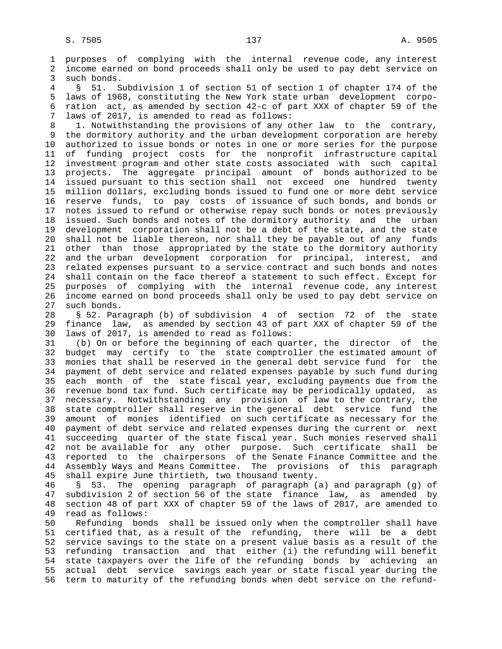1 purposes of complying with the internal revenue code, any interest 2 income earned on bond proceeds shall only be used to pay debt service on 3 such bonds.

 4 § 51. Subdivision 1 of section 51 of section 1 of chapter 174 of the 5 laws of 1968, constituting the New York state urban development corpo- 6 ration act, as amended by section 42-c of part XXX of chapter 59 of the 7 laws of 2017, is amended to read as follows:

8 1. Notwithstanding the provisions of any other law to the contrary,<br>9 the dormitory authority and the urban development corporation are hereby the dormitory authority and the urban development corporation are hereby 10 authorized to issue bonds or notes in one or more series for the purpose 11 of funding project costs for the nonprofit infrastructure capital 12 investment program and other state costs associated with such capital 13 projects. The aggregate principal amount of bonds authorized to be 14 issued pursuant to this section shall not exceed one hundred twenty 15 million dollars, excluding bonds issued to fund one or more debt service 16 reserve funds, to pay costs of issuance of such bonds, and bonds or 17 notes issued to refund or otherwise repay such bonds or notes previously 18 issued. Such bonds and notes of the dormitory authority and the urban 19 development corporation shall not be a debt of the state, and the state 20 shall not be liable thereon, nor shall they be payable out of any funds 21 other than those appropriated by the state to the dormitory authority 22 and the urban development corporation for principal, interest, and 23 related expenses pursuant to a service contract and such bonds and notes 24 shall contain on the face thereof a statement to such effect. Except for 25 purposes of complying with the internal revenue code, any interest 26 income earned on bond proceeds shall only be used to pay debt service on 27 such bonds.

 28 § 52. Paragraph (b) of subdivision 4 of section 72 of the state 29 finance law, as amended by section 43 of part XXX of chapter 59 of the 30 laws of 2017, is amended to read as follows:

 31 (b) On or before the beginning of each quarter, the director of the 32 budget may certify to the state comptroller the estimated amount of 33 monies that shall be reserved in the general debt service fund for the 34 payment of debt service and related expenses payable by such fund during each month of the state fiscal year, excluding payments due from the 36 revenue bond tax fund. Such certificate may be periodically updated, as 37 necessary. Notwithstanding any provision of law to the contrary, the 38 state comptroller shall reserve in the general debt service fund the 39 amount of monies identified on such certificate as necessary for the 40 payment of debt service and related expenses during the current or next 41 succeeding quarter of the state fiscal year. Such monies reserved shall 42 not be available for any other purpose. Such certificate shall be 43 reported to the chairpersons of the Senate Finance Committee and the 44 Assembly Ways and Means Committee. The provisions of this paragraph 45 shall expire June thirtieth, two thousand twenty.

 46 § 53. The opening paragraph of paragraph (a) and paragraph (g) of 47 subdivision 2 of section 56 of the state finance law, as amended by 48 section 48 of part XXX of chapter 59 of the laws of 2017, are amended to 49 read as follows:

 50 Refunding bonds shall be issued only when the comptroller shall have 51 certified that, as a result of the refunding, there will be a debt 52 service savings to the state on a present value basis as a result of the 53 refunding transaction and that either (i) the refunding will benefit 54 state taxpayers over the life of the refunding bonds by achieving an 55 actual debt service savings each year or state fiscal year during the 56 term to maturity of the refunding bonds when debt service on the refund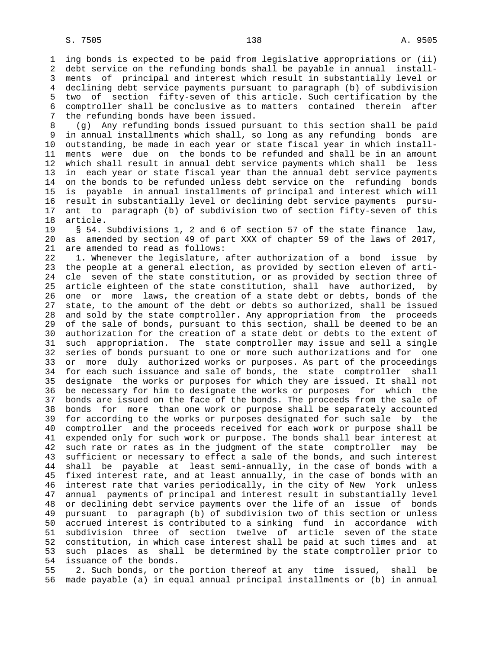1 ing bonds is expected to be paid from legislative appropriations or (ii) 2 debt service on the refunding bonds shall be payable in annual install- 3 ments of principal and interest which result in substantially level or 4 declining debt service payments pursuant to paragraph (b) of subdivision 5 two of section fifty-seven of this article. Such certification by the 6 comptroller shall be conclusive as to matters contained therein after 7 the refunding bonds have been issued.

 8 (g) Any refunding bonds issued pursuant to this section shall be paid in annual installments which shall, so long as any refunding bonds are 10 outstanding, be made in each year or state fiscal year in which install- 11 ments were due on the bonds to be refunded and shall be in an amount 12 which shall result in annual debt service payments which shall be less 13 in each year or state fiscal year than the annual debt service payments 14 on the bonds to be refunded unless debt service on the refunding bonds 15 is payable in annual installments of principal and interest which will 16 result in substantially level or declining debt service payments pursu- 17 ant to paragraph (b) of subdivision two of section fifty-seven of this 18 article.

 19 § 54. Subdivisions 1, 2 and 6 of section 57 of the state finance law, 20 as amended by section 49 of part XXX of chapter 59 of the laws of 2017, 21 are amended to read as follows:

 22 1. Whenever the legislature, after authorization of a bond issue by 23 the people at a general election, as provided by section eleven of arti- 24 cle seven of the state constitution, or as provided by section three of 25 article eighteen of the state constitution, shall have authorized, by 26 one or more laws, the creation of a state debt or debts, bonds of the 27 state, to the amount of the debt or debts so authorized, shall be issued 28 and sold by the state comptroller. Any appropriation from the proceeds 29 of the sale of bonds, pursuant to this section, shall be deemed to be an 30 authorization for the creation of a state debt or debts to the extent of 31 such appropriation. The state comptroller may issue and sell a single 32 series of bonds pursuant to one or more such authorizations and for one 33 or more duly authorized works or purposes. As part of the proceedings 34 for each such issuance and sale of bonds, the state comptroller shall 35 designate the works or purposes for which they are issued. It shall not 36 be necessary for him to designate the works or purposes for which the 37 bonds are issued on the face of the bonds. The proceeds from the sale of 38 bonds for more than one work or purpose shall be separately accounted 39 for according to the works or purposes designated for such sale by the 40 comptroller and the proceeds received for each work or purpose shall be 41 expended only for such work or purpose. The bonds shall bear interest at 42 such rate or rates as in the judgment of the state comptroller may be 43 sufficient or necessary to effect a sale of the bonds, and such interest 44 shall be payable at least semi-annually, in the case of bonds with a 45 fixed interest rate, and at least annually, in the case of bonds with an 46 interest rate that varies periodically, in the city of New York unless 47 annual payments of principal and interest result in substantially level 48 or declining debt service payments over the life of an issue of bonds 49 pursuant to paragraph (b) of subdivision two of this section or unless 50 accrued interest is contributed to a sinking fund in accordance with 51 subdivision three of section twelve of article seven of the state 52 constitution, in which case interest shall be paid at such times and at 53 such places as shall be determined by the state comptroller prior to 54 issuance of the bonds.

 55 2. Such bonds, or the portion thereof at any time issued, shall be 56 made payable (a) in equal annual principal installments or (b) in annual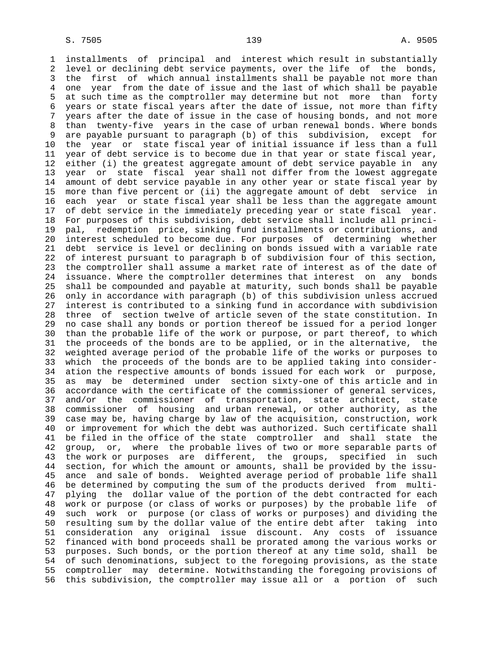1 installments of principal and interest which result in substantially 2 level or declining debt service payments, over the life of the bonds, 3 the first of which annual installments shall be payable not more than 4 one year from the date of issue and the last of which shall be payable 5 at such time as the comptroller may determine but not more than forty 6 years or state fiscal years after the date of issue, not more than fifty 7 years after the date of issue in the case of housing bonds, and not more 8 than twenty-five years in the case of urban renewal bonds. Where bonds are payable pursuant to paragraph (b) of this subdivision, except for 10 the year or state fiscal year of initial issuance if less than a full 11 year of debt service is to become due in that year or state fiscal year, 12 either (i) the greatest aggregate amount of debt service payable in any 13 year or state fiscal year shall not differ from the lowest aggregate 14 amount of debt service payable in any other year or state fiscal year by 15 more than five percent or (ii) the aggregate amount of debt service in 16 each year or state fiscal year shall be less than the aggregate amount 17 of debt service in the immediately preceding year or state fiscal year. 18 For purposes of this subdivision, debt service shall include all princi- 19 pal, redemption price, sinking fund installments or contributions, and 20 interest scheduled to become due. For purposes of determining whether 21 debt service is level or declining on bonds issued with a variable rate 22 of interest pursuant to paragraph b of subdivision four of this section, 23 the comptroller shall assume a market rate of interest as of the date of 24 issuance. Where the comptroller determines that interest on any bonds 25 shall be compounded and payable at maturity, such bonds shall be payable 26 only in accordance with paragraph (b) of this subdivision unless accrued 27 interest is contributed to a sinking fund in accordance with subdivision 28 three of section twelve of article seven of the state constitution. In 29 no case shall any bonds or portion thereof be issued for a period longer 30 than the probable life of the work or purpose, or part thereof, to which 31 the proceeds of the bonds are to be applied, or in the alternative, the 32 weighted average period of the probable life of the works or purposes to 33 which the proceeds of the bonds are to be applied taking into consider- 34 ation the respective amounts of bonds issued for each work or purpose, 35 as may be determined under section sixty-one of this article and in 36 accordance with the certificate of the commissioner of general services, 37 and/or the commissioner of transportation, state architect, state 38 commissioner of housing and urban renewal, or other authority, as the 39 case may be, having charge by law of the acquisition, construction, work 40 or improvement for which the debt was authorized. Such certificate shall 41 be filed in the office of the state comptroller and shall state the 42 group, or, where the probable lives of two or more separable parts of 43 the work or purposes are different, the groups, specified in such 44 section, for which the amount or amounts, shall be provided by the issu- 45 ance and sale of bonds. Weighted average period of probable life shall 46 be determined by computing the sum of the products derived from multi- 47 plying the dollar value of the portion of the debt contracted for each 48 work or purpose (or class of works or purposes) by the probable life of 49 such work or purpose (or class of works or purposes) and dividing the 50 resulting sum by the dollar value of the entire debt after taking into 51 consideration any original issue discount. Any costs of issuance 52 financed with bond proceeds shall be prorated among the various works or 53 purposes. Such bonds, or the portion thereof at any time sold, shall be 54 of such denominations, subject to the foregoing provisions, as the state 55 comptroller may determine. Notwithstanding the foregoing provisions of 56 this subdivision, the comptroller may issue all or a portion of such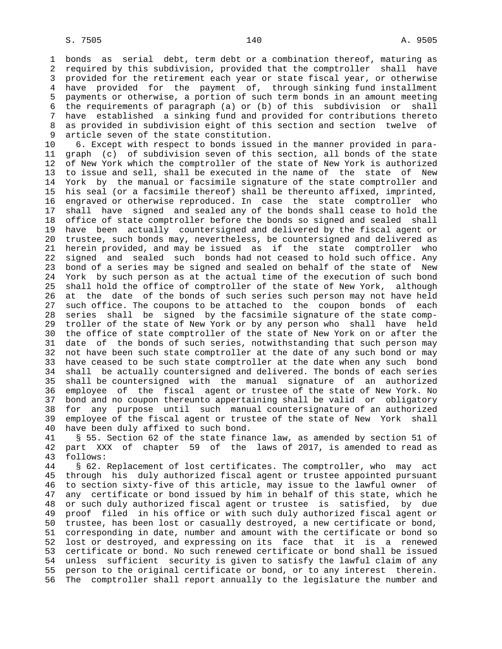1 bonds as serial debt, term debt or a combination thereof, maturing as 2 required by this subdivision, provided that the comptroller shall have 3 provided for the retirement each year or state fiscal year, or otherwise 4 have provided for the payment of, through sinking fund installment 5 payments or otherwise, a portion of such term bonds in an amount meeting 6 the requirements of paragraph (a) or (b) of this subdivision or shall 7 have established a sinking fund and provided for contributions thereto 8 as provided in subdivision eight of this section and section twelve of 3 article seven of the state constitution. article seven of the state constitution.

 10 6. Except with respect to bonds issued in the manner provided in para- 11 graph (c) of subdivision seven of this section, all bonds of the state 12 of New York which the comptroller of the state of New York is authorized 13 to issue and sell, shall be executed in the name of the state of New 14 York by the manual or facsimile signature of the state comptroller and 15 his seal (or a facsimile thereof) shall be thereunto affixed, imprinted, 16 engraved or otherwise reproduced. In case the state comptroller who 17 shall have signed and sealed any of the bonds shall cease to hold the 18 office of state comptroller before the bonds so signed and sealed shall 19 have been actually countersigned and delivered by the fiscal agent or 20 trustee, such bonds may, nevertheless, be countersigned and delivered as 21 herein provided, and may be issued as if the state comptroller who 22 signed and sealed such bonds had not ceased to hold such office. Any 23 bond of a series may be signed and sealed on behalf of the state of New 24 York by such person as at the actual time of the execution of such bond 25 shall hold the office of comptroller of the state of New York, although 26 at the date of the bonds of such series such person may not have held 27 such office. The coupons to be attached to the coupon bonds of each 28 series shall be signed by the facsimile signature of the state comp- 29 troller of the state of New York or by any person who shall have held 30 the office of state comptroller of the state of New York on or after the 31 date of the bonds of such series, notwithstanding that such person may 32 not have been such state comptroller at the date of any such bond or may 33 have ceased to be such state comptroller at the date when any such bond 34 shall be actually countersigned and delivered. The bonds of each series 35 shall be countersigned with the manual signature of an authorized 36 employee of the fiscal agent or trustee of the state of New York. No 37 bond and no coupon thereunto appertaining shall be valid or obligatory 38 for any purpose until such manual countersignature of an authorized 39 employee of the fiscal agent or trustee of the state of New York shall 40 have been duly affixed to such bond.

 41 § 55. Section 62 of the state finance law, as amended by section 51 of 42 part XXX of chapter 59 of the laws of 2017, is amended to read as 43 follows:

 44 § 62. Replacement of lost certificates. The comptroller, who may act 45 through his duly authorized fiscal agent or trustee appointed pursuant 46 to section sixty-five of this article, may issue to the lawful owner of 47 any certificate or bond issued by him in behalf of this state, which he 48 or such duly authorized fiscal agent or trustee is satisfied, by due 49 proof filed in his office or with such duly authorized fiscal agent or 50 trustee, has been lost or casually destroyed, a new certificate or bond, 51 corresponding in date, number and amount with the certificate or bond so 52 lost or destroyed, and expressing on its face that it is a renewed 53 certificate or bond. No such renewed certificate or bond shall be issued 54 unless sufficient security is given to satisfy the lawful claim of any 55 person to the original certificate or bond, or to any interest therein. 56 The comptroller shall report annually to the legislature the number and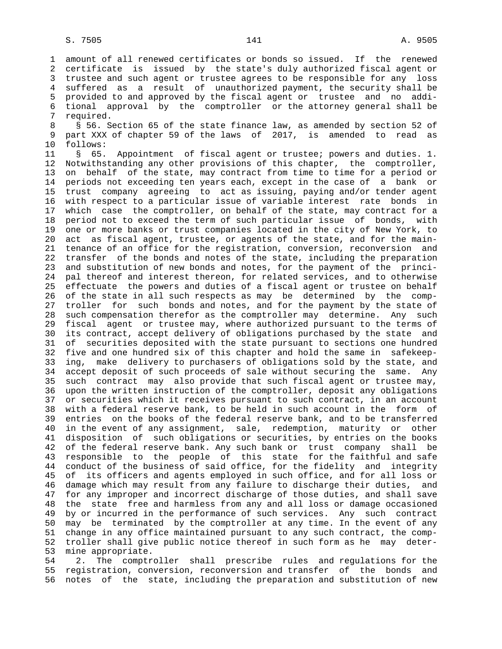1 amount of all renewed certificates or bonds so issued. If the renewed 2 certificate is issued by the state's duly authorized fiscal agent or 3 trustee and such agent or trustee agrees to be responsible for any loss 4 suffered as a result of unauthorized payment, the security shall be 5 provided to and approved by the fiscal agent or trustee and no addi- 6 tional approval by the comptroller or the attorney general shall be 7 required. 8 § 56. Section 65 of the state finance law, as amended by section 52 of<br>9 part XXX of chapter 59 of the laws of 2017, is amended to read as part XXX of chapter 59 of the laws of 2017, is amended to read as 10 follows: 11 § 65. Appointment of fiscal agent or trustee; powers and duties. 1. 12 Notwithstanding any other provisions of this chapter, the comptroller, 13 on behalf of the state, may contract from time to time for a period or 14 periods not exceeding ten years each, except in the case of a bank or 15 trust company agreeing to act as issuing, paying and/or tender agent 16 with respect to a particular issue of variable interest rate bonds in 17 which case the comptroller, on behalf of the state, may contract for a 18 period not to exceed the term of such particular issue of bonds, with 19 one or more banks or trust companies located in the city of New York, to 20 act as fiscal agent, trustee, or agents of the state, and for the main- 21 tenance of an office for the registration, conversion, reconversion and 22 transfer of the bonds and notes of the state, including the preparation 23 and substitution of new bonds and notes, for the payment of the princi- 24 pal thereof and interest thereon, for related services, and to otherwise 25 effectuate the powers and duties of a fiscal agent or trustee on behalf 26 of the state in all such respects as may be determined by the comp- 27 troller for such bonds and notes, and for the payment by the state of 28 such compensation therefor as the comptroller may determine. Any such 29 fiscal agent or trustee may, where authorized pursuant to the terms of 30 its contract, accept delivery of obligations purchased by the state and 31 of securities deposited with the state pursuant to sections one hundred 32 five and one hundred six of this chapter and hold the same in safekeep- 33 ing, make delivery to purchasers of obligations sold by the state, and 34 accept deposit of such proceeds of sale without securing the same. Any 35 such contract may also provide that such fiscal agent or trustee may, 36 upon the written instruction of the comptroller, deposit any obligations 37 or securities which it receives pursuant to such contract, in an account 38 with a federal reserve bank, to be held in such account in the form of 39 entries on the books of the federal reserve bank, and to be transferred 40 in the event of any assignment, sale, redemption, maturity or other 41 disposition of such obligations or securities, by entries on the books 42 of the federal reserve bank. Any such bank or trust company shall be 43 responsible to the people of this state for the faithful and safe 44 conduct of the business of said office, for the fidelity and integrity 45 of its officers and agents employed in such office, and for all loss or 46 damage which may result from any failure to discharge their duties, and 47 for any improper and incorrect discharge of those duties, and shall save 48 the state free and harmless from any and all loss or damage occasioned 49 by or incurred in the performance of such services. Any such contract 50 may be terminated by the comptroller at any time. In the event of any 51 change in any office maintained pursuant to any such contract, the comp- 52 troller shall give public notice thereof in such form as he may deter- 53 mine appropriate.

 54 2. The comptroller shall prescribe rules and regulations for the 55 registration, conversion, reconversion and transfer of the bonds and 56 notes of the state, including the preparation and substitution of new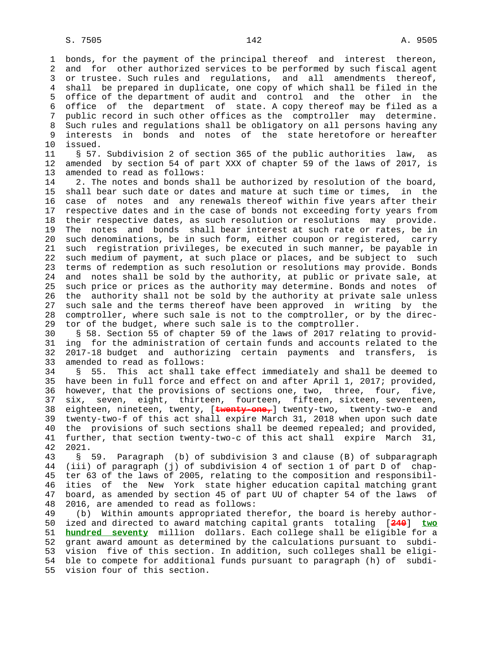1 bonds, for the payment of the principal thereof and interest thereon, 2 and for other authorized services to be performed by such fiscal agent 3 or trustee. Such rules and regulations, and all amendments thereof, 4 shall be prepared in duplicate, one copy of which shall be filed in the 5 office of the department of audit and control and the other in the 6 office of the department of state. A copy thereof may be filed as a 7 public record in such other offices as the comptroller may determine. 8 Such rules and regulations shall be obligatory on all persons having any<br>9 interests in bonds and notes of the state heretofore or hereafter interests in bonds and notes of the state heretofore or hereafter 10 issued. 11 § 57. Subdivision 2 of section 365 of the public authorities law, as 12 amended by section 54 of part XXX of chapter 59 of the laws of 2017, is 13 amended to read as follows: 14 2. The notes and bonds shall be authorized by resolution of the board, 15 shall bear such date or dates and mature at such time or times, in the 16 case of notes and any renewals thereof within five years after their 17 respective dates and in the case of bonds not exceeding forty years from 18 their respective dates, as such resolution or resolutions may provide. 19 The notes and bonds shall bear interest at such rate or rates, be in 20 such denominations, be in such form, either coupon or registered, carry 21 such registration privileges, be executed in such manner, be payable in 22 such medium of payment, at such place or places, and be subject to such 23 terms of redemption as such resolution or resolutions may provide. Bonds 24 and notes shall be sold by the authority, at public or private sale, at 25 such price or prices as the authority may determine. Bonds and notes of 26 the authority shall not be sold by the authority at private sale unless 27 such sale and the terms thereof have been approved in writing by the 28 comptroller, where such sale is not to the comptroller, or by the direc- 29 tor of the budget, where such sale is to the comptroller. 30 § 58. Section 55 of chapter 59 of the laws of 2017 relating to provid- 31 ing for the administration of certain funds and accounts related to the 32 2017-18 budget and authorizing certain payments and transfers, is 33 amended to read as follows: 34 § 55. This act shall take effect immediately and shall be deemed to 35 have been in full force and effect on and after April 1, 2017; provided, 36 however, that the provisions of sections one, two, three, four, five, 37 six, seven, eight, thirteen, fourteen, fifteen, sixteen, seventeen, 38 eighteen, nineteen, twenty, [**twenty-one,**] twenty-two, twenty-two-e and 39 twenty-two-f of this act shall expire March 31, 2018 when upon such date 40 the provisions of such sections shall be deemed repealed; and provided, 41 further, that section twenty-two-c of this act shall expire March 31, 42 2021. 43 § 59. Paragraph (b) of subdivision 3 and clause (B) of subparagraph 44 (iii) of paragraph (j) of subdivision 4 of section 1 of part D of chap- 45 ter 63 of the laws of 2005, relating to the composition and responsibil- 46 ities of the New York state higher education capital matching grant 47 board, as amended by section 45 of part UU of chapter 54 of the laws of 48 2016, are amended to read as follows: 49 (b) Within amounts appropriated therefor, the board is hereby author- 50 ized and directed to award matching capital grants totaling [**240**] **two** 51 **hundred seventy** million dollars. Each college shall be eligible for a 52 grant award amount as determined by the calculations pursuant to subdi- 53 vision five of this section. In addition, such colleges shall be eligi- 54 ble to compete for additional funds pursuant to paragraph (h) of subdi-

55 vision four of this section.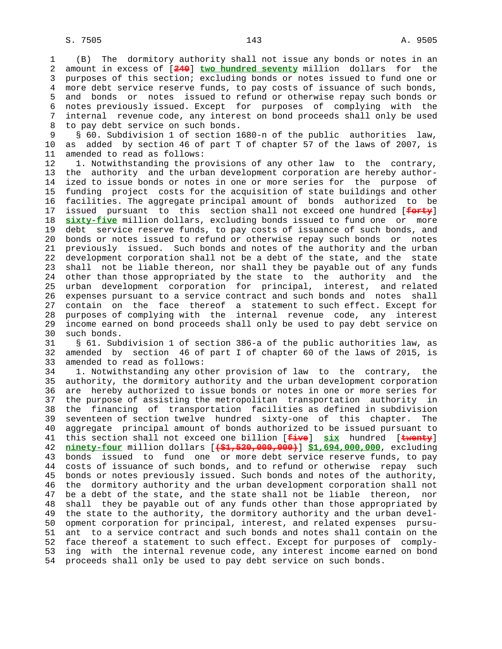1 (B) The dormitory authority shall not issue any bonds or notes in an 2 amount in excess of [**240**] **two hundred seventy** million dollars for the 3 purposes of this section; excluding bonds or notes issued to fund one or 4 more debt service reserve funds, to pay costs of issuance of such bonds, 5 and bonds or notes issued to refund or otherwise repay such bonds or 6 notes previously issued. Except for purposes of complying with the 7 internal revenue code, any interest on bond proceeds shall only be used 8 to pay debt service on such bonds.<br>9 § 60. Subdivision 1 of section 1

 9 § 60. Subdivision 1 of section 1680-n of the public authorities law, 10 as added by section 46 of part T of chapter 57 of the laws of 2007, is 11 amended to read as follows:

 12 1. Notwithstanding the provisions of any other law to the contrary, 13 the authority and the urban development corporation are hereby author- 14 ized to issue bonds or notes in one or more series for the purpose of 15 funding project costs for the acquisition of state buildings and other 16 facilities. The aggregate principal amount of bonds authorized to be 17 issued pursuant to this section shall not exceed one hundred [**forty**] 18 **sixty-five** million dollars, excluding bonds issued to fund one or more 19 debt service reserve funds, to pay costs of issuance of such bonds, and 20 bonds or notes issued to refund or otherwise repay such bonds or notes 21 previously issued. Such bonds and notes of the authority and the urban 22 development corporation shall not be a debt of the state, and the state 23 shall not be liable thereon, nor shall they be payable out of any funds 24 other than those appropriated by the state to the authority and the 25 urban development corporation for principal, interest, and related 26 expenses pursuant to a service contract and such bonds and notes shall 27 contain on the face thereof a statement to such effect. Except for 28 purposes of complying with the internal revenue code, any interest 29 income earned on bond proceeds shall only be used to pay debt service on 30 such bonds.

 31 § 61. Subdivision 1 of section 386-a of the public authorities law, as 32 amended by section 46 of part I of chapter 60 of the laws of 2015, is 33 amended to read as follows:

 34 1. Notwithstanding any other provision of law to the contrary, the 35 authority, the dormitory authority and the urban development corporation 36 are hereby authorized to issue bonds or notes in one or more series for 37 the purpose of assisting the metropolitan transportation authority in 38 the financing of transportation facilities as defined in subdivision 39 seventeen of section twelve hundred sixty-one of this chapter. The 40 aggregate principal amount of bonds authorized to be issued pursuant to 41 this section shall not exceed one billion [**five**] **six** hundred [**twenty**] 42 **ninety-four** million dollars [**(\$1,520,000,000)**] **\$1,694,000,000**, excluding 43 bonds issued to fund one or more debt service reserve funds, to pay 44 costs of issuance of such bonds, and to refund or otherwise repay such 45 bonds or notes previously issued. Such bonds and notes of the authority, 46 the dormitory authority and the urban development corporation shall not 47 be a debt of the state, and the state shall not be liable thereon, nor 48 shall they be payable out of any funds other than those appropriated by 49 the state to the authority, the dormitory authority and the urban devel- 50 opment corporation for principal, interest, and related expenses pursu- 51 ant to a service contract and such bonds and notes shall contain on the 52 face thereof a statement to such effect. Except for purposes of comply- 53 ing with the internal revenue code, any interest income earned on bond 54 proceeds shall only be used to pay debt service on such bonds.